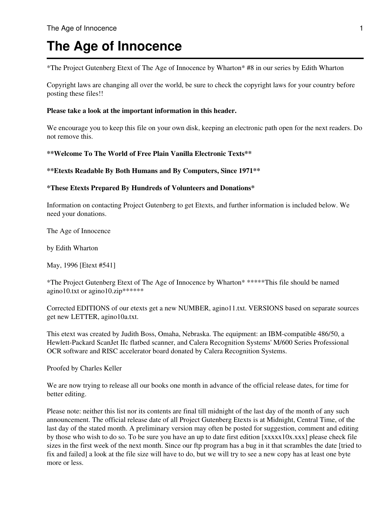# **The Age of Innocence**

\*The Project Gutenberg Etext of The Age of Innocence by Wharton\* #8 in our series by Edith Wharton

Copyright laws are changing all over the world, be sure to check the copyright laws for your country before posting these files!!

#### **Please take a look at the important information in this header.**

We encourage you to keep this file on your own disk, keeping an electronic path open for the next readers. Do not remove this.

**\*\*Welcome To The World of Free Plain Vanilla Electronic Texts\*\***

#### **\*\*Etexts Readable By Both Humans and By Computers, Since 1971\*\***

#### **\*These Etexts Prepared By Hundreds of Volunteers and Donations\***

Information on contacting Project Gutenberg to get Etexts, and further information is included below. We need your donations.

The Age of Innocence

by Edith Wharton

May, 1996 [Etext #541]

\*The Project Gutenberg Etext of The Age of Innocence by Wharton\* \*\*\*\*\*This file should be named agino10.txt or agino10.zip\*\*\*\*\*\*

Corrected EDITIONS of our etexts get a new NUMBER, agino11.txt. VERSIONS based on separate sources get new LETTER, agino10a.txt.

This etext was created by Judith Boss, Omaha, Nebraska. The equipment: an IBM-compatible 486/50, a Hewlett-Packard ScanJet IIc flatbed scanner, and Calera Recognition Systems' M/600 Series Professional OCR software and RISC accelerator board donated by Calera Recognition Systems.

Proofed by Charles Keller

We are now trying to release all our books one month in advance of the official release dates, for time for better editing.

Please note: neither this list nor its contents are final till midnight of the last day of the month of any such announcement. The official release date of all Project Gutenberg Etexts is at Midnight, Central Time, of the last day of the stated month. A preliminary version may often be posted for suggestion, comment and editing by those who wish to do so. To be sure you have an up to date first edition [xxxxx10x.xxx] please check file sizes in the first week of the next month. Since our ftp program has a bug in it that scrambles the date [tried to fix and failed] a look at the file size will have to do, but we will try to see a new copy has at least one byte more or less.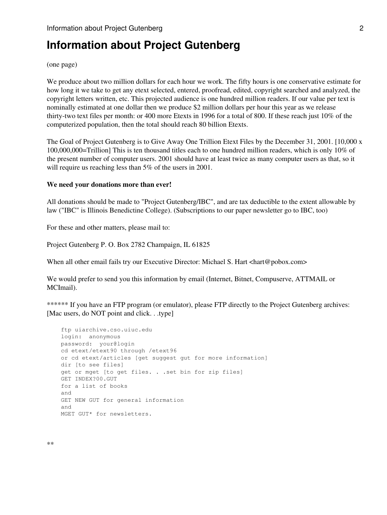## **Information about Project Gutenberg**

(one page)

We produce about two million dollars for each hour we work. The fifty hours is one conservative estimate for how long it we take to get any etext selected, entered, proofread, edited, copyright searched and analyzed, the copyright letters written, etc. This projected audience is one hundred million readers. If our value per text is nominally estimated at one dollar then we produce \$2 million dollars per hour this year as we release thirty-two text files per month: or 400 more Etexts in 1996 for a total of 800. If these reach just 10% of the computerized population, then the total should reach 80 billion Etexts.

The Goal of Project Gutenberg is to Give Away One Trillion Etext Files by the December 31, 2001. [10,000 x 100,000,000=Trillion] This is ten thousand titles each to one hundred million readers, which is only 10% of the present number of computer users. 2001 should have at least twice as many computer users as that, so it will require us reaching less than 5% of the users in 2001.

#### **We need your donations more than ever!**

All donations should be made to "Project Gutenberg/IBC", and are tax deductible to the extent allowable by law ("IBC" is Illinois Benedictine College). (Subscriptions to our paper newsletter go to IBC, too)

For these and other matters, please mail to:

Project Gutenberg P. O. Box 2782 Champaign, IL 61825

When all other email fails try our Executive Director: Michael S. Hart <hart@pobox.com>

We would prefer to send you this information by email (Internet, Bitnet, Compuserve, ATTMAIL or MCImail).

\*\*\*\*\*\* If you have an FTP program (or emulator), please FTP directly to the Project Gutenberg archives: [Mac users, do NOT point and click. . .type]

```
 ftp uiarchive.cso.uiuc.edu
login: anonymous
password: your@login
cd etext/etext90 through /etext96
or cd etext/articles [get suggest gut for more information]
dir [to see files]
get or mget [to get files. . .set bin for zip files]
GET INDEX?00.GUT
for a list of books
and
GET NEW GUT for general information
and
MGET GUT* for newsletters.
```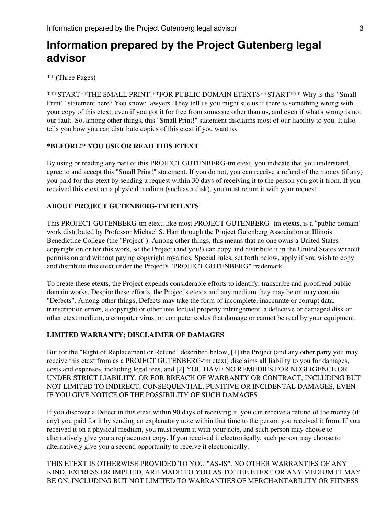\*\* (Three Pages)

\*\*\*START\*\*THE SMALL PRINT!\*\*FOR PUBLIC DOMAIN ETEXTS\*\*START\*\*\* Why is this "Small Print!" statement here? You know: lawyers. They tell us you might sue us if there is something wrong with your copy of this etext, even if you got it for free from someone other than us, and even if what's wrong is not our fault. So, among other things, this "Small Print!" statement disclaims most of our liability to you. It also tells you how you can distribute copies of this etext if you want to.

## **\*BEFORE!\* YOU USE OR READ THIS ETEXT**

By using or reading any part of this PROJECT GUTENBERG-tm etext, you indicate that you understand, agree to and accept this "Small Print!" statement. If you do not, you can receive a refund of the money (if any) you paid for this etext by sending a request within 30 days of receiving it to the person you got it from. If you received this etext on a physical medium (such as a disk), you must return it with your request.

## **ABOUT PROJECT GUTENBERG-TM ETEXTS**

This PROJECT GUTENBERG-tm etext, like most PROJECT GUTENBERG- tm etexts, is a "public domain" work distributed by Professor Michael S. Hart through the Project Gutenberg Association at Illinois Benedictine College (the "Project"). Among other things, this means that no one owns a United States copyright on or for this work, so the Project (and you!) can copy and distribute it in the United States without permission and without paying copyright royalties. Special rules, set forth below, apply if you wish to copy and distribute this etext under the Project's "PROJECT GUTENBERG" trademark.

To create these etexts, the Project expends considerable efforts to identify, transcribe and proofread public domain works. Despite these efforts, the Project's etexts and any medium they may be on may contain "Defects". Among other things, Defects may take the form of incomplete, inaccurate or corrupt data, transcription errors, a copyright or other intellectual property infringement, a defective or damaged disk or other etext medium, a computer virus, or computer codes that damage or cannot be read by your equipment.

#### **LIMITED WARRANTY; DISCLAIMER OF DAMAGES**

But for the "Right of Replacement or Refund" described below, [1] the Project (and any other party you may receive this etext from as a PROJECT GUTENBERG-tm etext) disclaims all liability to you for damages, costs and expenses, including legal fees, and [2] YOU HAVE NO REMEDIES FOR NEGLIGENCE OR UNDER STRICT LIABILITY, OR FOR BREACH OF WARRANTY OR CONTRACT, INCLUDING BUT NOT LIMITED TO INDIRECT, CONSEQUENTIAL, PUNITIVE OR INCIDENTAL DAMAGES, EVEN IF YOU GIVE NOTICE OF THE POSSIBILITY OF SUCH DAMAGES.

If you discover a Defect in this etext within 90 days of receiving it, you can receive a refund of the money (if any) you paid for it by sending an explanatory note within that time to the person you received it from. If you received it on a physical medium, you must return it with your note, and such person may choose to alternatively give you a replacement copy. If you received it electronically, such person may choose to alternatively give you a second opportunity to receive it electronically.

THIS ETEXT IS OTHERWISE PROVIDED TO YOU "AS-IS". NO OTHER WARRANTIES OF ANY KIND, EXPRESS OR IMPLIED, ARE MADE TO YOU AS TO THE ETEXT OR ANY MEDIUM IT MAY BE ON, INCLUDING BUT NOT LIMITED TO WARRANTIES OF MERCHANTABILITY OR FITNESS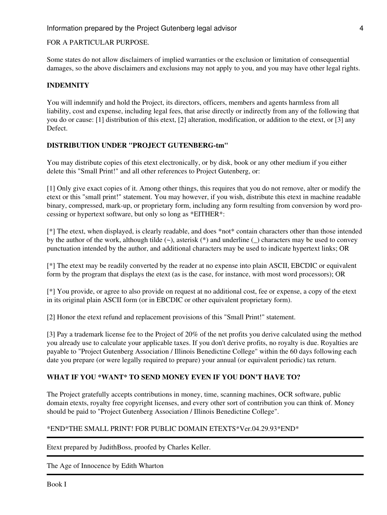## FOR A PARTICULAR PURPOSE.

Some states do not allow disclaimers of implied warranties or the exclusion or limitation of consequential damages, so the above disclaimers and exclusions may not apply to you, and you may have other legal rights.

## **INDEMNITY**

You will indemnify and hold the Project, its directors, officers, members and agents harmless from all liability, cost and expense, including legal fees, that arise directly or indirectly from any of the following that you do or cause: [1] distribution of this etext, [2] alteration, modification, or addition to the etext, or [3] any Defect.

## **DISTRIBUTION UNDER "PROJECT GUTENBERG-tm"**

You may distribute copies of this etext electronically, or by disk, book or any other medium if you either delete this "Small Print!" and all other references to Project Gutenberg, or:

[1] Only give exact copies of it. Among other things, this requires that you do not remove, alter or modify the etext or this "small print!" statement. You may however, if you wish, distribute this etext in machine readable binary, compressed, mark-up, or proprietary form, including any form resulting from conversion by word processing or hypertext software, but only so long as \*EITHER\*:

[\*] The etext, when displayed, is clearly readable, and does \*not\* contain characters other than those intended by the author of the work, although tilde (~), asterisk (\*) and underline (\_) characters may be used to convey punctuation intended by the author, and additional characters may be used to indicate hypertext links; OR

[\*] The etext may be readily converted by the reader at no expense into plain ASCII, EBCDIC or equivalent form by the program that displays the etext (as is the case, for instance, with most word processors); OR

[\*] You provide, or agree to also provide on request at no additional cost, fee or expense, a copy of the etext in its original plain ASCII form (or in EBCDIC or other equivalent proprietary form).

[2] Honor the etext refund and replacement provisions of this "Small Print!" statement.

[3] Pay a trademark license fee to the Project of 20% of the net profits you derive calculated using the method you already use to calculate your applicable taxes. If you don't derive profits, no royalty is due. Royalties are payable to "Project Gutenberg Association / Illinois Benedictine College" within the 60 days following each date you prepare (or were legally required to prepare) your annual (or equivalent periodic) tax return.

## **WHAT IF YOU \*WANT\* TO SEND MONEY EVEN IF YOU DON'T HAVE TO?**

The Project gratefully accepts contributions in money, time, scanning machines, OCR software, public domain etexts, royalty free copyright licenses, and every other sort of contribution you can think of. Money should be paid to "Project Gutenberg Association / Illinois Benedictine College".

## \*END\*THE SMALL PRINT! FOR PUBLIC DOMAIN ETEXTS\*Ver.04.29.93\*END\*

Etext prepared by JudithBoss, proofed by Charles Keller.

The Age of Innocence by Edith Wharton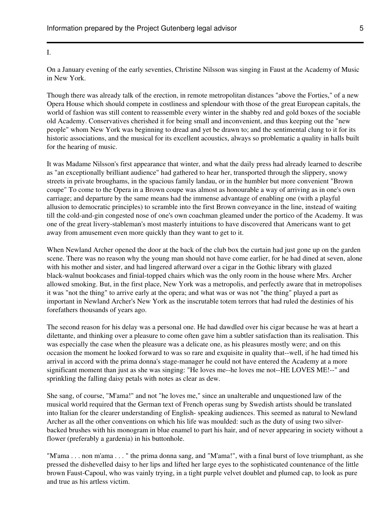#### I.

On a January evening of the early seventies, Christine Nilsson was singing in Faust at the Academy of Music in New York.

Though there was already talk of the erection, in remote metropolitan distances "above the Forties," of a new Opera House which should compete in costliness and splendour with those of the great European capitals, the world of fashion was still content to reassemble every winter in the shabby red and gold boxes of the sociable old Academy. Conservatives cherished it for being small and inconvenient, and thus keeping out the "new people" whom New York was beginning to dread and yet be drawn to; and the sentimental clung to it for its historic associations, and the musical for its excellent acoustics, always so problematic a quality in halls built for the hearing of music.

It was Madame Nilsson's first appearance that winter, and what the daily press had already learned to describe as "an exceptionally brilliant audience" had gathered to hear her, transported through the slippery, snowy streets in private broughams, in the spacious family landau, or in the humbler but more convenient "Brown coupe" To come to the Opera in a Brown coupe was almost as honourable a way of arriving as in one's own carriage; and departure by the same means had the immense advantage of enabling one (with a playful allusion to democratic principles) to scramble into the first Brown conveyance in the line, instead of waiting till the cold-and-gin congested nose of one's own coachman gleamed under the portico of the Academy. It was one of the great livery-stableman's most masterly intuitions to have discovered that Americans want to get away from amusement even more quickly than they want to get to it.

When Newland Archer opened the door at the back of the club box the curtain had just gone up on the garden scene. There was no reason why the young man should not have come earlier, for he had dined at seven, alone with his mother and sister, and had lingered afterward over a cigar in the Gothic library with glazed black-walnut bookcases and finial-topped chairs which was the only room in the house where Mrs. Archer allowed smoking. But, in the first place, New York was a metropolis, and perfectly aware that in metropolises it was "not the thing" to arrive early at the opera; and what was or was not "the thing" played a part as important in Newland Archer's New York as the inscrutable totem terrors that had ruled the destinies of his forefathers thousands of years ago.

The second reason for his delay was a personal one. He had dawdled over his cigar because he was at heart a dilettante, and thinking over a pleasure to come often gave him a subtler satisfaction than its realisation. This was especially the case when the pleasure was a delicate one, as his pleasures mostly were; and on this occasion the moment he looked forward to was so rare and exquisite in quality that--well, if he had timed his arrival in accord with the prima donna's stage-manager he could not have entered the Academy at a more significant moment than just as she was singing: "He loves me--he loves me not--HE LOVES ME!--" and sprinkling the falling daisy petals with notes as clear as dew.

She sang, of course, "M'ama!" and not "he loves me," since an unalterable and unquestioned law of the musical world required that the German text of French operas sung by Swedish artists should be translated into Italian for the clearer understanding of English- speaking audiences. This seemed as natural to Newland Archer as all the other conventions on which his life was moulded: such as the duty of using two silverbacked brushes with his monogram in blue enamel to part his hair, and of never appearing in society without a flower (preferably a gardenia) in his buttonhole.

"M'ama . . . non m'ama . . . " the prima donna sang, and "M'ama!", with a final burst of love triumphant, as she pressed the dishevelled daisy to her lips and lifted her large eyes to the sophisticated countenance of the little brown Faust-Capoul, who was vainly trying, in a tight purple velvet doublet and plumed cap, to look as pure and true as his artless victim.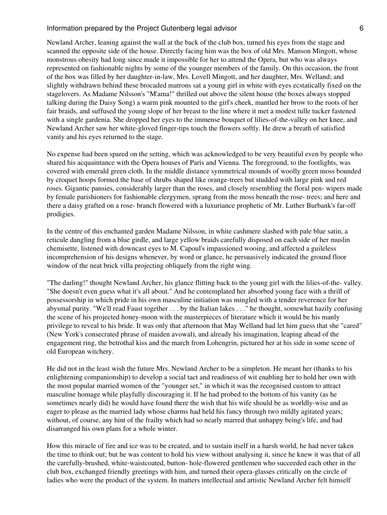Newland Archer, leaning against the wall at the back of the club box, turned his eyes from the stage and scanned the opposite side of the house. Directly facing him was the box of old Mrs. Manson Mingott, whose monstrous obesity had long since made it impossible for her to attend the Opera, but who was always represented on fashionable nights by some of the younger members of the family. On this occasion, the front of the box was filled by her daughter-in-law, Mrs. Lovell Mingott, and her daughter, Mrs. Welland; and slightly withdrawn behind these brocaded matrons sat a young girl in white with eyes ecstatically fixed on the stagelovers. As Madame Nilsson's "M'ama!" thrilled out above the silent house (the boxes always stopped talking during the Daisy Song) a warm pink mounted to the girl's cheek, mantled her brow to the roots of her fair braids, and suffused the young slope of her breast to the line where it met a modest tulle tucker fastened with a single gardenia. She dropped her eyes to the immense bouquet of lilies-of-the-valley on her knee, and Newland Archer saw her white-gloved finger-tips touch the flowers softly. He drew a breath of satisfied vanity and his eyes returned to the stage.

No expense had been spared on the setting, which was acknowledged to be very beautiful even by people who shared his acquaintance with the Opera houses of Paris and Vienna. The foreground, to the footlights, was covered with emerald green cloth. In the middle distance symmetrical mounds of woolly green moss bounded by croquet hoops formed the base of shrubs shaped like orange-trees but studded with large pink and red roses. Gigantic pansies, considerably larger than the roses, and closely resembling the floral pen- wipers made by female parishioners for fashionable clergymen, sprang from the moss beneath the rose- trees; and here and there a daisy grafted on a rose- branch flowered with a luxuriance prophetic of Mr. Luther Burbank's far-off prodigies.

In the centre of this enchanted garden Madame Nilsson, in white cashmere slashed with pale blue satin, a reticule dangling from a blue girdle, and large yellow braids carefully disposed on each side of her muslin chemisette, listened with downcast eyes to M. Capoul's impassioned wooing, and affected a guileless incomprehension of his designs whenever, by word or glance, he persuasively indicated the ground floor window of the neat brick villa projecting obliquely from the right wing.

"The darling!" thought Newland Archer, his glance flitting back to the young girl with the lilies-of-the- valley. "She doesn't even guess what it's all about." And he contemplated her absorbed young face with a thrill of possessorship in which pride in his own masculine initiation was mingled with a tender reverence for her abysmal purity. "We'll read Faust together . . . by the Italian lakes . . ." he thought, somewhat hazily confusing the scene of his projected honey-moon with the masterpieces of literature which it would be his manly privilege to reveal to his bride. It was only that afternoon that May Welland had let him guess that she "cared" (New York's consecrated phrase of maiden avowal), and already his imagination, leaping ahead of the engagement ring, the betrothal kiss and the march from Lohengrin, pictured her at his side in some scene of old European witchery.

He did not in the least wish the future Mrs. Newland Archer to be a simpleton. He meant her (thanks to his enlightening companionship) to develop a social tact and readiness of wit enabling her to hold her own with the most popular married women of the "younger set," in which it was the recognised custom to attract masculine homage while playfully discouraging it. If he had probed to the bottom of his vanity (as he sometimes nearly did) he would have found there the wish that his wife should be as worldly-wise and as eager to please as the married lady whose charms had held his fancy through two mildly agitated years; without, of course, any hint of the frailty which had so nearly marred that unhappy being's life, and had disarranged his own plans for a whole winter.

How this miracle of fire and ice was to be created, and to sustain itself in a harsh world, he had never taken the time to think out; but he was content to hold his view without analysing it, since he knew it was that of all the carefully-brushed, white-waistcoated, button- hole-flowered gentlemen who succeeded each other in the club box, exchanged friendly greetings with him, and turned their opera-glasses critically on the circle of ladies who were the product of the system. In matters intellectual and artistic Newland Archer felt himself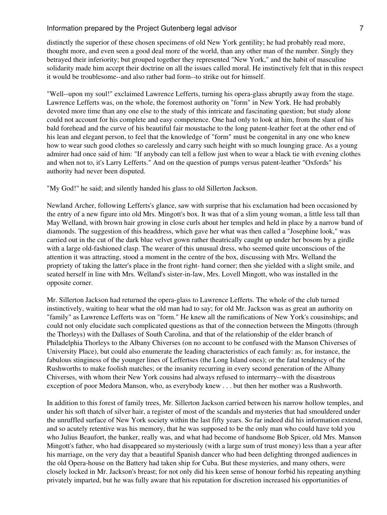distinctly the superior of these chosen specimens of old New York gentility; he had probably read more, thought more, and even seen a good deal more of the world, than any other man of the number. Singly they betrayed their inferiority; but grouped together they represented "New York," and the habit of masculine solidarity made him accept their doctrine on all the issues called moral. He instinctively felt that in this respect it would be troublesome--and also rather bad form--to strike out for himself.

"Well--upon my soul!" exclaimed Lawrence Lefferts, turning his opera-glass abruptly away from the stage. Lawrence Lefferts was, on the whole, the foremost authority on "form" in New York. He had probably devoted more time than any one else to the study of this intricate and fascinating question; but study alone could not account for his complete and easy competence. One had only to look at him, from the slant of his bald forehead and the curve of his beautiful fair moustache to the long patent-leather feet at the other end of his lean and elegant person, to feel that the knowledge of "form" must be congenital in any one who knew how to wear such good clothes so carelessly and carry such height with so much lounging grace. As a young admirer had once said of him: "If anybody can tell a fellow just when to wear a black tie with evening clothes and when not to, it's Larry Lefferts." And on the question of pumps versus patent-leather "Oxfords" his authority had never been disputed.

"My God!" he said; and silently handed his glass to old Sillerton Jackson.

Newland Archer, following Lefferts's glance, saw with surprise that his exclamation had been occasioned by the entry of a new figure into old Mrs. Mingott's box. It was that of a slim young woman, a little less tall than May Welland, with brown hair growing in close curls about her temples and held in place by a narrow band of diamonds. The suggestion of this headdress, which gave her what was then called a "Josephine look," was carried out in the cut of the dark blue velvet gown rather theatrically caught up under her bosom by a girdle with a large old-fashioned clasp. The wearer of this unusual dress, who seemed quite unconscious of the attention it was attracting, stood a moment in the centre of the box, discussing with Mrs. Welland the propriety of taking the latter's place in the front right- hand corner; then she yielded with a slight smile, and seated herself in line with Mrs. Welland's sister-in-law, Mrs. Lovell Mingott, who was installed in the opposite corner.

Mr. Sillerton Jackson had returned the opera-glass to Lawrence Lefferts. The whole of the club turned instinctively, waiting to hear what the old man had to say; for old Mr. Jackson was as great an authority on "family" as Lawrence Lefferts was on "form." He knew all the ramifications of New York's cousinships; and could not only elucidate such complicated questions as that of the connection between the Mingotts (through the Thorleys) with the Dallases of South Carolina, and that of the relationship of the elder branch of Philadelphia Thorleys to the Albany Chiverses (on no account to be confused with the Manson Chiverses of University Place), but could also enumerate the leading characteristics of each family: as, for instance, the fabulous stinginess of the younger lines of Leffertses (the Long Island ones); or the fatal tendency of the Rushworths to make foolish matches; or the insanity recurring in every second generation of the Albany Chiverses, with whom their New York cousins had always refused to intermarry--with the disastrous exception of poor Medora Manson, who, as everybody knew . . . but then her mother was a Rushworth.

In addition to this forest of family trees, Mr. Sillerton Jackson carried between his narrow hollow temples, and under his soft thatch of silver hair, a register of most of the scandals and mysteries that had smouldered under the unruffled surface of New York society within the last fifty years. So far indeed did his information extend, and so acutely retentive was his memory, that he was supposed to be the only man who could have told you who Julius Beaufort, the banker, really was, and what had become of handsome Bob Spicer, old Mrs. Manson Mingott's father, who had disappeared so mysteriously (with a large sum of trust money) less than a year after his marriage, on the very day that a beautiful Spanish dancer who had been delighting thronged audiences in the old Opera-house on the Battery had taken ship for Cuba. But these mysteries, and many others, were closely locked in Mr. Jackson's breast; for not only did his keen sense of honour forbid his repeating anything privately imparted, but he was fully aware that his reputation for discretion increased his opportunities of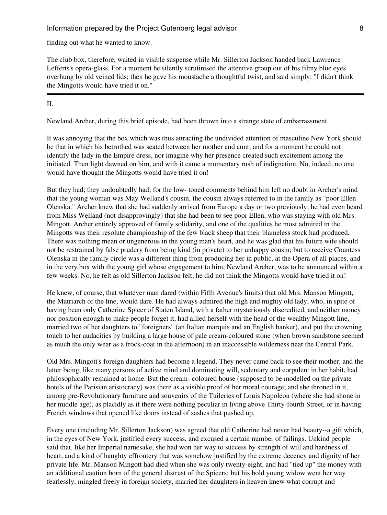finding out what he wanted to know.

The club box, therefore, waited in visible suspense while Mr. Sillerton Jackson handed back Lawrence Lefferts's opera-glass. For a moment he silently scrutinised the attentive group out of his filmy blue eyes overhung by old veined lids; then he gave his moustache a thoughtful twist, and said simply: "I didn't think the Mingotts would have tried it on."

#### II.

Newland Archer, during this brief episode, had been thrown into a strange state of embarrassment.

It was annoying that the box which was thus attracting the undivided attention of masculine New York should be that in which his betrothed was seated between her mother and aunt; and for a moment he could not identify the lady in the Empire dress, nor imagine why her presence created such excitement among the initiated. Then light dawned on him, and with it came a momentary rush of indignation. No, indeed; no one would have thought the Mingotts would have tried it on!

But they had; they undoubtedly had; for the low- toned comments behind him left no doubt in Archer's mind that the young woman was May Welland's cousin, the cousin always referred to in the family as "poor Ellen Olenska." Archer knew that she had suddenly arrived from Europe a day or two previously; he had even heard from Miss Welland (not disapprovingly) that she had been to see poor Ellen, who was staying with old Mrs. Mingott. Archer entirely approved of family solidarity, and one of the qualities he most admired in the Mingotts was their resolute championship of the few black sheep that their blameless stock had produced. There was nothing mean or ungenerous in the young man's heart, and he was glad that his future wife should not be restrained by false prudery from being kind (in private) to her unhappy cousin; but to receive Countess Olenska in the family circle was a different thing from producing her in public, at the Opera of all places, and in the very box with the young girl whose engagement to him, Newland Archer, was to be announced within a few weeks. No, he felt as old Sillerton Jackson felt; he did not think the Mingotts would have tried it on!

He knew, of course, that whatever man dared (within Fifth Avenue's limits) that old Mrs. Manson Mingott, the Matriarch of the line, would dare. He had always admired the high and mighty old lady, who, in spite of having been only Catherine Spicer of Staten Island, with a father mysteriously discredited, and neither money nor position enough to make people forget it, had allied herself with the head of the wealthy Mingott line, married two of her daughters to "foreigners" (an Italian marquis and an English banker), and put the crowning touch to her audacities by building a large house of pale cream-coloured stone (when brown sandstone seemed as much the only wear as a frock-coat in the afternoon) in an inaccessible wilderness near the Central Park.

Old Mrs. Mingott's foreign daughters had become a legend. They never came back to see their mother, and the latter being, like many persons of active mind and dominating will, sedentary and corpulent in her habit, had philosophically remained at home. But the cream- coloured house (supposed to be modelled on the private hotels of the Parisian aristocracy) was there as a visible proof of her moral courage; and she throned in it, among pre-Revolutionary furniture and souvenirs of the Tuileries of Louis Napoleon (where she had shone in her middle age), as placidly as if there were nothing peculiar in living above Thirty-fourth Street, or in having French windows that opened like doors instead of sashes that pushed up.

Every one (including Mr. Sillerton Jackson) was agreed that old Catherine had never had beauty--a gift which, in the eyes of New York, justified every success, and excused a certain number of failings. Unkind people said that, like her Imperial namesake, she had won her way to success by strength of will and hardness of heart, and a kind of haughty effrontery that was somehow justified by the extreme decency and dignity of her private life. Mr. Manson Mingott had died when she was only twenty-eight, and had "tied up" the money with an additional caution born of the general distrust of the Spicers; but his bold young widow went her way fearlessly, mingled freely in foreign society, married her daughters in heaven knew what corrupt and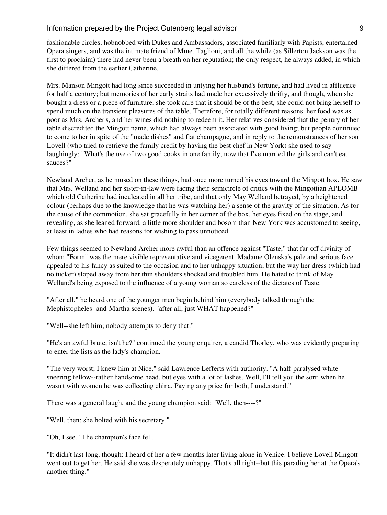fashionable circles, hobnobbed with Dukes and Ambassadors, associated familiarly with Papists, entertained Opera singers, and was the intimate friend of Mme. Taglioni; and all the while (as Sillerton Jackson was the first to proclaim) there had never been a breath on her reputation; the only respect, he always added, in which she differed from the earlier Catherine.

Mrs. Manson Mingott had long since succeeded in untying her husband's fortune, and had lived in affluence for half a century; but memories of her early straits had made her excessively thrifty, and though, when she bought a dress or a piece of furniture, she took care that it should be of the best, she could not bring herself to spend much on the transient pleasures of the table. Therefore, for totally different reasons, her food was as poor as Mrs. Archer's, and her wines did nothing to redeem it. Her relatives considered that the penury of her table discredited the Mingott name, which had always been associated with good living; but people continued to come to her in spite of the "made dishes" and flat champagne, and in reply to the remonstrances of her son Lovell (who tried to retrieve the family credit by having the best chef in New York) she used to say laughingly: "What's the use of two good cooks in one family, now that I've married the girls and can't eat sauces?"

Newland Archer, as he mused on these things, had once more turned his eyes toward the Mingott box. He saw that Mrs. Welland and her sister-in-law were facing their semicircle of critics with the Mingottian APLOMB which old Catherine had inculcated in all her tribe, and that only May Welland betrayed, by a heightened colour (perhaps due to the knowledge that he was watching her) a sense of the gravity of the situation. As for the cause of the commotion, she sat gracefully in her corner of the box, her eyes fixed on the stage, and revealing, as she leaned forward, a little more shoulder and bosom than New York was accustomed to seeing, at least in ladies who had reasons for wishing to pass unnoticed.

Few things seemed to Newland Archer more awful than an offence against "Taste," that far-off divinity of whom "Form" was the mere visible representative and vicegerent. Madame Olenska's pale and serious face appealed to his fancy as suited to the occasion and to her unhappy situation; but the way her dress (which had no tucker) sloped away from her thin shoulders shocked and troubled him. He hated to think of May Welland's being exposed to the influence of a young woman so careless of the dictates of Taste.

"After all," he heard one of the younger men begin behind him (everybody talked through the Mephistopheles- and-Martha scenes), "after all, just WHAT happened?"

"Well--she left him; nobody attempts to deny that."

"He's an awful brute, isn't he?" continued the young enquirer, a candid Thorley, who was evidently preparing to enter the lists as the lady's champion.

"The very worst; I knew him at Nice," said Lawrence Lefferts with authority. "A half-paralysed white sneering fellow--rather handsome head, but eyes with a lot of lashes. Well, I'll tell you the sort: when he wasn't with women he was collecting china. Paying any price for both, I understand."

There was a general laugh, and the young champion said: "Well, then----?"

"Well, then; she bolted with his secretary."

"Oh, I see." The champion's face fell.

"It didn't last long, though: I heard of her a few months later living alone in Venice. I believe Lovell Mingott went out to get her. He said she was desperately unhappy. That's all right--but this parading her at the Opera's another thing."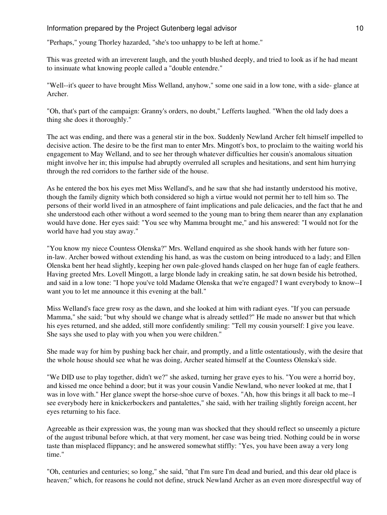Information prepared by the Project Gutenberg legal advisor and the matrix of 10

"Perhaps," young Thorley hazarded, "she's too unhappy to be left at home."

This was greeted with an irreverent laugh, and the youth blushed deeply, and tried to look as if he had meant to insinuate what knowing people called a "double entendre."

"Well--it's queer to have brought Miss Welland, anyhow," some one said in a low tone, with a side- glance at Archer.

"Oh, that's part of the campaign: Granny's orders, no doubt," Lefferts laughed. "When the old lady does a thing she does it thoroughly."

The act was ending, and there was a general stir in the box. Suddenly Newland Archer felt himself impelled to decisive action. The desire to be the first man to enter Mrs. Mingott's box, to proclaim to the waiting world his engagement to May Welland, and to see her through whatever difficulties her cousin's anomalous situation might involve her in; this impulse had abruptly overruled all scruples and hesitations, and sent him hurrying through the red corridors to the farther side of the house.

As he entered the box his eyes met Miss Welland's, and he saw that she had instantly understood his motive, though the family dignity which both considered so high a virtue would not permit her to tell him so. The persons of their world lived in an atmosphere of faint implications and pale delicacies, and the fact that he and she understood each other without a word seemed to the young man to bring them nearer than any explanation would have done. Her eyes said: "You see why Mamma brought me," and his answered: "I would not for the world have had you stay away."

"You know my niece Countess Olenska?" Mrs. Welland enquired as she shook hands with her future sonin-law. Archer bowed without extending his hand, as was the custom on being introduced to a lady; and Ellen Olenska bent her head slightly, keeping her own pale-gloved hands clasped on her huge fan of eagle feathers. Having greeted Mrs. Lovell Mingott, a large blonde lady in creaking satin, he sat down beside his betrothed, and said in a low tone: "I hope you've told Madame Olenska that we're engaged? I want everybody to know--I want you to let me announce it this evening at the ball."

Miss Welland's face grew rosy as the dawn, and she looked at him with radiant eyes. "If you can persuade Mamma," she said; "but why should we change what is already settled?" He made no answer but that which his eyes returned, and she added, still more confidently smiling: "Tell my cousin yourself: I give you leave. She says she used to play with you when you were children."

She made way for him by pushing back her chair, and promptly, and a little ostentatiously, with the desire that the whole house should see what he was doing, Archer seated himself at the Countess Olenska's side.

"We DID use to play together, didn't we?" she asked, turning her grave eyes to his. "You were a horrid boy, and kissed me once behind a door; but it was your cousin Vandie Newland, who never looked at me, that I was in love with." Her glance swept the horse-shoe curve of boxes. "Ah, how this brings it all back to me--I see everybody here in knickerbockers and pantalettes," she said, with her trailing slightly foreign accent, her eyes returning to his face.

Agreeable as their expression was, the young man was shocked that they should reflect so unseemly a picture of the august tribunal before which, at that very moment, her case was being tried. Nothing could be in worse taste than misplaced flippancy; and he answered somewhat stiffly: "Yes, you have been away a very long time."

"Oh, centuries and centuries; so long," she said, "that I'm sure I'm dead and buried, and this dear old place is heaven;" which, for reasons he could not define, struck Newland Archer as an even more disrespectful way of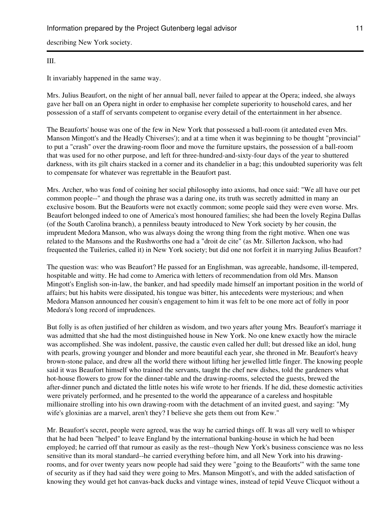describing New York society.

#### III.

It invariably happened in the same way.

Mrs. Julius Beaufort, on the night of her annual ball, never failed to appear at the Opera; indeed, she always gave her ball on an Opera night in order to emphasise her complete superiority to household cares, and her possession of a staff of servants competent to organise every detail of the entertainment in her absence.

The Beauforts' house was one of the few in New York that possessed a ball-room (it antedated even Mrs. Manson Mingott's and the Headly Chiverses'); and at a time when it was beginning to be thought "provincial" to put a "crash" over the drawing-room floor and move the furniture upstairs, the possession of a ball-room that was used for no other purpose, and left for three-hundred-and-sixty-four days of the year to shuttered darkness, with its gilt chairs stacked in a corner and its chandelier in a bag; this undoubted superiority was felt to compensate for whatever was regrettable in the Beaufort past.

Mrs. Archer, who was fond of coining her social philosophy into axioms, had once said: "We all have our pet common people--" and though the phrase was a daring one, its truth was secretly admitted in many an exclusive bosom. But the Beauforts were not exactly common; some people said they were even worse. Mrs. Beaufort belonged indeed to one of America's most honoured families; she had been the lovely Regina Dallas (of the South Carolina branch), a penniless beauty introduced to New York society by her cousin, the imprudent Medora Manson, who was always doing the wrong thing from the right motive. When one was related to the Mansons and the Rushworths one had a "droit de cite" (as Mr. Sillerton Jackson, who had frequented the Tuileries, called it) in New York society; but did one not forfeit it in marrying Julius Beaufort?

The question was: who was Beaufort? He passed for an Englishman, was agreeable, handsome, ill-tempered, hospitable and witty. He had come to America with letters of recommendation from old Mrs. Manson Mingott's English son-in-law, the banker, and had speedily made himself an important position in the world of affairs; but his habits were dissipated, his tongue was bitter, his antecedents were mysterious; and when Medora Manson announced her cousin's engagement to him it was felt to be one more act of folly in poor Medora's long record of imprudences.

But folly is as often justified of her children as wisdom, and two years after young Mrs. Beaufort's marriage it was admitted that she had the most distinguished house in New York. No one knew exactly how the miracle was accomplished. She was indolent, passive, the caustic even called her dull; but dressed like an idol, hung with pearls, growing younger and blonder and more beautiful each year, she throned in Mr. Beaufort's heavy brown-stone palace, and drew all the world there without lifting her jewelled little finger. The knowing people said it was Beaufort himself who trained the servants, taught the chef new dishes, told the gardeners what hot-house flowers to grow for the dinner-table and the drawing-rooms, selected the guests, brewed the after-dinner punch and dictated the little notes his wife wrote to her friends. If he did, these domestic activities were privately performed, and he presented to the world the appearance of a careless and hospitable millionaire strolling into his own drawing-room with the detachment of an invited guest, and saying: "My wife's gloxinias are a marvel, aren't they? I believe she gets them out from Kew."

Mr. Beaufort's secret, people were agreed, was the way he carried things off. It was all very well to whisper that he had been "helped" to leave England by the international banking-house in which he had been employed; he carried off that rumour as easily as the rest--though New York's business conscience was no less sensitive than its moral standard--he carried everything before him, and all New York into his drawingrooms, and for over twenty years now people had said they were "going to the Beauforts'" with the same tone of security as if they had said they were going to Mrs. Manson Mingott's, and with the added satisfaction of knowing they would get hot canvas-back ducks and vintage wines, instead of tepid Veuve Clicquot without a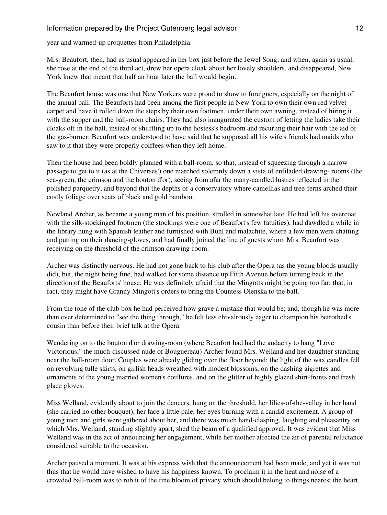year and warmed-up croquettes from Philadelphia.

Mrs. Beaufort, then, had as usual appeared in her box just before the Jewel Song; and when, again as usual, she rose at the end of the third act, drew her opera cloak about her lovely shoulders, and disappeared, New York knew that meant that half an hour later the ball would begin.

The Beaufort house was one that New Yorkers were proud to show to foreigners, especially on the night of the annual ball. The Beauforts had been among the first people in New York to own their own red velvet carpet and have it rolled down the steps by their own footmen, under their own awning, instead of hiring it with the supper and the ball-room chairs. They had also inaugurated the custom of letting the ladies take their cloaks off in the hall, instead of shuffling up to the hostess's bedroom and recurling their hair with the aid of the gas-burner; Beaufort was understood to have said that he supposed all his wife's friends had maids who saw to it that they were properly coiffees when they left home.

Then the house had been boldly planned with a ball-room, so that, instead of squeezing through a narrow passage to get to it (as at the Chiverses') one marched solemnly down a vista of enfiladed drawing- rooms (the sea-green, the crimson and the bouton d'or), seeing from afar the many-candled lustres reflected in the polished parquetry, and beyond that the depths of a conservatory where camellias and tree-ferns arched their costly foliage over seats of black and gold bamboo.

Newland Archer, as became a young man of his position, strolled in somewhat late. He had left his overcoat with the silk-stockinged footmen (the stockings were one of Beaufort's few fatuities), had dawdled a while in the library hung with Spanish leather and furnished with Buhl and malachite, where a few men were chatting and putting on their dancing-gloves, and had finally joined the line of guests whom Mrs. Beaufort was receiving on the threshold of the crimson drawing-room.

Archer was distinctly nervous. He had not gone back to his club after the Opera (as the young bloods usually did), but, the night being fine, had walked for some distance up Fifth Avenue before turning back in the direction of the Beauforts' house. He was definitely afraid that the Mingotts might be going too far; that, in fact, they might have Granny Mingott's orders to bring the Countess Olenska to the ball.

From the tone of the club box he had perceived how grave a mistake that would be; and, though he was more than ever determined to "see the thing through," he felt less chivalrously eager to champion his betrothed's cousin than before their brief talk at the Opera.

Wandering on to the bouton d'or drawing-room (where Beaufort had had the audacity to hang "Love Victorious," the much-discussed nude of Bouguereau) Archer found Mrs. Welland and her daughter standing near the ball-room door. Couples were already gliding over the floor beyond: the light of the wax candles fell on revolving tulle skirts, on girlish heads wreathed with modest blossoms, on the dashing aigrettes and ornaments of the young married women's coiffures, and on the glitter of highly glazed shirt-fronts and fresh glace gloves.

Miss Welland, evidently about to join the dancers, hung on the threshold, her lilies-of-the-valley in her hand (she carried no other bouquet), her face a little pale, her eyes burning with a candid excitement. A group of young men and girls were gathered about her, and there was much hand-clasping, laughing and pleasantry on which Mrs. Welland, standing slightly apart, shed the beam of a qualified approval. It was evident that Miss Welland was in the act of announcing her engagement, while her mother affected the air of parental reluctance considered suitable to the occasion.

Archer paused a moment. It was at his express wish that the announcement had been made, and yet it was not thus that he would have wished to have his happiness known. To proclaim it in the heat and noise of a crowded ball-room was to rob it of the fine bloom of privacy which should belong to things nearest the heart.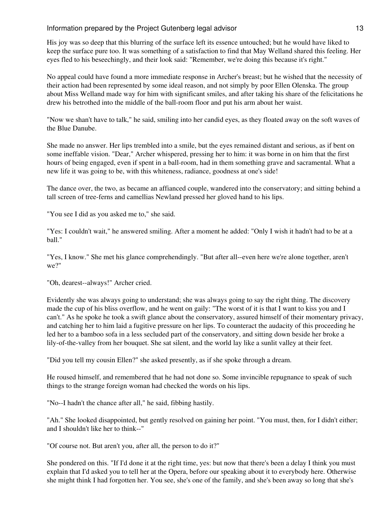His joy was so deep that this blurring of the surface left its essence untouched; but he would have liked to keep the surface pure too. It was something of a satisfaction to find that May Welland shared this feeling. Her eyes fled to his beseechingly, and their look said: "Remember, we're doing this because it's right."

No appeal could have found a more immediate response in Archer's breast; but he wished that the necessity of their action had been represented by some ideal reason, and not simply by poor Ellen Olenska. The group about Miss Welland made way for him with significant smiles, and after taking his share of the felicitations he drew his betrothed into the middle of the ball-room floor and put his arm about her waist.

"Now we shan't have to talk," he said, smiling into her candid eyes, as they floated away on the soft waves of the Blue Danube.

She made no answer. Her lips trembled into a smile, but the eyes remained distant and serious, as if bent on some ineffable vision. "Dear," Archer whispered, pressing her to him: it was borne in on him that the first hours of being engaged, even if spent in a ball-room, had in them something grave and sacramental. What a new life it was going to be, with this whiteness, radiance, goodness at one's side!

The dance over, the two, as became an affianced couple, wandered into the conservatory; and sitting behind a tall screen of tree-ferns and camellias Newland pressed her gloved hand to his lips.

"You see I did as you asked me to," she said.

"Yes: I couldn't wait," he answered smiling. After a moment he added: "Only I wish it hadn't had to be at a ball."

"Yes, I know." She met his glance comprehendingly. "But after all--even here we're alone together, aren't we?"

"Oh, dearest--always!" Archer cried.

Evidently she was always going to understand; she was always going to say the right thing. The discovery made the cup of his bliss overflow, and he went on gaily: "The worst of it is that I want to kiss you and I can't." As he spoke he took a swift glance about the conservatory, assured himself of their momentary privacy, and catching her to him laid a fugitive pressure on her lips. To counteract the audacity of this proceeding he led her to a bamboo sofa in a less secluded part of the conservatory, and sitting down beside her broke a lily-of-the-valley from her bouquet. She sat silent, and the world lay like a sunlit valley at their feet.

"Did you tell my cousin Ellen?" she asked presently, as if she spoke through a dream.

He roused himself, and remembered that he had not done so. Some invincible repugnance to speak of such things to the strange foreign woman had checked the words on his lips.

"No--I hadn't the chance after all," he said, fibbing hastily.

"Ah." She looked disappointed, but gently resolved on gaining her point. "You must, then, for I didn't either; and I shouldn't like her to think--"

"Of course not. But aren't you, after all, the person to do it?"

She pondered on this. "If I'd done it at the right time, yes: but now that there's been a delay I think you must explain that I'd asked you to tell her at the Opera, before our speaking about it to everybody here. Otherwise she might think I had forgotten her. You see, she's one of the family, and she's been away so long that she's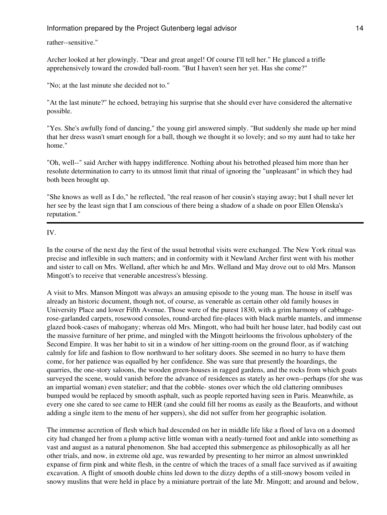rather--sensitive."

Archer looked at her glowingly. "Dear and great angel! Of course I'll tell her." He glanced a trifle apprehensively toward the crowded ball-room. "But I haven't seen her yet. Has she come?"

"No; at the last minute she decided not to."

"At the last minute?" he echoed, betraying his surprise that she should ever have considered the alternative possible.

"Yes. She's awfully fond of dancing," the young girl answered simply. "But suddenly she made up her mind that her dress wasn't smart enough for a ball, though we thought it so lovely; and so my aunt had to take her home."

"Oh, well--" said Archer with happy indifference. Nothing about his betrothed pleased him more than her resolute determination to carry to its utmost limit that ritual of ignoring the "unpleasant" in which they had both been brought up.

"She knows as well as I do," he reflected, "the real reason of her cousin's staying away; but I shall never let her see by the least sign that I am conscious of there being a shadow of a shade on poor Ellen Olenska's reputation."

IV.

In the course of the next day the first of the usual betrothal visits were exchanged. The New York ritual was precise and inflexible in such matters; and in conformity with it Newland Archer first went with his mother and sister to call on Mrs. Welland, after which he and Mrs. Welland and May drove out to old Mrs. Manson Mingott's to receive that venerable ancestress's blessing.

A visit to Mrs. Manson Mingott was always an amusing episode to the young man. The house in itself was already an historic document, though not, of course, as venerable as certain other old family houses in University Place and lower Fifth Avenue. Those were of the purest 1830, with a grim harmony of cabbagerose-garlanded carpets, rosewood consoles, round-arched fire-places with black marble mantels, and immense glazed book-cases of mahogany; whereas old Mrs. Mingott, who had built her house later, had bodily cast out the massive furniture of her prime, and mingled with the Mingott heirlooms the frivolous upholstery of the Second Empire. It was her habit to sit in a window of her sitting-room on the ground floor, as if watching calmly for life and fashion to flow northward to her solitary doors. She seemed in no hurry to have them come, for her patience was equalled by her confidence. She was sure that presently the hoardings, the quarries, the one-story saloons, the wooden green-houses in ragged gardens, and the rocks from which goats surveyed the scene, would vanish before the advance of residences as stately as her own--perhaps (for she was an impartial woman) even statelier; and that the cobble- stones over which the old clattering omnibuses bumped would be replaced by smooth asphalt, such as people reported having seen in Paris. Meanwhile, as every one she cared to see came to HER (and she could fill her rooms as easily as the Beauforts, and without adding a single item to the menu of her suppers), she did not suffer from her geographic isolation.

The immense accretion of flesh which had descended on her in middle life like a flood of lava on a doomed city had changed her from a plump active little woman with a neatly-turned foot and ankle into something as vast and august as a natural phenomenon. She had accepted this submergence as philosophically as all her other trials, and now, in extreme old age, was rewarded by presenting to her mirror an almost unwrinkled expanse of firm pink and white flesh, in the centre of which the traces of a small face survived as if awaiting excavation. A flight of smooth double chins led down to the dizzy depths of a still-snowy bosom veiled in snowy muslins that were held in place by a miniature portrait of the late Mr. Mingott; and around and below,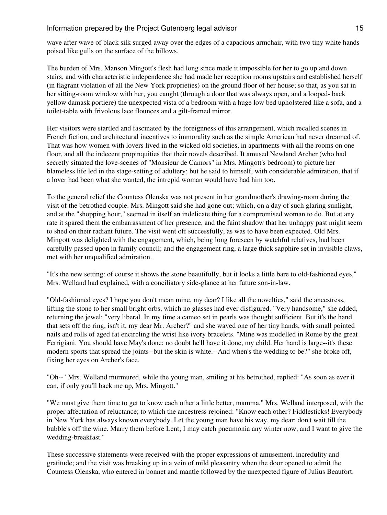wave after wave of black silk surged away over the edges of a capacious armchair, with two tiny white hands poised like gulls on the surface of the billows.

The burden of Mrs. Manson Mingott's flesh had long since made it impossible for her to go up and down stairs, and with characteristic independence she had made her reception rooms upstairs and established herself (in flagrant violation of all the New York proprieties) on the ground floor of her house; so that, as you sat in her sitting-room window with her, you caught (through a door that was always open, and a looped- back yellow damask portiere) the unexpected vista of a bedroom with a huge low bed upholstered like a sofa, and a toilet-table with frivolous lace flounces and a gilt-framed mirror.

Her visitors were startled and fascinated by the foreignness of this arrangement, which recalled scenes in French fiction, and architectural incentives to immorality such as the simple American had never dreamed of. That was how women with lovers lived in the wicked old societies, in apartments with all the rooms on one floor, and all the indecent propinquities that their novels described. It amused Newland Archer (who had secretly situated the love-scenes of "Monsieur de Camors" in Mrs. Mingott's bedroom) to picture her blameless life led in the stage-setting of adultery; but he said to himself, with considerable admiration, that if a lover had been what she wanted, the intrepid woman would have had him too.

To the general relief the Countess Olenska was not present in her grandmother's drawing-room during the visit of the betrothed couple. Mrs. Mingott said she had gone out; which, on a day of such glaring sunlight, and at the "shopping hour," seemed in itself an indelicate thing for a compromised woman to do. But at any rate it spared them the embarrassment of her presence, and the faint shadow that her unhappy past might seem to shed on their radiant future. The visit went off successfully, as was to have been expected. Old Mrs. Mingott was delighted with the engagement, which, being long foreseen by watchful relatives, had been carefully passed upon in family council; and the engagement ring, a large thick sapphire set in invisible claws, met with her unqualified admiration.

"It's the new setting: of course it shows the stone beautifully, but it looks a little bare to old-fashioned eyes," Mrs. Welland had explained, with a conciliatory side-glance at her future son-in-law.

"Old-fashioned eyes? I hope you don't mean mine, my dear? I like all the novelties," said the ancestress, lifting the stone to her small bright orbs, which no glasses had ever disfigured. "Very handsome," she added, returning the jewel; "very liberal. In my time a cameo set in pearls was thought sufficient. But it's the hand that sets off the ring, isn't it, my dear Mr. Archer?" and she waved one of her tiny hands, with small pointed nails and rolls of aged fat encircling the wrist like ivory bracelets. "Mine was modelled in Rome by the great Ferrigiani. You should have May's done: no doubt he'll have it done, my child. Her hand is large--it's these modern sports that spread the joints--but the skin is white.--And when's the wedding to be?" she broke off, fixing her eyes on Archer's face.

"Oh--" Mrs. Welland murmured, while the young man, smiling at his betrothed, replied: "As soon as ever it can, if only you'll back me up, Mrs. Mingott."

"We must give them time to get to know each other a little better, mamma," Mrs. Welland interposed, with the proper affectation of reluctance; to which the ancestress rejoined: "Know each other? Fiddlesticks! Everybody in New York has always known everybody. Let the young man have his way, my dear; don't wait till the bubble's off the wine. Marry them before Lent; I may catch pneumonia any winter now, and I want to give the wedding-breakfast."

These successive statements were received with the proper expressions of amusement, incredulity and gratitude; and the visit was breaking up in a vein of mild pleasantry when the door opened to admit the Countess Olenska, who entered in bonnet and mantle followed by the unexpected figure of Julius Beaufort.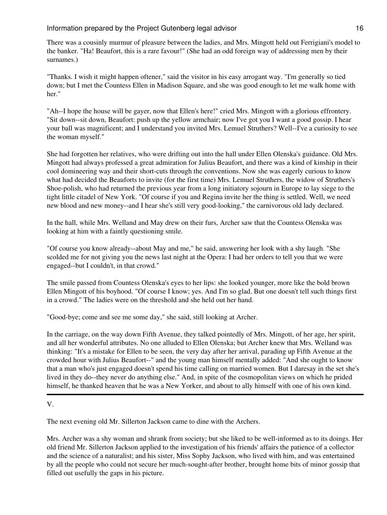There was a cousinly murmur of pleasure between the ladies, and Mrs. Mingott held out Ferrigiani's model to the banker. "Ha! Beaufort, this is a rare favour!" (She had an odd foreign way of addressing men by their surnames.)

"Thanks. I wish it might happen oftener," said the visitor in his easy arrogant way. "I'm generally so tied down; but I met the Countess Ellen in Madison Square, and she was good enough to let me walk home with her."

"Ah--I hope the house will be gayer, now that Ellen's here!" cried Mrs. Mingott with a glorious effrontery. "Sit down--sit down, Beaufort: push up the yellow armchair; now I've got you I want a good gossip. I hear your ball was magnificent; and I understand you invited Mrs. Lemuel Struthers? Well--I've a curiosity to see the woman myself."

She had forgotten her relatives, who were drifting out into the hall under Ellen Olenska's guidance. Old Mrs. Mingott had always professed a great admiration for Julius Beaufort, and there was a kind of kinship in their cool domineering way and their short-cuts through the conventions. Now she was eagerly curious to know what had decided the Beauforts to invite (for the first time) Mrs. Lemuel Struthers, the widow of Struthers's Shoe-polish, who had returned the previous year from a long initiatory sojourn in Europe to lay siege to the tight little citadel of New York. "Of course if you and Regina invite her the thing is settled. Well, we need new blood and new money--and I hear she's still very good-looking," the carnivorous old lady declared.

In the hall, while Mrs. Welland and May drew on their furs, Archer saw that the Countess Olenska was looking at him with a faintly questioning smile.

"Of course you know already--about May and me," he said, answering her look with a shy laugh. "She scolded me for not giving you the news last night at the Opera: I had her orders to tell you that we were engaged--but I couldn't, in that crowd."

The smile passed from Countess Olenska's eyes to her lips: she looked younger, more like the bold brown Ellen Mingott of his boyhood. "Of course I know; yes. And I'm so glad. But one doesn't tell such things first in a crowd." The ladies were on the threshold and she held out her hand.

"Good-bye; come and see me some day," she said, still looking at Archer.

In the carriage, on the way down Fifth Avenue, they talked pointedly of Mrs. Mingott, of her age, her spirit, and all her wonderful attributes. No one alluded to Ellen Olenska; but Archer knew that Mrs. Welland was thinking: "It's a mistake for Ellen to be seen, the very day after her arrival, parading up Fifth Avenue at the crowded hour with Julius Beaufort--" and the young man himself mentally added: "And she ought to know that a man who's just engaged doesn't spend his time calling on married women. But I daresay in the set she's lived in they do--they never do anything else." And, in spite of the cosmopolitan views on which he prided himself, he thanked heaven that he was a New Yorker, and about to ally himself with one of his own kind.

```
V.
```
The next evening old Mr. Sillerton Jackson came to dine with the Archers.

Mrs. Archer was a shy woman and shrank from society; but she liked to be well-informed as to its doings. Her old friend Mr. Sillerton Jackson applied to the investigation of his friends' affairs the patience of a collector and the science of a naturalist; and his sister, Miss Sophy Jackson, who lived with him, and was entertained by all the people who could not secure her much-sought-after brother, brought home bits of minor gossip that filled out usefully the gaps in his picture.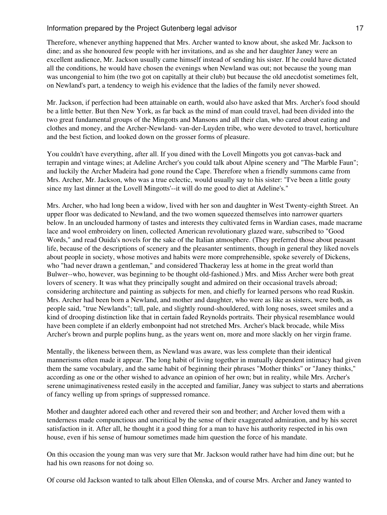Therefore, whenever anything happened that Mrs. Archer wanted to know about, she asked Mr. Jackson to dine; and as she honoured few people with her invitations, and as she and her daughter Janey were an excellent audience, Mr. Jackson usually came himself instead of sending his sister. If he could have dictated all the conditions, he would have chosen the evenings when Newland was out; not because the young man was uncongenial to him (the two got on capitally at their club) but because the old anecdotist sometimes felt, on Newland's part, a tendency to weigh his evidence that the ladies of the family never showed.

Mr. Jackson, if perfection had been attainable on earth, would also have asked that Mrs. Archer's food should be a little better. But then New York, as far back as the mind of man could travel, had been divided into the two great fundamental groups of the Mingotts and Mansons and all their clan, who cared about eating and clothes and money, and the Archer-Newland- van-der-Luyden tribe, who were devoted to travel, horticulture and the best fiction, and looked down on the grosser forms of pleasure.

You couldn't have everything, after all. If you dined with the Lovell Mingotts you got canvas-back and terrapin and vintage wines; at Adeline Archer's you could talk about Alpine scenery and "The Marble Faun"; and luckily the Archer Madeira had gone round the Cape. Therefore when a friendly summons came from Mrs. Archer, Mr. Jackson, who was a true eclectic, would usually say to his sister: "I've been a little gouty since my last dinner at the Lovell Mingotts'--it will do me good to diet at Adeline's."

Mrs. Archer, who had long been a widow, lived with her son and daughter in West Twenty-eighth Street. An upper floor was dedicated to Newland, and the two women squeezed themselves into narrower quarters below. In an unclouded harmony of tastes and interests they cultivated ferns in Wardian cases, made macrame lace and wool embroidery on linen, collected American revolutionary glazed ware, subscribed to "Good Words," and read Ouida's novels for the sake of the Italian atmosphere. (They preferred those about peasant life, because of the descriptions of scenery and the pleasanter sentiments, though in general they liked novels about people in society, whose motives and habits were more comprehensible, spoke severely of Dickens, who "had never drawn a gentleman," and considered Thackeray less at home in the great world than Bulwer--who, however, was beginning to be thought old-fashioned.) Mrs. and Miss Archer were both great lovers of scenery. It was what they principally sought and admired on their occasional travels abroad; considering architecture and painting as subjects for men, and chiefly for learned persons who read Ruskin. Mrs. Archer had been born a Newland, and mother and daughter, who were as like as sisters, were both, as people said, "true Newlands"; tall, pale, and slightly round-shouldered, with long noses, sweet smiles and a kind of drooping distinction like that in certain faded Reynolds portraits. Their physical resemblance would have been complete if an elderly embonpoint had not stretched Mrs. Archer's black brocade, while Miss Archer's brown and purple poplins hung, as the years went on, more and more slackly on her virgin frame.

Mentally, the likeness between them, as Newland was aware, was less complete than their identical mannerisms often made it appear. The long habit of living together in mutually dependent intimacy had given them the same vocabulary, and the same habit of beginning their phrases "Mother thinks" or "Janey thinks," according as one or the other wished to advance an opinion of her own; but in reality, while Mrs. Archer's serene unimaginativeness rested easily in the accepted and familiar, Janey was subject to starts and aberrations of fancy welling up from springs of suppressed romance.

Mother and daughter adored each other and revered their son and brother; and Archer loved them with a tenderness made compunctious and uncritical by the sense of their exaggerated admiration, and by his secret satisfaction in it. After all, he thought it a good thing for a man to have his authority respected in his own house, even if his sense of humour sometimes made him question the force of his mandate.

On this occasion the young man was very sure that Mr. Jackson would rather have had him dine out; but he had his own reasons for not doing so.

Of course old Jackson wanted to talk about Ellen Olenska, and of course Mrs. Archer and Janey wanted to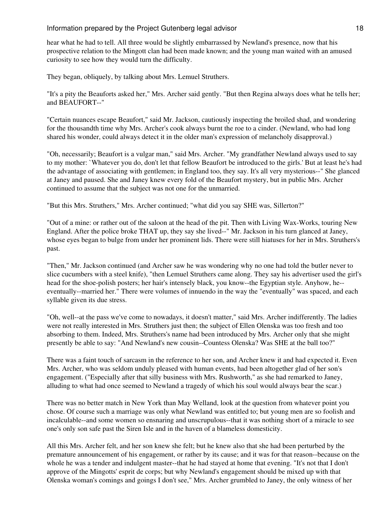hear what he had to tell. All three would be slightly embarrassed by Newland's presence, now that his prospective relation to the Mingott clan had been made known; and the young man waited with an amused curiosity to see how they would turn the difficulty.

They began, obliquely, by talking about Mrs. Lemuel Struthers.

"It's a pity the Beauforts asked her," Mrs. Archer said gently. "But then Regina always does what he tells her; and BEAUFORT--"

"Certain nuances escape Beaufort," said Mr. Jackson, cautiously inspecting the broiled shad, and wondering for the thousandth time why Mrs. Archer's cook always burnt the roe to a cinder. (Newland, who had long shared his wonder, could always detect it in the older man's expression of melancholy disapproval.)

"Oh, necessarily; Beaufort is a vulgar man," said Mrs. Archer. "My grandfather Newland always used to say to my mother: `Whatever you do, don't let that fellow Beaufort be introduced to the girls.' But at least he's had the advantage of associating with gentlemen; in England too, they say. It's all very mysterious--" She glanced at Janey and paused. She and Janey knew every fold of the Beaufort mystery, but in public Mrs. Archer continued to assume that the subject was not one for the unmarried.

"But this Mrs. Struthers," Mrs. Archer continued; "what did you say SHE was, Sillerton?"

"Out of a mine: or rather out of the saloon at the head of the pit. Then with Living Wax-Works, touring New England. After the police broke THAT up, they say she lived--" Mr. Jackson in his turn glanced at Janey, whose eyes began to bulge from under her prominent lids. There were still hiatuses for her in Mrs. Struthers's past.

"Then," Mr. Jackson continued (and Archer saw he was wondering why no one had told the butler never to slice cucumbers with a steel knife), "then Lemuel Struthers came along. They say his advertiser used the girl's head for the shoe-polish posters; her hair's intensely black, you know--the Egyptian style. Anyhow, he- eventually--married her." There were volumes of innuendo in the way the "eventually" was spaced, and each syllable given its due stress.

"Oh, well--at the pass we've come to nowadays, it doesn't matter," said Mrs. Archer indifferently. The ladies were not really interested in Mrs. Struthers just then; the subject of Ellen Olenska was too fresh and too absorbing to them. Indeed, Mrs. Struthers's name had been introduced by Mrs. Archer only that she might presently be able to say: "And Newland's new cousin--Countess Olenska? Was SHE at the ball too?"

There was a faint touch of sarcasm in the reference to her son, and Archer knew it and had expected it. Even Mrs. Archer, who was seldom unduly pleased with human events, had been altogether glad of her son's engagement. ("Especially after that silly business with Mrs. Rushworth," as she had remarked to Janey, alluding to what had once seemed to Newland a tragedy of which his soul would always bear the scar.)

There was no better match in New York than May Welland, look at the question from whatever point you chose. Of course such a marriage was only what Newland was entitled to; but young men are so foolish and incalculable--and some women so ensnaring and unscrupulous--that it was nothing short of a miracle to see one's only son safe past the Siren Isle and in the haven of a blameless domesticity.

All this Mrs. Archer felt, and her son knew she felt; but he knew also that she had been perturbed by the premature announcement of his engagement, or rather by its cause; and it was for that reason--because on the whole he was a tender and indulgent master--that he had stayed at home that evening. "It's not that I don't approve of the Mingotts' esprit de corps; but why Newland's engagement should be mixed up with that Olenska woman's comings and goings I don't see," Mrs. Archer grumbled to Janey, the only witness of her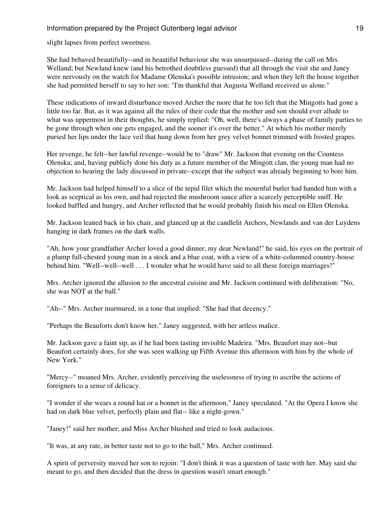slight lapses from perfect sweetness.

She had behaved beautifully--and in beautiful behaviour she was unsurpassed--during the call on Mrs. Welland; but Newland knew (and his betrothed doubtless guessed) that all through the visit she and Janey were nervously on the watch for Madame Olenska's possible intrusion; and when they left the house together she had permitted herself to say to her son: "I'm thankful that Augusta Welland received us alone."

These indications of inward disturbance moved Archer the more that he too felt that the Mingotts had gone a little too far. But, as it was against all the rules of their code that the mother and son should ever allude to what was uppermost in their thoughts, he simply replied: "Oh, well, there's always a phase of family parties to be gone through when one gets engaged, and the sooner it's over the better." At which his mother merely pursed her lips under the lace veil that hung down from her grey velvet bonnet trimmed with frosted grapes.

Her revenge, he felt--her lawful revenge--would be to "draw" Mr. Jackson that evening on the Countess Olenska; and, having publicly done his duty as a future member of the Mingott clan, the young man had no objection to hearing the lady discussed in private--except that the subject was already beginning to bore him.

Mr. Jackson had helped himself to a slice of the tepid filet which the mournful butler had handed him with a look as sceptical as his own, and had rejected the mushroom sauce after a scarcely perceptible sniff. He looked baffled and hungry, and Archer reflected that he would probably finish his meal on Ellen Olenska.

Mr. Jackson leaned back in his chair, and glanced up at the candlelit Archers, Newlands and van der Luydens hanging in dark frames on the dark walls.

"Ah, how your grandfather Archer loved a good dinner, my dear Newland!" he said, his eyes on the portrait of a plump full-chested young man in a stock and a blue coat, with a view of a white-columned country-house behind him. "Well--well--well . . . I wonder what he would have said to all these foreign marriages!"

Mrs. Archer ignored the allusion to the ancestral cuisine and Mr. Jackson continued with deliberation: "No, she was NOT at the ball."

"Ah--" Mrs. Archer murmured, in a tone that implied: "She had that decency."

"Perhaps the Beauforts don't know her," Janey suggested, with her artless malice.

Mr. Jackson gave a faint sip, as if he had been tasting invisible Madeira. "Mrs. Beaufort may not--but Beaufort certainly does, for she was seen walking up Fifth Avenue this afternoon with him by the whole of New York."

"Mercy--" moaned Mrs. Archer, evidently perceiving the uselessness of trying to ascribe the actions of foreigners to a sense of delicacy.

"I wonder if she wears a round hat or a bonnet in the afternoon," Janey speculated. "At the Opera I know she had on dark blue velvet, perfectly plain and flat-- like a night-gown."

"Janey!" said her mother; and Miss Archer blushed and tried to look audacious.

"It was, at any rate, in better taste not to go to the ball," Mrs. Archer continued.

A spirit of perversity moved her son to rejoin: "I don't think it was a question of taste with her. May said she meant to go, and then decided that the dress in question wasn't smart enough."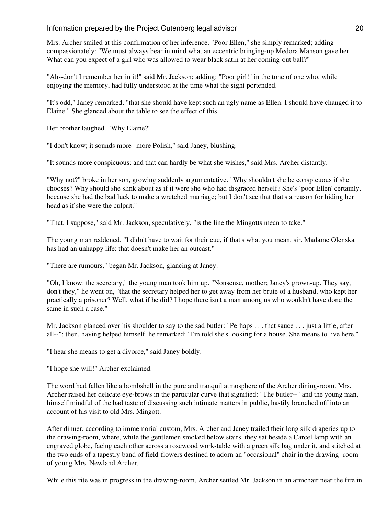Mrs. Archer smiled at this confirmation of her inference. "Poor Ellen," she simply remarked; adding compassionately: "We must always bear in mind what an eccentric bringing-up Medora Manson gave her. What can you expect of a girl who was allowed to wear black satin at her coming-out ball?"

"Ah--don't I remember her in it!" said Mr. Jackson; adding: "Poor girl!" in the tone of one who, while enjoying the memory, had fully understood at the time what the sight portended.

"It's odd," Janey remarked, "that she should have kept such an ugly name as Ellen. I should have changed it to Elaine." She glanced about the table to see the effect of this.

Her brother laughed. "Why Elaine?"

"I don't know; it sounds more--more Polish," said Janey, blushing.

"It sounds more conspicuous; and that can hardly be what she wishes," said Mrs. Archer distantly.

"Why not?" broke in her son, growing suddenly argumentative. "Why shouldn't she be conspicuous if she chooses? Why should she slink about as if it were she who had disgraced herself? She's `poor Ellen' certainly, because she had the bad luck to make a wretched marriage; but I don't see that that's a reason for hiding her head as if she were the culprit."

"That, I suppose," said Mr. Jackson, speculatively, "is the line the Mingotts mean to take."

The young man reddened. "I didn't have to wait for their cue, if that's what you mean, sir. Madame Olenska has had an unhappy life: that doesn't make her an outcast."

"There are rumours," began Mr. Jackson, glancing at Janey.

"Oh, I know: the secretary," the young man took him up. "Nonsense, mother; Janey's grown-up. They say, don't they," he went on, "that the secretary helped her to get away from her brute of a husband, who kept her practically a prisoner? Well, what if he did? I hope there isn't a man among us who wouldn't have done the same in such a case."

Mr. Jackson glanced over his shoulder to say to the sad butler: "Perhaps . . . that sauce . . . just a little, after all--"; then, having helped himself, he remarked: "I'm told she's looking for a house. She means to live here."

"I hear she means to get a divorce," said Janey boldly.

"I hope she will!" Archer exclaimed.

The word had fallen like a bombshell in the pure and tranquil atmosphere of the Archer dining-room. Mrs. Archer raised her delicate eye-brows in the particular curve that signified: "The butler--" and the young man, himself mindful of the bad taste of discussing such intimate matters in public, hastily branched off into an account of his visit to old Mrs. Mingott.

After dinner, according to immemorial custom, Mrs. Archer and Janey trailed their long silk draperies up to the drawing-room, where, while the gentlemen smoked below stairs, they sat beside a Carcel lamp with an engraved globe, facing each other across a rosewood work-table with a green silk bag under it, and stitched at the two ends of a tapestry band of field-flowers destined to adorn an "occasional" chair in the drawing- room of young Mrs. Newland Archer.

While this rite was in progress in the drawing-room, Archer settled Mr. Jackson in an armchair near the fire in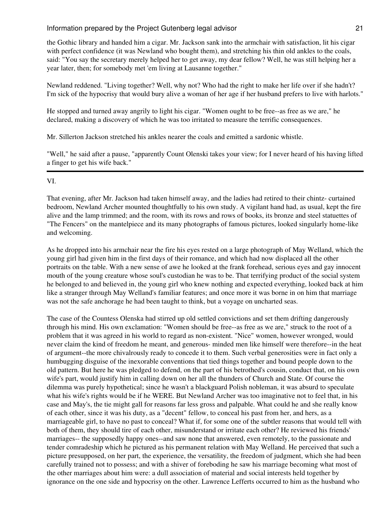the Gothic library and handed him a cigar. Mr. Jackson sank into the armchair with satisfaction, lit his cigar with perfect confidence (it was Newland who bought them), and stretching his thin old ankles to the coals, said: "You say the secretary merely helped her to get away, my dear fellow? Well, he was still helping her a year later, then; for somebody met 'em living at Lausanne together."

Newland reddened. "Living together? Well, why not? Who had the right to make her life over if she hadn't? I'm sick of the hypocrisy that would bury alive a woman of her age if her husband prefers to live with harlots."

He stopped and turned away angrily to light his cigar. "Women ought to be free--as free as we are," he declared, making a discovery of which he was too irritated to measure the terrific consequences.

Mr. Sillerton Jackson stretched his ankles nearer the coals and emitted a sardonic whistle.

"Well," he said after a pause, "apparently Count Olenski takes your view; for I never heard of his having lifted a finger to get his wife back."

#### VI.

That evening, after Mr. Jackson had taken himself away, and the ladies had retired to their chintz- curtained bedroom, Newland Archer mounted thoughtfully to his own study. A vigilant hand had, as usual, kept the fire alive and the lamp trimmed; and the room, with its rows and rows of books, its bronze and steel statuettes of "The Fencers" on the mantelpiece and its many photographs of famous pictures, looked singularly home-like and welcoming.

As he dropped into his armchair near the fire his eyes rested on a large photograph of May Welland, which the young girl had given him in the first days of their romance, and which had now displaced all the other portraits on the table. With a new sense of awe he looked at the frank forehead, serious eyes and gay innocent mouth of the young creature whose soul's custodian he was to be. That terrifying product of the social system he belonged to and believed in, the young girl who knew nothing and expected everything, looked back at him like a stranger through May Welland's familiar features; and once more it was borne in on him that marriage was not the safe anchorage he had been taught to think, but a voyage on uncharted seas.

The case of the Countess Olenska had stirred up old settled convictions and set them drifting dangerously through his mind. His own exclamation: "Women should be free--as free as we are," struck to the root of a problem that it was agreed in his world to regard as non-existent. "Nice" women, however wronged, would never claim the kind of freedom he meant, and generous- minded men like himself were therefore--in the heat of argument--the more chivalrously ready to concede it to them. Such verbal generosities were in fact only a humbugging disguise of the inexorable conventions that tied things together and bound people down to the old pattern. But here he was pledged to defend, on the part of his betrothed's cousin, conduct that, on his own wife's part, would justify him in calling down on her all the thunders of Church and State. Of course the dilemma was purely hypothetical; since he wasn't a blackguard Polish nobleman, it was absurd to speculate what his wife's rights would be if he WERE. But Newland Archer was too imaginative not to feel that, in his case and May's, the tie might gall for reasons far less gross and palpable. What could he and she really know of each other, since it was his duty, as a "decent" fellow, to conceal his past from her, and hers, as a marriageable girl, to have no past to conceal? What if, for some one of the subtler reasons that would tell with both of them, they should tire of each other, misunderstand or irritate each other? He reviewed his friends' marriages-- the supposedly happy ones--and saw none that answered, even remotely, to the passionate and tender comradeship which he pictured as his permanent relation with May Welland. He perceived that such a picture presupposed, on her part, the experience, the versatility, the freedom of judgment, which she had been carefully trained not to possess; and with a shiver of foreboding he saw his marriage becoming what most of the other marriages about him were: a dull association of material and social interests held together by ignorance on the one side and hypocrisy on the other. Lawrence Lefferts occurred to him as the husband who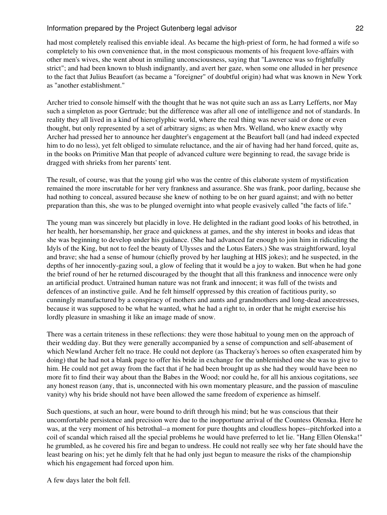had most completely realised this enviable ideal. As became the high-priest of form, he had formed a wife so completely to his own convenience that, in the most conspicuous moments of his frequent love-affairs with other men's wives, she went about in smiling unconsciousness, saying that "Lawrence was so frightfully strict"; and had been known to blush indignantly, and avert her gaze, when some one alluded in her presence to the fact that Julius Beaufort (as became a "foreigner" of doubtful origin) had what was known in New York as "another establishment."

Archer tried to console himself with the thought that he was not quite such an ass as Larry Lefferts, nor May such a simpleton as poor Gertrude; but the difference was after all one of intelligence and not of standards. In reality they all lived in a kind of hieroglyphic world, where the real thing was never said or done or even thought, but only represented by a set of arbitrary signs; as when Mrs. Welland, who knew exactly why Archer had pressed her to announce her daughter's engagement at the Beaufort ball (and had indeed expected him to do no less), yet felt obliged to simulate reluctance, and the air of having had her hand forced, quite as, in the books on Primitive Man that people of advanced culture were beginning to read, the savage bride is dragged with shrieks from her parents' tent.

The result, of course, was that the young girl who was the centre of this elaborate system of mystification remained the more inscrutable for her very frankness and assurance. She was frank, poor darling, because she had nothing to conceal, assured because she knew of nothing to be on her guard against; and with no better preparation than this, she was to be plunged overnight into what people evasively called "the facts of life."

The young man was sincerely but placidly in love. He delighted in the radiant good looks of his betrothed, in her health, her horsemanship, her grace and quickness at games, and the shy interest in books and ideas that she was beginning to develop under his guidance. (She had advanced far enough to join him in ridiculing the Idyls of the King, but not to feel the beauty of Ulysses and the Lotus Eaters.) She was straightforward, loyal and brave; she had a sense of humour (chiefly proved by her laughing at HIS jokes); and he suspected, in the depths of her innocently-gazing soul, a glow of feeling that it would be a joy to waken. But when he had gone the brief round of her he returned discouraged by the thought that all this frankness and innocence were only an artificial product. Untrained human nature was not frank and innocent; it was full of the twists and defences of an instinctive guile. And he felt himself oppressed by this creation of factitious purity, so cunningly manufactured by a conspiracy of mothers and aunts and grandmothers and long-dead ancestresses, because it was supposed to be what he wanted, what he had a right to, in order that he might exercise his lordly pleasure in smashing it like an image made of snow.

There was a certain triteness in these reflections: they were those habitual to young men on the approach of their wedding day. But they were generally accompanied by a sense of compunction and self-abasement of which Newland Archer felt no trace. He could not deplore (as Thackeray's heroes so often exasperated him by doing) that he had not a blank page to offer his bride in exchange for the unblemished one she was to give to him. He could not get away from the fact that if he had been brought up as she had they would have been no more fit to find their way about than the Babes in the Wood; nor could he, for all his anxious cogitations, see any honest reason (any, that is, unconnected with his own momentary pleasure, and the passion of masculine vanity) why his bride should not have been allowed the same freedom of experience as himself.

Such questions, at such an hour, were bound to drift through his mind; but he was conscious that their uncomfortable persistence and precision were due to the inopportune arrival of the Countess Olenska. Here he was, at the very moment of his betrothal--a moment for pure thoughts and cloudless hopes--pitchforked into a coil of scandal which raised all the special problems he would have preferred to let lie. "Hang Ellen Olenska!" he grumbled, as he covered his fire and began to undress. He could not really see why her fate should have the least bearing on his; yet he dimly felt that he had only just begun to measure the risks of the championship which his engagement had forced upon him.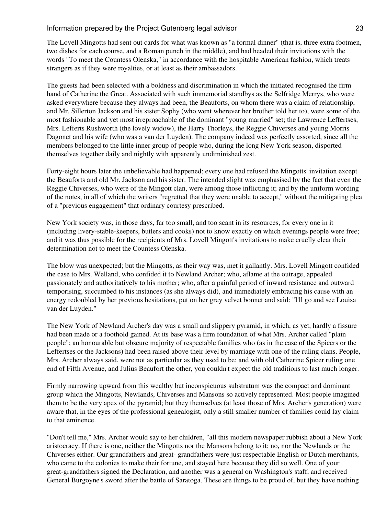The Lovell Mingotts had sent out cards for what was known as "a formal dinner" (that is, three extra footmen, two dishes for each course, and a Roman punch in the middle), and had headed their invitations with the words "To meet the Countess Olenska," in accordance with the hospitable American fashion, which treats strangers as if they were royalties, or at least as their ambassadors.

The guests had been selected with a boldness and discrimination in which the initiated recognised the firm hand of Catherine the Great. Associated with such immemorial standbys as the Selfridge Merrys, who were asked everywhere because they always had been, the Beauforts, on whom there was a claim of relationship, and Mr. Sillerton Jackson and his sister Sophy (who went wherever her brother told her to), were some of the most fashionable and yet most irreproachable of the dominant "young married" set; the Lawrence Leffertses, Mrs. Lefferts Rushworth (the lovely widow), the Harry Thorleys, the Reggie Chiverses and young Morris Dagonet and his wife (who was a van der Luyden). The company indeed was perfectly assorted, since all the members belonged to the little inner group of people who, during the long New York season, disported themselves together daily and nightly with apparently undiminished zest.

Forty-eight hours later the unbelievable had happened; every one had refused the Mingotts' invitation except the Beauforts and old Mr. Jackson and his sister. The intended slight was emphasised by the fact that even the Reggie Chiverses, who were of the Mingott clan, were among those inflicting it; and by the uniform wording of the notes, in all of which the writers "regretted that they were unable to accept," without the mitigating plea of a "previous engagement" that ordinary courtesy prescribed.

New York society was, in those days, far too small, and too scant in its resources, for every one in it (including livery-stable-keepers, butlers and cooks) not to know exactly on which evenings people were free; and it was thus possible for the recipients of Mrs. Lovell Mingott's invitations to make cruelly clear their determination not to meet the Countess Olenska.

The blow was unexpected; but the Mingotts, as their way was, met it gallantly. Mrs. Lovell Mingott confided the case to Mrs. Welland, who confided it to Newland Archer; who, aflame at the outrage, appealed passionately and authoritatively to his mother; who, after a painful period of inward resistance and outward temporising, succumbed to his instances (as she always did), and immediately embracing his cause with an energy redoubled by her previous hesitations, put on her grey velvet bonnet and said: "I'll go and see Louisa van der Luyden."

The New York of Newland Archer's day was a small and slippery pyramid, in which, as yet, hardly a fissure had been made or a foothold gained. At its base was a firm foundation of what Mrs. Archer called "plain people"; an honourable but obscure majority of respectable families who (as in the case of the Spicers or the Leffertses or the Jacksons) had been raised above their level by marriage with one of the ruling clans. People, Mrs. Archer always said, were not as particular as they used to be; and with old Catherine Spicer ruling one end of Fifth Avenue, and Julius Beaufort the other, you couldn't expect the old traditions to last much longer.

Firmly narrowing upward from this wealthy but inconspicuous substratum was the compact and dominant group which the Mingotts, Newlands, Chiverses and Mansons so actively represented. Most people imagined them to be the very apex of the pyramid; but they themselves (at least those of Mrs. Archer's generation) were aware that, in the eyes of the professional genealogist, only a still smaller number of families could lay claim to that eminence.

"Don't tell me," Mrs. Archer would say to her children, "all this modern newspaper rubbish about a New York aristocracy. If there is one, neither the Mingotts nor the Mansons belong to it; no, nor the Newlands or the Chiverses either. Our grandfathers and great- grandfathers were just respectable English or Dutch merchants, who came to the colonies to make their fortune, and stayed here because they did so well. One of your great-grandfathers signed the Declaration, and another was a general on Washington's staff, and received General Burgoyne's sword after the battle of Saratoga. These are things to be proud of, but they have nothing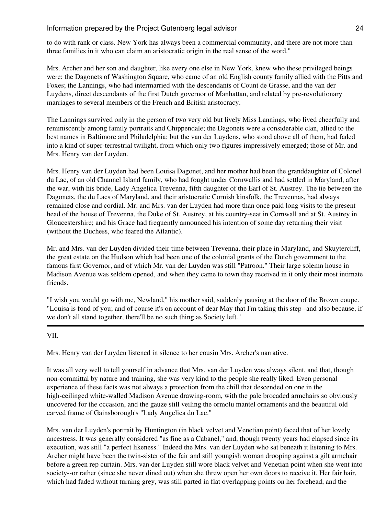to do with rank or class. New York has always been a commercial community, and there are not more than three families in it who can claim an aristocratic origin in the real sense of the word."

Mrs. Archer and her son and daughter, like every one else in New York, knew who these privileged beings were: the Dagonets of Washington Square, who came of an old English county family allied with the Pitts and Foxes; the Lannings, who had intermarried with the descendants of Count de Grasse, and the van der Luydens, direct descendants of the first Dutch governor of Manhattan, and related by pre-revolutionary marriages to several members of the French and British aristocracy.

The Lannings survived only in the person of two very old but lively Miss Lannings, who lived cheerfully and reminiscently among family portraits and Chippendale; the Dagonets were a considerable clan, allied to the best names in Baltimore and Philadelphia; but the van der Luydens, who stood above all of them, had faded into a kind of super-terrestrial twilight, from which only two figures impressively emerged; those of Mr. and Mrs. Henry van der Luyden.

Mrs. Henry van der Luyden had been Louisa Dagonet, and her mother had been the granddaughter of Colonel du Lac, of an old Channel Island family, who had fought under Cornwallis and had settled in Maryland, after the war, with his bride, Lady Angelica Trevenna, fifth daughter of the Earl of St. Austrey. The tie between the Dagonets, the du Lacs of Maryland, and their aristocratic Cornish kinsfolk, the Trevennas, had always remained close and cordial. Mr. and Mrs. van der Luyden had more than once paid long visits to the present head of the house of Trevenna, the Duke of St. Austrey, at his country-seat in Cornwall and at St. Austrey in Gloucestershire; and his Grace had frequently announced his intention of some day returning their visit (without the Duchess, who feared the Atlantic).

Mr. and Mrs. van der Luyden divided their time between Trevenna, their place in Maryland, and Skuytercliff, the great estate on the Hudson which had been one of the colonial grants of the Dutch government to the famous first Governor, and of which Mr. van der Luyden was still "Patroon." Their large solemn house in Madison Avenue was seldom opened, and when they came to town they received in it only their most intimate friends.

"I wish you would go with me, Newland," his mother said, suddenly pausing at the door of the Brown coupe. "Louisa is fond of you; and of course it's on account of dear May that I'm taking this step--and also because, if we don't all stand together, there'll be no such thing as Society left."

VII.

Mrs. Henry van der Luyden listened in silence to her cousin Mrs. Archer's narrative.

It was all very well to tell yourself in advance that Mrs. van der Luyden was always silent, and that, though non-committal by nature and training, she was very kind to the people she really liked. Even personal experience of these facts was not always a protection from the chill that descended on one in the high-ceilinged white-walled Madison Avenue drawing-room, with the pale brocaded armchairs so obviously uncovered for the occasion, and the gauze still veiling the ormolu mantel ornaments and the beautiful old carved frame of Gainsborough's "Lady Angelica du Lac."

Mrs. van der Luyden's portrait by Huntington (in black velvet and Venetian point) faced that of her lovely ancestress. It was generally considered "as fine as a Cabanel," and, though twenty years had elapsed since its execution, was still "a perfect likeness." Indeed the Mrs. van der Luyden who sat beneath it listening to Mrs. Archer might have been the twin-sister of the fair and still youngish woman drooping against a gilt armchair before a green rep curtain. Mrs. van der Luyden still wore black velvet and Venetian point when she went into society--or rather (since she never dined out) when she threw open her own doors to receive it. Her fair hair, which had faded without turning grey, was still parted in flat overlapping points on her forehead, and the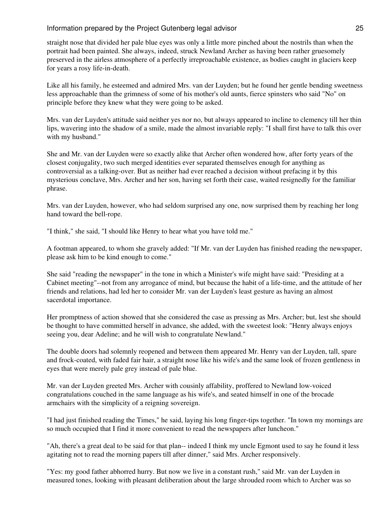straight nose that divided her pale blue eyes was only a little more pinched about the nostrils than when the portrait had been painted. She always, indeed, struck Newland Archer as having been rather gruesomely preserved in the airless atmosphere of a perfectly irreproachable existence, as bodies caught in glaciers keep for years a rosy life-in-death.

Like all his family, he esteemed and admired Mrs. van der Luyden; but he found her gentle bending sweetness less approachable than the grimness of some of his mother's old aunts, fierce spinsters who said "No" on principle before they knew what they were going to be asked.

Mrs. van der Luyden's attitude said neither yes nor no, but always appeared to incline to clemency till her thin lips, wavering into the shadow of a smile, made the almost invariable reply: "I shall first have to talk this over with my husband."

She and Mr. van der Luyden were so exactly alike that Archer often wondered how, after forty years of the closest conjugality, two such merged identities ever separated themselves enough for anything as controversial as a talking-over. But as neither had ever reached a decision without prefacing it by this mysterious conclave, Mrs. Archer and her son, having set forth their case, waited resignedly for the familiar phrase.

Mrs. van der Luyden, however, who had seldom surprised any one, now surprised them by reaching her long hand toward the bell-rope.

"I think," she said, "I should like Henry to hear what you have told me."

A footman appeared, to whom she gravely added: "If Mr. van der Luyden has finished reading the newspaper, please ask him to be kind enough to come."

She said "reading the newspaper" in the tone in which a Minister's wife might have said: "Presiding at a Cabinet meeting"--not from any arrogance of mind, but because the habit of a life-time, and the attitude of her friends and relations, had led her to consider Mr. van der Luyden's least gesture as having an almost sacerdotal importance.

Her promptness of action showed that she considered the case as pressing as Mrs. Archer; but, lest she should be thought to have committed herself in advance, she added, with the sweetest look: "Henry always enjoys seeing you, dear Adeline; and he will wish to congratulate Newland."

The double doors had solemnly reopened and between them appeared Mr. Henry van der Luyden, tall, spare and frock-coated, with faded fair hair, a straight nose like his wife's and the same look of frozen gentleness in eyes that were merely pale grey instead of pale blue.

Mr. van der Luyden greeted Mrs. Archer with cousinly affability, proffered to Newland low-voiced congratulations couched in the same language as his wife's, and seated himself in one of the brocade armchairs with the simplicity of a reigning sovereign.

"I had just finished reading the Times," he said, laying his long finger-tips together. "In town my mornings are so much occupied that I find it more convenient to read the newspapers after luncheon."

"Ah, there's a great deal to be said for that plan-- indeed I think my uncle Egmont used to say he found it less agitating not to read the morning papers till after dinner," said Mrs. Archer responsively.

"Yes: my good father abhorred hurry. But now we live in a constant rush," said Mr. van der Luyden in measured tones, looking with pleasant deliberation about the large shrouded room which to Archer was so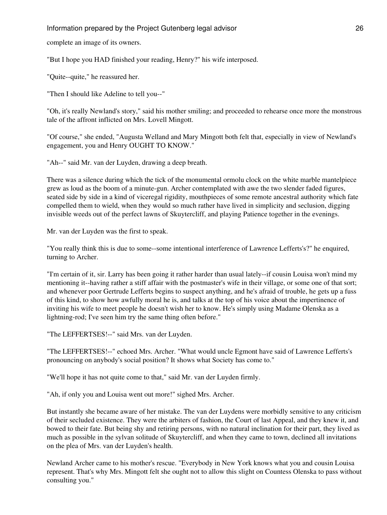complete an image of its owners.

"But I hope you HAD finished your reading, Henry?" his wife interposed.

"Quite--quite," he reassured her.

"Then I should like Adeline to tell you--"

"Oh, it's really Newland's story," said his mother smiling; and proceeded to rehearse once more the monstrous tale of the affront inflicted on Mrs. Lovell Mingott.

"Of course," she ended, "Augusta Welland and Mary Mingott both felt that, especially in view of Newland's engagement, you and Henry OUGHT TO KNOW."

"Ah--" said Mr. van der Luyden, drawing a deep breath.

There was a silence during which the tick of the monumental ormolu clock on the white marble mantelpiece grew as loud as the boom of a minute-gun. Archer contemplated with awe the two slender faded figures, seated side by side in a kind of viceregal rigidity, mouthpieces of some remote ancestral authority which fate compelled them to wield, when they would so much rather have lived in simplicity and seclusion, digging invisible weeds out of the perfect lawns of Skuytercliff, and playing Patience together in the evenings.

Mr. van der Luyden was the first to speak.

"You really think this is due to some--some intentional interference of Lawrence Lefferts's?" he enquired, turning to Archer.

"I'm certain of it, sir. Larry has been going it rather harder than usual lately--if cousin Louisa won't mind my mentioning it--having rather a stiff affair with the postmaster's wife in their village, or some one of that sort; and whenever poor Gertrude Lefferts begins to suspect anything, and he's afraid of trouble, he gets up a fuss of this kind, to show how awfully moral he is, and talks at the top of his voice about the impertinence of inviting his wife to meet people he doesn't wish her to know. He's simply using Madame Olenska as a lightning-rod; I've seen him try the same thing often before."

"The LEFFERTSES!--" said Mrs. van der Luyden.

"The LEFFERTSES!--" echoed Mrs. Archer. "What would uncle Egmont have said of Lawrence Lefferts's pronouncing on anybody's social position? It shows what Society has come to."

"We'll hope it has not quite come to that," said Mr. van der Luyden firmly.

"Ah, if only you and Louisa went out more!" sighed Mrs. Archer.

But instantly she became aware of her mistake. The van der Luydens were morbidly sensitive to any criticism of their secluded existence. They were the arbiters of fashion, the Court of last Appeal, and they knew it, and bowed to their fate. But being shy and retiring persons, with no natural inclination for their part, they lived as much as possible in the sylvan solitude of Skuytercliff, and when they came to town, declined all invitations on the plea of Mrs. van der Luyden's health.

Newland Archer came to his mother's rescue. "Everybody in New York knows what you and cousin Louisa represent. That's why Mrs. Mingott felt she ought not to allow this slight on Countess Olenska to pass without consulting you."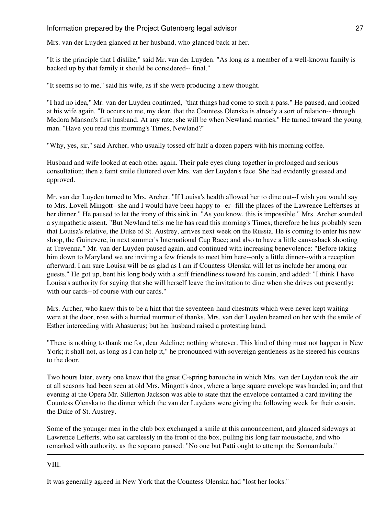Mrs. van der Luyden glanced at her husband, who glanced back at her.

"It is the principle that I dislike," said Mr. van der Luyden. "As long as a member of a well-known family is backed up by that family it should be considered-- final."

"It seems so to me," said his wife, as if she were producing a new thought.

"I had no idea," Mr. van der Luyden continued, "that things had come to such a pass." He paused, and looked at his wife again. "It occurs to me, my dear, that the Countess Olenska is already a sort of relation-- through Medora Manson's first husband. At any rate, she will be when Newland marries." He turned toward the young man. "Have you read this morning's Times, Newland?"

"Why, yes, sir," said Archer, who usually tossed off half a dozen papers with his morning coffee.

Husband and wife looked at each other again. Their pale eyes clung together in prolonged and serious consultation; then a faint smile fluttered over Mrs. van der Luyden's face. She had evidently guessed and approved.

Mr. van der Luyden turned to Mrs. Archer. "If Louisa's health allowed her to dine out--I wish you would say to Mrs. Lovell Mingott--she and I would have been happy to--er--fill the places of the Lawrence Leffertses at her dinner." He paused to let the irony of this sink in. "As you know, this is impossible." Mrs. Archer sounded a sympathetic assent. "But Newland tells me he has read this morning's Times; therefore he has probably seen that Louisa's relative, the Duke of St. Austrey, arrives next week on the Russia. He is coming to enter his new sloop, the Guinevere, in next summer's International Cup Race; and also to have a little canvasback shooting at Trevenna." Mr. van der Luyden paused again, and continued with increasing benevolence: "Before taking him down to Maryland we are inviting a few friends to meet him here--only a little dinner--with a reception afterward. I am sure Louisa will be as glad as I am if Countess Olenska will let us include her among our guests." He got up, bent his long body with a stiff friendliness toward his cousin, and added: "I think I have Louisa's authority for saying that she will herself leave the invitation to dine when she drives out presently: with our cards--of course with our cards."

Mrs. Archer, who knew this to be a hint that the seventeen-hand chestnuts which were never kept waiting were at the door, rose with a hurried murmur of thanks. Mrs. van der Luyden beamed on her with the smile of Esther interceding with Ahasuerus; but her husband raised a protesting hand.

"There is nothing to thank me for, dear Adeline; nothing whatever. This kind of thing must not happen in New York; it shall not, as long as I can help it," he pronounced with sovereign gentleness as he steered his cousins to the door.

Two hours later, every one knew that the great C-spring barouche in which Mrs. van der Luyden took the air at all seasons had been seen at old Mrs. Mingott's door, where a large square envelope was handed in; and that evening at the Opera Mr. Sillerton Jackson was able to state that the envelope contained a card inviting the Countess Olenska to the dinner which the van der Luydens were giving the following week for their cousin, the Duke of St. Austrey.

Some of the younger men in the club box exchanged a smile at this announcement, and glanced sideways at Lawrence Lefferts, who sat carelessly in the front of the box, pulling his long fair moustache, and who remarked with authority, as the soprano paused: "No one but Patti ought to attempt the Sonnambula."

VIII.

It was generally agreed in New York that the Countess Olenska had "lost her looks."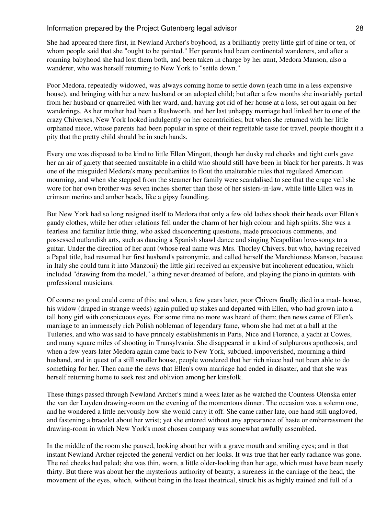She had appeared there first, in Newland Archer's boyhood, as a brilliantly pretty little girl of nine or ten, of whom people said that she "ought to be painted." Her parents had been continental wanderers, and after a roaming babyhood she had lost them both, and been taken in charge by her aunt, Medora Manson, also a wanderer, who was herself returning to New York to "settle down."

Poor Medora, repeatedly widowed, was always coming home to settle down (each time in a less expensive house), and bringing with her a new husband or an adopted child; but after a few months she invariably parted from her husband or quarrelled with her ward, and, having got rid of her house at a loss, set out again on her wanderings. As her mother had been a Rushworth, and her last unhappy marriage had linked her to one of the crazy Chiverses, New York looked indulgently on her eccentricities; but when she returned with her little orphaned niece, whose parents had been popular in spite of their regrettable taste for travel, people thought it a pity that the pretty child should be in such hands.

Every one was disposed to be kind to little Ellen Mingott, though her dusky red cheeks and tight curls gave her an air of gaiety that seemed unsuitable in a child who should still have been in black for her parents. It was one of the misguided Medora's many peculiarities to flout the unalterable rules that regulated American mourning, and when she stepped from the steamer her family were scandalised to see that the crape veil she wore for her own brother was seven inches shorter than those of her sisters-in-law, while little Ellen was in crimson merino and amber beads, like a gipsy foundling.

But New York had so long resigned itself to Medora that only a few old ladies shook their heads over Ellen's gaudy clothes, while her other relations fell under the charm of her high colour and high spirits. She was a fearless and familiar little thing, who asked disconcerting questions, made precocious comments, and possessed outlandish arts, such as dancing a Spanish shawl dance and singing Neapolitan love-songs to a guitar. Under the direction of her aunt (whose real name was Mrs. Thorley Chivers, but who, having received a Papal title, had resumed her first husband's patronymic, and called herself the Marchioness Manson, because in Italy she could turn it into Manzoni) the little girl received an expensive but incoherent education, which included "drawing from the model," a thing never dreamed of before, and playing the piano in quintets with professional musicians.

Of course no good could come of this; and when, a few years later, poor Chivers finally died in a mad- house, his widow (draped in strange weeds) again pulled up stakes and departed with Ellen, who had grown into a tall bony girl with conspicuous eyes. For some time no more was heard of them; then news came of Ellen's marriage to an immensely rich Polish nobleman of legendary fame, whom she had met at a ball at the Tuileries, and who was said to have princely establishments in Paris, Nice and Florence, a yacht at Cowes, and many square miles of shooting in Transylvania. She disappeared in a kind of sulphurous apotheosis, and when a few years later Medora again came back to New York, subdued, impoverished, mourning a third husband, and in quest of a still smaller house, people wondered that her rich niece had not been able to do something for her. Then came the news that Ellen's own marriage had ended in disaster, and that she was herself returning home to seek rest and oblivion among her kinsfolk.

These things passed through Newland Archer's mind a week later as he watched the Countess Olenska enter the van der Luyden drawing-room on the evening of the momentous dinner. The occasion was a solemn one, and he wondered a little nervously how she would carry it off. She came rather late, one hand still ungloved, and fastening a bracelet about her wrist; yet she entered without any appearance of haste or embarrassment the drawing-room in which New York's most chosen company was somewhat awfully assembled.

In the middle of the room she paused, looking about her with a grave mouth and smiling eyes; and in that instant Newland Archer rejected the general verdict on her looks. It was true that her early radiance was gone. The red cheeks had paled; she was thin, worn, a little older-looking than her age, which must have been nearly thirty. But there was about her the mysterious authority of beauty, a sureness in the carriage of the head, the movement of the eyes, which, without being in the least theatrical, struck his as highly trained and full of a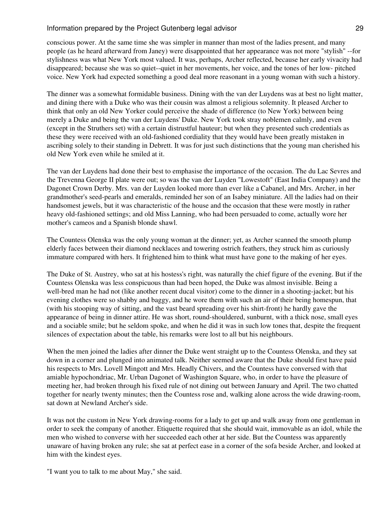conscious power. At the same time she was simpler in manner than most of the ladies present, and many people (as he heard afterward from Janey) were disappointed that her appearance was not more "stylish" --for stylishness was what New York most valued. It was, perhaps, Archer reflected, because her early vivacity had disappeared; because she was so quiet--quiet in her movements, her voice, and the tones of her low- pitched voice. New York had expected something a good deal more reasonant in a young woman with such a history.

The dinner was a somewhat formidable business. Dining with the van der Luydens was at best no light matter, and dining there with a Duke who was their cousin was almost a religious solemnity. It pleased Archer to think that only an old New Yorker could perceive the shade of difference (to New York) between being merely a Duke and being the van der Luydens' Duke. New York took stray noblemen calmly, and even (except in the Struthers set) with a certain distrustful hauteur; but when they presented such credentials as these they were received with an old-fashioned cordiality that they would have been greatly mistaken in ascribing solely to their standing in Debrett. It was for just such distinctions that the young man cherished his old New York even while he smiled at it.

The van der Luydens had done their best to emphasise the importance of the occasion. The du Lac Sevres and the Trevenna George II plate were out; so was the van der Luyden "Lowestoft" (East India Company) and the Dagonet Crown Derby. Mrs. van der Luyden looked more than ever like a Cabanel, and Mrs. Archer, in her grandmother's seed-pearls and emeralds, reminded her son of an Isabey miniature. All the ladies had on their handsomest jewels, but it was characteristic of the house and the occasion that these were mostly in rather heavy old-fashioned settings; and old Miss Lanning, who had been persuaded to come, actually wore her mother's cameos and a Spanish blonde shawl.

The Countess Olenska was the only young woman at the dinner; yet, as Archer scanned the smooth plump elderly faces between their diamond necklaces and towering ostrich feathers, they struck him as curiously immature compared with hers. It frightened him to think what must have gone to the making of her eyes.

The Duke of St. Austrey, who sat at his hostess's right, was naturally the chief figure of the evening. But if the Countess Olenska was less conspicuous than had been hoped, the Duke was almost invisible. Being a well-bred man he had not (like another recent ducal visitor) come to the dinner in a shooting-jacket; but his evening clothes were so shabby and baggy, and he wore them with such an air of their being homespun, that (with his stooping way of sitting, and the vast beard spreading over his shirt-front) he hardly gave the appearance of being in dinner attire. He was short, round-shouldered, sunburnt, with a thick nose, small eyes and a sociable smile; but he seldom spoke, and when he did it was in such low tones that, despite the frequent silences of expectation about the table, his remarks were lost to all but his neighbours.

When the men joined the ladies after dinner the Duke went straight up to the Countess Olenska, and they sat down in a corner and plunged into animated talk. Neither seemed aware that the Duke should first have paid his respects to Mrs. Lovell Mingott and Mrs. Headly Chivers, and the Countess have conversed with that amiable hypochondriac, Mr. Urban Dagonet of Washington Square, who, in order to have the pleasure of meeting her, had broken through his fixed rule of not dining out between January and April. The two chatted together for nearly twenty minutes; then the Countess rose and, walking alone across the wide drawing-room, sat down at Newland Archer's side.

It was not the custom in New York drawing-rooms for a lady to get up and walk away from one gentleman in order to seek the company of another. Etiquette required that she should wait, immovable as an idol, while the men who wished to converse with her succeeded each other at her side. But the Countess was apparently unaware of having broken any rule; she sat at perfect ease in a corner of the sofa beside Archer, and looked at him with the kindest eyes.

"I want you to talk to me about May," she said.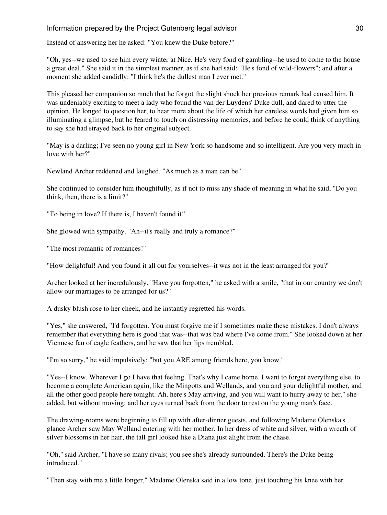Instead of answering her he asked: "You knew the Duke before?"

"Oh, yes--we used to see him every winter at Nice. He's very fond of gambling--he used to come to the house a great deal." She said it in the simplest manner, as if she had said: "He's fond of wild-flowers"; and after a moment she added candidly: "I think he's the dullest man I ever met."

This pleased her companion so much that he forgot the slight shock her previous remark had caused him. It was undeniably exciting to meet a lady who found the van der Luydens' Duke dull, and dared to utter the opinion. He longed to question her, to hear more about the life of which her careless words had given him so illuminating a glimpse; but he feared to touch on distressing memories, and before he could think of anything to say she had strayed back to her original subject.

"May is a darling; I've seen no young girl in New York so handsome and so intelligent. Are you very much in love with her?"

Newland Archer reddened and laughed. "As much as a man can be."

She continued to consider him thoughtfully, as if not to miss any shade of meaning in what he said, "Do you think, then, there is a limit?"

"To being in love? If there is, I haven't found it!"

She glowed with sympathy. "Ah--it's really and truly a romance?"

"The most romantic of romances!"

"How delightful! And you found it all out for yourselves--it was not in the least arranged for you?"

Archer looked at her incredulously. "Have you forgotten," he asked with a smile, "that in our country we don't allow our marriages to be arranged for us?"

A dusky blush rose to her cheek, and he instantly regretted his words.

"Yes," she answered, "I'd forgotten. You must forgive me if I sometimes make these mistakes. I don't always remember that everything here is good that was--that was bad where I've come from." She looked down at her Viennese fan of eagle feathers, and he saw that her lips trembled.

"I'm so sorry," he said impulsively; "but you ARE among friends here, you know."

"Yes--I know. Wherever I go I have that feeling. That's why I came home. I want to forget everything else, to become a complete American again, like the Mingotts and Wellands, and you and your delightful mother, and all the other good people here tonight. Ah, here's May arriving, and you will want to hurry away to her," she added, but without moving; and her eyes turned back from the door to rest on the young man's face.

The drawing-rooms were beginning to fill up with after-dinner guests, and following Madame Olenska's glance Archer saw May Welland entering with her mother. In her dress of white and silver, with a wreath of silver blossoms in her hair, the tall girl looked like a Diana just alight from the chase.

"Oh," said Archer, "I have so many rivals; you see she's already surrounded. There's the Duke being introduced."

"Then stay with me a little longer," Madame Olenska said in a low tone, just touching his knee with her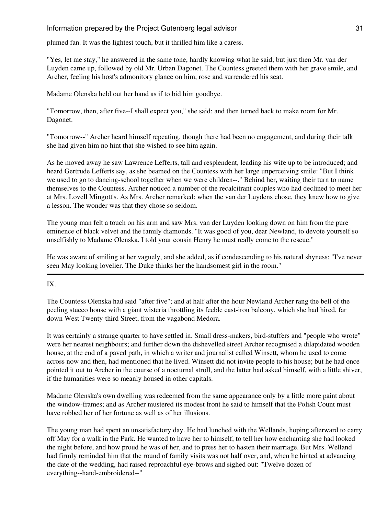plumed fan. It was the lightest touch, but it thrilled him like a caress.

"Yes, let me stay," he answered in the same tone, hardly knowing what he said; but just then Mr. van der Luyden came up, followed by old Mr. Urban Dagonet. The Countess greeted them with her grave smile, and Archer, feeling his host's admonitory glance on him, rose and surrendered his seat.

Madame Olenska held out her hand as if to bid him goodbye.

"Tomorrow, then, after five--I shall expect you," she said; and then turned back to make room for Mr. Dagonet.

"Tomorrow--" Archer heard himself repeating, though there had been no engagement, and during their talk she had given him no hint that she wished to see him again.

As he moved away he saw Lawrence Lefferts, tall and resplendent, leading his wife up to be introduced; and heard Gertrude Lefferts say, as she beamed on the Countess with her large unperceiving smile: "But I think we used to go to dancing-school together when we were children--." Behind her, waiting their turn to name themselves to the Countess, Archer noticed a number of the recalcitrant couples who had declined to meet her at Mrs. Lovell Mingott's. As Mrs. Archer remarked: when the van der Luydens chose, they knew how to give a lesson. The wonder was that they chose so seldom.

The young man felt a touch on his arm and saw Mrs. van der Luyden looking down on him from the pure eminence of black velvet and the family diamonds. "It was good of you, dear Newland, to devote yourself so unselfishly to Madame Olenska. I told your cousin Henry he must really come to the rescue."

He was aware of smiling at her vaguely, and she added, as if condescending to his natural shyness: "I've never seen May looking lovelier. The Duke thinks her the handsomest girl in the room."

IX.

The Countess Olenska had said "after five"; and at half after the hour Newland Archer rang the bell of the peeling stucco house with a giant wisteria throttling its feeble cast-iron balcony, which she had hired, far down West Twenty-third Street, from the vagabond Medora.

It was certainly a strange quarter to have settled in. Small dress-makers, bird-stuffers and "people who wrote" were her nearest neighbours; and further down the dishevelled street Archer recognised a dilapidated wooden house, at the end of a paved path, in which a writer and journalist called Winsett, whom he used to come across now and then, had mentioned that he lived. Winsett did not invite people to his house; but he had once pointed it out to Archer in the course of a nocturnal stroll, and the latter had asked himself, with a little shiver, if the humanities were so meanly housed in other capitals.

Madame Olenska's own dwelling was redeemed from the same appearance only by a little more paint about the window-frames; and as Archer mustered its modest front he said to himself that the Polish Count must have robbed her of her fortune as well as of her illusions.

The young man had spent an unsatisfactory day. He had lunched with the Wellands, hoping afterward to carry off May for a walk in the Park. He wanted to have her to himself, to tell her how enchanting she had looked the night before, and how proud he was of her, and to press her to hasten their marriage. But Mrs. Welland had firmly reminded him that the round of family visits was not half over, and, when he hinted at advancing the date of the wedding, had raised reproachful eye-brows and sighed out: "Twelve dozen of everything--hand-embroidered--"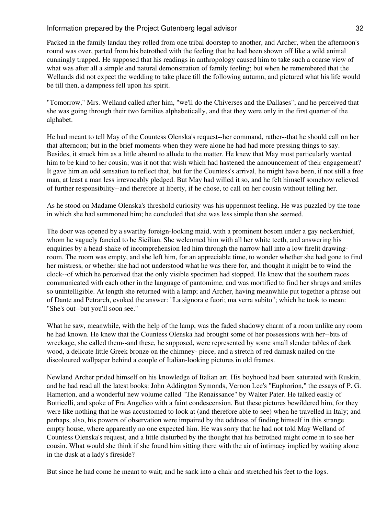Packed in the family landau they rolled from one tribal doorstep to another, and Archer, when the afternoon's round was over, parted from his betrothed with the feeling that he had been shown off like a wild animal cunningly trapped. He supposed that his readings in anthropology caused him to take such a coarse view of what was after all a simple and natural demonstration of family feeling; but when he remembered that the Wellands did not expect the wedding to take place till the following autumn, and pictured what his life would be till then, a dampness fell upon his spirit.

"Tomorrow," Mrs. Welland called after him, "we'll do the Chiverses and the Dallases"; and he perceived that she was going through their two families alphabetically, and that they were only in the first quarter of the alphabet.

He had meant to tell May of the Countess Olenska's request--her command, rather--that he should call on her that afternoon; but in the brief moments when they were alone he had had more pressing things to say. Besides, it struck him as a little absurd to allude to the matter. He knew that May most particularly wanted him to be kind to her cousin; was it not that wish which had hastened the announcement of their engagement? It gave him an odd sensation to reflect that, but for the Countess's arrival, he might have been, if not still a free man, at least a man less irrevocably pledged. But May had willed it so, and he felt himself somehow relieved of further responsibility--and therefore at liberty, if he chose, to call on her cousin without telling her.

As he stood on Madame Olenska's threshold curiosity was his uppermost feeling. He was puzzled by the tone in which she had summoned him; he concluded that she was less simple than she seemed.

The door was opened by a swarthy foreign-looking maid, with a prominent bosom under a gay neckerchief, whom he vaguely fancied to be Sicilian. She welcomed him with all her white teeth, and answering his enquiries by a head-shake of incomprehension led him through the narrow hall into a low firelit drawingroom. The room was empty, and she left him, for an appreciable time, to wonder whether she had gone to find her mistress, or whether she had not understood what he was there for, and thought it might be to wind the clock--of which he perceived that the only visible specimen had stopped. He knew that the southern races communicated with each other in the language of pantomime, and was mortified to find her shrugs and smiles so unintelligible. At length she returned with a lamp; and Archer, having meanwhile put together a phrase out of Dante and Petrarch, evoked the answer: "La signora e fuori; ma verra subito"; which he took to mean: "She's out--but you'll soon see."

What he saw, meanwhile, with the help of the lamp, was the faded shadowy charm of a room unlike any room he had known. He knew that the Countess Olenska had brought some of her possessions with her--bits of wreckage, she called them--and these, he supposed, were represented by some small slender tables of dark wood, a delicate little Greek bronze on the chimney- piece, and a stretch of red damask nailed on the discoloured wallpaper behind a couple of Italian-looking pictures in old frames.

Newland Archer prided himself on his knowledge of Italian art. His boyhood had been saturated with Ruskin, and he had read all the latest books: John Addington Symonds, Vernon Lee's "Euphorion," the essays of P. G. Hamerton, and a wonderful new volume called "The Renaissance" by Walter Pater. He talked easily of Botticelli, and spoke of Fra Angelico with a faint condescension. But these pictures bewildered him, for they were like nothing that he was accustomed to look at (and therefore able to see) when he travelled in Italy; and perhaps, also, his powers of observation were impaired by the oddness of finding himself in this strange empty house, where apparently no one expected him. He was sorry that he had not told May Welland of Countess Olenska's request, and a little disturbed by the thought that his betrothed might come in to see her cousin. What would she think if she found him sitting there with the air of intimacy implied by waiting alone in the dusk at a lady's fireside?

But since he had come he meant to wait; and he sank into a chair and stretched his feet to the logs.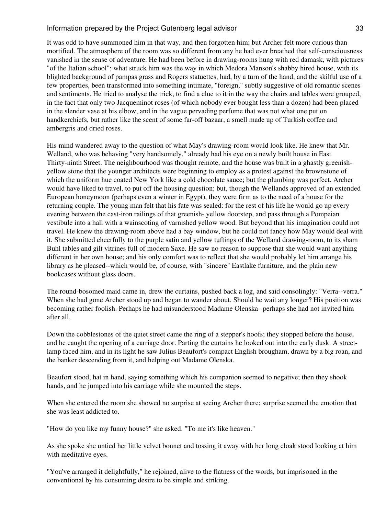It was odd to have summoned him in that way, and then forgotten him; but Archer felt more curious than mortified. The atmosphere of the room was so different from any he had ever breathed that self-consciousness vanished in the sense of adventure. He had been before in drawing-rooms hung with red damask, with pictures "of the Italian school"; what struck him was the way in which Medora Manson's shabby hired house, with its blighted background of pampas grass and Rogers statuettes, had, by a turn of the hand, and the skilful use of a few properties, been transformed into something intimate, "foreign," subtly suggestive of old romantic scenes and sentiments. He tried to analyse the trick, to find a clue to it in the way the chairs and tables were grouped, in the fact that only two Jacqueminot roses (of which nobody ever bought less than a dozen) had been placed in the slender vase at his elbow, and in the vague pervading perfume that was not what one put on handkerchiefs, but rather like the scent of some far-off bazaar, a smell made up of Turkish coffee and ambergris and dried roses.

His mind wandered away to the question of what May's drawing-room would look like. He knew that Mr. Welland, who was behaving "very handsomely," already had his eye on a newly built house in East Thirty-ninth Street. The neighbourhood was thought remote, and the house was built in a ghastly greenishyellow stone that the younger architects were beginning to employ as a protest against the brownstone of which the uniform hue coated New York like a cold chocolate sauce; but the plumbing was perfect. Archer would have liked to travel, to put off the housing question; but, though the Wellands approved of an extended European honeymoon (perhaps even a winter in Egypt), they were firm as to the need of a house for the returning couple. The young man felt that his fate was sealed: for the rest of his life he would go up every evening between the cast-iron railings of that greenish- yellow doorstep, and pass through a Pompeian vestibule into a hall with a wainscoting of varnished yellow wood. But beyond that his imagination could not travel. He knew the drawing-room above had a bay window, but he could not fancy how May would deal with it. She submitted cheerfully to the purple satin and yellow tuftings of the Welland drawing-room, to its sham Buhl tables and gilt vitrines full of modern Saxe. He saw no reason to suppose that she would want anything different in her own house; and his only comfort was to reflect that she would probably let him arrange his library as he pleased--which would be, of course, with "sincere" Eastlake furniture, and the plain new bookcases without glass doors.

The round-bosomed maid came in, drew the curtains, pushed back a log, and said consolingly: "Verra--verra." When she had gone Archer stood up and began to wander about. Should he wait any longer? His position was becoming rather foolish. Perhaps he had misunderstood Madame Olenska--perhaps she had not invited him after all.

Down the cobblestones of the quiet street came the ring of a stepper's hoofs; they stopped before the house, and he caught the opening of a carriage door. Parting the curtains he looked out into the early dusk. A streetlamp faced him, and in its light he saw Julius Beaufort's compact English brougham, drawn by a big roan, and the banker descending from it, and helping out Madame Olenska.

Beaufort stood, hat in hand, saying something which his companion seemed to negative; then they shook hands, and he jumped into his carriage while she mounted the steps.

When she entered the room she showed no surprise at seeing Archer there; surprise seemed the emotion that she was least addicted to.

"How do you like my funny house?" she asked. "To me it's like heaven."

As she spoke she untied her little velvet bonnet and tossing it away with her long cloak stood looking at him with meditative eyes.

"You've arranged it delightfully," he rejoined, alive to the flatness of the words, but imprisoned in the conventional by his consuming desire to be simple and striking.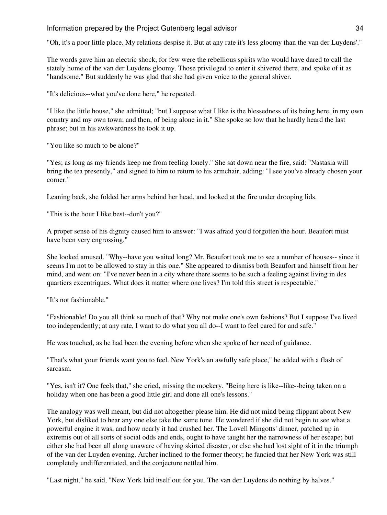"Oh, it's a poor little place. My relations despise it. But at any rate it's less gloomy than the van der Luydens'."

The words gave him an electric shock, for few were the rebellious spirits who would have dared to call the stately home of the van der Luydens gloomy. Those privileged to enter it shivered there, and spoke of it as "handsome." But suddenly he was glad that she had given voice to the general shiver.

"It's delicious--what you've done here," he repeated.

"I like the little house," she admitted; "but I suppose what I like is the blessedness of its being here, in my own country and my own town; and then, of being alone in it." She spoke so low that he hardly heard the last phrase; but in his awkwardness he took it up.

"You like so much to be alone?"

"Yes; as long as my friends keep me from feeling lonely." She sat down near the fire, said: "Nastasia will bring the tea presently," and signed to him to return to his armchair, adding: "I see you've already chosen your corner."

Leaning back, she folded her arms behind her head, and looked at the fire under drooping lids.

"This is the hour I like best--don't you?"

A proper sense of his dignity caused him to answer: "I was afraid you'd forgotten the hour. Beaufort must have been very engrossing."

She looked amused. "Why--have you waited long? Mr. Beaufort took me to see a number of houses-- since it seems I'm not to be allowed to stay in this one." She appeared to dismiss both Beaufort and himself from her mind, and went on: "I've never been in a city where there seems to be such a feeling against living in des quartiers excentriques. What does it matter where one lives? I'm told this street is respectable."

"It's not fashionable."

"Fashionable! Do you all think so much of that? Why not make one's own fashions? But I suppose I've lived too independently; at any rate, I want to do what you all do--I want to feel cared for and safe."

He was touched, as he had been the evening before when she spoke of her need of guidance.

"That's what your friends want you to feel. New York's an awfully safe place," he added with a flash of sarcasm.

"Yes, isn't it? One feels that," she cried, missing the mockery. "Being here is like--like--being taken on a holiday when one has been a good little girl and done all one's lessons."

The analogy was well meant, but did not altogether please him. He did not mind being flippant about New York, but disliked to hear any one else take the same tone. He wondered if she did not begin to see what a powerful engine it was, and how nearly it had crushed her. The Lovell Mingotts' dinner, patched up in extremis out of all sorts of social odds and ends, ought to have taught her the narrowness of her escape; but either she had been all along unaware of having skirted disaster, or else she had lost sight of it in the triumph of the van der Luyden evening. Archer inclined to the former theory; he fancied that her New York was still completely undifferentiated, and the conjecture nettled him.

"Last night," he said, "New York laid itself out for you. The van der Luydens do nothing by halves."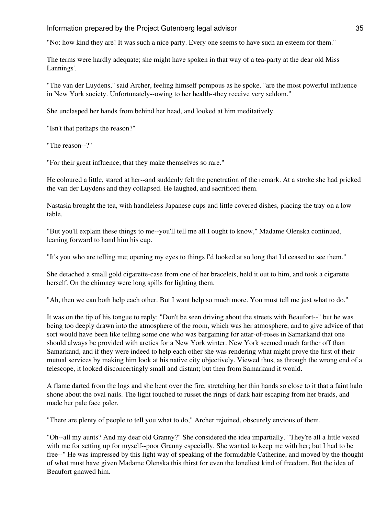"No: how kind they are! It was such a nice party. Every one seems to have such an esteem for them."

The terms were hardly adequate; she might have spoken in that way of a tea-party at the dear old Miss Lannings'.

"The van der Luydens," said Archer, feeling himself pompous as he spoke, "are the most powerful influence in New York society. Unfortunately--owing to her health--they receive very seldom."

She unclasped her hands from behind her head, and looked at him meditatively.

"Isn't that perhaps the reason?"

"The reason--?"

"For their great influence; that they make themselves so rare."

He coloured a little, stared at her--and suddenly felt the penetration of the remark. At a stroke she had pricked the van der Luydens and they collapsed. He laughed, and sacrificed them.

Nastasia brought the tea, with handleless Japanese cups and little covered dishes, placing the tray on a low table.

"But you'll explain these things to me--you'll tell me all I ought to know," Madame Olenska continued, leaning forward to hand him his cup.

"It's you who are telling me; opening my eyes to things I'd looked at so long that I'd ceased to see them."

She detached a small gold cigarette-case from one of her bracelets, held it out to him, and took a cigarette herself. On the chimney were long spills for lighting them.

"Ah, then we can both help each other. But I want help so much more. You must tell me just what to do."

It was on the tip of his tongue to reply: "Don't be seen driving about the streets with Beaufort--" but he was being too deeply drawn into the atmosphere of the room, which was her atmosphere, and to give advice of that sort would have been like telling some one who was bargaining for attar-of-roses in Samarkand that one should always be provided with arctics for a New York winter. New York seemed much farther off than Samarkand, and if they were indeed to help each other she was rendering what might prove the first of their mutual services by making him look at his native city objectively. Viewed thus, as through the wrong end of a telescope, it looked disconcertingly small and distant; but then from Samarkand it would.

A flame darted from the logs and she bent over the fire, stretching her thin hands so close to it that a faint halo shone about the oval nails. The light touched to russet the rings of dark hair escaping from her braids, and made her pale face paler.

"There are plenty of people to tell you what to do," Archer rejoined, obscurely envious of them.

"Oh--all my aunts? And my dear old Granny?" She considered the idea impartially. "They're all a little vexed with me for setting up for myself--poor Granny especially. She wanted to keep me with her; but I had to be free--" He was impressed by this light way of speaking of the formidable Catherine, and moved by the thought of what must have given Madame Olenska this thirst for even the loneliest kind of freedom. But the idea of Beaufort gnawed him.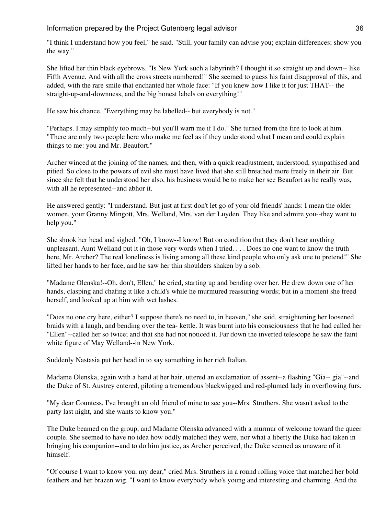"I think I understand how you feel," he said. "Still, your family can advise you; explain differences; show you the way."

She lifted her thin black eyebrows. "Is New York such a labyrinth? I thought it so straight up and down-- like Fifth Avenue. And with all the cross streets numbered!" She seemed to guess his faint disapproval of this, and added, with the rare smile that enchanted her whole face: "If you knew how I like it for just THAT-- the straight-up-and-downness, and the big honest labels on everything!"

He saw his chance. "Everything may be labelled-- but everybody is not."

"Perhaps. I may simplify too much--but you'll warn me if I do." She turned from the fire to look at him. "There are only two people here who make me feel as if they understood what I mean and could explain things to me: you and Mr. Beaufort."

Archer winced at the joining of the names, and then, with a quick readjustment, understood, sympathised and pitied. So close to the powers of evil she must have lived that she still breathed more freely in their air. But since she felt that he understood her also, his business would be to make her see Beaufort as he really was, with all he represented--and abhor it.

He answered gently: "I understand. But just at first don't let go of your old friends' hands: I mean the older women, your Granny Mingott, Mrs. Welland, Mrs. van der Luyden. They like and admire you--they want to help you."

She shook her head and sighed. "Oh, I know--I know! But on condition that they don't hear anything unpleasant. Aunt Welland put it in those very words when I tried. . . . Does no one want to know the truth here, Mr. Archer? The real loneliness is living among all these kind people who only ask one to pretend!" She lifted her hands to her face, and he saw her thin shoulders shaken by a sob.

"Madame Olenska!--Oh, don't, Ellen," he cried, starting up and bending over her. He drew down one of her hands, clasping and chafing it like a child's while he murmured reassuring words; but in a moment she freed herself, and looked up at him with wet lashes.

"Does no one cry here, either? I suppose there's no need to, in heaven," she said, straightening her loosened braids with a laugh, and bending over the tea- kettle. It was burnt into his consciousness that he had called her "Ellen"--called her so twice; and that she had not noticed it. Far down the inverted telescope he saw the faint white figure of May Welland--in New York.

Suddenly Nastasia put her head in to say something in her rich Italian.

Madame Olenska, again with a hand at her hair, uttered an exclamation of assent--a flashing "Gia-- gia"--and the Duke of St. Austrey entered, piloting a tremendous blackwigged and red-plumed lady in overflowing furs.

"My dear Countess, I've brought an old friend of mine to see you--Mrs. Struthers. She wasn't asked to the party last night, and she wants to know you."

The Duke beamed on the group, and Madame Olenska advanced with a murmur of welcome toward the queer couple. She seemed to have no idea how oddly matched they were, nor what a liberty the Duke had taken in bringing his companion--and to do him justice, as Archer perceived, the Duke seemed as unaware of it himself.

"Of course I want to know you, my dear," cried Mrs. Struthers in a round rolling voice that matched her bold feathers and her brazen wig. "I want to know everybody who's young and interesting and charming. And the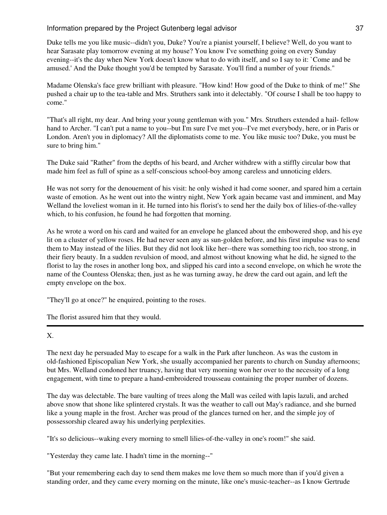Duke tells me you like music--didn't you, Duke? You're a pianist yourself, I believe? Well, do you want to hear Sarasate play tomorrow evening at my house? You know I've something going on every Sunday evening--it's the day when New York doesn't know what to do with itself, and so I say to it: `Come and be amused.' And the Duke thought you'd be tempted by Sarasate. You'll find a number of your friends."

Madame Olenska's face grew brilliant with pleasure. "How kind! How good of the Duke to think of me!" She pushed a chair up to the tea-table and Mrs. Struthers sank into it delectably. "Of course I shall be too happy to come."

"That's all right, my dear. And bring your young gentleman with you." Mrs. Struthers extended a hail- fellow hand to Archer. "I can't put a name to you--but I'm sure I've met you--I've met everybody, here, or in Paris or London. Aren't you in diplomacy? All the diplomatists come to me. You like music too? Duke, you must be sure to bring him."

The Duke said "Rather" from the depths of his beard, and Archer withdrew with a stiffly circular bow that made him feel as full of spine as a self-conscious school-boy among careless and unnoticing elders.

He was not sorry for the denouement of his visit: he only wished it had come sooner, and spared him a certain waste of emotion. As he went out into the wintry night, New York again became vast and imminent, and May Welland the loveliest woman in it. He turned into his florist's to send her the daily box of lilies-of-the-valley which, to his confusion, he found he had forgotten that morning.

As he wrote a word on his card and waited for an envelope he glanced about the embowered shop, and his eye lit on a cluster of yellow roses. He had never seen any as sun-golden before, and his first impulse was to send them to May instead of the lilies. But they did not look like her--there was something too rich, too strong, in their fiery beauty. In a sudden revulsion of mood, and almost without knowing what he did, he signed to the florist to lay the roses in another long box, and slipped his card into a second envelope, on which he wrote the name of the Countess Olenska; then, just as he was turning away, he drew the card out again, and left the empty envelope on the box.

"They'll go at once?" he enquired, pointing to the roses.

The florist assured him that they would.

### X.

The next day he persuaded May to escape for a walk in the Park after luncheon. As was the custom in old-fashioned Episcopalian New York, she usually accompanied her parents to church on Sunday afternoons; but Mrs. Welland condoned her truancy, having that very morning won her over to the necessity of a long engagement, with time to prepare a hand-embroidered trousseau containing the proper number of dozens.

The day was delectable. The bare vaulting of trees along the Mall was ceiled with lapis lazuli, and arched above snow that shone like splintered crystals. It was the weather to call out May's radiance, and she burned like a young maple in the frost. Archer was proud of the glances turned on her, and the simple joy of possessorship cleared away his underlying perplexities.

"It's so delicious--waking every morning to smell lilies-of-the-valley in one's room!" she said.

"Yesterday they came late. I hadn't time in the morning--"

"But your remembering each day to send them makes me love them so much more than if you'd given a standing order, and they came every morning on the minute, like one's music-teacher--as I know Gertrude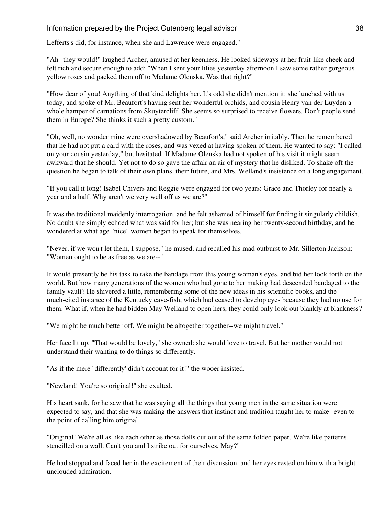Lefferts's did, for instance, when she and Lawrence were engaged."

"Ah--they would!" laughed Archer, amused at her keenness. He looked sideways at her fruit-like cheek and felt rich and secure enough to add: "When I sent your lilies yesterday afternoon I saw some rather gorgeous yellow roses and packed them off to Madame Olenska. Was that right?"

"How dear of you! Anything of that kind delights her. It's odd she didn't mention it: she lunched with us today, and spoke of Mr. Beaufort's having sent her wonderful orchids, and cousin Henry van der Luyden a whole hamper of carnations from Skuytercliff. She seems so surprised to receive flowers. Don't people send them in Europe? She thinks it such a pretty custom."

"Oh, well, no wonder mine were overshadowed by Beaufort's," said Archer irritably. Then he remembered that he had not put a card with the roses, and was vexed at having spoken of them. He wanted to say: "I called on your cousin yesterday," but hesitated. If Madame Olenska had not spoken of his visit it might seem awkward that he should. Yet not to do so gave the affair an air of mystery that he disliked. To shake off the question he began to talk of their own plans, their future, and Mrs. Welland's insistence on a long engagement.

"If you call it long! Isabel Chivers and Reggie were engaged for two years: Grace and Thorley for nearly a year and a half. Why aren't we very well off as we are?"

It was the traditional maidenly interrogation, and he felt ashamed of himself for finding it singularly childish. No doubt she simply echoed what was said for her; but she was nearing her twenty-second birthday, and he wondered at what age "nice" women began to speak for themselves.

"Never, if we won't let them, I suppose," he mused, and recalled his mad outburst to Mr. Sillerton Jackson: "Women ought to be as free as we are--"

It would presently be his task to take the bandage from this young woman's eyes, and bid her look forth on the world. But how many generations of the women who had gone to her making had descended bandaged to the family vault? He shivered a little, remembering some of the new ideas in his scientific books, and the much-cited instance of the Kentucky cave-fish, which had ceased to develop eyes because they had no use for them. What if, when he had bidden May Welland to open hers, they could only look out blankly at blankness?

"We might be much better off. We might be altogether together--we might travel."

Her face lit up. "That would be lovely," she owned: she would love to travel. But her mother would not understand their wanting to do things so differently.

"As if the mere `differently' didn't account for it!" the wooer insisted.

"Newland! You're so original!" she exulted.

His heart sank, for he saw that he was saying all the things that young men in the same situation were expected to say, and that she was making the answers that instinct and tradition taught her to make--even to the point of calling him original.

"Original! We're all as like each other as those dolls cut out of the same folded paper. We're like patterns stencilled on a wall. Can't you and I strike out for ourselves, May?"

He had stopped and faced her in the excitement of their discussion, and her eyes rested on him with a bright unclouded admiration.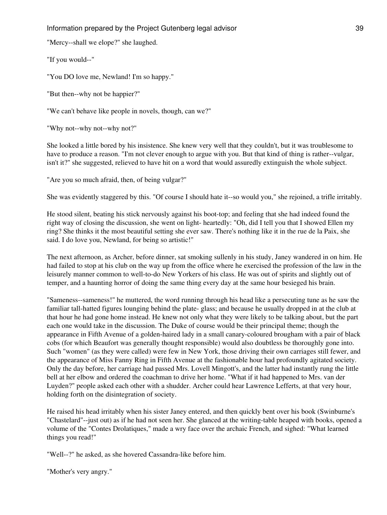"Mercy--shall we elope?" she laughed.

"If you would--"

"You DO love me, Newland! I'm so happy."

"But then--why not be happier?"

"We can't behave like people in novels, though, can we?"

"Why not--why not--why not?"

She looked a little bored by his insistence. She knew very well that they couldn't, but it was troublesome to have to produce a reason. "I'm not clever enough to argue with you. But that kind of thing is rather--vulgar, isn't it?" she suggested, relieved to have hit on a word that would assuredly extinguish the whole subject.

"Are you so much afraid, then, of being vulgar?"

She was evidently staggered by this. "Of course I should hate it--so would you," she rejoined, a trifle irritably.

He stood silent, beating his stick nervously against his boot-top; and feeling that she had indeed found the right way of closing the discussion, she went on light- heartedly: "Oh, did I tell you that I showed Ellen my ring? She thinks it the most beautiful setting she ever saw. There's nothing like it in the rue de la Paix, she said. I do love you, Newland, for being so artistic!"

The next afternoon, as Archer, before dinner, sat smoking sullenly in his study, Janey wandered in on him. He had failed to stop at his club on the way up from the office where he exercised the profession of the law in the leisurely manner common to well-to-do New Yorkers of his class. He was out of spirits and slightly out of temper, and a haunting horror of doing the same thing every day at the same hour besieged his brain.

"Sameness--sameness!" he muttered, the word running through his head like a persecuting tune as he saw the familiar tall-hatted figures lounging behind the plate- glass; and because he usually dropped in at the club at that hour he had gone home instead. He knew not only what they were likely to be talking about, but the part each one would take in the discussion. The Duke of course would be their principal theme; though the appearance in Fifth Avenue of a golden-haired lady in a small canary-coloured brougham with a pair of black cobs (for which Beaufort was generally thought responsible) would also doubtless be thoroughly gone into. Such "women" (as they were called) were few in New York, those driving their own carriages still fewer, and the appearance of Miss Fanny Ring in Fifth Avenue at the fashionable hour had profoundly agitated society. Only the day before, her carriage had passed Mrs. Lovell Mingott's, and the latter had instantly rung the little bell at her elbow and ordered the coachman to drive her home. "What if it had happened to Mrs. van der Luyden?" people asked each other with a shudder. Archer could hear Lawrence Lefferts, at that very hour, holding forth on the disintegration of society.

He raised his head irritably when his sister Janey entered, and then quickly bent over his book (Swinburne's "Chastelard"--just out) as if he had not seen her. She glanced at the writing-table heaped with books, opened a volume of the "Contes Drolatiques," made a wry face over the archaic French, and sighed: "What learned things you read!"

"Well--?" he asked, as she hovered Cassandra-like before him.

"Mother's very angry."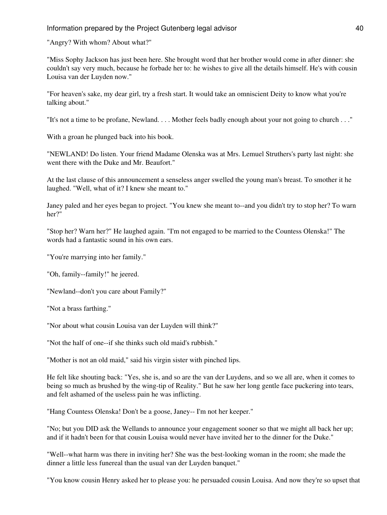"Angry? With whom? About what?"

"Miss Sophy Jackson has just been here. She brought word that her brother would come in after dinner: she couldn't say very much, because he forbade her to: he wishes to give all the details himself. He's with cousin Louisa van der Luyden now."

"For heaven's sake, my dear girl, try a fresh start. It would take an omniscient Deity to know what you're talking about."

"It's not a time to be profane, Newland. . . . Mother feels badly enough about your not going to church . . ."

With a groan he plunged back into his book.

"NEWLAND! Do listen. Your friend Madame Olenska was at Mrs. Lemuel Struthers's party last night: she went there with the Duke and Mr. Beaufort."

At the last clause of this announcement a senseless anger swelled the young man's breast. To smother it he laughed. "Well, what of it? I knew she meant to."

Janey paled and her eyes began to project. "You knew she meant to--and you didn't try to stop her? To warn her?"

"Stop her? Warn her?" He laughed again. "I'm not engaged to be married to the Countess Olenska!" The words had a fantastic sound in his own ears.

"You're marrying into her family."

"Oh, family--family!" he jeered.

"Newland--don't you care about Family?"

"Not a brass farthing."

"Nor about what cousin Louisa van der Luyden will think?"

"Not the half of one--if she thinks such old maid's rubbish."

"Mother is not an old maid," said his virgin sister with pinched lips.

He felt like shouting back: "Yes, she is, and so are the van der Luydens, and so we all are, when it comes to being so much as brushed by the wing-tip of Reality." But he saw her long gentle face puckering into tears, and felt ashamed of the useless pain he was inflicting.

"Hang Countess Olenska! Don't be a goose, Janey-- I'm not her keeper."

"No; but you DID ask the Wellands to announce your engagement sooner so that we might all back her up; and if it hadn't been for that cousin Louisa would never have invited her to the dinner for the Duke."

"Well--what harm was there in inviting her? She was the best-looking woman in the room; she made the dinner a little less funereal than the usual van der Luyden banquet."

"You know cousin Henry asked her to please you: he persuaded cousin Louisa. And now they're so upset that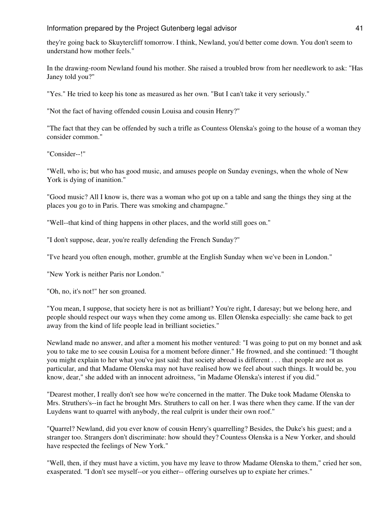they're going back to Skuytercliff tomorrow. I think, Newland, you'd better come down. You don't seem to understand how mother feels."

In the drawing-room Newland found his mother. She raised a troubled brow from her needlework to ask: "Has Janey told you?"

"Yes." He tried to keep his tone as measured as her own. "But I can't take it very seriously."

"Not the fact of having offended cousin Louisa and cousin Henry?"

"The fact that they can be offended by such a trifle as Countess Olenska's going to the house of a woman they consider common."

"Consider--!"

"Well, who is; but who has good music, and amuses people on Sunday evenings, when the whole of New York is dying of inanition."

"Good music? All I know is, there was a woman who got up on a table and sang the things they sing at the places you go to in Paris. There was smoking and champagne."

"Well--that kind of thing happens in other places, and the world still goes on."

"I don't suppose, dear, you're really defending the French Sunday?"

"I've heard you often enough, mother, grumble at the English Sunday when we've been in London."

"New York is neither Paris nor London."

"Oh, no, it's not!" her son groaned.

"You mean, I suppose, that society here is not as brilliant? You're right, I daresay; but we belong here, and people should respect our ways when they come among us. Ellen Olenska especially: she came back to get away from the kind of life people lead in brilliant societies."

Newland made no answer, and after a moment his mother ventured: "I was going to put on my bonnet and ask you to take me to see cousin Louisa for a moment before dinner." He frowned, and she continued: "I thought you might explain to her what you've just said: that society abroad is different . . . that people are not as particular, and that Madame Olenska may not have realised how we feel about such things. It would be, you know, dear," she added with an innocent adroitness, "in Madame Olenska's interest if you did."

"Dearest mother, I really don't see how we're concerned in the matter. The Duke took Madame Olenska to Mrs. Struthers's--in fact he brought Mrs. Struthers to call on her. I was there when they came. If the van der Luydens want to quarrel with anybody, the real culprit is under their own roof."

"Quarrel? Newland, did you ever know of cousin Henry's quarrelling? Besides, the Duke's his guest; and a stranger too. Strangers don't discriminate: how should they? Countess Olenska is a New Yorker, and should have respected the feelings of New York."

"Well, then, if they must have a victim, you have my leave to throw Madame Olenska to them," cried her son, exasperated. "I don't see myself--or you either-- offering ourselves up to expiate her crimes."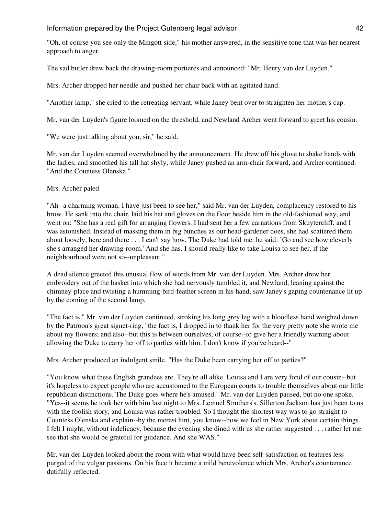"Oh, of course you see only the Mingott side," his mother answered, in the sensitive tone that was her nearest approach to anger.

The sad butler drew back the drawing-room portieres and announced: "Mr. Henry van der Luyden."

Mrs. Archer dropped her needle and pushed her chair back with an agitated hand.

"Another lamp," she cried to the retreating servant, while Janey bent over to straighten her mother's cap.

Mr. van der Luyden's figure loomed on the threshold, and Newland Archer went forward to greet his cousin.

"We were just talking about you, sir," he said.

Mr. van der Luyden seemed overwhelmed by the announcement. He drew off his glove to shake hands with the ladies, and smoothed his tall hat shyly, while Janey pushed an arm-chair forward, and Archer continued: "And the Countess Olenska."

Mrs. Archer paled.

"Ah--a charming woman. I have just been to see her," said Mr. van der Luyden, complacency restored to his brow. He sank into the chair, laid his hat and gloves on the floor beside him in the old-fashioned way, and went on: "She has a real gift for arranging flowers. I had sent her a few carnations from Skuytercliff, and I was astonished. Instead of massing them in big bunches as our head-gardener does, she had scattered them about loosely, here and there . . . I can't say how. The Duke had told me: he said: `Go and see how cleverly she's arranged her drawing-room.' And she has. I should really like to take Louisa to see her, if the neighbourhood were not so--unpleasant."

A dead silence greeted this unusual flow of words from Mr. van der Luyden. Mrs. Archer drew her embroidery out of the basket into which she had nervously tumbled it, and Newland, leaning against the chimney-place and twisting a humming-bird-feather screen in his hand, saw Janey's gaping countenance lit up by the coming of the second lamp.

"The fact is," Mr. van der Luyden continued, stroking his long grey leg with a bloodless hand weighed down by the Patroon's great signet-ring, "the fact is, I dropped in to thank her for the very pretty note she wrote me about my flowers; and also--but this is between ourselves, of course--to give her a friendly warning about allowing the Duke to carry her off to parties with him. I don't know if you've heard--"

Mrs. Archer produced an indulgent smile. "Has the Duke been carrying her off to parties?"

"You know what these English grandees are. They're all alike. Louisa and I are very fond of our cousin--but it's hopeless to expect people who are accustomed to the European courts to trouble themselves about our little republican distinctions. The Duke goes where he's amused." Mr. van der Luyden paused, but no one spoke. "Yes--it seems he took her with him last night to Mrs. Lemuel Struthers's. Sillerton Jackson has just been to us with the foolish story, and Louisa was rather troubled. So I thought the shortest way was to go straight to Countess Olenska and explain--by the merest hint, you know--how we feel in New York about certain things. I felt I might, without indelicacy, because the evening she dined with us she rather suggested . . . rather let me see that she would be grateful for guidance. And she WAS."

Mr. van der Luyden looked about the room with what would have been self-satisfaction on features less purged of the vulgar passions. On his face it became a mild benevolence which Mrs. Archer's countenance dutifully reflected.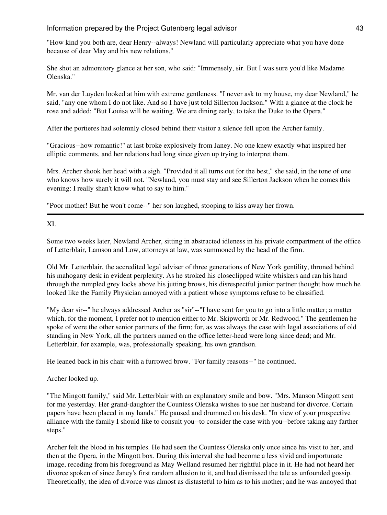"How kind you both are, dear Henry--always! Newland will particularly appreciate what you have done because of dear May and his new relations."

She shot an admonitory glance at her son, who said: "Immensely, sir. But I was sure you'd like Madame Olenska."

Mr. van der Luyden looked at him with extreme gentleness. "I never ask to my house, my dear Newland," he said, "any one whom I do not like. And so I have just told Sillerton Jackson." With a glance at the clock he rose and added: "But Louisa will be waiting. We are dining early, to take the Duke to the Opera."

After the portieres had solemnly closed behind their visitor a silence fell upon the Archer family.

"Gracious--how romantic!" at last broke explosively from Janey. No one knew exactly what inspired her elliptic comments, and her relations had long since given up trying to interpret them.

Mrs. Archer shook her head with a sigh. "Provided it all turns out for the best," she said, in the tone of one who knows how surely it will not. "Newland, you must stay and see Sillerton Jackson when he comes this evening: I really shan't know what to say to him."

"Poor mother! But he won't come--" her son laughed, stooping to kiss away her frown.

XI.

Some two weeks later, Newland Archer, sitting in abstracted idleness in his private compartment of the office of Letterblair, Lamson and Low, attorneys at law, was summoned by the head of the firm.

Old Mr. Letterblair, the accredited legal adviser of three generations of New York gentility, throned behind his mahogany desk in evident perplexity. As he stroked his closeclipped white whiskers and ran his hand through the rumpled grey locks above his jutting brows, his disrespectful junior partner thought how much he looked like the Family Physician annoyed with a patient whose symptoms refuse to be classified.

"My dear sir--" he always addressed Archer as "sir"--"I have sent for you to go into a little matter; a matter which, for the moment, I prefer not to mention either to Mr. Skipworth or Mr. Redwood." The gentlemen he spoke of were the other senior partners of the firm; for, as was always the case with legal associations of old standing in New York, all the partners named on the office letter-head were long since dead; and Mr. Letterblair, for example, was, professionally speaking, his own grandson.

He leaned back in his chair with a furrowed brow. "For family reasons--" he continued.

Archer looked up.

"The Mingott family," said Mr. Letterblair with an explanatory smile and bow. "Mrs. Manson Mingott sent for me yesterday. Her grand-daughter the Countess Olenska wishes to sue her husband for divorce. Certain papers have been placed in my hands." He paused and drummed on his desk. "In view of your prospective alliance with the family I should like to consult you--to consider the case with you--before taking any farther steps."

Archer felt the blood in his temples. He had seen the Countess Olenska only once since his visit to her, and then at the Opera, in the Mingott box. During this interval she had become a less vivid and importunate image, receding from his foreground as May Welland resumed her rightful place in it. He had not heard her divorce spoken of since Janey's first random allusion to it, and had dismissed the tale as unfounded gossip. Theoretically, the idea of divorce was almost as distasteful to him as to his mother; and he was annoyed that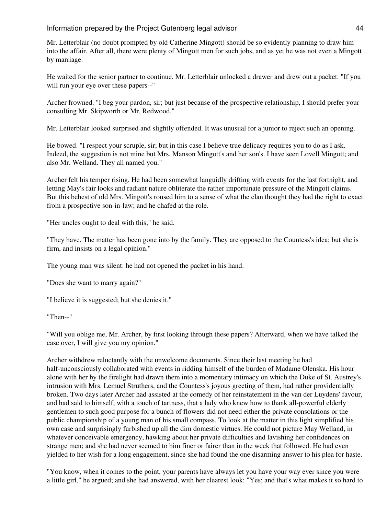Mr. Letterblair (no doubt prompted by old Catherine Mingott) should be so evidently planning to draw him into the affair. After all, there were plenty of Mingott men for such jobs, and as yet he was not even a Mingott by marriage.

He waited for the senior partner to continue. Mr. Letterblair unlocked a drawer and drew out a packet. "If you will run your eye over these papers--"

Archer frowned. "I beg your pardon, sir; but just because of the prospective relationship, I should prefer your consulting Mr. Skipworth or Mr. Redwood."

Mr. Letterblair looked surprised and slightly offended. It was unusual for a junior to reject such an opening.

He bowed. "I respect your scruple, sir; but in this case I believe true delicacy requires you to do as I ask. Indeed, the suggestion is not mine but Mrs. Manson Mingott's and her son's. I have seen Lovell Mingott; and also Mr. Welland. They all named you."

Archer felt his temper rising. He had been somewhat languidly drifting with events for the last fortnight, and letting May's fair looks and radiant nature obliterate the rather importunate pressure of the Mingott claims. But this behest of old Mrs. Mingott's roused him to a sense of what the clan thought they had the right to exact from a prospective son-in-law; and he chafed at the role.

"Her uncles ought to deal with this," he said.

"They have. The matter has been gone into by the family. They are opposed to the Countess's idea; but she is firm, and insists on a legal opinion."

The young man was silent: he had not opened the packet in his hand.

"Does she want to marry again?"

"I believe it is suggested; but she denies it."

"Then--"

"Will you oblige me, Mr. Archer, by first looking through these papers? Afterward, when we have talked the case over, I will give you my opinion."

Archer withdrew reluctantly with the unwelcome documents. Since their last meeting he had half-unconsciously collaborated with events in ridding himself of the burden of Madame Olenska. His hour alone with her by the firelight had drawn them into a momentary intimacy on which the Duke of St. Austrey's intrusion with Mrs. Lemuel Struthers, and the Countess's joyous greeting of them, had rather providentially broken. Two days later Archer had assisted at the comedy of her reinstatement in the van der Luydens' favour, and had said to himself, with a touch of tartness, that a lady who knew how to thank all-powerful elderly gentlemen to such good purpose for a bunch of flowers did not need either the private consolations or the public championship of a young man of his small compass. To look at the matter in this light simplified his own case and surprisingly furbished up all the dim domestic virtues. He could not picture May Welland, in whatever conceivable emergency, hawking about her private difficulties and lavishing her confidences on strange men; and she had never seemed to him finer or fairer than in the week that followed. He had even yielded to her wish for a long engagement, since she had found the one disarming answer to his plea for haste.

"You know, when it comes to the point, your parents have always let you have your way ever since you were a little girl," he argued; and she had answered, with her clearest look: "Yes; and that's what makes it so hard to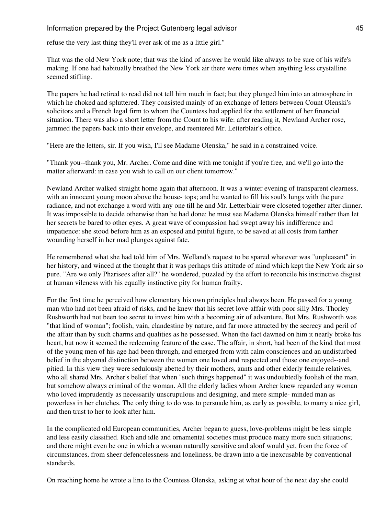refuse the very last thing they'll ever ask of me as a little girl."

That was the old New York note; that was the kind of answer he would like always to be sure of his wife's making. If one had habitually breathed the New York air there were times when anything less crystalline seemed stifling.

The papers he had retired to read did not tell him much in fact; but they plunged him into an atmosphere in which he choked and spluttered. They consisted mainly of an exchange of letters between Count Olenski's solicitors and a French legal firm to whom the Countess had applied for the settlement of her financial situation. There was also a short letter from the Count to his wife: after reading it, Newland Archer rose, jammed the papers back into their envelope, and reentered Mr. Letterblair's office.

"Here are the letters, sir. If you wish, I'll see Madame Olenska," he said in a constrained voice.

"Thank you--thank you, Mr. Archer. Come and dine with me tonight if you're free, and we'll go into the matter afterward: in case you wish to call on our client tomorrow."

Newland Archer walked straight home again that afternoon. It was a winter evening of transparent clearness, with an innocent young moon above the house- tops; and he wanted to fill his soul's lungs with the pure radiance, and not exchange a word with any one till he and Mr. Letterblair were closeted together after dinner. It was impossible to decide otherwise than he had done: he must see Madame Olenska himself rather than let her secrets be bared to other eyes. A great wave of compassion had swept away his indifference and impatience: she stood before him as an exposed and pitiful figure, to be saved at all costs from farther wounding herself in her mad plunges against fate.

He remembered what she had told him of Mrs. Welland's request to be spared whatever was "unpleasant" in her history, and winced at the thought that it was perhaps this attitude of mind which kept the New York air so pure. "Are we only Pharisees after all?" he wondered, puzzled by the effort to reconcile his instinctive disgust at human vileness with his equally instinctive pity for human frailty.

For the first time he perceived how elementary his own principles had always been. He passed for a young man who had not been afraid of risks, and he knew that his secret love-affair with poor silly Mrs. Thorley Rushworth had not been too secret to invest him with a becoming air of adventure. But Mrs. Rushworth was "that kind of woman"; foolish, vain, clandestine by nature, and far more attracted by the secrecy and peril of the affair than by such charms and qualities as he possessed. When the fact dawned on him it nearly broke his heart, but now it seemed the redeeming feature of the case. The affair, in short, had been of the kind that most of the young men of his age had been through, and emerged from with calm consciences and an undisturbed belief in the abysmal distinction between the women one loved and respected and those one enjoyed--and pitied. In this view they were sedulously abetted by their mothers, aunts and other elderly female relatives, who all shared Mrs. Archer's belief that when "such things happened" it was undoubtedly foolish of the man, but somehow always criminal of the woman. All the elderly ladies whom Archer knew regarded any woman who loved imprudently as necessarily unscrupulous and designing, and mere simple- minded man as powerless in her clutches. The only thing to do was to persuade him, as early as possible, to marry a nice girl, and then trust to her to look after him.

In the complicated old European communities, Archer began to guess, love-problems might be less simple and less easily classified. Rich and idle and ornamental societies must produce many more such situations; and there might even be one in which a woman naturally sensitive and aloof would yet, from the force of circumstances, from sheer defencelessness and loneliness, be drawn into a tie inexcusable by conventional standards.

On reaching home he wrote a line to the Countess Olenska, asking at what hour of the next day she could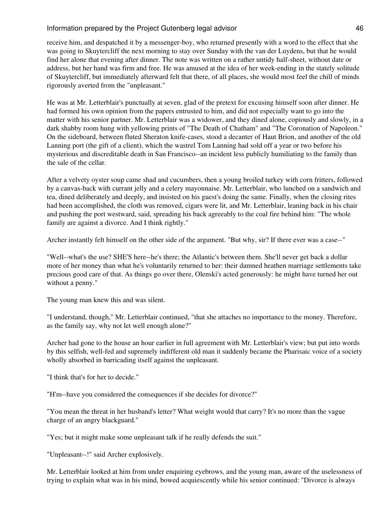receive him, and despatched it by a messenger-boy, who returned presently with a word to the effect that she was going to Skuytercliff the next morning to stay over Sunday with the van der Luydens, but that he would find her alone that evening after dinner. The note was written on a rather untidy half-sheet, without date or address, but her hand was firm and free. He was amused at the idea of her week-ending in the stately solitude of Skuytercliff, but immediately afterward felt that there, of all places, she would most feel the chill of minds rigorously averted from the "unpleasant."

He was at Mr. Letterblair's punctually at seven, glad of the pretext for excusing himself soon after dinner. He had formed his own opinion from the papers entrusted to him, and did not especially want to go into the matter with his senior partner. Mr. Letterblair was a widower, and they dined alone, copiously and slowly, in a dark shabby room hung with yellowing prints of "The Death of Chatham" and "The Coronation of Napoleon." On the sideboard, between fluted Sheraton knife-cases, stood a decanter of Haut Brion, and another of the old Lanning port (the gift of a client), which the wastrel Tom Lanning had sold off a year or two before his mysterious and discreditable death in San Francisco--an incident less publicly humiliating to the family than the sale of the cellar.

After a velvety oyster soup came shad and cucumbers, then a young broiled turkey with corn fritters, followed by a canvas-back with currant jelly and a celery mayonnaise. Mr. Letterblair, who lunched on a sandwich and tea, dined deliberately and deeply, and insisted on his guest's doing the same. Finally, when the closing rites had been accomplished, the cloth was removed, cigars were lit, and Mr. Letterblair, leaning back in his chair and pushing the port westward, said, spreading his back agreeably to the coal fire behind him: "The whole family are against a divorce. And I think rightly."

Archer instantly felt himself on the other side of the argument. "But why, sir? If there ever was a case--"

"Well--what's the use? SHE'S here--he's there; the Atlantic's between them. She'll never get back a dollar more of her money than what he's voluntarily returned to her: their damned heathen marriage settlements take precious good care of that. As things go over there, Olenski's acted generously: he might have turned her out without a penny."

The young man knew this and was silent.

"I understand, though," Mr. Letterblair continued, "that she attaches no importance to the money. Therefore, as the family say, why not let well enough alone?"

Archer had gone to the house an hour earlier in full agreement with Mr. Letterblair's view; but put into words by this selfish, well-fed and supremely indifferent old man it suddenly became the Pharisaic voice of a society wholly absorbed in barricading itself against the unpleasant.

"I think that's for her to decide."

"H'm--have you considered the consequences if she decides for divorce?"

"You mean the threat in her husband's letter? What weight would that carry? It's no more than the vague charge of an angry blackguard."

"Yes; but it might make some unpleasant talk if he really defends the suit."

"Unpleasant--!" said Archer explosively.

Mr. Letterblair looked at him from under enquiring eyebrows, and the young man, aware of the uselessness of trying to explain what was in his mind, bowed acquiescently while his senior continued: "Divorce is always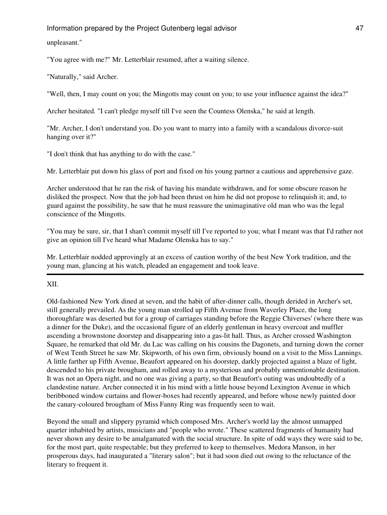unpleasant."

"You agree with me?" Mr. Letterblair resumed, after a waiting silence.

"Naturally," said Archer.

"Well, then, I may count on you; the Mingotts may count on you; to use your influence against the idea?"

Archer hesitated. "I can't pledge myself till I've seen the Countess Olenska," he said at length.

"Mr. Archer, I don't understand you. Do you want to marry into a family with a scandalous divorce-suit hanging over it?"

"I don't think that has anything to do with the case."

Mr. Letterblair put down his glass of port and fixed on his young partner a cautious and apprehensive gaze.

Archer understood that he ran the risk of having his mandate withdrawn, and for some obscure reason he disliked the prospect. Now that the job had been thrust on him he did not propose to relinquish it; and, to guard against the possibility, he saw that he must reassure the unimaginative old man who was the legal conscience of the Mingotts.

"You may be sure, sir, that I shan't commit myself till I've reported to you; what I meant was that I'd rather not give an opinion till I've heard what Madame Olenska has to say."

Mr. Letterblair nodded approvingly at an excess of caution worthy of the best New York tradition, and the young man, glancing at his watch, pleaded an engagement and took leave.

XII.

Old-fashioned New York dined at seven, and the habit of after-dinner calls, though derided in Archer's set, still generally prevailed. As the young man strolled up Fifth Avenue from Waverley Place, the long thoroughfare was deserted but for a group of carriages standing before the Reggie Chiverses' (where there was a dinner for the Duke), and the occasional figure of an elderly gentleman in heavy overcoat and muffler ascending a brownstone doorstep and disappearing into a gas-lit hall. Thus, as Archer crossed Washington Square, he remarked that old Mr. du Lac was calling on his cousins the Dagonets, and turning down the corner of West Tenth Street he saw Mr. Skipworth, of his own firm, obviously bound on a visit to the Miss Lannings. A little farther up Fifth Avenue, Beaufort appeared on his doorstep, darkly projected against a blaze of light, descended to his private brougham, and rolled away to a mysterious and probably unmentionable destination. It was not an Opera night, and no one was giving a party, so that Beaufort's outing was undoubtedly of a clandestine nature. Archer connected it in his mind with a little house beyond Lexington Avenue in which beribboned window curtains and flower-boxes had recently appeared, and before whose newly painted door the canary-coloured brougham of Miss Fanny Ring was frequently seen to wait.

Beyond the small and slippery pyramid which composed Mrs. Archer's world lay the almost unmapped quarter inhabited by artists, musicians and "people who wrote." These scattered fragments of humanity had never shown any desire to be amalgamated with the social structure. In spite of odd ways they were said to be, for the most part, quite respectable; but they preferred to keep to themselves. Medora Manson, in her prosperous days, had inaugurated a "literary salon"; but it had soon died out owing to the reluctance of the literary to frequent it.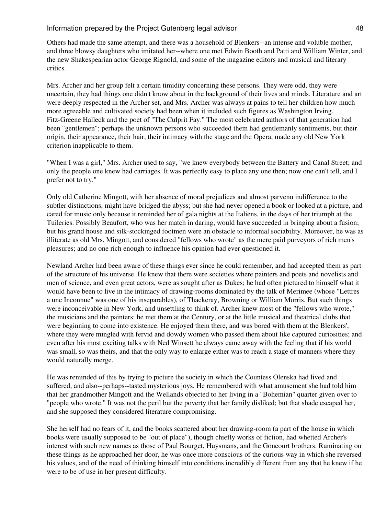Others had made the same attempt, and there was a household of Blenkers--an intense and voluble mother, and three blowsy daughters who imitated her--where one met Edwin Booth and Patti and William Winter, and the new Shakespearian actor George Rignold, and some of the magazine editors and musical and literary critics.

Mrs. Archer and her group felt a certain timidity concerning these persons. They were odd, they were uncertain, they had things one didn't know about in the background of their lives and minds. Literature and art were deeply respected in the Archer set, and Mrs. Archer was always at pains to tell her children how much more agreeable and cultivated society had been when it included such figures as Washington Irving, Fitz-Greene Halleck and the poet of "The Culprit Fay." The most celebrated authors of that generation had been "gentlemen"; perhaps the unknown persons who succeeded them had gentlemanly sentiments, but their origin, their appearance, their hair, their intimacy with the stage and the Opera, made any old New York criterion inapplicable to them.

"When I was a girl," Mrs. Archer used to say, "we knew everybody between the Battery and Canal Street; and only the people one knew had carriages. It was perfectly easy to place any one then; now one can't tell, and I prefer not to try."

Only old Catherine Mingott, with her absence of moral prejudices and almost parvenu indifference to the subtler distinctions, might have bridged the abyss; but she had never opened a book or looked at a picture, and cared for music only because it reminded her of gala nights at the Italiens, in the days of her triumph at the Tuileries. Possibly Beaufort, who was her match in daring, would have succeeded in bringing about a fusion; but his grand house and silk-stockinged footmen were an obstacle to informal sociability. Moreover, he was as illiterate as old Mrs. Mingott, and considered "fellows who wrote" as the mere paid purveyors of rich men's pleasures; and no one rich enough to influence his opinion had ever questioned it.

Newland Archer had been aware of these things ever since he could remember, and had accepted them as part of the structure of his universe. He knew that there were societies where painters and poets and novelists and men of science, and even great actors, were as sought after as Dukes; he had often pictured to himself what it would have been to live in the intimacy of drawing-rooms dominated by the talk of Merimee (whose "Lettres a une Inconnue" was one of his inseparables), of Thackeray, Browning or William Morris. But such things were inconceivable in New York, and unsettling to think of. Archer knew most of the "fellows who wrote," the musicians and the painters: he met them at the Century, or at the little musical and theatrical clubs that were beginning to come into existence. He enjoyed them there, and was bored with them at the Blenkers', where they were mingled with fervid and dowdy women who passed them about like captured curiosities; and even after his most exciting talks with Ned Winsett he always came away with the feeling that if his world was small, so was theirs, and that the only way to enlarge either was to reach a stage of manners where they would naturally merge.

He was reminded of this by trying to picture the society in which the Countess Olenska had lived and suffered, and also--perhaps--tasted mysterious joys. He remembered with what amusement she had told him that her grandmother Mingott and the Wellands objected to her living in a "Bohemian" quarter given over to "people who wrote." It was not the peril but the poverty that her family disliked; but that shade escaped her, and she supposed they considered literature compromising.

She herself had no fears of it, and the books scattered about her drawing-room (a part of the house in which books were usually supposed to be "out of place"), though chiefly works of fiction, had whetted Archer's interest with such new names as those of Paul Bourget, Huysmans, and the Goncourt brothers. Ruminating on these things as he approached her door, he was once more conscious of the curious way in which she reversed his values, and of the need of thinking himself into conditions incredibly different from any that he knew if he were to be of use in her present difficulty.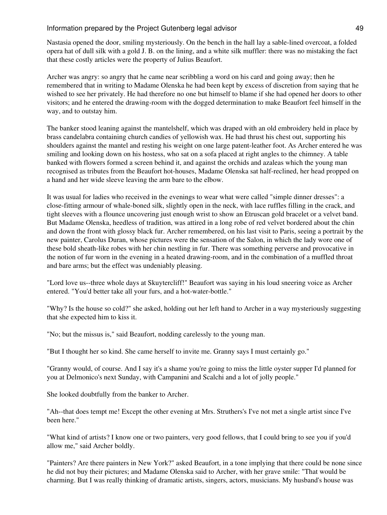Nastasia opened the door, smiling mysteriously. On the bench in the hall lay a sable-lined overcoat, a folded opera hat of dull silk with a gold J. B. on the lining, and a white silk muffler: there was no mistaking the fact that these costly articles were the property of Julius Beaufort.

Archer was angry: so angry that he came near scribbling a word on his card and going away; then he remembered that in writing to Madame Olenska he had been kept by excess of discretion from saying that he wished to see her privately. He had therefore no one but himself to blame if she had opened her doors to other visitors; and he entered the drawing-room with the dogged determination to make Beaufort feel himself in the way, and to outstay him.

The banker stood leaning against the mantelshelf, which was draped with an old embroidery held in place by brass candelabra containing church candies of yellowish wax. He had thrust his chest out, supporting his shoulders against the mantel and resting his weight on one large patent-leather foot. As Archer entered he was smiling and looking down on his hostess, who sat on a sofa placed at right angles to the chimney. A table banked with flowers formed a screen behind it, and against the orchids and azaleas which the young man recognised as tributes from the Beaufort hot-houses, Madame Olenska sat half-reclined, her head propped on a hand and her wide sleeve leaving the arm bare to the elbow.

It was usual for ladies who received in the evenings to wear what were called "simple dinner dresses": a close-fitting armour of whale-boned silk, slightly open in the neck, with lace ruffles filling in the crack, and tight sleeves with a flounce uncovering just enough wrist to show an Etruscan gold bracelet or a velvet band. But Madame Olenska, heedless of tradition, was attired in a long robe of red velvet bordered about the chin and down the front with glossy black fur. Archer remembered, on his last visit to Paris, seeing a portrait by the new painter, Carolus Duran, whose pictures were the sensation of the Salon, in which the lady wore one of these bold sheath-like robes with her chin nestling in fur. There was something perverse and provocative in the notion of fur worn in the evening in a heated drawing-room, and in the combination of a muffled throat and bare arms; but the effect was undeniably pleasing.

"Lord love us--three whole days at Skuytercliff!" Beaufort was saying in his loud sneering voice as Archer entered. "You'd better take all your furs, and a hot-water-bottle."

"Why? Is the house so cold?" she asked, holding out her left hand to Archer in a way mysteriously suggesting that she expected him to kiss it.

"No; but the missus is," said Beaufort, nodding carelessly to the young man.

"But I thought her so kind. She came herself to invite me. Granny says I must certainly go."

"Granny would, of course. And I say it's a shame you're going to miss the little oyster supper I'd planned for you at Delmonico's next Sunday, with Campanini and Scalchi and a lot of jolly people."

She looked doubtfully from the banker to Archer.

"Ah--that does tempt me! Except the other evening at Mrs. Struthers's I've not met a single artist since I've been here."

"What kind of artists? I know one or two painters, very good fellows, that I could bring to see you if you'd allow me," said Archer boldly.

"Painters? Are there painters in New York?" asked Beaufort, in a tone implying that there could be none since he did not buy their pictures; and Madame Olenska said to Archer, with her grave smile: "That would be charming. But I was really thinking of dramatic artists, singers, actors, musicians. My husband's house was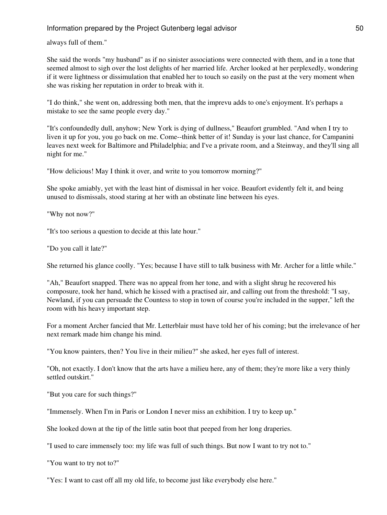always full of them."

She said the words "my husband" as if no sinister associations were connected with them, and in a tone that seemed almost to sigh over the lost delights of her married life. Archer looked at her perplexedly, wondering if it were lightness or dissimulation that enabled her to touch so easily on the past at the very moment when she was risking her reputation in order to break with it.

"I do think," she went on, addressing both men, that the imprevu adds to one's enjoyment. It's perhaps a mistake to see the same people every day."

"It's confoundedly dull, anyhow; New York is dying of dullness," Beaufort grumbled. "And when I try to liven it up for you, you go back on me. Come--think better of it! Sunday is your last chance, for Campanini leaves next week for Baltimore and Philadelphia; and I've a private room, and a Steinway, and they'll sing all night for me."

"How delicious! May I think it over, and write to you tomorrow morning?"

She spoke amiably, yet with the least hint of dismissal in her voice. Beaufort evidently felt it, and being unused to dismissals, stood staring at her with an obstinate line between his eyes.

"Why not now?"

"It's too serious a question to decide at this late hour."

"Do you call it late?"

She returned his glance coolly. "Yes; because I have still to talk business with Mr. Archer for a little while."

"Ah," Beaufort snapped. There was no appeal from her tone, and with a slight shrug he recovered his composure, took her hand, which he kissed with a practised air, and calling out from the threshold: "I say, Newland, if you can persuade the Countess to stop in town of course you're included in the supper," left the room with his heavy important step.

For a moment Archer fancied that Mr. Letterblair must have told her of his coming; but the irrelevance of her next remark made him change his mind.

"You know painters, then? You live in their milieu?" she asked, her eyes full of interest.

"Oh, not exactly. I don't know that the arts have a milieu here, any of them; they're more like a very thinly settled outskirt."

"But you care for such things?"

"Immensely. When I'm in Paris or London I never miss an exhibition. I try to keep up."

She looked down at the tip of the little satin boot that peeped from her long draperies.

"I used to care immensely too: my life was full of such things. But now I want to try not to."

"You want to try not to?"

"Yes: I want to cast off all my old life, to become just like everybody else here."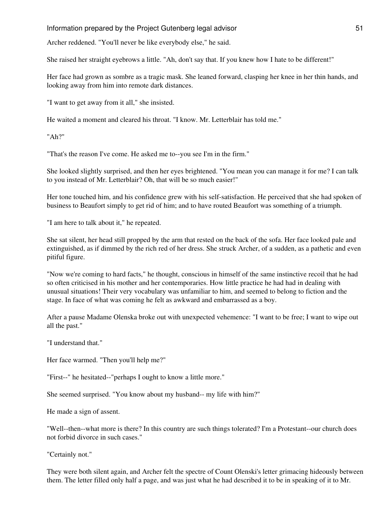Archer reddened. "You'll never be like everybody else," he said.

She raised her straight eyebrows a little. "Ah, don't say that. If you knew how I hate to be different!"

Her face had grown as sombre as a tragic mask. She leaned forward, clasping her knee in her thin hands, and looking away from him into remote dark distances.

"I want to get away from it all," she insisted.

He waited a moment and cleared his throat. "I know. Mr. Letterblair has told me."

"Ah?"

"That's the reason I've come. He asked me to--you see I'm in the firm."

She looked slightly surprised, and then her eyes brightened. "You mean you can manage it for me? I can talk to you instead of Mr. Letterblair? Oh, that will be so much easier!"

Her tone touched him, and his confidence grew with his self-satisfaction. He perceived that she had spoken of business to Beaufort simply to get rid of him; and to have routed Beaufort was something of a triumph.

"I am here to talk about it," he repeated.

She sat silent, her head still propped by the arm that rested on the back of the sofa. Her face looked pale and extinguished, as if dimmed by the rich red of her dress. She struck Archer, of a sudden, as a pathetic and even pitiful figure.

"Now we're coming to hard facts," he thought, conscious in himself of the same instinctive recoil that he had so often criticised in his mother and her contemporaries. How little practice he had had in dealing with unusual situations! Their very vocabulary was unfamiliar to him, and seemed to belong to fiction and the stage. In face of what was coming he felt as awkward and embarrassed as a boy.

After a pause Madame Olenska broke out with unexpected vehemence: "I want to be free; I want to wipe out all the past."

"I understand that."

Her face warmed. "Then you'll help me?"

"First--" he hesitated--"perhaps I ought to know a little more."

She seemed surprised. "You know about my husband-- my life with him?"

He made a sign of assent.

"Well--then--what more is there? In this country are such things tolerated? I'm a Protestant--our church does not forbid divorce in such cases."

"Certainly not."

They were both silent again, and Archer felt the spectre of Count Olenski's letter grimacing hideously between them. The letter filled only half a page, and was just what he had described it to be in speaking of it to Mr.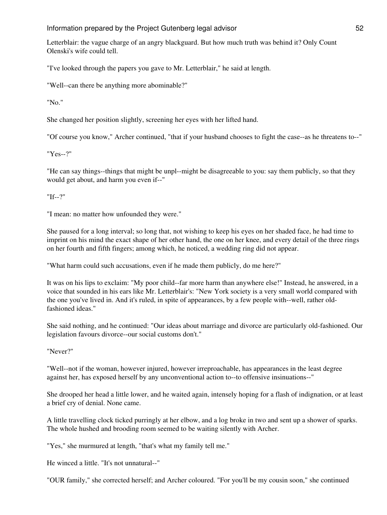Letterblair: the vague charge of an angry blackguard. But how much truth was behind it? Only Count Olenski's wife could tell.

"I've looked through the papers you gave to Mr. Letterblair," he said at length.

"Well--can there be anything more abominable?"

"No."

She changed her position slightly, screening her eyes with her lifted hand.

"Of course you know," Archer continued, "that if your husband chooses to fight the case--as he threatens to--"

"Yes--?"

"He can say things--things that might be unpl--might be disagreeable to you: say them publicly, so that they would get about, and harm you even if--"

"If--?"

"I mean: no matter how unfounded they were."

She paused for a long interval; so long that, not wishing to keep his eyes on her shaded face, he had time to imprint on his mind the exact shape of her other hand, the one on her knee, and every detail of the three rings on her fourth and fifth fingers; among which, he noticed, a wedding ring did not appear.

"What harm could such accusations, even if he made them publicly, do me here?"

It was on his lips to exclaim: "My poor child--far more harm than anywhere else!" Instead, he answered, in a voice that sounded in his ears like Mr. Letterblair's: "New York society is a very small world compared with the one you've lived in. And it's ruled, in spite of appearances, by a few people with--well, rather oldfashioned ideas."

She said nothing, and he continued: "Our ideas about marriage and divorce are particularly old-fashioned. Our legislation favours divorce--our social customs don't."

"Never?"

"Well--not if the woman, however injured, however irreproachable, has appearances in the least degree against her, has exposed herself by any unconventional action to--to offensive insinuations--"

She drooped her head a little lower, and he waited again, intensely hoping for a flash of indignation, or at least a brief cry of denial. None came.

A little travelling clock ticked purringly at her elbow, and a log broke in two and sent up a shower of sparks. The whole hushed and brooding room seemed to be waiting silently with Archer.

"Yes," she murmured at length, "that's what my family tell me."

He winced a little. "It's not unnatural--"

"OUR family," she corrected herself; and Archer coloured. "For you'll be my cousin soon," she continued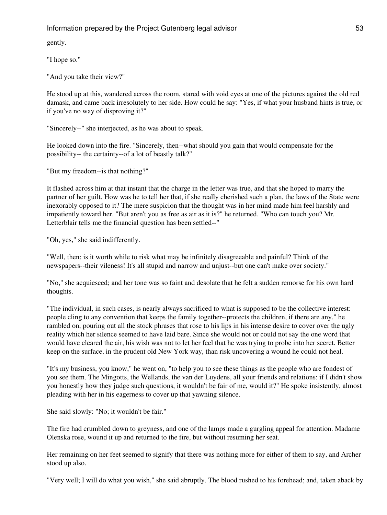gently.

"I hope so."

"And you take their view?"

He stood up at this, wandered across the room, stared with void eyes at one of the pictures against the old red damask, and came back irresolutely to her side. How could he say: "Yes, if what your husband hints is true, or if you've no way of disproving it?"

"Sincerely--" she interjected, as he was about to speak.

He looked down into the fire. "Sincerely, then--what should you gain that would compensate for the possibility-- the certainty--of a lot of beastly talk?"

"But my freedom--is that nothing?"

It flashed across him at that instant that the charge in the letter was true, and that she hoped to marry the partner of her guilt. How was he to tell her that, if she really cherished such a plan, the laws of the State were inexorably opposed to it? The mere suspicion that the thought was in her mind made him feel harshly and impatiently toward her. "But aren't you as free as air as it is?" he returned. "Who can touch you? Mr. Letterblair tells me the financial question has been settled--"

"Oh, yes," she said indifferently.

"Well, then: is it worth while to risk what may be infinitely disagreeable and painful? Think of the newspapers--their vileness! It's all stupid and narrow and unjust--but one can't make over society."

"No," she acquiesced; and her tone was so faint and desolate that he felt a sudden remorse for his own hard thoughts.

"The individual, in such cases, is nearly always sacrificed to what is supposed to be the collective interest: people cling to any convention that keeps the family together--protects the children, if there are any," he rambled on, pouring out all the stock phrases that rose to his lips in his intense desire to cover over the ugly reality which her silence seemed to have laid bare. Since she would not or could not say the one word that would have cleared the air, his wish was not to let her feel that he was trying to probe into her secret. Better keep on the surface, in the prudent old New York way, than risk uncovering a wound he could not heal.

"It's my business, you know," he went on, "to help you to see these things as the people who are fondest of you see them. The Mingotts, the Wellands, the van der Luydens, all your friends and relations: if I didn't show you honestly how they judge such questions, it wouldn't be fair of me, would it?" He spoke insistently, almost pleading with her in his eagerness to cover up that yawning silence.

She said slowly: "No; it wouldn't be fair."

The fire had crumbled down to greyness, and one of the lamps made a gurgling appeal for attention. Madame Olenska rose, wound it up and returned to the fire, but without resuming her seat.

Her remaining on her feet seemed to signify that there was nothing more for either of them to say, and Archer stood up also.

"Very well; I will do what you wish," she said abruptly. The blood rushed to his forehead; and, taken aback by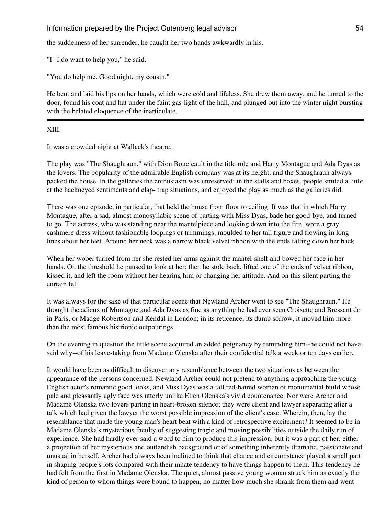the suddenness of her surrender, he caught her two hands awkwardly in his.

"I--I do want to help you," he said.

"You do help me. Good night, my cousin."

He bent and laid his lips on her hands, which were cold and lifeless. She drew them away, and he turned to the door, found his coat and hat under the faint gas-light of the hall, and plunged out into the winter night bursting with the belated eloquence of the inarticulate.

## XIII.

It was a crowded night at Wallack's theatre.

The play was "The Shaughraun," with Dion Boucicault in the title role and Harry Montague and Ada Dyas as the lovers. The popularity of the admirable English company was at its height, and the Shaughraun always packed the house. In the galleries the enthusiasm was unreserved; in the stalls and boxes, people smiled a little at the hackneyed sentiments and clap- trap situations, and enjoyed the play as much as the galleries did.

There was one episode, in particular, that held the house from floor to ceiling. It was that in which Harry Montague, after a sad, almost monosyllabic scene of parting with Miss Dyas, bade her good-bye, and turned to go. The actress, who was standing near the mantelpiece and looking down into the fire, wore a gray cashmere dress without fashionable loopings or trimmings, moulded to her tall figure and flowing in long lines about her feet. Around her neck was a narrow black velvet ribbon with the ends falling down her back.

When her wooer turned from her she rested her arms against the mantel-shelf and bowed her face in her hands. On the threshold he paused to look at her; then he stole back, lifted one of the ends of velvet ribbon, kissed it, and left the room without her hearing him or changing her attitude. And on this silent parting the curtain fell.

It was always for the sake of that particular scene that Newland Archer went to see "The Shaughraun." He thought the adieux of Montague and Ada Dyas as fine as anything he had ever seen Croisette and Bressant do in Paris, or Madge Robertson and Kendal in London; in its reticence, its dumb sorrow, it moved him more than the most famous histrionic outpourings.

On the evening in question the little scene acquired an added poignancy by reminding him--he could not have said why--of his leave-taking from Madame Olenska after their confidential talk a week or ten days earlier.

It would have been as difficult to discover any resemblance between the two situations as between the appearance of the persons concerned. Newland Archer could not pretend to anything approaching the young English actor's romantic good looks, and Miss Dyas was a tall red-haired woman of monumental build whose pale and pleasantly ugly face was utterly unlike Ellen Olenska's vivid countenance. Nor were Archer and Madame Olenska two lovers parting in heart-broken silence; they were client and lawyer separating after a talk which had given the lawyer the worst possible impression of the client's case. Wherein, then, lay the resemblance that made the young man's heart beat with a kind of retrospective excitement? It seemed to be in Madame Olenska's mysterious faculty of suggesting tragic and moving possibilities outside the daily run of experience. She had hardly ever said a word to him to produce this impression, but it was a part of her, either a projection of her mysterious and outlandish background or of something inherently dramatic, passionate and unusual in herself. Archer had always been inclined to think that chance and circumstance played a small part in shaping people's lots compared with their innate tendency to have things happen to them. This tendency he had felt from the first in Madame Olenska. The quiet, almost passive young woman struck him as exactly the kind of person to whom things were bound to happen, no matter how much she shrank from them and went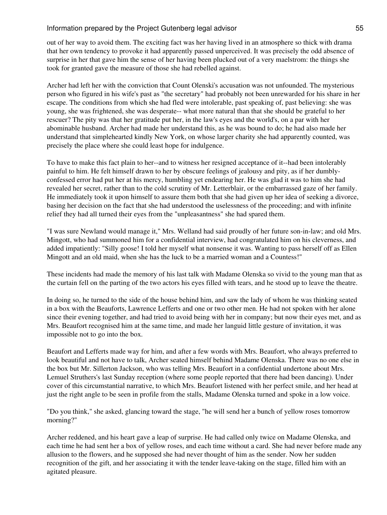out of her way to avoid them. The exciting fact was her having lived in an atmosphere so thick with drama that her own tendency to provoke it had apparently passed unperceived. It was precisely the odd absence of surprise in her that gave him the sense of her having been plucked out of a very maelstrom: the things she took for granted gave the measure of those she had rebelled against.

Archer had left her with the conviction that Count Olenski's accusation was not unfounded. The mysterious person who figured in his wife's past as "the secretary" had probably not been unrewarded for his share in her escape. The conditions from which she had fled were intolerable, past speaking of, past believing: she was young, she was frightened, she was desperate-- what more natural than that she should be grateful to her rescuer? The pity was that her gratitude put her, in the law's eyes and the world's, on a par with her abominable husband. Archer had made her understand this, as he was bound to do; he had also made her understand that simplehearted kindly New York, on whose larger charity she had apparently counted, was precisely the place where she could least hope for indulgence.

To have to make this fact plain to her--and to witness her resigned acceptance of it--had been intolerably painful to him. He felt himself drawn to her by obscure feelings of jealousy and pity, as if her dumblyconfessed error had put her at his mercy, humbling yet endearing her. He was glad it was to him she had revealed her secret, rather than to the cold scrutiny of Mr. Letterblair, or the embarrassed gaze of her family. He immediately took it upon himself to assure them both that she had given up her idea of seeking a divorce, basing her decision on the fact that she had understood the uselessness of the proceeding; and with infinite relief they had all turned their eyes from the "unpleasantness" she had spared them.

"I was sure Newland would manage it," Mrs. Welland had said proudly of her future son-in-law; and old Mrs. Mingott, who had summoned him for a confidential interview, had congratulated him on his cleverness, and added impatiently: "Silly goose! I told her myself what nonsense it was. Wanting to pass herself off as Ellen Mingott and an old maid, when she has the luck to be a married woman and a Countess!"

These incidents had made the memory of his last talk with Madame Olenska so vivid to the young man that as the curtain fell on the parting of the two actors his eyes filled with tears, and he stood up to leave the theatre.

In doing so, he turned to the side of the house behind him, and saw the lady of whom he was thinking seated in a box with the Beauforts, Lawrence Lefferts and one or two other men. He had not spoken with her alone since their evening together, and had tried to avoid being with her in company; but now their eyes met, and as Mrs. Beaufort recognised him at the same time, and made her languid little gesture of invitation, it was impossible not to go into the box.

Beaufort and Lefferts made way for him, and after a few words with Mrs. Beaufort, who always preferred to look beautiful and not have to talk, Archer seated himself behind Madame Olenska. There was no one else in the box but Mr. Sillerton Jackson, who was telling Mrs. Beaufort in a confidential undertone about Mrs. Lemuel Struthers's last Sunday reception (where some people reported that there had been dancing). Under cover of this circumstantial narrative, to which Mrs. Beaufort listened with her perfect smile, and her head at just the right angle to be seen in profile from the stalls, Madame Olenska turned and spoke in a low voice.

"Do you think," she asked, glancing toward the stage, "he will send her a bunch of yellow roses tomorrow morning?"

Archer reddened, and his heart gave a leap of surprise. He had called only twice on Madame Olenska, and each time he had sent her a box of yellow roses, and each time without a card. She had never before made any allusion to the flowers, and he supposed she had never thought of him as the sender. Now her sudden recognition of the gift, and her associating it with the tender leave-taking on the stage, filled him with an agitated pleasure.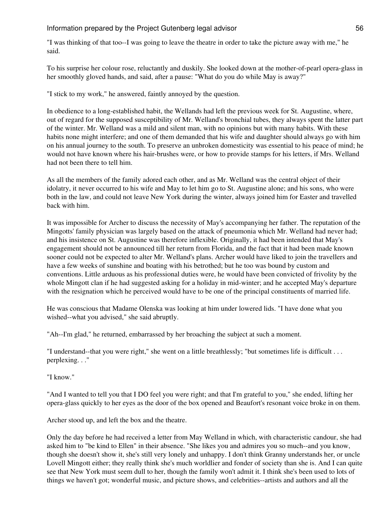"I was thinking of that too--I was going to leave the theatre in order to take the picture away with me," he said.

To his surprise her colour rose, reluctantly and duskily. She looked down at the mother-of-pearl opera-glass in her smoothly gloved hands, and said, after a pause: "What do you do while May is away?"

"I stick to my work," he answered, faintly annoyed by the question.

In obedience to a long-established habit, the Wellands had left the previous week for St. Augustine, where, out of regard for the supposed susceptibility of Mr. Welland's bronchial tubes, they always spent the latter part of the winter. Mr. Welland was a mild and silent man, with no opinions but with many habits. With these habits none might interfere; and one of them demanded that his wife and daughter should always go with him on his annual journey to the south. To preserve an unbroken domesticity was essential to his peace of mind; he would not have known where his hair-brushes were, or how to provide stamps for his letters, if Mrs. Welland had not been there to tell him.

As all the members of the family adored each other, and as Mr. Welland was the central object of their idolatry, it never occurred to his wife and May to let him go to St. Augustine alone; and his sons, who were both in the law, and could not leave New York during the winter, always joined him for Easter and travelled back with him.

It was impossible for Archer to discuss the necessity of May's accompanying her father. The reputation of the Mingotts' family physician was largely based on the attack of pneumonia which Mr. Welland had never had; and his insistence on St. Augustine was therefore inflexible. Originally, it had been intended that May's engagement should not be announced till her return from Florida, and the fact that it had been made known sooner could not be expected to alter Mr. Welland's plans. Archer would have liked to join the travellers and have a few weeks of sunshine and boating with his betrothed; but he too was bound by custom and conventions. Little arduous as his professional duties were, he would have been convicted of frivolity by the whole Mingott clan if he had suggested asking for a holiday in mid-winter; and he accepted May's departure with the resignation which he perceived would have to be one of the principal constituents of married life.

He was conscious that Madame Olenska was looking at him under lowered lids. "I have done what you wished--what you advised," she said abruptly.

"Ah--I'm glad," he returned, embarrassed by her broaching the subject at such a moment.

"I understand--that you were right," she went on a little breathlessly; "but sometimes life is difficult . . . perplexing. . ."

"I know."

"And I wanted to tell you that I DO feel you were right; and that I'm grateful to you," she ended, lifting her opera-glass quickly to her eyes as the door of the box opened and Beaufort's resonant voice broke in on them.

Archer stood up, and left the box and the theatre.

Only the day before he had received a letter from May Welland in which, with characteristic candour, she had asked him to "be kind to Ellen" in their absence. "She likes you and admires you so much--and you know, though she doesn't show it, she's still very lonely and unhappy. I don't think Granny understands her, or uncle Lovell Mingott either; they really think she's much worldlier and fonder of society than she is. And I can quite see that New York must seem dull to her, though the family won't admit it. I think she's been used to lots of things we haven't got; wonderful music, and picture shows, and celebrities--artists and authors and all the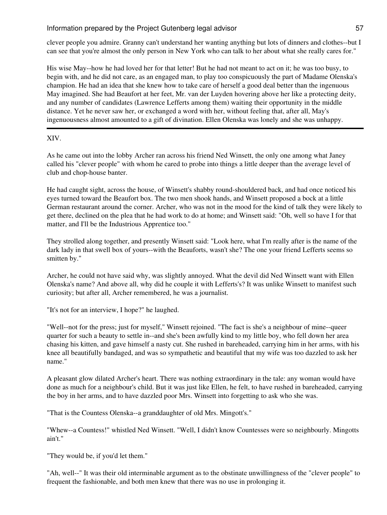clever people you admire. Granny can't understand her wanting anything but lots of dinners and clothes--but I can see that you're almost the only person in New York who can talk to her about what she really cares for."

His wise May--how he had loved her for that letter! But he had not meant to act on it; he was too busy, to begin with, and he did not care, as an engaged man, to play too conspicuously the part of Madame Olenska's champion. He had an idea that she knew how to take care of herself a good deal better than the ingenuous May imagined. She had Beaufort at her feet, Mr. van der Luyden hovering above her like a protecting deity, and any number of candidates (Lawrence Lefferts among them) waiting their opportunity in the middle distance. Yet he never saw her, or exchanged a word with her, without feeling that, after all, May's ingenuousness almost amounted to a gift of divination. Ellen Olenska was lonely and she was unhappy.

## XIV.

As he came out into the lobby Archer ran across his friend Ned Winsett, the only one among what Janey called his "clever people" with whom he cared to probe into things a little deeper than the average level of club and chop-house banter.

He had caught sight, across the house, of Winsett's shabby round-shouldered back, and had once noticed his eyes turned toward the Beaufort box. The two men shook hands, and Winsett proposed a bock at a little German restaurant around the corner. Archer, who was not in the mood for the kind of talk they were likely to get there, declined on the plea that he had work to do at home; and Winsett said: "Oh, well so have I for that matter, and I'll be the Industrious Apprentice too."

They strolled along together, and presently Winsett said: "Look here, what I'm really after is the name of the dark lady in that swell box of yours--with the Beauforts, wasn't she? The one your friend Lefferts seems so smitten by."

Archer, he could not have said why, was slightly annoyed. What the devil did Ned Winsett want with Ellen Olenska's name? And above all, why did he couple it with Lefferts's? It was unlike Winsett to manifest such curiosity; but after all, Archer remembered, he was a journalist.

"It's not for an interview, I hope?" he laughed.

"Well--not for the press; just for myself," Winsett rejoined. "The fact is she's a neighbour of mine--queer quarter for such a beauty to settle in--and she's been awfully kind to my little boy, who fell down her area chasing his kitten, and gave himself a nasty cut. She rushed in bareheaded, carrying him in her arms, with his knee all beautifully bandaged, and was so sympathetic and beautiful that my wife was too dazzled to ask her name."

A pleasant glow dilated Archer's heart. There was nothing extraordinary in the tale: any woman would have done as much for a neighbour's child. But it was just like Ellen, he felt, to have rushed in bareheaded, carrying the boy in her arms, and to have dazzled poor Mrs. Winsett into forgetting to ask who she was.

"That is the Countess Olenska--a granddaughter of old Mrs. Mingott's."

"Whew--a Countess!" whistled Ned Winsett. "Well, I didn't know Countesses were so neighbourly. Mingotts ain't."

"They would be, if you'd let them."

"Ah, well--" It was their old interminable argument as to the obstinate unwillingness of the "clever people" to frequent the fashionable, and both men knew that there was no use in prolonging it.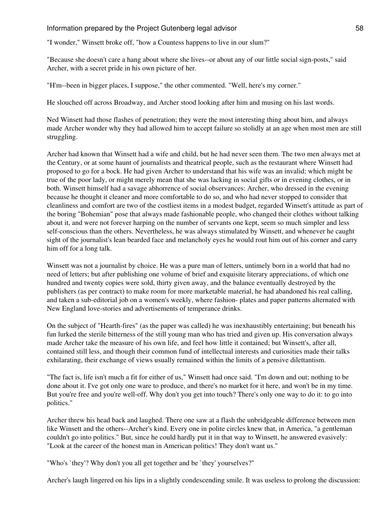"I wonder," Winsett broke off, "how a Countess happens to live in our slum?"

"Because she doesn't care a hang about where she lives--or about any of our little social sign-posts," said Archer, with a secret pride in his own picture of her.

"H'm--been in bigger places, I suppose," the other commented. "Well, here's my corner."

He slouched off across Broadway, and Archer stood looking after him and musing on his last words.

Ned Winsett had those flashes of penetration; they were the most interesting thing about him, and always made Archer wonder why they had allowed him to accept failure so stolidly at an age when most men are still struggling.

Archer had known that Winsett had a wife and child, but he had never seen them. The two men always met at the Century, or at some haunt of journalists and theatrical people, such as the restaurant where Winsett had proposed to go for a bock. He had given Archer to understand that his wife was an invalid; which might be true of the poor lady, or might merely mean that she was lacking in social gifts or in evening clothes, or in both. Winsett himself had a savage abhorrence of social observances: Archer, who dressed in the evening because he thought it cleaner and more comfortable to do so, and who had never stopped to consider that cleanliness and comfort are two of the costliest items in a modest budget, regarded Winsett's attitude as part of the boring "Bohemian" pose that always made fashionable people, who changed their clothes without talking about it, and were not forever harping on the number of servants one kept, seem so much simpler and less self-conscious than the others. Nevertheless, he was always stimulated by Winsett, and whenever he caught sight of the journalist's lean bearded face and melancholy eyes he would rout him out of his corner and carry him off for a long talk.

Winsett was not a journalist by choice. He was a pure man of letters, untimely born in a world that had no need of letters; but after publishing one volume of brief and exquisite literary appreciations, of which one hundred and twenty copies were sold, thirty given away, and the balance eventually destroyed by the publishers (as per contract) to make room for more marketable material, he had abandoned his real calling, and taken a sub-editorial job on a women's weekly, where fashion- plates and paper patterns alternated with New England love-stories and advertisements of temperance drinks.

On the subject of "Hearth-fires" (as the paper was called) he was inexhaustibly entertaining; but beneath his fun lurked the sterile bitterness of the still young man who has tried and given up. His conversation always made Archer take the measure of his own life, and feel how little it contained; but Winsett's, after all, contained still less, and though their common fund of intellectual interests and curiosities made their talks exhilarating, their exchange of views usually remained within the limits of a pensive dilettantism.

"The fact is, life isn't much a fit for either of us," Winsett had once said. "I'm down and out; nothing to be done about it. I've got only one ware to produce, and there's no market for it here, and won't be in my time. But you're free and you're well-off. Why don't you get into touch? There's only one way to do it: to go into politics."

Archer threw his head back and laughed. There one saw at a flash the unbridgeable difference between men like Winsett and the others--Archer's kind. Every one in polite circles knew that, in America, "a gentleman couldn't go into politics." But, since he could hardly put it in that way to Winsett, he answered evasively: "Look at the career of the honest man in American politics! They don't want us."

"Who's `they'? Why don't you all get together and be `they' yourselves?"

Archer's laugh lingered on his lips in a slightly condescending smile. It was useless to prolong the discussion: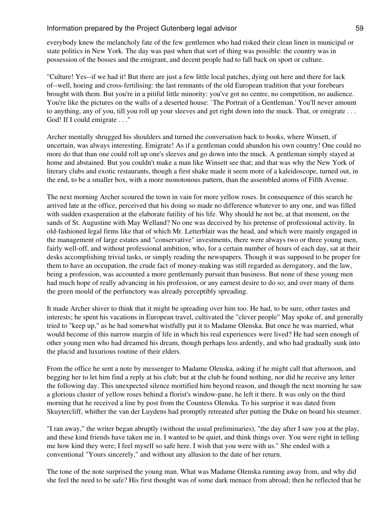everybody knew the melancholy fate of the few gentlemen who had risked their clean linen in municipal or state politics in New York. The day was past when that sort of thing was possible: the country was in possession of the bosses and the emigrant, and decent people had to fall back on sport or culture.

"Culture! Yes--if we had it! But there are just a few little local patches, dying out here and there for lack of--well, hoeing and cross-fertilising: the last remnants of the old European tradition that your forebears brought with them. But you're in a pitiful little minority: you've got no centre, no competition, no audience. You're like the pictures on the walls of a deserted house: `The Portrait of a Gentleman.' You'll never amount to anything, any of you, till you roll up your sleeves and get right down into the muck. That, or emigrate . . . God! If I could emigrate . . ."

Archer mentally shrugged his shoulders and turned the conversation back to books, where Winsett, if uncertain, was always interesting. Emigrate! As if a gentleman could abandon his own country! One could no more do that than one could roll up one's sleeves and go down into the muck. A gentleman simply stayed at home and abstained. But you couldn't make a man like Winsett see that; and that was why the New York of literary clubs and exotic restaurants, though a first shake made it seem more of a kaleidoscope, turned out, in the end, to be a smaller box, with a more monotonous pattern, than the assembled atoms of Fifth Avenue.

The next morning Archer scoured the town in vain for more yellow roses. In consequence of this search he arrived late at the office, perceived that his doing so made no difference whatever to any one, and was filled with sudden exasperation at the elaborate futility of his life. Why should he not be, at that moment, on the sands of St. Augustine with May Welland? No one was deceived by his pretense of professional activity. In old-fashioned legal firms like that of which Mr. Letterblair was the head, and which were mainly engaged in the management of large estates and "conservative" investments, there were always two or three young men, fairly well-off, and without professional ambition, who, for a certain number of hours of each day, sat at their desks accomplishing trivial tasks, or simply reading the newspapers. Though it was supposed to be proper for them to have an occupation, the crude fact of money-making was still regarded as derogatory, and the law, being a profession, was accounted a more gentlemanly pursuit than business. But none of these young men had much hope of really advancing in his profession, or any earnest desire to do so; and over many of them the green mould of the perfunctory was already perceptibly spreading.

It made Archer shiver to think that it might be spreading over him too. He had, to be sure, other tastes and interests; he spent his vacations in European travel, cultivated the "clever people" May spoke of, and generally tried to "keep up," as he had somewhat wistfully put it to Madame Olenska. But once he was married, what would become of this narrow margin of life in which his real experiences were lived? He had seen enough of other young men who had dreamed his dream, though perhaps less ardently, and who had gradually sunk into the placid and luxurious routine of their elders.

From the office he sent a note by messenger to Madame Olenska, asking if he might call that afternoon, and begging her to let him find a reply at his club; but at the club he found nothing, nor did he receive any letter the following day. This unexpected silence mortified him beyond reason, and though the next morning he saw a glorious cluster of yellow roses behind a florist's window-pane, he left it there. It was only on the third morning that he received a line by post from the Countess Olenska. To his surprise it was dated from Skuytercliff, whither the van der Luydens had promptly retreated after putting the Duke on board his steamer.

"I ran away," the writer began abruptly (without the usual preliminaries), "the day after I saw you at the play, and these kind friends have taken me in. I wanted to be quiet, and think things over. You were right in telling me how kind they were; I feel myself so safe here. I wish that you were with us." She ended with a conventional "Yours sincerely," and without any allusion to the date of her return.

The tone of the note surprised the young man. What was Madame Olenska running away from, and why did she feel the need to be safe? His first thought was of some dark menace from abroad; then he reflected that he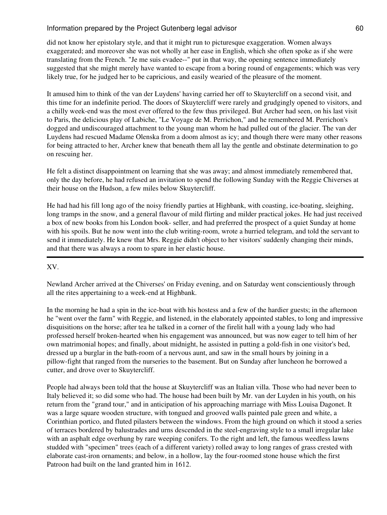did not know her epistolary style, and that it might run to picturesque exaggeration. Women always exaggerated; and moreover she was not wholly at her ease in English, which she often spoke as if she were translating from the French. "Je me suis evadee--" put in that way, the opening sentence immediately suggested that she might merely have wanted to escape from a boring round of engagements; which was very likely true, for he judged her to be capricious, and easily wearied of the pleasure of the moment.

It amused him to think of the van der Luydens' having carried her off to Skuytercliff on a second visit, and this time for an indefinite period. The doors of Skuytercliff were rarely and grudgingly opened to visitors, and a chilly week-end was the most ever offered to the few thus privileged. But Archer had seen, on his last visit to Paris, the delicious play of Labiche, "Le Voyage de M. Perrichon," and he remembered M. Perrichon's dogged and undiscouraged attachment to the young man whom he had pulled out of the glacier. The van der Luydens had rescued Madame Olenska from a doom almost as icy; and though there were many other reasons for being attracted to her, Archer knew that beneath them all lay the gentle and obstinate determination to go on rescuing her.

He felt a distinct disappointment on learning that she was away; and almost immediately remembered that, only the day before, he had refused an invitation to spend the following Sunday with the Reggie Chiverses at their house on the Hudson, a few miles below Skuytercliff.

He had had his fill long ago of the noisy friendly parties at Highbank, with coasting, ice-boating, sleighing, long tramps in the snow, and a general flavour of mild flirting and milder practical jokes. He had just received a box of new books from his London book- seller, and had preferred the prospect of a quiet Sunday at home with his spoils. But he now went into the club writing-room, wrote a hurried telegram, and told the servant to send it immediately. He knew that Mrs. Reggie didn't object to her visitors' suddenly changing their minds, and that there was always a room to spare in her elastic house.

### XV.

Newland Archer arrived at the Chiverses' on Friday evening, and on Saturday went conscientiously through all the rites appertaining to a week-end at Highbank.

In the morning he had a spin in the ice-boat with his hostess and a few of the hardier guests; in the afternoon he "went over the farm" with Reggie, and listened, in the elaborately appointed stables, to long and impressive disquisitions on the horse; after tea he talked in a corner of the firelit hall with a young lady who had professed herself broken-hearted when his engagement was announced, but was now eager to tell him of her own matrimonial hopes; and finally, about midnight, he assisted in putting a gold-fish in one visitor's bed, dressed up a burglar in the bath-room of a nervous aunt, and saw in the small hours by joining in a pillow-fight that ranged from the nurseries to the basement. But on Sunday after luncheon he borrowed a cutter, and drove over to Skuytercliff.

People had always been told that the house at Skuytercliff was an Italian villa. Those who had never been to Italy believed it; so did some who had. The house had been built by Mr. van der Luyden in his youth, on his return from the "grand tour," and in anticipation of his approaching marriage with Miss Louisa Dagonet. It was a large square wooden structure, with tongued and grooved walls painted pale green and white, a Corinthian portico, and fluted pilasters between the windows. From the high ground on which it stood a series of terraces bordered by balustrades and urns descended in the steel-engraving style to a small irregular lake with an asphalt edge overhung by rare weeping conifers. To the right and left, the famous weedless lawns studded with "specimen" trees (each of a different variety) rolled away to long ranges of grass crested with elaborate cast-iron ornaments; and below, in a hollow, lay the four-roomed stone house which the first Patroon had built on the land granted him in 1612.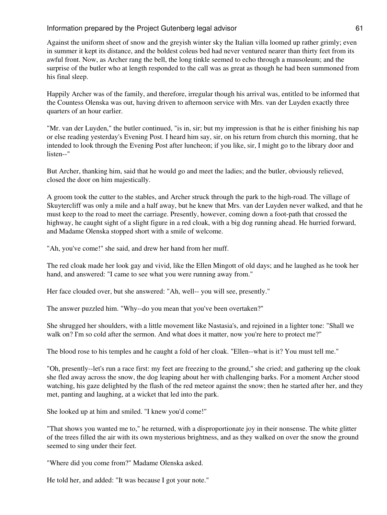Against the uniform sheet of snow and the greyish winter sky the Italian villa loomed up rather grimly; even in summer it kept its distance, and the boldest coleus bed had never ventured nearer than thirty feet from its awful front. Now, as Archer rang the bell, the long tinkle seemed to echo through a mausoleum; and the surprise of the butler who at length responded to the call was as great as though he had been summoned from his final sleep.

Happily Archer was of the family, and therefore, irregular though his arrival was, entitled to be informed that the Countess Olenska was out, having driven to afternoon service with Mrs. van der Luyden exactly three quarters of an hour earlier.

"Mr. van der Luyden," the butler continued, "is in, sir; but my impression is that he is either finishing his nap or else reading yesterday's Evening Post. I heard him say, sir, on his return from church this morning, that he intended to look through the Evening Post after luncheon; if you like, sir, I might go to the library door and listen--"

But Archer, thanking him, said that he would go and meet the ladies; and the butler, obviously relieved, closed the door on him majestically.

A groom took the cutter to the stables, and Archer struck through the park to the high-road. The village of Skuytercliff was only a mile and a half away, but he knew that Mrs. van der Luyden never walked, and that he must keep to the road to meet the carriage. Presently, however, coming down a foot-path that crossed the highway, he caught sight of a slight figure in a red cloak, with a big dog running ahead. He hurried forward, and Madame Olenska stopped short with a smile of welcome.

"Ah, you've come!" she said, and drew her hand from her muff.

The red cloak made her look gay and vivid, like the Ellen Mingott of old days; and he laughed as he took her hand, and answered: "I came to see what you were running away from."

Her face clouded over, but she answered: "Ah, well-- you will see, presently."

The answer puzzled him. "Why--do you mean that you've been overtaken?"

She shrugged her shoulders, with a little movement like Nastasia's, and rejoined in a lighter tone: "Shall we walk on? I'm so cold after the sermon. And what does it matter, now you're here to protect me?"

The blood rose to his temples and he caught a fold of her cloak. "Ellen--what is it? You must tell me."

"Oh, presently--let's run a race first: my feet are freezing to the ground," she cried; and gathering up the cloak she fled away across the snow, the dog leaping about her with challenging barks. For a moment Archer stood watching, his gaze delighted by the flash of the red meteor against the snow; then he started after her, and they met, panting and laughing, at a wicket that led into the park.

She looked up at him and smiled. "I knew you'd come!"

"That shows you wanted me to," he returned, with a disproportionate joy in their nonsense. The white glitter of the trees filled the air with its own mysterious brightness, and as they walked on over the snow the ground seemed to sing under their feet.

"Where did you come from?" Madame Olenska asked.

He told her, and added: "It was because I got your note."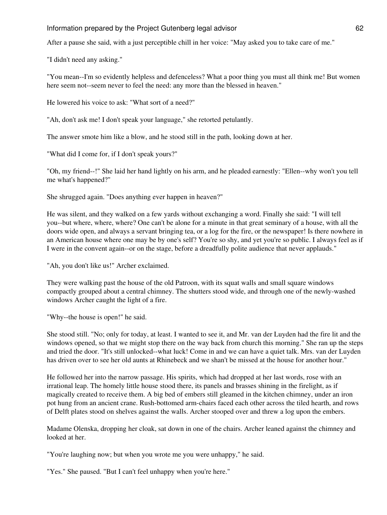After a pause she said, with a just perceptible chill in her voice: "May asked you to take care of me."

"I didn't need any asking."

"You mean--I'm so evidently helpless and defenceless? What a poor thing you must all think me! But women here seem not--seem never to feel the need: any more than the blessed in heaven."

He lowered his voice to ask: "What sort of a need?"

"Ah, don't ask me! I don't speak your language," she retorted petulantly.

The answer smote him like a blow, and he stood still in the path, looking down at her.

"What did I come for, if I don't speak yours?"

"Oh, my friend--!" She laid her hand lightly on his arm, and he pleaded earnestly: "Ellen--why won't you tell me what's happened?"

She shrugged again. "Does anything ever happen in heaven?"

He was silent, and they walked on a few yards without exchanging a word. Finally she said: "I will tell you--but where, where, where? One can't be alone for a minute in that great seminary of a house, with all the doors wide open, and always a servant bringing tea, or a log for the fire, or the newspaper! Is there nowhere in an American house where one may be by one's self? You're so shy, and yet you're so public. I always feel as if I were in the convent again--or on the stage, before a dreadfully polite audience that never applauds."

"Ah, you don't like us!" Archer exclaimed.

They were walking past the house of the old Patroon, with its squat walls and small square windows compactly grouped about a central chimney. The shutters stood wide, and through one of the newly-washed windows Archer caught the light of a fire.

"Why--the house is open!" he said.

She stood still. "No; only for today, at least. I wanted to see it, and Mr. van der Luyden had the fire lit and the windows opened, so that we might stop there on the way back from church this morning." She ran up the steps and tried the door. "It's still unlocked--what luck! Come in and we can have a quiet talk. Mrs. van der Luyden has driven over to see her old aunts at Rhinebeck and we shan't be missed at the house for another hour."

He followed her into the narrow passage. His spirits, which had dropped at her last words, rose with an irrational leap. The homely little house stood there, its panels and brasses shining in the firelight, as if magically created to receive them. A big bed of embers still gleamed in the kitchen chimney, under an iron pot hung from an ancient crane. Rush-bottomed arm-chairs faced each other across the tiled hearth, and rows of Delft plates stood on shelves against the walls. Archer stooped over and threw a log upon the embers.

Madame Olenska, dropping her cloak, sat down in one of the chairs. Archer leaned against the chimney and looked at her.

"You're laughing now; but when you wrote me you were unhappy," he said.

"Yes." She paused. "But I can't feel unhappy when you're here."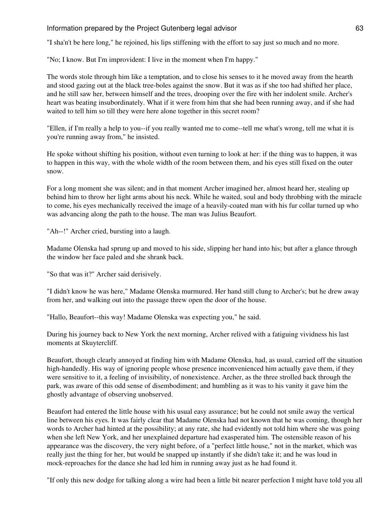"I sha'n't be here long," he rejoined, his lips stiffening with the effort to say just so much and no more.

"No; I know. But I'm improvident: I live in the moment when I'm happy."

The words stole through him like a temptation, and to close his senses to it he moved away from the hearth and stood gazing out at the black tree-boles against the snow. But it was as if she too had shifted her place, and he still saw her, between himself and the trees, drooping over the fire with her indolent smile. Archer's heart was beating insubordinately. What if it were from him that she had been running away, and if she had waited to tell him so till they were here alone together in this secret room?

"Ellen, if I'm really a help to you--if you really wanted me to come--tell me what's wrong, tell me what it is you're running away from," he insisted.

He spoke without shifting his position, without even turning to look at her: if the thing was to happen, it was to happen in this way, with the whole width of the room between them, and his eyes still fixed on the outer snow.

For a long moment she was silent; and in that moment Archer imagined her, almost heard her, stealing up behind him to throw her light arms about his neck. While he waited, soul and body throbbing with the miracle to come, his eyes mechanically received the image of a heavily-coated man with his fur collar turned up who was advancing along the path to the house. The man was Julius Beaufort.

"Ah--!" Archer cried, bursting into a laugh.

Madame Olenska had sprung up and moved to his side, slipping her hand into his; but after a glance through the window her face paled and she shrank back.

"So that was it?" Archer said derisively.

"I didn't know he was here," Madame Olenska murmured. Her hand still clung to Archer's; but he drew away from her, and walking out into the passage threw open the door of the house.

"Hallo, Beaufort--this way! Madame Olenska was expecting you," he said.

During his journey back to New York the next morning, Archer relived with a fatiguing vividness his last moments at Skuytercliff.

Beaufort, though clearly annoyed at finding him with Madame Olenska, had, as usual, carried off the situation high-handedly. His way of ignoring people whose presence inconvenienced him actually gave them, if they were sensitive to it, a feeling of invisibility, of nonexistence. Archer, as the three strolled back through the park, was aware of this odd sense of disembodiment; and humbling as it was to his vanity it gave him the ghostly advantage of observing unobserved.

Beaufort had entered the little house with his usual easy assurance; but he could not smile away the vertical line between his eyes. It was fairly clear that Madame Olenska had not known that he was coming, though her words to Archer had hinted at the possibility; at any rate, she had evidently not told him where she was going when she left New York, and her unexplained departure had exasperated him. The ostensible reason of his appearance was the discovery, the very night before, of a "perfect little house," not in the market, which was really just the thing for her, but would be snapped up instantly if she didn't take it; and he was loud in mock-reproaches for the dance she had led him in running away just as he had found it.

"If only this new dodge for talking along a wire had been a little bit nearer perfection I might have told you all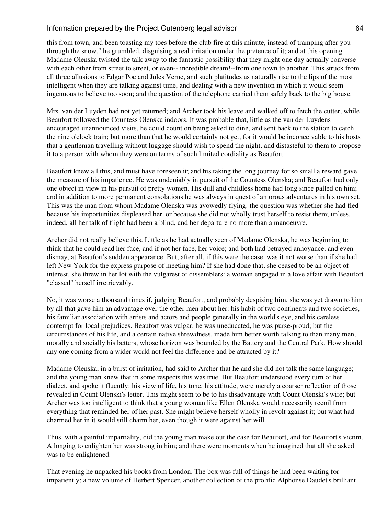this from town, and been toasting my toes before the club fire at this minute, instead of tramping after you through the snow," he grumbled, disguising a real irritation under the pretence of it; and at this opening Madame Olenska twisted the talk away to the fantastic possibility that they might one day actually converse with each other from street to street, or even-- incredible dream!--from one town to another. This struck from all three allusions to Edgar Poe and Jules Verne, and such platitudes as naturally rise to the lips of the most intelligent when they are talking against time, and dealing with a new invention in which it would seem ingenuous to believe too soon; and the question of the telephone carried them safely back to the big house.

Mrs. van der Luyden had not yet returned; and Archer took his leave and walked off to fetch the cutter, while Beaufort followed the Countess Olenska indoors. It was probable that, little as the van der Luydens encouraged unannounced visits, he could count on being asked to dine, and sent back to the station to catch the nine o'clock train; but more than that he would certainly not get, for it would be inconceivable to his hosts that a gentleman travelling without luggage should wish to spend the night, and distasteful to them to propose it to a person with whom they were on terms of such limited cordiality as Beaufort.

Beaufort knew all this, and must have foreseen it; and his taking the long journey for so small a reward gave the measure of his impatience. He was undeniably in pursuit of the Countess Olenska; and Beaufort had only one object in view in his pursuit of pretty women. His dull and childless home had long since palled on him; and in addition to more permanent consolations he was always in quest of amorous adventures in his own set. This was the man from whom Madame Olenska was avowedly flying: the question was whether she had fled because his importunities displeased her, or because she did not wholly trust herself to resist them; unless, indeed, all her talk of flight had been a blind, and her departure no more than a manoeuvre.

Archer did not really believe this. Little as he had actually seen of Madame Olenska, he was beginning to think that he could read her face, and if not her face, her voice; and both had betrayed annoyance, and even dismay, at Beaufort's sudden appearance. But, after all, if this were the case, was it not worse than if she had left New York for the express purpose of meeting him? If she had done that, she ceased to be an object of interest, she threw in her lot with the vulgarest of dissemblers: a woman engaged in a love affair with Beaufort "classed" herself irretrievably.

No, it was worse a thousand times if, judging Beaufort, and probably despising him, she was yet drawn to him by all that gave him an advantage over the other men about her: his habit of two continents and two societies, his familiar association with artists and actors and people generally in the world's eye, and his careless contempt for local prejudices. Beaufort was vulgar, he was uneducated, he was purse-proud; but the circumstances of his life, and a certain native shrewdness, made him better worth talking to than many men, morally and socially his betters, whose horizon was bounded by the Battery and the Central Park. How should any one coming from a wider world not feel the difference and be attracted by it?

Madame Olenska, in a burst of irritation, had said to Archer that he and she did not talk the same language; and the young man knew that in some respects this was true. But Beaufort understood every turn of her dialect, and spoke it fluently: his view of life, his tone, his attitude, were merely a coarser reflection of those revealed in Count Olenski's letter. This might seem to be to his disadvantage with Count Olenski's wife; but Archer was too intelligent to think that a young woman like Ellen Olenska would necessarily recoil from everything that reminded her of her past. She might believe herself wholly in revolt against it; but what had charmed her in it would still charm her, even though it were against her will.

Thus, with a painful impartiality, did the young man make out the case for Beaufort, and for Beaufort's victim. A longing to enlighten her was strong in him; and there were moments when he imagined that all she asked was to be enlightened.

That evening he unpacked his books from London. The box was full of things he had been waiting for impatiently; a new volume of Herbert Spencer, another collection of the prolific Alphonse Daudet's brilliant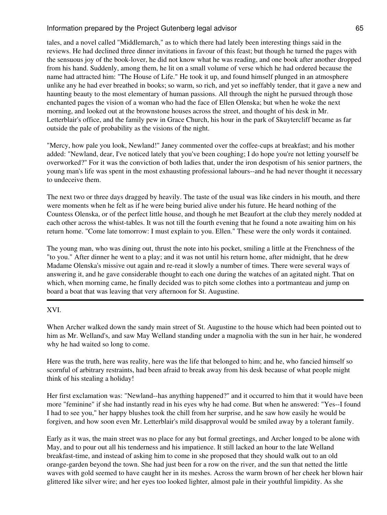tales, and a novel called "Middlemarch," as to which there had lately been interesting things said in the reviews. He had declined three dinner invitations in favour of this feast; but though he turned the pages with the sensuous joy of the book-lover, he did not know what he was reading, and one book after another dropped from his hand. Suddenly, among them, he lit on a small volume of verse which he had ordered because the name had attracted him: "The House of Life." He took it up, and found himself plunged in an atmosphere unlike any he had ever breathed in books; so warm, so rich, and yet so ineffably tender, that it gave a new and haunting beauty to the most elementary of human passions. All through the night he pursued through those enchanted pages the vision of a woman who had the face of Ellen Olenska; but when he woke the next morning, and looked out at the brownstone houses across the street, and thought of his desk in Mr. Letterblair's office, and the family pew in Grace Church, his hour in the park of Skuytercliff became as far outside the pale of probability as the visions of the night.

"Mercy, how pale you look, Newland!" Janey commented over the coffee-cups at breakfast; and his mother added: "Newland, dear, I've noticed lately that you've been coughing; I do hope you're not letting yourself be overworked?" For it was the conviction of both ladies that, under the iron despotism of his senior partners, the young man's life was spent in the most exhausting professional labours--and he had never thought it necessary to undeceive them.

The next two or three days dragged by heavily. The taste of the usual was like cinders in his mouth, and there were moments when he felt as if he were being buried alive under his future. He heard nothing of the Countess Olenska, or of the perfect little house, and though he met Beaufort at the club they merely nodded at each other across the whist-tables. It was not till the fourth evening that he found a note awaiting him on his return home. "Come late tomorrow: I must explain to you. Ellen." These were the only words it contained.

The young man, who was dining out, thrust the note into his pocket, smiling a little at the Frenchness of the "to you." After dinner he went to a play; and it was not until his return home, after midnight, that he drew Madame Olenska's missive out again and re-read it slowly a number of times. There were several ways of answering it, and he gave considerable thought to each one during the watches of an agitated night. That on which, when morning came, he finally decided was to pitch some clothes into a portmanteau and jump on board a boat that was leaving that very afternoon for St. Augustine.

### XVI.

When Archer walked down the sandy main street of St. Augustine to the house which had been pointed out to him as Mr. Welland's, and saw May Welland standing under a magnolia with the sun in her hair, he wondered why he had waited so long to come.

Here was the truth, here was reality, here was the life that belonged to him; and he, who fancied himself so scornful of arbitrary restraints, had been afraid to break away from his desk because of what people might think of his stealing a holiday!

Her first exclamation was: "Newland--has anything happened?" and it occurred to him that it would have been more "feminine" if she had instantly read in his eyes why he had come. But when he answered: "Yes--I found I had to see you," her happy blushes took the chill from her surprise, and he saw how easily he would be forgiven, and how soon even Mr. Letterblair's mild disapproval would be smiled away by a tolerant family.

Early as it was, the main street was no place for any but formal greetings, and Archer longed to be alone with May, and to pour out all his tenderness and his impatience. It still lacked an hour to the late Welland breakfast-time, and instead of asking him to come in she proposed that they should walk out to an old orange-garden beyond the town. She had just been for a row on the river, and the sun that netted the little waves with gold seemed to have caught her in its meshes. Across the warm brown of her cheek her blown hair glittered like silver wire; and her eyes too looked lighter, almost pale in their youthful limpidity. As she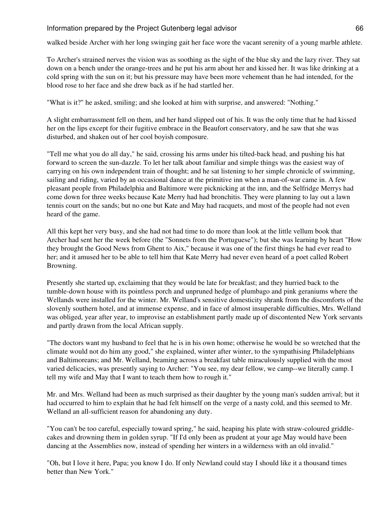walked beside Archer with her long swinging gait her face wore the vacant serenity of a young marble athlete.

To Archer's strained nerves the vision was as soothing as the sight of the blue sky and the lazy river. They sat down on a bench under the orange-trees and he put his arm about her and kissed her. It was like drinking at a cold spring with the sun on it; but his pressure may have been more vehement than he had intended, for the blood rose to her face and she drew back as if he had startled her.

"What is it?" he asked, smiling; and she looked at him with surprise, and answered: "Nothing."

A slight embarrassment fell on them, and her hand slipped out of his. It was the only time that he had kissed her on the lips except for their fugitive embrace in the Beaufort conservatory, and he saw that she was disturbed, and shaken out of her cool boyish composure.

"Tell me what you do all day," he said, crossing his arms under his tilted-back head, and pushing his hat forward to screen the sun-dazzle. To let her talk about familiar and simple things was the easiest way of carrying on his own independent train of thought; and he sat listening to her simple chronicle of swimming, sailing and riding, varied by an occasional dance at the primitive inn when a man-of-war came in. A few pleasant people from Philadelphia and Baltimore were picknicking at the inn, and the Selfridge Merrys had come down for three weeks because Kate Merry had had bronchitis. They were planning to lay out a lawn tennis court on the sands; but no one but Kate and May had racquets, and most of the people had not even heard of the game.

All this kept her very busy, and she had not had time to do more than look at the little vellum book that Archer had sent her the week before (the "Sonnets from the Portuguese"); but she was learning by heart "How they brought the Good News from Ghent to Aix," because it was one of the first things he had ever read to her; and it amused her to be able to tell him that Kate Merry had never even heard of a poet called Robert Browning.

Presently she started up, exclaiming that they would be late for breakfast; and they hurried back to the tumble-down house with its pointless porch and unpruned hedge of plumbago and pink geraniums where the Wellands were installed for the winter. Mr. Welland's sensitive domesticity shrank from the discomforts of the slovenly southern hotel, and at immense expense, and in face of almost insuperable difficulties, Mrs. Welland was obliged, year after year, to improvise an establishment partly made up of discontented New York servants and partly drawn from the local African supply.

"The doctors want my husband to feel that he is in his own home; otherwise he would be so wretched that the climate would not do him any good," she explained, winter after winter, to the sympathising Philadelphians and Baltimoreans; and Mr. Welland, beaming across a breakfast table miraculously supplied with the most varied delicacies, was presently saying to Archer: "You see, my dear fellow, we camp--we literally camp. I tell my wife and May that I want to teach them how to rough it."

Mr. and Mrs. Welland had been as much surprised as their daughter by the young man's sudden arrival; but it had occurred to him to explain that he had felt himself on the verge of a nasty cold, and this seemed to Mr. Welland an all-sufficient reason for abandoning any duty.

"You can't be too careful, especially toward spring," he said, heaping his plate with straw-coloured griddlecakes and drowning them in golden syrup. "If I'd only been as prudent at your age May would have been dancing at the Assemblies now, instead of spending her winters in a wilderness with an old invalid."

"Oh, but I love it here, Papa; you know I do. If only Newland could stay I should like it a thousand times better than New York."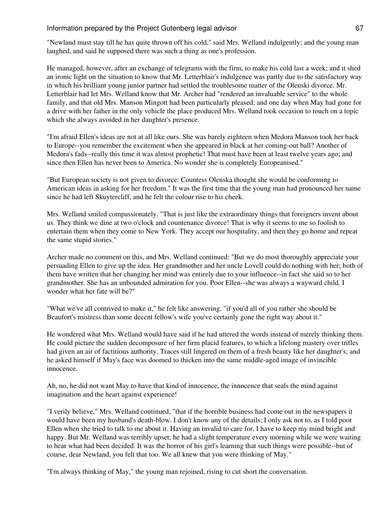"Newland must stay till he has quite thrown off his cold," said Mrs. Welland indulgently; and the young man laughed, and said he supposed there was such a thing as one's profession.

He managed, however, after an exchange of telegrams with the firm, to make his cold last a week; and it shed an ironic light on the situation to know that Mr. Letterblair's indulgence was partly due to the satisfactory way in which his brilliant young junior partner had settled the troublesome matter of the Olenski divorce. Mr. Letterblair had let Mrs. Welland know that Mr. Archer had "rendered an invaluable service" to the whole family, and that old Mrs. Manson Mingott had been particularly pleased; and one day when May had gone for a drive with her father in the only vehicle the place produced Mrs. Welland took occasion to touch on a topic which she always avoided in her daughter's presence.

"I'm afraid Ellen's ideas are not at all like ours. She was barely eighteen when Medora Manson took her back to Europe--you remember the excitement when she appeared in black at her coming-out ball? Another of Medora's fads--really this time it was almost prophetic! That must have been at least twelve years ago; and since then Ellen has never been to America. No wonder she is completely Europeanised."

"But European society is not given to divorce: Countess Olenska thought she would be conforming to American ideas in asking for her freedom." It was the first time that the young man had pronounced her name since he had left Skuytercliff, and he felt the colour rise to his cheek.

Mrs. Welland smiled compassionately. "That is just like the extraordinary things that foreigners invent about us. They think we dine at two o'clock and countenance divorce! That is why it seems to me so foolish to entertain them when they come to New York. They accept our hospitality, and then they go home and repeat the same stupid stories."

Archer made no comment on this, and Mrs. Welland continued: "But we do most thoroughly appreciate your persuading Ellen to give up the idea. Her grandmother and her uncle Lovell could do nothing with her; both of them have written that her changing her mind was entirely due to your influence--in fact she said so to her grandmother. She has an unbounded admiration for you. Poor Ellen--she was always a wayward child. I wonder what her fate will be?"

"What we've all contrived to make it," he felt like answering. "if you'd all of you rather she should be Beaufort's mistress than some decent fellow's wife you've certainly gone the right way about it."

He wondered what Mrs. Welland would have said if he had uttered the words instead of merely thinking them. He could picture the sudden decomposure of her firm placid features, to which a lifelong mastery over trifles had given an air of factitious authority. Traces still lingered on them of a fresh beauty like her daughter's; and he asked himself if May's face was doomed to thicken into the same middle-aged image of invincible innocence.

Ah, no, he did not want May to have that kind of innocence, the innocence that seals the mind against imagination and the heart against experience!

"I verily believe," Mrs. Welland continued, "that if the horrible business had come out in the newspapers it would have been my husband's death-blow. I don't know any of the details; I only ask not to, as I told poor Ellen when she tried to talk to me about it. Having an invalid to care for, I have to keep my mind bright and happy. But Mr. Welland was terribly upset; he had a slight temperature every morning while we were waiting to hear what had been decided. It was the horror of his girl's learning that such things were possible--but of course, dear Newland, you felt that too. We all knew that you were thinking of May."

"I'm always thinking of May," the young man rejoined, rising to cut short the conversation.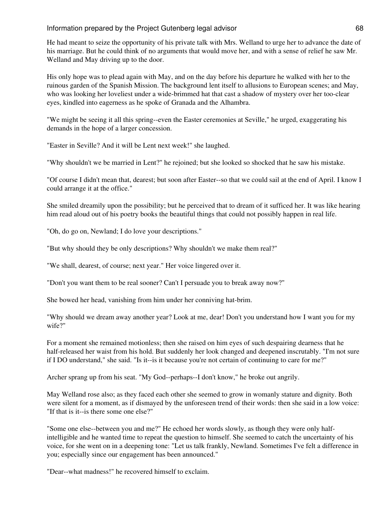He had meant to seize the opportunity of his private talk with Mrs. Welland to urge her to advance the date of his marriage. But he could think of no arguments that would move her, and with a sense of relief he saw Mr. Welland and May driving up to the door.

His only hope was to plead again with May, and on the day before his departure he walked with her to the ruinous garden of the Spanish Mission. The background lent itself to allusions to European scenes; and May, who was looking her loveliest under a wide-brimmed hat that cast a shadow of mystery over her too-clear eyes, kindled into eagerness as he spoke of Granada and the Alhambra.

"We might be seeing it all this spring--even the Easter ceremonies at Seville," he urged, exaggerating his demands in the hope of a larger concession.

"Easter in Seville? And it will be Lent next week!" she laughed.

"Why shouldn't we be married in Lent?" he rejoined; but she looked so shocked that he saw his mistake.

"Of course I didn't mean that, dearest; but soon after Easter--so that we could sail at the end of April. I know I could arrange it at the office."

She smiled dreamily upon the possibility; but he perceived that to dream of it sufficed her. It was like hearing him read aloud out of his poetry books the beautiful things that could not possibly happen in real life.

"Oh, do go on, Newland; I do love your descriptions."

"But why should they be only descriptions? Why shouldn't we make them real?"

"We shall, dearest, of course; next year." Her voice lingered over it.

"Don't you want them to be real sooner? Can't I persuade you to break away now?"

She bowed her head, vanishing from him under her conniving hat-brim.

"Why should we dream away another year? Look at me, dear! Don't you understand how I want you for my wife?"

For a moment she remained motionless; then she raised on him eyes of such despairing dearness that he half-released her waist from his hold. But suddenly her look changed and deepened inscrutably. "I'm not sure if I DO understand," she said. "Is it--is it because you're not certain of continuing to care for me?"

Archer sprang up from his seat. "My God--perhaps--I don't know," he broke out angrily.

May Welland rose also; as they faced each other she seemed to grow in womanly stature and dignity. Both were silent for a moment, as if dismayed by the unforeseen trend of their words: then she said in a low voice: "If that is it--is there some one else?"

"Some one else--between you and me?" He echoed her words slowly, as though they were only halfintelligible and he wanted time to repeat the question to himself. She seemed to catch the uncertainty of his voice, for she went on in a deepening tone: "Let us talk frankly, Newland. Sometimes I've felt a difference in you; especially since our engagement has been announced."

"Dear--what madness!" he recovered himself to exclaim.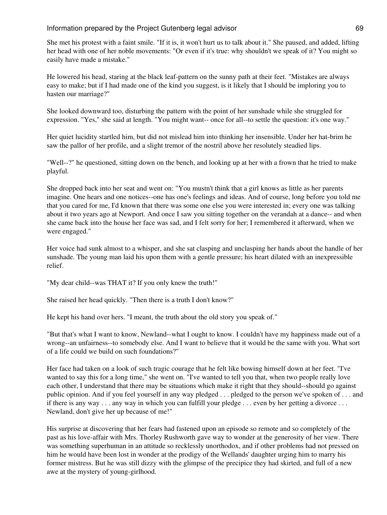She met his protest with a faint smile. "If it is, it won't hurt us to talk about it." She paused, and added, lifting her head with one of her noble movements: "Or even if it's true: why shouldn't we speak of it? You might so easily have made a mistake."

He lowered his head, staring at the black leaf-pattern on the sunny path at their feet. "Mistakes are always easy to make; but if I had made one of the kind you suggest, is it likely that I should be imploring you to hasten our marriage?"

She looked downward too, disturbing the pattern with the point of her sunshade while she struggled for expression. "Yes," she said at length. "You might want-- once for all--to settle the question: it's one way."

Her quiet lucidity startled him, but did not mislead him into thinking her insensible. Under her hat-brim he saw the pallor of her profile, and a slight tremor of the nostril above her resolutely steadied lips.

"Well--?" he questioned, sitting down on the bench, and looking up at her with a frown that he tried to make playful.

She dropped back into her seat and went on: "You mustn't think that a girl knows as little as her parents imagine. One hears and one notices--one has one's feelings and ideas. And of course, long before you told me that you cared for me, I'd known that there was some one else you were interested in; every one was talking about it two years ago at Newport. And once I saw you sitting together on the verandah at a dance-- and when she came back into the house her face was sad, and I felt sorry for her; I remembered it afterward, when we were engaged."

Her voice had sunk almost to a whisper, and she sat clasping and unclasping her hands about the handle of her sunshade. The young man laid his upon them with a gentle pressure; his heart dilated with an inexpressible relief.

"My dear child--was THAT it? If you only knew the truth!"

She raised her head quickly. "Then there is a truth I don't know?"

He kept his hand over hers. "I meant, the truth about the old story you speak of."

"But that's what I want to know, Newland--what I ought to know. I couldn't have my happiness made out of a wrong--an unfairness--to somebody else. And I want to believe that it would be the same with you. What sort of a life could we build on such foundations?"

Her face had taken on a look of such tragic courage that he felt like bowing himself down at her feet. "I've wanted to say this for a long time," she went on. "I've wanted to tell you that, when two people really love each other, I understand that there may be situations which make it right that they should--should go against public opinion. And if you feel yourself in any way pledged . . . pledged to the person we've spoken of . . . and if there is any way . . . any way in which you can fulfill your pledge . . . even by her getting a divorce . . . Newland, don't give her up because of me!"

His surprise at discovering that her fears had fastened upon an episode so remote and so completely of the past as his love-affair with Mrs. Thorley Rushworth gave way to wonder at the generosity of her view. There was something superhuman in an attitude so recklessly unorthodox, and if other problems had not pressed on him he would have been lost in wonder at the prodigy of the Wellands' daughter urging him to marry his former mistress. But he was still dizzy with the glimpse of the precipice they had skirted, and full of a new awe at the mystery of young-girlhood.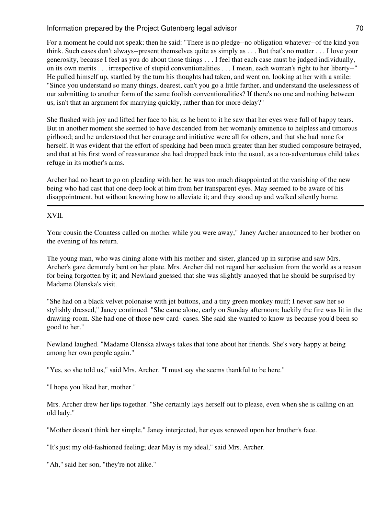For a moment he could not speak; then he said: "There is no pledge--no obligation whatever--of the kind you think. Such cases don't always--present themselves quite as simply as . . . But that's no matter . . . I love your generosity, because I feel as you do about those things . . . I feel that each case must be judged individually, on its own merits . . . irrespective of stupid conventionalities . . . I mean, each woman's right to her liberty--" He pulled himself up, startled by the turn his thoughts had taken, and went on, looking at her with a smile: "Since you understand so many things, dearest, can't you go a little farther, and understand the uselessness of our submitting to another form of the same foolish conventionalities? If there's no one and nothing between us, isn't that an argument for marrying quickly, rather than for more delay?"

She flushed with joy and lifted her face to his; as he bent to it he saw that her eyes were full of happy tears. But in another moment she seemed to have descended from her womanly eminence to helpless and timorous girlhood; and he understood that her courage and initiative were all for others, and that she had none for herself. It was evident that the effort of speaking had been much greater than her studied composure betrayed, and that at his first word of reassurance she had dropped back into the usual, as a too-adventurous child takes refuge in its mother's arms.

Archer had no heart to go on pleading with her; he was too much disappointed at the vanishing of the new being who had cast that one deep look at him from her transparent eyes. May seemed to be aware of his disappointment, but without knowing how to alleviate it; and they stood up and walked silently home.

## XVII.

Your cousin the Countess called on mother while you were away," Janey Archer announced to her brother on the evening of his return.

The young man, who was dining alone with his mother and sister, glanced up in surprise and saw Mrs. Archer's gaze demurely bent on her plate. Mrs. Archer did not regard her seclusion from the world as a reason for being forgotten by it; and Newland guessed that she was slightly annoyed that he should be surprised by Madame Olenska's visit.

"She had on a black velvet polonaise with jet buttons, and a tiny green monkey muff; I never saw her so stylishly dressed," Janey continued. "She came alone, early on Sunday afternoon; luckily the fire was lit in the drawing-room. She had one of those new card- cases. She said she wanted to know us because you'd been so good to her."

Newland laughed. "Madame Olenska always takes that tone about her friends. She's very happy at being among her own people again."

"Yes, so she told us," said Mrs. Archer. "I must say she seems thankful to be here."

"I hope you liked her, mother."

Mrs. Archer drew her lips together. "She certainly lays herself out to please, even when she is calling on an old lady."

"Mother doesn't think her simple," Janey interjected, her eyes screwed upon her brother's face.

"It's just my old-fashioned feeling; dear May is my ideal," said Mrs. Archer.

"Ah," said her son, "they're not alike."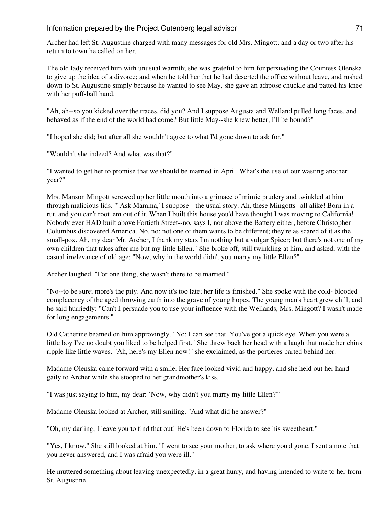Archer had left St. Augustine charged with many messages for old Mrs. Mingott; and a day or two after his return to town he called on her.

The old lady received him with unusual warmth; she was grateful to him for persuading the Countess Olenska to give up the idea of a divorce; and when he told her that he had deserted the office without leave, and rushed down to St. Augustine simply because he wanted to see May, she gave an adipose chuckle and patted his knee with her puff-ball hand.

"Ah, ah--so you kicked over the traces, did you? And I suppose Augusta and Welland pulled long faces, and behaved as if the end of the world had come? But little May--she knew better, I'll be bound?"

"I hoped she did; but after all she wouldn't agree to what I'd gone down to ask for."

"Wouldn't she indeed? And what was that?"

"I wanted to get her to promise that we should be married in April. What's the use of our wasting another year?"

Mrs. Manson Mingott screwed up her little mouth into a grimace of mimic prudery and twinkled at him through malicious lids. "`Ask Mamma,' I suppose-- the usual story. Ah, these Mingotts--all alike! Born in a rut, and you can't root 'em out of it. When I built this house you'd have thought I was moving to California! Nobody ever HAD built above Fortieth Street--no, says I, nor above the Battery either, before Christopher Columbus discovered America. No, no; not one of them wants to be different; they're as scared of it as the small-pox. Ah, my dear Mr. Archer, I thank my stars I'm nothing but a vulgar Spicer; but there's not one of my own children that takes after me but my little Ellen." She broke off, still twinkling at him, and asked, with the casual irrelevance of old age: "Now, why in the world didn't you marry my little Ellen?"

Archer laughed. "For one thing, she wasn't there to be married."

"No--to be sure; more's the pity. And now it's too late; her life is finished." She spoke with the cold- blooded complacency of the aged throwing earth into the grave of young hopes. The young man's heart grew chill, and he said hurriedly: "Can't I persuade you to use your influence with the Wellands, Mrs. Mingott? I wasn't made for long engagements."

Old Catherine beamed on him approvingly. "No; I can see that. You've got a quick eye. When you were a little boy I've no doubt you liked to be helped first." She threw back her head with a laugh that made her chins ripple like little waves. "Ah, here's my Ellen now!" she exclaimed, as the portieres parted behind her.

Madame Olenska came forward with a smile. Her face looked vivid and happy, and she held out her hand gaily to Archer while she stooped to her grandmother's kiss.

"I was just saying to him, my dear: `Now, why didn't you marry my little Ellen?'"

Madame Olenska looked at Archer, still smiling. "And what did he answer?"

"Oh, my darling, I leave you to find that out! He's been down to Florida to see his sweetheart."

"Yes, I know." She still looked at him. "I went to see your mother, to ask where you'd gone. I sent a note that you never answered, and I was afraid you were ill."

He muttered something about leaving unexpectedly, in a great hurry, and having intended to write to her from St. Augustine.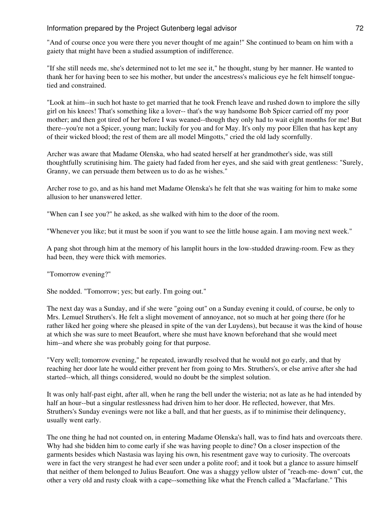"And of course once you were there you never thought of me again!" She continued to beam on him with a gaiety that might have been a studied assumption of indifference.

"If she still needs me, she's determined not to let me see it," he thought, stung by her manner. He wanted to thank her for having been to see his mother, but under the ancestress's malicious eye he felt himself tonguetied and constrained.

"Look at him--in such hot haste to get married that he took French leave and rushed down to implore the silly girl on his knees! That's something like a lover-- that's the way handsome Bob Spicer carried off my poor mother; and then got tired of her before I was weaned--though they only had to wait eight months for me! But there--you're not a Spicer, young man; luckily for you and for May. It's only my poor Ellen that has kept any of their wicked blood; the rest of them are all model Mingotts," cried the old lady scornfully.

Archer was aware that Madame Olenska, who had seated herself at her grandmother's side, was still thoughtfully scrutinising him. The gaiety had faded from her eyes, and she said with great gentleness: "Surely, Granny, we can persuade them between us to do as he wishes."

Archer rose to go, and as his hand met Madame Olenska's he felt that she was waiting for him to make some allusion to her unanswered letter.

"When can I see you?" he asked, as she walked with him to the door of the room.

"Whenever you like; but it must be soon if you want to see the little house again. I am moving next week."

A pang shot through him at the memory of his lamplit hours in the low-studded drawing-room. Few as they had been, they were thick with memories.

"Tomorrow evening?"

She nodded. "Tomorrow; yes; but early. I'm going out."

The next day was a Sunday, and if she were "going out" on a Sunday evening it could, of course, be only to Mrs. Lemuel Struthers's. He felt a slight movement of annoyance, not so much at her going there (for he rather liked her going where she pleased in spite of the van der Luydens), but because it was the kind of house at which she was sure to meet Beaufort, where she must have known beforehand that she would meet him--and where she was probably going for that purpose.

"Very well; tomorrow evening," he repeated, inwardly resolved that he would not go early, and that by reaching her door late he would either prevent her from going to Mrs. Struthers's, or else arrive after she had started--which, all things considered, would no doubt be the simplest solution.

It was only half-past eight, after all, when he rang the bell under the wisteria; not as late as he had intended by half an hour--but a singular restlessness had driven him to her door. He reflected, however, that Mrs. Struthers's Sunday evenings were not like a ball, and that her guests, as if to minimise their delinquency, usually went early.

The one thing he had not counted on, in entering Madame Olenska's hall, was to find hats and overcoats there. Why had she bidden him to come early if she was having people to dine? On a closer inspection of the garments besides which Nastasia was laying his own, his resentment gave way to curiosity. The overcoats were in fact the very strangest he had ever seen under a polite roof; and it took but a glance to assure himself that neither of them belonged to Julius Beaufort. One was a shaggy yellow ulster of "reach-me- down" cut, the other a very old and rusty cloak with a cape--something like what the French called a "Macfarlane." This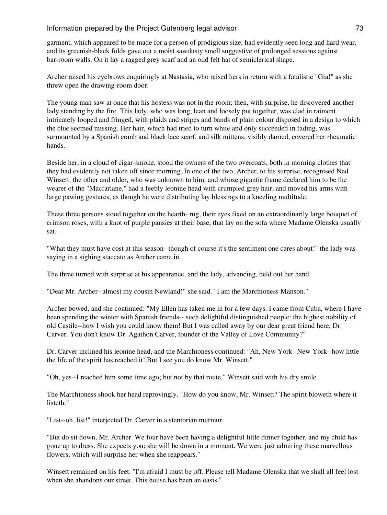### Information prepared by the Project Gutenberg legal advisor  $\hspace{1.5cm}$  73

garment, which appeared to be made for a person of prodigious size, had evidently seen long and hard wear, and its greenish-black folds gave out a moist sawdusty smell suggestive of prolonged sessions against bar-room walls. On it lay a ragged grey scarf and an odd felt hat of semiclerical shape.

Archer raised his eyebrows enquiringly at Nastasia, who raised hers in return with a fatalistic "Gia!" as she threw open the drawing-room door.

The young man saw at once that his hostess was not in the room; then, with surprise, he discovered another lady standing by the fire. This lady, who was long, lean and loosely put together, was clad in raiment intricately looped and fringed, with plaids and stripes and bands of plain colour disposed in a design to which the clue seemed missing. Her hair, which had tried to turn white and only succeeded in fading, was surmounted by a Spanish comb and black lace scarf, and silk mittens, visibly darned, covered her rheumatic hands.

Beside her, in a cloud of cigar-smoke, stood the owners of the two overcoats, both in morning clothes that they had evidently not taken off since morning. In one of the two, Archer, to his surprise, recognised Ned Winsett; the other and older, who was unknown to him, and whose gigantic frame declared him to be the wearer of the "Macfarlane," had a feebly leonine head with crumpled grey hair, and moved his arms with large pawing gestures, as though he were distributing lay blessings to a kneeling multitude.

These three persons stood together on the hearth- rug, their eyes fixed on an extraordinarily large bouquet of crimson roses, with a knot of purple pansies at their base, that lay on the sofa where Madame Olenska usually sat.

"What they must have cost at this season--though of course it's the sentiment one cares about!" the lady was saying in a sighing staccato as Archer came in.

The three turned with surprise at his appearance, and the lady, advancing, held out her hand.

"Dear Mr. Archer--almost my cousin Newland!" she said. "I am the Marchioness Manson."

Archer bowed, and she continued: "My Ellen has taken me in for a few days. I came from Cuba, where I have been spending the winter with Spanish friends-- such delightful distinguished people: the highest nobility of old Castile--how I wish you could know them! But I was called away by our dear great friend here, Dr. Carver. You don't know Dr. Agathon Carver, founder of the Valley of Love Community?"

Dr. Carver inclined his leonine head, and the Marchioness continued: "Ah, New York--New York--how little the life of the spirit has reached it! But I see you do know Mr. Winsett."

"Oh, yes--I reached him some time ago; but not by that route," Winsett said with his dry smile.

The Marchioness shook her head reprovingly. "How do you know, Mr. Winsett? The spirit bloweth where it listeth."

"List--oh, list!" interjected Dr. Carver in a stentorian murmur.

"But do sit down, Mr. Archer. We four have been having a delightful little dinner together, and my child has gone up to dress. She expects you; she will be down in a moment. We were just admiring these marvellous flowers, which will surprise her when she reappears."

Winsett remained on his feet. "I'm afraid I must be off. Please tell Madame Olenska that we shall all feel lost when she abandons our street. This house has been an oasis."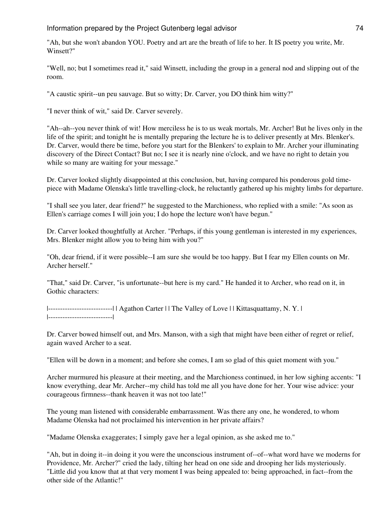"Ah, but she won't abandon YOU. Poetry and art are the breath of life to her. It IS poetry you write, Mr. Winsett?"

"Well, no; but I sometimes read it," said Winsett, including the group in a general nod and slipping out of the room.

"A caustic spirit--un peu sauvage. But so witty; Dr. Carver, you DO think him witty?"

"I never think of wit," said Dr. Carver severely.

"Ah--ah--you never think of wit! How merciless he is to us weak mortals, Mr. Archer! But he lives only in the life of the spirit; and tonight he is mentally preparing the lecture he is to deliver presently at Mrs. Blenker's. Dr. Carver, would there be time, before you start for the Blenkers' to explain to Mr. Archer your illuminating discovery of the Direct Contact? But no; I see it is nearly nine o'clock, and we have no right to detain you while so many are waiting for your message."

Dr. Carver looked slightly disappointed at this conclusion, but, having compared his ponderous gold timepiece with Madame Olenska's little travelling-clock, he reluctantly gathered up his mighty limbs for departure.

"I shall see you later, dear friend?" he suggested to the Marchioness, who replied with a smile: "As soon as Ellen's carriage comes I will join you; I do hope the lecture won't have begun."

Dr. Carver looked thoughtfully at Archer. "Perhaps, if this young gentleman is interested in my experiences, Mrs. Blenker might allow you to bring him with you?"

"Oh, dear friend, if it were possible--I am sure she would be too happy. But I fear my Ellen counts on Mr. Archer herself."

"That," said Dr. Carver, "is unfortunate--but here is my card." He handed it to Archer, who read on it, in Gothic characters:

|---------------------------| | Agathon Carter | | The Valley of Love | | Kittasquattamy, N. Y. | |---------------------------|

Dr. Carver bowed himself out, and Mrs. Manson, with a sigh that might have been either of regret or relief, again waved Archer to a seat.

"Ellen will be down in a moment; and before she comes, I am so glad of this quiet moment with you."

Archer murmured his pleasure at their meeting, and the Marchioness continued, in her low sighing accents: "I know everything, dear Mr. Archer--my child has told me all you have done for her. Your wise advice: your courageous firmness--thank heaven it was not too late!"

The young man listened with considerable embarrassment. Was there any one, he wondered, to whom Madame Olenska had not proclaimed his intervention in her private affairs?

"Madame Olenska exaggerates; I simply gave her a legal opinion, as she asked me to."

"Ah, but in doing it--in doing it you were the unconscious instrument of--of--what word have we moderns for Providence, Mr. Archer?" cried the lady, tilting her head on one side and drooping her lids mysteriously. "Little did you know that at that very moment I was being appealed to: being approached, in fact--from the other side of the Atlantic!"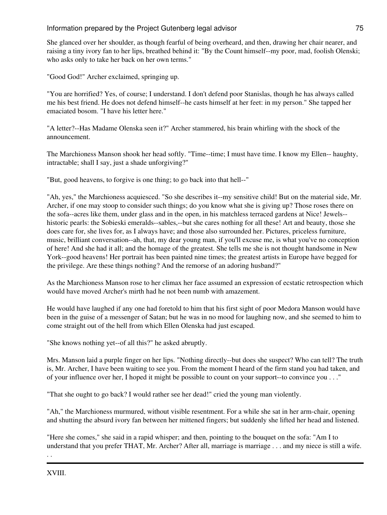She glanced over her shoulder, as though fearful of being overheard, and then, drawing her chair nearer, and raising a tiny ivory fan to her lips, breathed behind it: "By the Count himself--my poor, mad, foolish Olenski; who asks only to take her back on her own terms."

"Good God!" Archer exclaimed, springing up.

"You are horrified? Yes, of course; I understand. I don't defend poor Stanislas, though he has always called me his best friend. He does not defend himself--he casts himself at her feet: in my person." She tapped her emaciated bosom. "I have his letter here."

"A letter?--Has Madame Olenska seen it?" Archer stammered, his brain whirling with the shock of the announcement.

The Marchioness Manson shook her head softly. "Time--time; I must have time. I know my Ellen-- haughty, intractable; shall I say, just a shade unforgiving?"

"But, good heavens, to forgive is one thing; to go back into that hell--"

"Ah, yes," the Marchioness acquiesced. "So she describes it--my sensitive child! But on the material side, Mr. Archer, if one may stoop to consider such things; do you know what she is giving up? Those roses there on the sofa--acres like them, under glass and in the open, in his matchless terraced gardens at Nice! Jewels- historic pearls: the Sobieski emeralds--sables,--but she cares nothing for all these! Art and beauty, those she does care for, she lives for, as I always have; and those also surrounded her. Pictures, priceless furniture, music, brilliant conversation--ah, that, my dear young man, if you'll excuse me, is what you've no conception of here! And she had it all; and the homage of the greatest. She tells me she is not thought handsome in New York--good heavens! Her portrait has been painted nine times; the greatest artists in Europe have begged for the privilege. Are these things nothing? And the remorse of an adoring husband?"

As the Marchioness Manson rose to her climax her face assumed an expression of ecstatic retrospection which would have moved Archer's mirth had he not been numb with amazement.

He would have laughed if any one had foretold to him that his first sight of poor Medora Manson would have been in the guise of a messenger of Satan; but he was in no mood for laughing now, and she seemed to him to come straight out of the hell from which Ellen Olenska had just escaped.

"She knows nothing yet--of all this?" he asked abruptly.

Mrs. Manson laid a purple finger on her lips. "Nothing directly--but does she suspect? Who can tell? The truth is, Mr. Archer, I have been waiting to see you. From the moment I heard of the firm stand you had taken, and of your influence over her, I hoped it might be possible to count on your support--to convince you . . ."

"That she ought to go back? I would rather see her dead!" cried the young man violently.

"Ah," the Marchioness murmured, without visible resentment. For a while she sat in her arm-chair, opening and shutting the absurd ivory fan between her mittened fingers; but suddenly she lifted her head and listened.

"Here she comes," she said in a rapid whisper; and then, pointing to the bouquet on the sofa: "Am I to understand that you prefer THAT, Mr. Archer? After all, marriage is marriage . . . and my niece is still a wife.

. .

XVIII.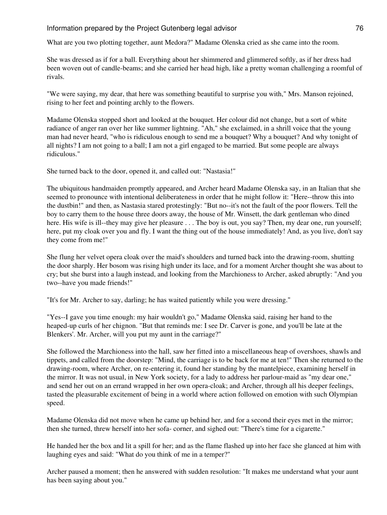### Information prepared by the Project Gutenberg legal advisor **76** methods of the Manus 1980 of the Manus 1980 of the Manus 1980 of the Manus 1980 of the Manus 1980 of the Manus 1980 of the Manus 1980 of the Manus 1980 of th

What are you two plotting together, aunt Medora?" Madame Olenska cried as she came into the room.

She was dressed as if for a ball. Everything about her shimmered and glimmered softly, as if her dress had been woven out of candle-beams; and she carried her head high, like a pretty woman challenging a roomful of rivals.

"We were saying, my dear, that here was something beautiful to surprise you with," Mrs. Manson rejoined, rising to her feet and pointing archly to the flowers.

Madame Olenska stopped short and looked at the bouquet. Her colour did not change, but a sort of white radiance of anger ran over her like summer lightning. "Ah," she exclaimed, in a shrill voice that the young man had never heard, "who is ridiculous enough to send me a bouquet? Why a bouquet? And why tonight of all nights? I am not going to a ball; I am not a girl engaged to be married. But some people are always ridiculous."

She turned back to the door, opened it, and called out: "Nastasia!"

The ubiquitous handmaiden promptly appeared, and Archer heard Madame Olenska say, in an Italian that she seemed to pronounce with intentional deliberateness in order that he might follow it: "Here--throw this into the dustbin!" and then, as Nastasia stared protestingly: "But no--it's not the fault of the poor flowers. Tell the boy to carry them to the house three doors away, the house of Mr. Winsett, the dark gentleman who dined here. His wife is ill--they may give her pleasure ... The boy is out, you say? Then, my dear one, run yourself; here, put my cloak over you and fly. I want the thing out of the house immediately! And, as you live, don't say they come from me!"

She flung her velvet opera cloak over the maid's shoulders and turned back into the drawing-room, shutting the door sharply. Her bosom was rising high under its lace, and for a moment Archer thought she was about to cry; but she burst into a laugh instead, and looking from the Marchioness to Archer, asked abruptly: "And you two--have you made friends!"

"It's for Mr. Archer to say, darling; he has waited patiently while you were dressing."

"Yes--I gave you time enough: my hair wouldn't go," Madame Olenska said, raising her hand to the heaped-up curls of her chignon. "But that reminds me: I see Dr. Carver is gone, and you'll be late at the Blenkers'. Mr. Archer, will you put my aunt in the carriage?"

She followed the Marchioness into the hall, saw her fitted into a miscellaneous heap of overshoes, shawls and tippets, and called from the doorstep: "Mind, the carriage is to be back for me at ten!" Then she returned to the drawing-room, where Archer, on re-entering it, found her standing by the mantelpiece, examining herself in the mirror. It was not usual, in New York society, for a lady to address her parlour-maid as "my dear one," and send her out on an errand wrapped in her own opera-cloak; and Archer, through all his deeper feelings, tasted the pleasurable excitement of being in a world where action followed on emotion with such Olympian speed.

Madame Olenska did not move when he came up behind her, and for a second their eyes met in the mirror; then she turned, threw herself into her sofa- corner, and sighed out: "There's time for a cigarette."

He handed her the box and lit a spill for her; and as the flame flashed up into her face she glanced at him with laughing eyes and said: "What do you think of me in a temper?"

Archer paused a moment; then he answered with sudden resolution: "It makes me understand what your aunt has been saying about you."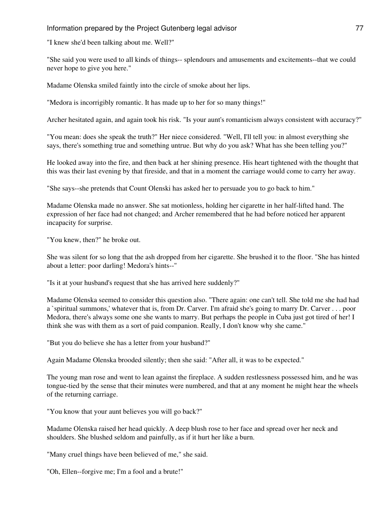"I knew she'd been talking about me. Well?"

"She said you were used to all kinds of things-- splendours and amusements and excitements--that we could never hope to give you here."

Madame Olenska smiled faintly into the circle of smoke about her lips.

"Medora is incorrigibly romantic. It has made up to her for so many things!"

Archer hesitated again, and again took his risk. "Is your aunt's romanticism always consistent with accuracy?"

"You mean: does she speak the truth?" Her niece considered. "Well, I'll tell you: in almost everything she says, there's something true and something untrue. But why do you ask? What has she been telling you?"

He looked away into the fire, and then back at her shining presence. His heart tightened with the thought that this was their last evening by that fireside, and that in a moment the carriage would come to carry her away.

"She says--she pretends that Count Olenski has asked her to persuade you to go back to him."

Madame Olenska made no answer. She sat motionless, holding her cigarette in her half-lifted hand. The expression of her face had not changed; and Archer remembered that he had before noticed her apparent incapacity for surprise.

"You knew, then?" he broke out.

She was silent for so long that the ash dropped from her cigarette. She brushed it to the floor. "She has hinted about a letter: poor darling! Medora's hints--"

"Is it at your husband's request that she has arrived here suddenly?"

Madame Olenska seemed to consider this question also. "There again: one can't tell. She told me she had had a `spiritual summons,' whatever that is, from Dr. Carver. I'm afraid she's going to marry Dr. Carver . . . poor Medora, there's always some one she wants to marry. But perhaps the people in Cuba just got tired of her! I think she was with them as a sort of paid companion. Really, I don't know why she came."

"But you do believe she has a letter from your husband?"

Again Madame Olenska brooded silently; then she said: "After all, it was to be expected."

The young man rose and went to lean against the fireplace. A sudden restlessness possessed him, and he was tongue-tied by the sense that their minutes were numbered, and that at any moment he might hear the wheels of the returning carriage.

"You know that your aunt believes you will go back?"

Madame Olenska raised her head quickly. A deep blush rose to her face and spread over her neck and shoulders. She blushed seldom and painfully, as if it hurt her like a burn.

"Many cruel things have been believed of me," she said.

"Oh, Ellen--forgive me; I'm a fool and a brute!"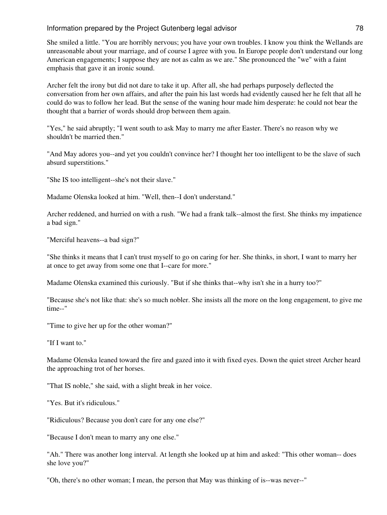She smiled a little. "You are horribly nervous; you have your own troubles. I know you think the Wellands are unreasonable about your marriage, and of course I agree with you. In Europe people don't understand our long American engagements; I suppose they are not as calm as we are." She pronounced the "we" with a faint emphasis that gave it an ironic sound.

Archer felt the irony but did not dare to take it up. After all, she had perhaps purposely deflected the conversation from her own affairs, and after the pain his last words had evidently caused her he felt that all he could do was to follow her lead. But the sense of the waning hour made him desperate: he could not bear the thought that a barrier of words should drop between them again.

"Yes," he said abruptly; "I went south to ask May to marry me after Easter. There's no reason why we shouldn't be married then."

"And May adores you--and yet you couldn't convince her? I thought her too intelligent to be the slave of such absurd superstitions."

"She IS too intelligent--she's not their slave."

Madame Olenska looked at him. "Well, then--I don't understand."

Archer reddened, and hurried on with a rush. "We had a frank talk--almost the first. She thinks my impatience a bad sign."

"Merciful heavens--a bad sign?"

"She thinks it means that I can't trust myself to go on caring for her. She thinks, in short, I want to marry her at once to get away from some one that I--care for more."

Madame Olenska examined this curiously. "But if she thinks that--why isn't she in a hurry too?"

"Because she's not like that: she's so much nobler. She insists all the more on the long engagement, to give me time--"

"Time to give her up for the other woman?"

"If I want to."

Madame Olenska leaned toward the fire and gazed into it with fixed eyes. Down the quiet street Archer heard the approaching trot of her horses.

"That IS noble," she said, with a slight break in her voice.

"Yes. But it's ridiculous."

"Ridiculous? Because you don't care for any one else?"

"Because I don't mean to marry any one else."

"Ah." There was another long interval. At length she looked up at him and asked: "This other woman-- does she love you?"

"Oh, there's no other woman; I mean, the person that May was thinking of is--was never--"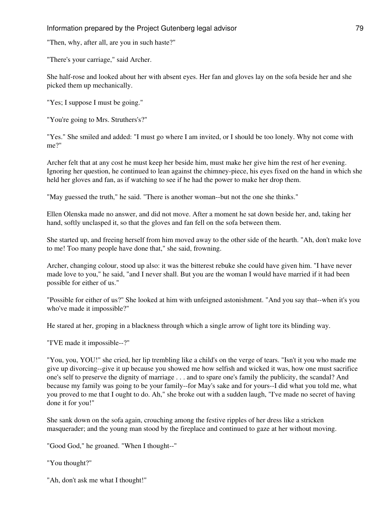"Then, why, after all, are you in such haste?"

"There's your carriage," said Archer.

She half-rose and looked about her with absent eyes. Her fan and gloves lay on the sofa beside her and she picked them up mechanically.

"Yes; I suppose I must be going."

"You're going to Mrs. Struthers's?"

"Yes." She smiled and added: "I must go where I am invited, or I should be too lonely. Why not come with me?"

Archer felt that at any cost he must keep her beside him, must make her give him the rest of her evening. Ignoring her question, he continued to lean against the chimney-piece, his eyes fixed on the hand in which she held her gloves and fan, as if watching to see if he had the power to make her drop them.

"May guessed the truth," he said. "There is another woman--but not the one she thinks."

Ellen Olenska made no answer, and did not move. After a moment he sat down beside her, and, taking her hand, softly unclasped it, so that the gloves and fan fell on the sofa between them.

She started up, and freeing herself from him moved away to the other side of the hearth. "Ah, don't make love to me! Too many people have done that," she said, frowning.

Archer, changing colour, stood up also: it was the bitterest rebuke she could have given him. "I have never made love to you," he said, "and I never shall. But you are the woman I would have married if it had been possible for either of us."

"Possible for either of us?" She looked at him with unfeigned astonishment. "And you say that--when it's you who've made it impossible?"

He stared at her, groping in a blackness through which a single arrow of light tore its blinding way.

"I'VE made it impossible--?"

"You, you, YOU!" she cried, her lip trembling like a child's on the verge of tears. "Isn't it you who made me give up divorcing--give it up because you showed me how selfish and wicked it was, how one must sacrifice one's self to preserve the dignity of marriage . . . and to spare one's family the publicity, the scandal? And because my family was going to be your family--for May's sake and for yours--I did what you told me, what you proved to me that I ought to do. Ah," she broke out with a sudden laugh, "I've made no secret of having done it for you!"

She sank down on the sofa again, crouching among the festive ripples of her dress like a stricken masquerader; and the young man stood by the fireplace and continued to gaze at her without moving.

"Good God," he groaned. "When I thought--"

"You thought?"

"Ah, don't ask me what I thought!"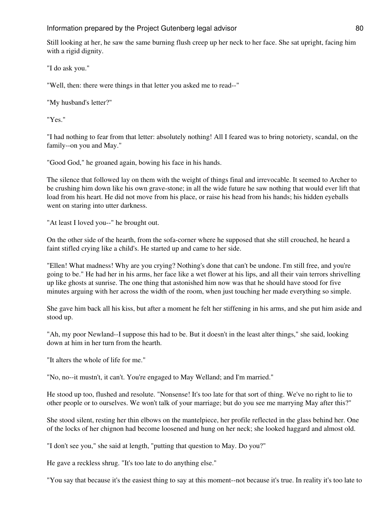### Information prepared by the Project Gutenberg legal advisor **80** and 100 km states and 100 km states and 100 km states and 100 km states and 100 km states and 100 km states and 100 km states and 100 km states and 100 km st

Still looking at her, he saw the same burning flush creep up her neck to her face. She sat upright, facing him with a rigid dignity.

"I do ask you."

"Well, then: there were things in that letter you asked me to read--"

"My husband's letter?"

"Yes."

"I had nothing to fear from that letter: absolutely nothing! All I feared was to bring notoriety, scandal, on the family--on you and May."

"Good God," he groaned again, bowing his face in his hands.

The silence that followed lay on them with the weight of things final and irrevocable. It seemed to Archer to be crushing him down like his own grave-stone; in all the wide future he saw nothing that would ever lift that load from his heart. He did not move from his place, or raise his head from his hands; his hidden eyeballs went on staring into utter darkness.

"At least I loved you--" he brought out.

On the other side of the hearth, from the sofa-corner where he supposed that she still crouched, he heard a faint stifled crying like a child's. He started up and came to her side.

"Ellen! What madness! Why are you crying? Nothing's done that can't be undone. I'm still free, and you're going to be." He had her in his arms, her face like a wet flower at his lips, and all their vain terrors shrivelling up like ghosts at sunrise. The one thing that astonished him now was that he should have stood for five minutes arguing with her across the width of the room, when just touching her made everything so simple.

She gave him back all his kiss, but after a moment he felt her stiffening in his arms, and she put him aside and stood up.

"Ah, my poor Newland--I suppose this had to be. But it doesn't in the least alter things," she said, looking down at him in her turn from the hearth.

"It alters the whole of life for me."

"No, no--it mustn't, it can't. You're engaged to May Welland; and I'm married."

He stood up too, flushed and resolute. "Nonsense! It's too late for that sort of thing. We've no right to lie to other people or to ourselves. We won't talk of your marriage; but do you see me marrying May after this?"

She stood silent, resting her thin elbows on the mantelpiece, her profile reflected in the glass behind her. One of the locks of her chignon had become loosened and hung on her neck; she looked haggard and almost old.

"I don't see you," she said at length, "putting that question to May. Do you?"

He gave a reckless shrug. "It's too late to do anything else."

"You say that because it's the easiest thing to say at this moment--not because it's true. In reality it's too late to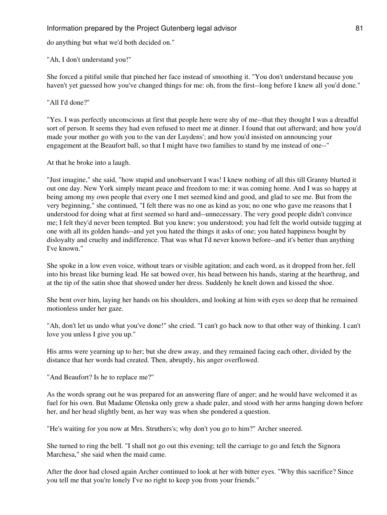do anything but what we'd both decided on."

"Ah, I don't understand you!"

She forced a pitiful smile that pinched her face instead of smoothing it. "You don't understand because you haven't yet guessed how you've changed things for me: oh, from the first--long before I knew all you'd done."

"All I'd done?"

"Yes. I was perfectly unconscious at first that people here were shy of me--that they thought I was a dreadful sort of person. It seems they had even refused to meet me at dinner. I found that out afterward; and how you'd made your mother go with you to the van der Luydens'; and how you'd insisted on announcing your engagement at the Beaufort ball, so that I might have two families to stand by me instead of one--"

At that he broke into a laugh.

"Just imagine," she said, "how stupid and unobservant I was! I knew nothing of all this till Granny blurted it out one day. New York simply meant peace and freedom to me: it was coming home. And I was so happy at being among my own people that every one I met seemed kind and good, and glad to see me. But from the very beginning," she continued, "I felt there was no one as kind as you; no one who gave me reasons that I understood for doing what at first seemed so hard and--unnecessary. The very good people didn't convince me; I felt they'd never been tempted. But you knew; you understood; you had felt the world outside tugging at one with all its golden hands--and yet you hated the things it asks of one; you hated happiness bought by disloyalty and cruelty and indifference. That was what I'd never known before--and it's better than anything I've known."

She spoke in a low even voice, without tears or visible agitation; and each word, as it dropped from her, fell into his breast like burning lead. He sat bowed over, his head between his hands, staring at the hearthrug, and at the tip of the satin shoe that showed under her dress. Suddenly he knelt down and kissed the shoe.

She bent over him, laying her hands on his shoulders, and looking at him with eyes so deep that he remained motionless under her gaze.

"Ah, don't let us undo what you've done!" she cried. "I can't go back now to that other way of thinking. I can't love you unless I give you up."

His arms were yearning up to her; but she drew away, and they remained facing each other, divided by the distance that her words had created. Then, abruptly, his anger overflowed.

"And Beaufort? Is he to replace me?"

As the words sprang out he was prepared for an answering flare of anger; and he would have welcomed it as fuel for his own. But Madame Olenska only grew a shade paler, and stood with her arms hanging down before her, and her head slightly bent, as her way was when she pondered a question.

"He's waiting for you now at Mrs. Struthers's; why don't you go to him?" Archer sneered.

She turned to ring the bell. "I shall not go out this evening; tell the carriage to go and fetch the Signora Marchesa," she said when the maid came.

After the door had closed again Archer continued to look at her with bitter eyes. "Why this sacrifice? Since you tell me that you're lonely I've no right to keep you from your friends."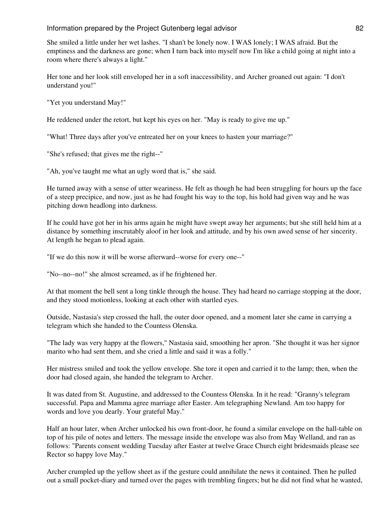She smiled a little under her wet lashes. "I shan't be lonely now. I WAS lonely; I WAS afraid. But the emptiness and the darkness are gone; when I turn back into myself now I'm like a child going at night into a room where there's always a light."

Her tone and her look still enveloped her in a soft inaccessibility, and Archer groaned out again: "I don't understand you!"

"Yet you understand May!"

He reddened under the retort, but kept his eyes on her. "May is ready to give me up."

"What! Three days after you've entreated her on your knees to hasten your marriage?"

"She's refused; that gives me the right--"

"Ah, you've taught me what an ugly word that is," she said.

He turned away with a sense of utter weariness. He felt as though he had been struggling for hours up the face of a steep precipice, and now, just as he had fought his way to the top, his hold had given way and he was pitching down headlong into darkness.

If he could have got her in his arms again he might have swept away her arguments; but she still held him at a distance by something inscrutably aloof in her look and attitude, and by his own awed sense of her sincerity. At length he began to plead again.

"If we do this now it will be worse afterward--worse for every one--"

"No--no--no!" she almost screamed, as if he frightened her.

At that moment the bell sent a long tinkle through the house. They had heard no carriage stopping at the door, and they stood motionless, looking at each other with startled eyes.

Outside, Nastasia's step crossed the hall, the outer door opened, and a moment later she came in carrying a telegram which she handed to the Countess Olenska.

"The lady was very happy at the flowers," Nastasia said, smoothing her apron. "She thought it was her signor marito who had sent them, and she cried a little and said it was a folly."

Her mistress smiled and took the yellow envelope. She tore it open and carried it to the lamp; then, when the door had closed again, she handed the telegram to Archer.

It was dated from St. Augustine, and addressed to the Countess Olenska. In it he read: "Granny's telegram successful. Papa and Mamma agree marriage after Easter. Am telegraphing Newland. Am too happy for words and love you dearly. Your grateful May."

Half an hour later, when Archer unlocked his own front-door, he found a similar envelope on the hall-table on top of his pile of notes and letters. The message inside the envelope was also from May Welland, and ran as follows: "Parents consent wedding Tuesday after Easter at twelve Grace Church eight bridesmaids please see Rector so happy love May."

Archer crumpled up the yellow sheet as if the gesture could annihilate the news it contained. Then he pulled out a small pocket-diary and turned over the pages with trembling fingers; but he did not find what he wanted,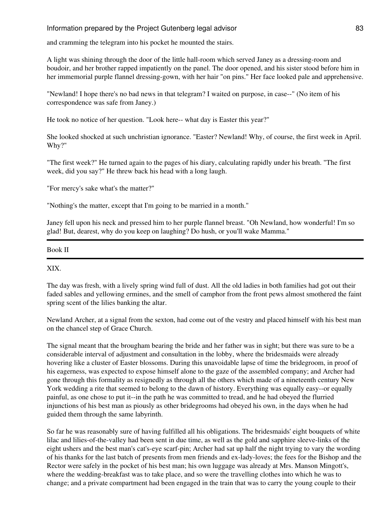and cramming the telegram into his pocket he mounted the stairs.

A light was shining through the door of the little hall-room which served Janey as a dressing-room and boudoir, and her brother rapped impatiently on the panel. The door opened, and his sister stood before him in her immemorial purple flannel dressing-gown, with her hair "on pins." Her face looked pale and apprehensive.

"Newland! I hope there's no bad news in that telegram? I waited on purpose, in case--" (No item of his correspondence was safe from Janey.)

He took no notice of her question. "Look here-- what day is Easter this year?"

She looked shocked at such unchristian ignorance. "Easter? Newland! Why, of course, the first week in April. Why?"

"The first week?" He turned again to the pages of his diary, calculating rapidly under his breath. "The first week, did you say?" He threw back his head with a long laugh.

"For mercy's sake what's the matter?"

"Nothing's the matter, except that I'm going to be married in a month."

Janey fell upon his neck and pressed him to her purple flannel breast. "Oh Newland, how wonderful! I'm so glad! But, dearest, why do you keep on laughing? Do hush, or you'll wake Mamma."

Book II

#### XIX.

The day was fresh, with a lively spring wind full of dust. All the old ladies in both families had got out their faded sables and yellowing ermines, and the smell of camphor from the front pews almost smothered the faint spring scent of the lilies banking the altar.

Newland Archer, at a signal from the sexton, had come out of the vestry and placed himself with his best man on the chancel step of Grace Church.

The signal meant that the brougham bearing the bride and her father was in sight; but there was sure to be a considerable interval of adjustment and consultation in the lobby, where the bridesmaids were already hovering like a cluster of Easter blossoms. During this unavoidable lapse of time the bridegroom, in proof of his eagerness, was expected to expose himself alone to the gaze of the assembled company; and Archer had gone through this formality as resignedly as through all the others which made of a nineteenth century New York wedding a rite that seemed to belong to the dawn of history. Everything was equally easy--or equally painful, as one chose to put it--in the path he was committed to tread, and he had obeyed the flurried injunctions of his best man as piously as other bridegrooms had obeyed his own, in the days when he had guided them through the same labyrinth.

So far he was reasonably sure of having fulfilled all his obligations. The bridesmaids' eight bouquets of white lilac and lilies-of-the-valley had been sent in due time, as well as the gold and sapphire sleeve-links of the eight ushers and the best man's cat's-eye scarf-pin; Archer had sat up half the night trying to vary the wording of his thanks for the last batch of presents from men friends and ex-lady-loves; the fees for the Bishop and the Rector were safely in the pocket of his best man; his own luggage was already at Mrs. Manson Mingott's, where the wedding-breakfast was to take place, and so were the travelling clothes into which he was to change; and a private compartment had been engaged in the train that was to carry the young couple to their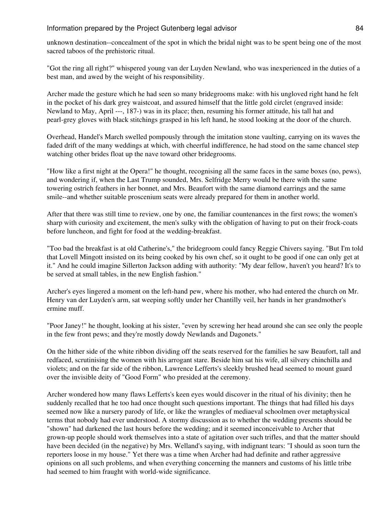unknown destination--concealment of the spot in which the bridal night was to be spent being one of the most sacred taboos of the prehistoric ritual.

"Got the ring all right?" whispered young van der Luyden Newland, who was inexperienced in the duties of a best man, and awed by the weight of his responsibility.

Archer made the gesture which he had seen so many bridegrooms make: with his ungloved right hand he felt in the pocket of his dark grey waistcoat, and assured himself that the little gold circlet (engraved inside: Newland to May, April ---, 187-) was in its place; then, resuming his former attitude, his tall hat and pearl-grey gloves with black stitchings grasped in his left hand, he stood looking at the door of the church.

Overhead, Handel's March swelled pompously through the imitation stone vaulting, carrying on its waves the faded drift of the many weddings at which, with cheerful indifference, he had stood on the same chancel step watching other brides float up the nave toward other bridegrooms.

"How like a first night at the Opera!" he thought, recognising all the same faces in the same boxes (no, pews), and wondering if, when the Last Trump sounded, Mrs. Selfridge Merry would be there with the same towering ostrich feathers in her bonnet, and Mrs. Beaufort with the same diamond earrings and the same smile--and whether suitable proscenium seats were already prepared for them in another world.

After that there was still time to review, one by one, the familiar countenances in the first rows; the women's sharp with curiosity and excitement, the men's sulky with the obligation of having to put on their frock-coats before luncheon, and fight for food at the wedding-breakfast.

"Too bad the breakfast is at old Catherine's," the bridegroom could fancy Reggie Chivers saying. "But I'm told that Lovell Mingott insisted on its being cooked by his own chef, so it ought to be good if one can only get at it." And he could imagine Sillerton Jackson adding with authority: "My dear fellow, haven't you heard? It's to be served at small tables, in the new English fashion."

Archer's eyes lingered a moment on the left-hand pew, where his mother, who had entered the church on Mr. Henry van der Luyden's arm, sat weeping softly under her Chantilly veil, her hands in her grandmother's ermine muff.

"Poor Janey!" he thought, looking at his sister, "even by screwing her head around she can see only the people in the few front pews; and they're mostly dowdy Newlands and Dagonets."

On the hither side of the white ribbon dividing off the seats reserved for the families he saw Beaufort, tall and redfaced, scrutinising the women with his arrogant stare. Beside him sat his wife, all silvery chinchilla and violets; and on the far side of the ribbon, Lawrence Lefferts's sleekly brushed head seemed to mount guard over the invisible deity of "Good Form" who presided at the ceremony.

Archer wondered how many flaws Lefferts's keen eyes would discover in the ritual of his divinity; then he suddenly recalled that he too had once thought such questions important. The things that had filled his days seemed now like a nursery parody of life, or like the wrangles of mediaeval schoolmen over metaphysical terms that nobody had ever understood. A stormy discussion as to whether the wedding presents should be "shown" had darkened the last hours before the wedding; and it seemed inconceivable to Archer that grown-up people should work themselves into a state of agitation over such trifles, and that the matter should have been decided (in the negative) by Mrs. Welland's saying, with indignant tears: "I should as soon turn the reporters loose in my house." Yet there was a time when Archer had had definite and rather aggressive opinions on all such problems, and when everything concerning the manners and customs of his little tribe had seemed to him fraught with world-wide significance.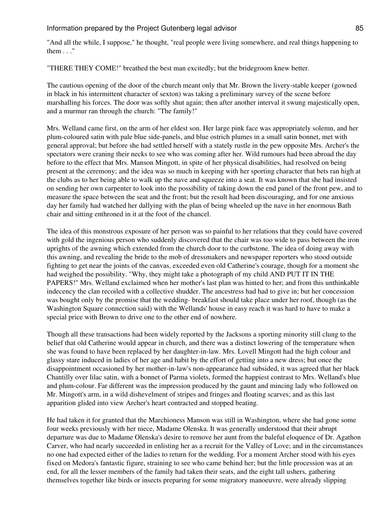Information prepared by the Project Gutenberg legal advisor **85** and 1.1 and 1.1 and 1.1 and 1.1 and 1.1 and 1.1 and 1.1 and 1.1 and 1.1 and 1.1 and 1.1 and 1.1 and 1.1 and 1.1 and 1.1 and 1.1 and 1.1 and 1.1 and 1.1 and 1

"And all the while, I suppose," he thought, "real people were living somewhere, and real things happening to them . . ."

"THERE THEY COME!" breathed the best man excitedly; but the bridegroom knew better.

The cautious opening of the door of the church meant only that Mr. Brown the livery-stable keeper (gowned in black in his intermittent character of sexton) was taking a preliminary survey of the scene before marshalling his forces. The door was softly shut again; then after another interval it swung majestically open, and a murmur ran through the church: "The family!"

Mrs. Welland came first, on the arm of her eldest son. Her large pink face was appropriately solemn, and her plum-coloured satin with pale blue side-panels, and blue ostrich plumes in a small satin bonnet, met with general approval; but before she had settled herself with a stately rustle in the pew opposite Mrs. Archer's the spectators were craning their necks to see who was coming after her. Wild rumours had been abroad the day before to the effect that Mrs. Manson Mingott, in spite of her physical disabilities, had resolved on being present at the ceremony; and the idea was so much in keeping with her sporting character that bets ran high at the clubs as to her being able to walk up the nave and squeeze into a seat. It was known that she had insisted on sending her own carpenter to look into the possibility of taking down the end panel of the front pew, and to measure the space between the seat and the front; but the result had been discouraging, and for one anxious day her family had watched her dallying with the plan of being wheeled up the nave in her enormous Bath chair and sitting enthroned in it at the foot of the chancel.

The idea of this monstrous exposure of her person was so painful to her relations that they could have covered with gold the ingenious person who suddenly discovered that the chair was too wide to pass between the iron uprights of the awning which extended from the church door to the curbstone. The idea of doing away with this awning, and revealing the bride to the mob of dressmakers and newspaper reporters who stood outside fighting to get near the joints of the canvas, exceeded even old Catherine's courage, though for a moment she had weighed the possibility. "Why, they might take a photograph of my child AND PUT IT IN THE PAPERS!" Mrs. Welland exclaimed when her mother's last plan was hinted to her; and from this unthinkable indecency the clan recoiled with a collective shudder. The ancestress had had to give in; but her concession was bought only by the promise that the wedding- breakfast should take place under her roof, though (as the Washington Square connection said) with the Wellands' house in easy reach it was hard to have to make a special price with Brown to drive one to the other end of nowhere.

Though all these transactions had been widely reported by the Jacksons a sporting minority still clung to the belief that old Catherine would appear in church, and there was a distinct lowering of the temperature when she was found to have been replaced by her daughter-in-law. Mrs. Lovell Mingott had the high colour and glassy stare induced in ladies of her age and habit by the effort of getting into a new dress; but once the disappointment occasioned by her mother-in-law's non-appearance had subsided, it was agreed that her black Chantilly over lilac satin, with a bonnet of Parma violets, formed the happiest contrast to Mrs. Welland's blue and plum-colour. Far different was the impression produced by the gaunt and mincing lady who followed on Mr. Mingott's arm, in a wild dishevelment of stripes and fringes and floating scarves; and as this last apparition glided into view Archer's heart contracted and stopped beating.

He had taken it for granted that the Marchioness Manson was still in Washington, where she had gone some four weeks previously with her niece, Madame Olenska. It was generally understood that their abrupt departure was due to Madame Olenska's desire to remove her aunt from the baleful eloquence of Dr. Agathon Carver, who had nearly succeeded in enlisting her as a recruit for the Valley of Love; and in the circumstances no one had expected either of the ladies to return for the wedding. For a moment Archer stood with his eyes fixed on Medora's fantastic figure, straining to see who came behind her; but the little procession was at an end, for all the lesser members of the family had taken their seats, and the eight tall ushers, gathering themselves together like birds or insects preparing for some migratory manoeuvre, were already slipping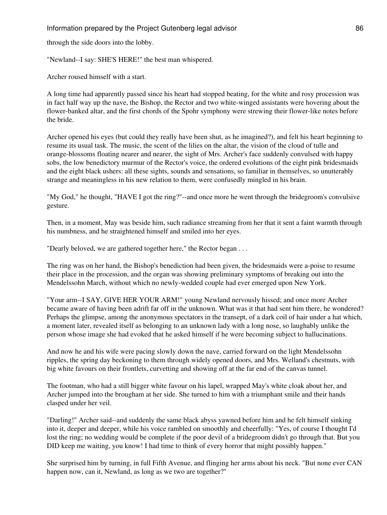### Information prepared by the Project Gutenberg legal advisor **86** and 100 mm

through the side doors into the lobby.

"Newland--I say: SHE'S HERE!" the best man whispered.

Archer roused himself with a start.

A long time had apparently passed since his heart had stopped beating, for the white and rosy procession was in fact half way up the nave, the Bishop, the Rector and two white-winged assistants were hovering about the flower-banked altar, and the first chords of the Spohr symphony were strewing their flower-like notes before the bride.

Archer opened his eyes (but could they really have been shut, as he imagined?), and felt his heart beginning to resume its usual task. The music, the scent of the lilies on the altar, the vision of the cloud of tulle and orange-blossoms floating nearer and nearer, the sight of Mrs. Archer's face suddenly convulsed with happy sobs, the low benedictory murmur of the Rector's voice, the ordered evolutions of the eight pink bridesmaids and the eight black ushers: all these sights, sounds and sensations, so familiar in themselves, so unutterably strange and meaningless in his new relation to them, were confusedly mingled in his brain.

"My God," he thought, "HAVE I got the ring?"--and once more he went through the bridegroom's convulsive gesture.

Then, in a moment, May was beside him, such radiance streaming from her that it sent a faint warmth through his numbness, and he straightened himself and smiled into her eyes.

"Dearly beloved, we are gathered together here," the Rector began . . .

The ring was on her hand, the Bishop's benediction had been given, the bridesmaids were a-poise to resume their place in the procession, and the organ was showing preliminary symptoms of breaking out into the Mendelssohn March, without which no newly-wedded couple had ever emerged upon New York.

"Your arm--I SAY, GIVE HER YOUR ARM!" young Newland nervously hissed; and once more Archer became aware of having been adrift far off in the unknown. What was it that had sent him there, he wondered? Perhaps the glimpse, among the anonymous spectators in the transept, of a dark coil of hair under a hat which, a moment later, revealed itself as belonging to an unknown lady with a long nose, so laughably unlike the person whose image she had evoked that he asked himself if he were becoming subject to hallucinations.

And now he and his wife were pacing slowly down the nave, carried forward on the light Mendelssohn ripples, the spring day beckoning to them through widely opened doors, and Mrs. Welland's chestnuts, with big white favours on their frontlets, curvetting and showing off at the far end of the canvas tunnel.

The footman, who had a still bigger white favour on his lapel, wrapped May's white cloak about her, and Archer jumped into the brougham at her side. She turned to him with a triumphant smile and their hands clasped under her veil.

"Darling!" Archer said--and suddenly the same black abyss yawned before him and he felt himself sinking into it, deeper and deeper, while his voice rambled on smoothly and cheerfully: "Yes, of course I thought I'd lost the ring; no wedding would be complete if the poor devil of a bridegroom didn't go through that. But you DID keep me waiting, you know! I had time to think of every horror that might possibly happen."

She surprised him by turning, in full Fifth Avenue, and flinging her arms about his neck. "But none ever CAN happen now, can it, Newland, as long as we two are together?"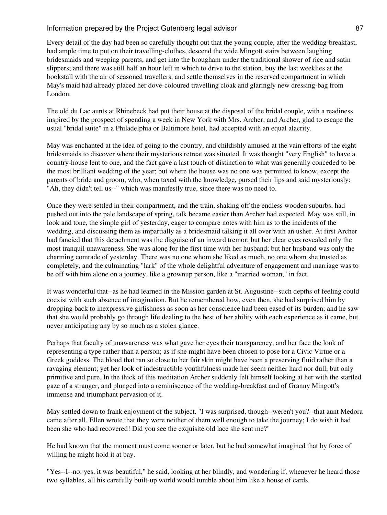Every detail of the day had been so carefully thought out that the young couple, after the wedding-breakfast, had ample time to put on their travelling-clothes, descend the wide Mingott stairs between laughing bridesmaids and weeping parents, and get into the brougham under the traditional shower of rice and satin slippers; and there was still half an hour left in which to drive to the station, buy the last weeklies at the bookstall with the air of seasoned travellers, and settle themselves in the reserved compartment in which May's maid had already placed her dove-coloured travelling cloak and glaringly new dressing-bag from London.

The old du Lac aunts at Rhinebeck had put their house at the disposal of the bridal couple, with a readiness inspired by the prospect of spending a week in New York with Mrs. Archer; and Archer, glad to escape the usual "bridal suite" in a Philadelphia or Baltimore hotel, had accepted with an equal alacrity.

May was enchanted at the idea of going to the country, and childishly amused at the vain efforts of the eight bridesmaids to discover where their mysterious retreat was situated. It was thought "very English" to have a country-house lent to one, and the fact gave a last touch of distinction to what was generally conceded to be the most brilliant wedding of the year; but where the house was no one was permitted to know, except the parents of bride and groom, who, when taxed with the knowledge, pursed their lips and said mysteriously: "Ah, they didn't tell us--" which was manifestly true, since there was no need to.

Once they were settled in their compartment, and the train, shaking off the endless wooden suburbs, had pushed out into the pale landscape of spring, talk became easier than Archer had expected. May was still, in look and tone, the simple girl of yesterday, eager to compare notes with him as to the incidents of the wedding, and discussing them as impartially as a bridesmaid talking it all over with an usher. At first Archer had fancied that this detachment was the disguise of an inward tremor; but her clear eyes revealed only the most tranquil unawareness. She was alone for the first time with her husband; but her husband was only the charming comrade of yesterday. There was no one whom she liked as much, no one whom she trusted as completely, and the culminating "lark" of the whole delightful adventure of engagement and marriage was to be off with him alone on a journey, like a grownup person, like a "married woman," in fact.

It was wonderful that--as he had learned in the Mission garden at St. Augustine--such depths of feeling could coexist with such absence of imagination. But he remembered how, even then, she had surprised him by dropping back to inexpressive girlishness as soon as her conscience had been eased of its burden; and he saw that she would probably go through life dealing to the best of her ability with each experience as it came, but never anticipating any by so much as a stolen glance.

Perhaps that faculty of unawareness was what gave her eyes their transparency, and her face the look of representing a type rather than a person; as if she might have been chosen to pose for a Civic Virtue or a Greek goddess. The blood that ran so close to her fair skin might have been a preserving fluid rather than a ravaging element; yet her look of indestructible youthfulness made her seem neither hard nor dull, but only primitive and pure. In the thick of this meditation Archer suddenly felt himself looking at her with the startled gaze of a stranger, and plunged into a reminiscence of the wedding-breakfast and of Granny Mingott's immense and triumphant pervasion of it.

May settled down to frank enjoyment of the subject. "I was surprised, though--weren't you?--that aunt Medora came after all. Ellen wrote that they were neither of them well enough to take the journey; I do wish it had been she who had recovered! Did you see the exquisite old lace she sent me?"

He had known that the moment must come sooner or later, but he had somewhat imagined that by force of willing he might hold it at bay.

"Yes--I--no: yes, it was beautiful," he said, looking at her blindly, and wondering if, whenever he heard those two syllables, all his carefully built-up world would tumble about him like a house of cards.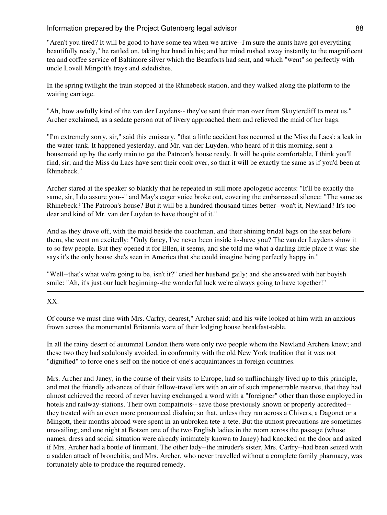"Aren't you tired? It will be good to have some tea when we arrive--I'm sure the aunts have got everything beautifully ready," he rattled on, taking her hand in his; and her mind rushed away instantly to the magnificent tea and coffee service of Baltimore silver which the Beauforts had sent, and which "went" so perfectly with uncle Lovell Mingott's trays and sidedishes.

In the spring twilight the train stopped at the Rhinebeck station, and they walked along the platform to the waiting carriage.

"Ah, how awfully kind of the van der Luydens-- they've sent their man over from Skuytercliff to meet us," Archer exclaimed, as a sedate person out of livery approached them and relieved the maid of her bags.

"I'm extremely sorry, sir," said this emissary, "that a little accident has occurred at the Miss du Lacs': a leak in the water-tank. It happened yesterday, and Mr. van der Luyden, who heard of it this morning, sent a housemaid up by the early train to get the Patroon's house ready. It will be quite comfortable, I think you'll find, sir; and the Miss du Lacs have sent their cook over, so that it will be exactly the same as if you'd been at Rhinebeck."

Archer stared at the speaker so blankly that he repeated in still more apologetic accents: "It'll be exactly the same, sir, I do assure you--" and May's eager voice broke out, covering the embarrassed silence: "The same as Rhinebeck? The Patroon's house? But it will be a hundred thousand times better--won't it, Newland? It's too dear and kind of Mr. van der Luyden to have thought of it."

And as they drove off, with the maid beside the coachman, and their shining bridal bags on the seat before them, she went on excitedly: "Only fancy, I've never been inside it--have you? The van der Luydens show it to so few people. But they opened it for Ellen, it seems, and she told me what a darling little place it was: she says it's the only house she's seen in America that she could imagine being perfectly happy in."

"Well--that's what we're going to be, isn't it?" cried her husband gaily; and she answered with her boyish smile: "Ah, it's just our luck beginning--the wonderful luck we're always going to have together!"

XX.

Of course we must dine with Mrs. Carfry, dearest," Archer said; and his wife looked at him with an anxious frown across the monumental Britannia ware of their lodging house breakfast-table.

In all the rainy desert of autumnal London there were only two people whom the Newland Archers knew; and these two they had sedulously avoided, in conformity with the old New York tradition that it was not "dignified" to force one's self on the notice of one's acquaintances in foreign countries.

Mrs. Archer and Janey, in the course of their visits to Europe, had so unflinchingly lived up to this principle, and met the friendly advances of their fellow-travellers with an air of such impenetrable reserve, that they had almost achieved the record of never having exchanged a word with a "foreigner" other than those employed in hotels and railway-stations. Their own compatriots-- save those previously known or properly accredited- they treated with an even more pronounced disdain; so that, unless they ran across a Chivers, a Dagonet or a Mingott, their months abroad were spent in an unbroken tete-a-tete. But the utmost precautions are sometimes unavailing; and one night at Botzen one of the two English ladies in the room across the passage (whose names, dress and social situation were already intimately known to Janey) had knocked on the door and asked if Mrs. Archer had a bottle of liniment. The other lady--the intruder's sister, Mrs. Carfry--had been seized with a sudden attack of bronchitis; and Mrs. Archer, who never travelled without a complete family pharmacy, was fortunately able to produce the required remedy.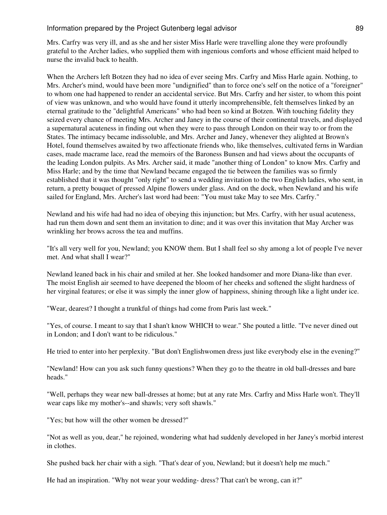Mrs. Carfry was very ill, and as she and her sister Miss Harle were travelling alone they were profoundly grateful to the Archer ladies, who supplied them with ingenious comforts and whose efficient maid helped to nurse the invalid back to health.

When the Archers left Botzen they had no idea of ever seeing Mrs. Carfry and Miss Harle again. Nothing, to Mrs. Archer's mind, would have been more "undignified" than to force one's self on the notice of a "foreigner" to whom one had happened to render an accidental service. But Mrs. Carfry and her sister, to whom this point of view was unknown, and who would have found it utterly incomprehensible, felt themselves linked by an eternal gratitude to the "delightful Americans" who had been so kind at Botzen. With touching fidelity they seized every chance of meeting Mrs. Archer and Janey in the course of their continental travels, and displayed a supernatural acuteness in finding out when they were to pass through London on their way to or from the States. The intimacy became indissoluble, and Mrs. Archer and Janey, whenever they alighted at Brown's Hotel, found themselves awaited by two affectionate friends who, like themselves, cultivated ferns in Wardian cases, made macrame lace, read the memoirs of the Baroness Bunsen and had views about the occupants of the leading London pulpits. As Mrs. Archer said, it made "another thing of London" to know Mrs. Carfry and Miss Harle; and by the time that Newland became engaged the tie between the families was so firmly established that it was thought "only right" to send a wedding invitation to the two English ladies, who sent, in return, a pretty bouquet of pressed Alpine flowers under glass. And on the dock, when Newland and his wife sailed for England, Mrs. Archer's last word had been: "You must take May to see Mrs. Carfry."

Newland and his wife had had no idea of obeying this injunction; but Mrs. Carfry, with her usual acuteness, had run them down and sent them an invitation to dine; and it was over this invitation that May Archer was wrinkling her brows across the tea and muffins.

"It's all very well for you, Newland; you KNOW them. But I shall feel so shy among a lot of people I've never met. And what shall I wear?"

Newland leaned back in his chair and smiled at her. She looked handsomer and more Diana-like than ever. The moist English air seemed to have deepened the bloom of her cheeks and softened the slight hardness of her virginal features; or else it was simply the inner glow of happiness, shining through like a light under ice.

"Wear, dearest? I thought a trunkful of things had come from Paris last week."

"Yes, of course. I meant to say that I shan't know WHICH to wear." She pouted a little. "I've never dined out in London; and I don't want to be ridiculous."

He tried to enter into her perplexity. "But don't Englishwomen dress just like everybody else in the evening?"

"Newland! How can you ask such funny questions? When they go to the theatre in old ball-dresses and bare heads."

"Well, perhaps they wear new ball-dresses at home; but at any rate Mrs. Carfry and Miss Harle won't. They'll wear caps like my mother's--and shawls; very soft shawls."

"Yes; but how will the other women be dressed?"

"Not as well as you, dear," he rejoined, wondering what had suddenly developed in her Janey's morbid interest in clothes.

She pushed back her chair with a sigh. "That's dear of you, Newland; but it doesn't help me much."

He had an inspiration. "Why not wear your wedding- dress? That can't be wrong, can it?"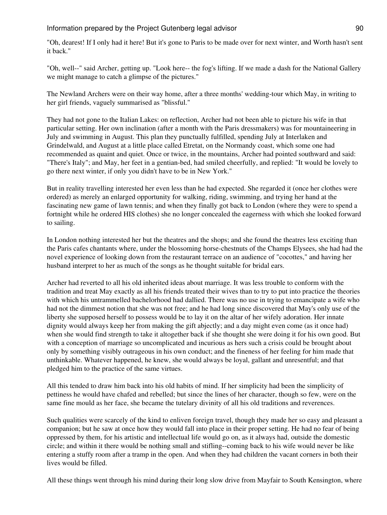"Oh, dearest! If I only had it here! But it's gone to Paris to be made over for next winter, and Worth hasn't sent it back."

"Oh, well--" said Archer, getting up. "Look here-- the fog's lifting. If we made a dash for the National Gallery we might manage to catch a glimpse of the pictures."

The Newland Archers were on their way home, after a three months' wedding-tour which May, in writing to her girl friends, vaguely summarised as "blissful."

They had not gone to the Italian Lakes: on reflection, Archer had not been able to picture his wife in that particular setting. Her own inclination (after a month with the Paris dressmakers) was for mountaineering in July and swimming in August. This plan they punctually fulfilled, spending July at Interlaken and Grindelwald, and August at a little place called Etretat, on the Normandy coast, which some one had recommended as quaint and quiet. Once or twice, in the mountains, Archer had pointed southward and said: "There's Italy"; and May, her feet in a gentian-bed, had smiled cheerfully, and replied: "It would be lovely to go there next winter, if only you didn't have to be in New York."

But in reality travelling interested her even less than he had expected. She regarded it (once her clothes were ordered) as merely an enlarged opportunity for walking, riding, swimming, and trying her hand at the fascinating new game of lawn tennis; and when they finally got back to London (where they were to spend a fortnight while he ordered HIS clothes) she no longer concealed the eagerness with which she looked forward to sailing.

In London nothing interested her but the theatres and the shops; and she found the theatres less exciting than the Paris cafes chantants where, under the blossoming horse-chestnuts of the Champs Elysees, she had had the novel experience of looking down from the restaurant terrace on an audience of "cocottes," and having her husband interpret to her as much of the songs as he thought suitable for bridal ears.

Archer had reverted to all his old inherited ideas about marriage. It was less trouble to conform with the tradition and treat May exactly as all his friends treated their wives than to try to put into practice the theories with which his untrammelled bachelorhood had dallied. There was no use in trying to emancipate a wife who had not the dimmest notion that she was not free; and he had long since discovered that May's only use of the liberty she supposed herself to possess would be to lay it on the altar of her wifely adoration. Her innate dignity would always keep her from making the gift abjectly; and a day might even come (as it once had) when she would find strength to take it altogether back if she thought she were doing it for his own good. But with a conception of marriage so uncomplicated and incurious as hers such a crisis could be brought about only by something visibly outrageous in his own conduct; and the fineness of her feeling for him made that unthinkable. Whatever happened, he knew, she would always be loyal, gallant and unresentful; and that pledged him to the practice of the same virtues.

All this tended to draw him back into his old habits of mind. If her simplicity had been the simplicity of pettiness he would have chafed and rebelled; but since the lines of her character, though so few, were on the same fine mould as her face, she became the tutelary divinity of all his old traditions and reverences.

Such qualities were scarcely of the kind to enliven foreign travel, though they made her so easy and pleasant a companion; but he saw at once how they would fall into place in their proper setting. He had no fear of being oppressed by them, for his artistic and intellectual life would go on, as it always had, outside the domestic circle; and within it there would be nothing small and stifling--coming back to his wife would never be like entering a stuffy room after a tramp in the open. And when they had children the vacant corners in both their lives would be filled.

All these things went through his mind during their long slow drive from Mayfair to South Kensington, where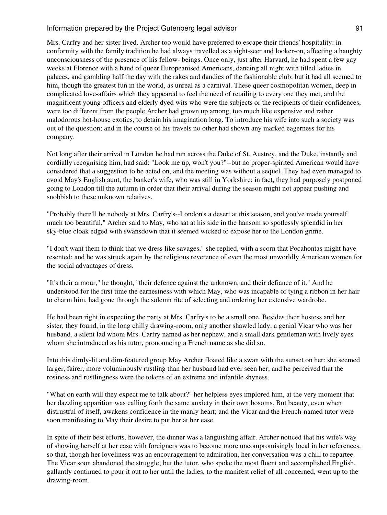Mrs. Carfry and her sister lived. Archer too would have preferred to escape their friends' hospitality: in conformity with the family tradition he had always travelled as a sight-seer and looker-on, affecting a haughty unconsciousness of the presence of his fellow- beings. Once only, just after Harvard, he had spent a few gay weeks at Florence with a band of queer Europeanised Americans, dancing all night with titled ladies in palaces, and gambling half the day with the rakes and dandies of the fashionable club; but it had all seemed to him, though the greatest fun in the world, as unreal as a carnival. These queer cosmopolitan women, deep in complicated love-affairs which they appeared to feel the need of retailing to every one they met, and the magnificent young officers and elderly dyed wits who were the subjects or the recipients of their confidences, were too different from the people Archer had grown up among, too much like expensive and rather malodorous hot-house exotics, to detain his imagination long. To introduce his wife into such a society was out of the question; and in the course of his travels no other had shown any marked eagerness for his company.

Not long after their arrival in London he had run across the Duke of St. Austrey, and the Duke, instantly and cordially recognising him, had said: "Look me up, won't you?"--but no proper-spirited American would have considered that a suggestion to be acted on, and the meeting was without a sequel. They had even managed to avoid May's English aunt, the banker's wife, who was still in Yorkshire; in fact, they had purposely postponed going to London till the autumn in order that their arrival during the season might not appear pushing and snobbish to these unknown relatives.

"Probably there'll be nobody at Mrs. Carfry's--London's a desert at this season, and you've made yourself much too beautiful," Archer said to May, who sat at his side in the hansom so spotlessly splendid in her sky-blue cloak edged with swansdown that it seemed wicked to expose her to the London grime.

"I don't want them to think that we dress like savages," she replied, with a scorn that Pocahontas might have resented; and he was struck again by the religious reverence of even the most unworldly American women for the social advantages of dress.

"It's their armour," he thought, "their defence against the unknown, and their defiance of it." And he understood for the first time the earnestness with which May, who was incapable of tying a ribbon in her hair to charm him, had gone through the solemn rite of selecting and ordering her extensive wardrobe.

He had been right in expecting the party at Mrs. Carfry's to be a small one. Besides their hostess and her sister, they found, in the long chilly drawing-room, only another shawled lady, a genial Vicar who was her husband, a silent lad whom Mrs. Carfry named as her nephew, and a small dark gentleman with lively eyes whom she introduced as his tutor, pronouncing a French name as she did so.

Into this dimly-lit and dim-featured group May Archer floated like a swan with the sunset on her: she seemed larger, fairer, more voluminously rustling than her husband had ever seen her; and he perceived that the rosiness and rustlingness were the tokens of an extreme and infantile shyness.

"What on earth will they expect me to talk about?" her helpless eyes implored him, at the very moment that her dazzling apparition was calling forth the same anxiety in their own bosoms. But beauty, even when distrustful of itself, awakens confidence in the manly heart; and the Vicar and the French-named tutor were soon manifesting to May their desire to put her at her ease.

In spite of their best efforts, however, the dinner was a languishing affair. Archer noticed that his wife's way of showing herself at her ease with foreigners was to become more uncompromisingly local in her references, so that, though her loveliness was an encouragement to admiration, her conversation was a chill to repartee. The Vicar soon abandoned the struggle; but the tutor, who spoke the most fluent and accomplished English, gallantly continued to pour it out to her until the ladies, to the manifest relief of all concerned, went up to the drawing-room.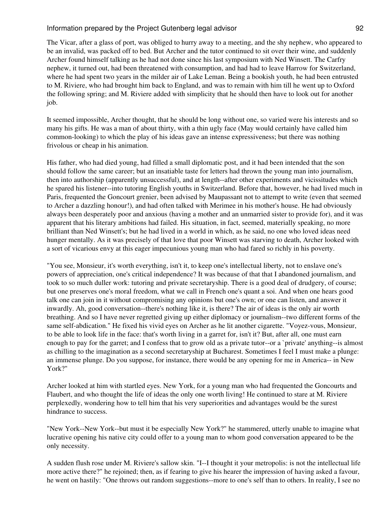The Vicar, after a glass of port, was obliged to hurry away to a meeting, and the shy nephew, who appeared to be an invalid, was packed off to bed. But Archer and the tutor continued to sit over their wine, and suddenly Archer found himself talking as he had not done since his last symposium with Ned Winsett. The Carfry nephew, it turned out, had been threatened with consumption, and had had to leave Harrow for Switzerland, where he had spent two years in the milder air of Lake Leman. Being a bookish youth, he had been entrusted to M. Riviere, who had brought him back to England, and was to remain with him till he went up to Oxford the following spring; and M. Riviere added with simplicity that he should then have to look out for another job.

It seemed impossible, Archer thought, that he should be long without one, so varied were his interests and so many his gifts. He was a man of about thirty, with a thin ugly face (May would certainly have called him common-looking) to which the play of his ideas gave an intense expressiveness; but there was nothing frivolous or cheap in his animation.

His father, who had died young, had filled a small diplomatic post, and it had been intended that the son should follow the same career; but an insatiable taste for letters had thrown the young man into journalism, then into authorship (apparently unsuccessful), and at length--after other experiments and vicissitudes which he spared his listener--into tutoring English youths in Switzerland. Before that, however, he had lived much in Paris, frequented the Goncourt grenier, been advised by Maupassant not to attempt to write (even that seemed to Archer a dazzling honour!), and had often talked with Merimee in his mother's house. He had obviously always been desperately poor and anxious (having a mother and an unmarried sister to provide for), and it was apparent that his literary ambitions had failed. His situation, in fact, seemed, materially speaking, no more brilliant than Ned Winsett's; but he had lived in a world in which, as he said, no one who loved ideas need hunger mentally. As it was precisely of that love that poor Winsett was starving to death, Archer looked with a sort of vicarious envy at this eager impecunious young man who had fared so richly in his poverty.

"You see, Monsieur, it's worth everything, isn't it, to keep one's intellectual liberty, not to enslave one's powers of appreciation, one's critical independence? It was because of that that I abandoned journalism, and took to so much duller work: tutoring and private secretaryship. There is a good deal of drudgery, of course; but one preserves one's moral freedom, what we call in French one's quant a soi. And when one hears good talk one can join in it without compromising any opinions but one's own; or one can listen, and answer it inwardly. Ah, good conversation--there's nothing like it, is there? The air of ideas is the only air worth breathing. And so I have never regretted giving up either diplomacy or journalism--two different forms of the same self-abdication." He fixed his vivid eyes on Archer as he lit another cigarette. "Voyez-vous, Monsieur, to be able to look life in the face: that's worth living in a garret for, isn't it? But, after all, one must earn enough to pay for the garret; and I confess that to grow old as a private tutor--or a `private' anything--is almost as chilling to the imagination as a second secretaryship at Bucharest. Sometimes I feel I must make a plunge: an immense plunge. Do you suppose, for instance, there would be any opening for me in America-- in New York?"

Archer looked at him with startled eyes. New York, for a young man who had frequented the Goncourts and Flaubert, and who thought the life of ideas the only one worth living! He continued to stare at M. Riviere perplexedly, wondering how to tell him that his very superiorities and advantages would be the surest hindrance to success.

"New York--New York--but must it be especially New York?" he stammered, utterly unable to imagine what lucrative opening his native city could offer to a young man to whom good conversation appeared to be the only necessity.

A sudden flush rose under M. Riviere's sallow skin. "I--I thought it your metropolis: is not the intellectual life more active there?" he rejoined; then, as if fearing to give his hearer the impression of having asked a favour, he went on hastily: "One throws out random suggestions--more to one's self than to others. In reality, I see no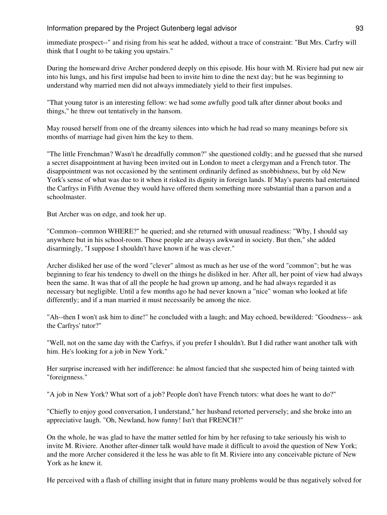immediate prospect--" and rising from his seat he added, without a trace of constraint: "But Mrs. Carfry will think that I ought to be taking you upstairs."

During the homeward drive Archer pondered deeply on this episode. His hour with M. Riviere had put new air into his lungs, and his first impulse had been to invite him to dine the next day; but he was beginning to understand why married men did not always immediately yield to their first impulses.

"That young tutor is an interesting fellow: we had some awfully good talk after dinner about books and things," he threw out tentatively in the hansom.

May roused herself from one of the dreamy silences into which he had read so many meanings before six months of marriage had given him the key to them.

"The little Frenchman? Wasn't he dreadfully common?" she questioned coldly; and he guessed that she nursed a secret disappointment at having been invited out in London to meet a clergyman and a French tutor. The disappointment was not occasioned by the sentiment ordinarily defined as snobbishness, but by old New York's sense of what was due to it when it risked its dignity in foreign lands. If May's parents had entertained the Carfrys in Fifth Avenue they would have offered them something more substantial than a parson and a schoolmaster.

But Archer was on edge, and took her up.

"Common--common WHERE?" he queried; and she returned with unusual readiness: "Why, I should say anywhere but in his school-room. Those people are always awkward in society. But then," she added disarmingly, "I suppose I shouldn't have known if he was clever."

Archer disliked her use of the word "clever" almost as much as her use of the word "common"; but he was beginning to fear his tendency to dwell on the things he disliked in her. After all, her point of view had always been the same. It was that of all the people he had grown up among, and he had always regarded it as necessary but negligible. Until a few months ago he had never known a "nice" woman who looked at life differently; and if a man married it must necessarily be among the nice.

"Ah--then I won't ask him to dine!" he concluded with a laugh; and May echoed, bewildered: "Goodness-- ask the Carfrys' tutor?"

"Well, not on the same day with the Carfrys, if you prefer I shouldn't. But I did rather want another talk with him. He's looking for a job in New York."

Her surprise increased with her indifference: he almost fancied that she suspected him of being tainted with "foreignness."

"A job in New York? What sort of a job? People don't have French tutors: what does he want to do?"

"Chiefly to enjoy good conversation, I understand," her husband retorted perversely; and she broke into an appreciative laugh. "Oh, Newland, how funny! Isn't that FRENCH?"

On the whole, he was glad to have the matter settled for him by her refusing to take seriously his wish to invite M. Riviere. Another after-dinner talk would have made it difficult to avoid the question of New York; and the more Archer considered it the less he was able to fit M. Riviere into any conceivable picture of New York as he knew it.

He perceived with a flash of chilling insight that in future many problems would be thus negatively solved for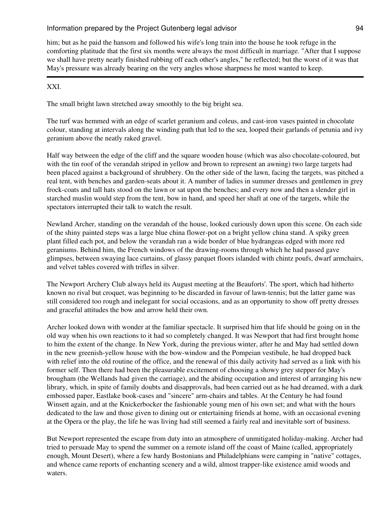him; but as he paid the hansom and followed his wife's long train into the house he took refuge in the comforting platitude that the first six months were always the most difficult in marriage. "After that I suppose we shall have pretty nearly finished rubbing off each other's angles," he reflected; but the worst of it was that May's pressure was already bearing on the very angles whose sharpness he most wanted to keep.

# XXI.

The small bright lawn stretched away smoothly to the big bright sea.

The turf was hemmed with an edge of scarlet geranium and coleus, and cast-iron vases painted in chocolate colour, standing at intervals along the winding path that led to the sea, looped their garlands of petunia and ivy geranium above the neatly raked gravel.

Half way between the edge of the cliff and the square wooden house (which was also chocolate-coloured, but with the tin roof of the verandah striped in yellow and brown to represent an awning) two large targets had been placed against a background of shrubbery. On the other side of the lawn, facing the targets, was pitched a real tent, with benches and garden-seats about it. A number of ladies in summer dresses and gentlemen in grey frock-coats and tall hats stood on the lawn or sat upon the benches; and every now and then a slender girl in starched muslin would step from the tent, bow in hand, and speed her shaft at one of the targets, while the spectators interrupted their talk to watch the result.

Newland Archer, standing on the verandah of the house, looked curiously down upon this scene. On each side of the shiny painted steps was a large blue china flower-pot on a bright yellow china stand. A spiky green plant filled each pot, and below the verandah ran a wide border of blue hydrangeas edged with more red geraniums. Behind him, the French windows of the drawing-rooms through which he had passed gave glimpses, between swaying lace curtains, of glassy parquet floors islanded with chintz poufs, dwarf armchairs, and velvet tables covered with trifles in silver.

The Newport Archery Club always held its August meeting at the Beauforts'. The sport, which had hitherto known no rival but croquet, was beginning to be discarded in favour of lawn-tennis; but the latter game was still considered too rough and inelegant for social occasions, and as an opportunity to show off pretty dresses and graceful attitudes the bow and arrow held their own.

Archer looked down with wonder at the familiar spectacle. It surprised him that life should be going on in the old way when his own reactions to it had so completely changed. It was Newport that had first brought home to him the extent of the change. In New York, during the previous winter, after he and May had settled down in the new greenish-yellow house with the bow-window and the Pompeian vestibule, he had dropped back with relief into the old routine of the office, and the renewal of this daily activity had served as a link with his former self. Then there had been the pleasurable excitement of choosing a showy grey stepper for May's brougham (the Wellands had given the carriage), and the abiding occupation and interest of arranging his new library, which, in spite of family doubts and disapprovals, had been carried out as he had dreamed, with a dark embossed paper, Eastlake book-cases and "sincere" arm-chairs and tables. At the Century he had found Winsett again, and at the Knickerbocker the fashionable young men of his own set; and what with the hours dedicated to the law and those given to dining out or entertaining friends at home, with an occasional evening at the Opera or the play, the life he was living had still seemed a fairly real and inevitable sort of business.

But Newport represented the escape from duty into an atmosphere of unmitigated holiday-making. Archer had tried to persuade May to spend the summer on a remote island off the coast of Maine (called, appropriately enough, Mount Desert), where a few hardy Bostonians and Philadelphians were camping in "native" cottages, and whence came reports of enchanting scenery and a wild, almost trapper-like existence amid woods and waters.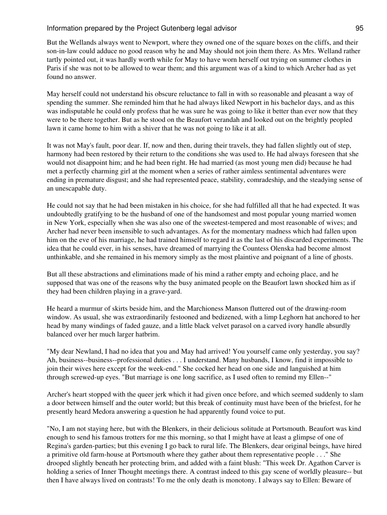But the Wellands always went to Newport, where they owned one of the square boxes on the cliffs, and their son-in-law could adduce no good reason why he and May should not join them there. As Mrs. Welland rather tartly pointed out, it was hardly worth while for May to have worn herself out trying on summer clothes in Paris if she was not to be allowed to wear them; and this argument was of a kind to which Archer had as yet found no answer.

May herself could not understand his obscure reluctance to fall in with so reasonable and pleasant a way of spending the summer. She reminded him that he had always liked Newport in his bachelor days, and as this was indisputable he could only profess that he was sure he was going to like it better than ever now that they were to be there together. But as he stood on the Beaufort verandah and looked out on the brightly peopled lawn it came home to him with a shiver that he was not going to like it at all.

It was not May's fault, poor dear. If, now and then, during their travels, they had fallen slightly out of step, harmony had been restored by their return to the conditions she was used to. He had always foreseen that she would not disappoint him; and he had been right. He had married (as most young men did) because he had met a perfectly charming girl at the moment when a series of rather aimless sentimental adventures were ending in premature disgust; and she had represented peace, stability, comradeship, and the steadying sense of an unescapable duty.

He could not say that he had been mistaken in his choice, for she had fulfilled all that he had expected. It was undoubtedly gratifying to be the husband of one of the handsomest and most popular young married women in New York, especially when she was also one of the sweetest-tempered and most reasonable of wives; and Archer had never been insensible to such advantages. As for the momentary madness which had fallen upon him on the eve of his marriage, he had trained himself to regard it as the last of his discarded experiments. The idea that he could ever, in his senses, have dreamed of marrying the Countess Olenska had become almost unthinkable, and she remained in his memory simply as the most plaintive and poignant of a line of ghosts.

But all these abstractions and eliminations made of his mind a rather empty and echoing place, and he supposed that was one of the reasons why the busy animated people on the Beaufort lawn shocked him as if they had been children playing in a grave-yard.

He heard a murmur of skirts beside him, and the Marchioness Manson fluttered out of the drawing-room window. As usual, she was extraordinarily festooned and bedizened, with a limp Leghorn hat anchored to her head by many windings of faded gauze, and a little black velvet parasol on a carved ivory handle absurdly balanced over her much larger hatbrim.

"My dear Newland, I had no idea that you and May had arrived! You yourself came only yesterday, you say? Ah, business--business--professional duties . . . I understand. Many husbands, I know, find it impossible to join their wives here except for the week-end." She cocked her head on one side and languished at him through screwed-up eyes. "But marriage is one long sacrifice, as I used often to remind my Ellen--"

Archer's heart stopped with the queer jerk which it had given once before, and which seemed suddenly to slam a door between himself and the outer world; but this break of continuity must have been of the briefest, for he presently heard Medora answering a question he had apparently found voice to put.

"No, I am not staying here, but with the Blenkers, in their delicious solitude at Portsmouth. Beaufort was kind enough to send his famous trotters for me this morning, so that I might have at least a glimpse of one of Regina's garden-parties; but this evening I go back to rural life. The Blenkers, dear original beings, have hired a primitive old farm-house at Portsmouth where they gather about them representative people . . ." She drooped slightly beneath her protecting brim, and added with a faint blush: "This week Dr. Agathon Carver is holding a series of Inner Thought meetings there. A contrast indeed to this gay scene of worldly pleasure-- but then I have always lived on contrasts! To me the only death is monotony. I always say to Ellen: Beware of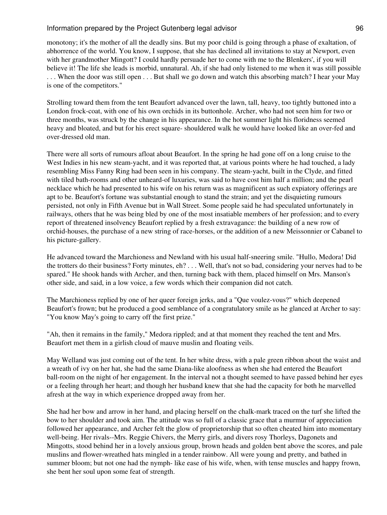monotony; it's the mother of all the deadly sins. But my poor child is going through a phase of exaltation, of abhorrence of the world. You know, I suppose, that she has declined all invitations to stay at Newport, even with her grandmother Mingott? I could hardly persuade her to come with me to the Blenkers', if you will believe it! The life she leads is morbid, unnatural. Ah, if she had only listened to me when it was still possible . . . When the door was still open . . . But shall we go down and watch this absorbing match? I hear your May is one of the competitors."

Strolling toward them from the tent Beaufort advanced over the lawn, tall, heavy, too tightly buttoned into a London frock-coat, with one of his own orchids in its buttonhole. Archer, who had not seen him for two or three months, was struck by the change in his appearance. In the hot summer light his floridness seemed heavy and bloated, and but for his erect square- shouldered walk he would have looked like an over-fed and over-dressed old man.

There were all sorts of rumours afloat about Beaufort. In the spring he had gone off on a long cruise to the West Indies in his new steam-yacht, and it was reported that, at various points where he had touched, a lady resembling Miss Fanny Ring had been seen in his company. The steam-yacht, built in the Clyde, and fitted with tiled bath-rooms and other unheard-of luxuries, was said to have cost him half a million; and the pearl necklace which he had presented to his wife on his return was as magnificent as such expiatory offerings are apt to be. Beaufort's fortune was substantial enough to stand the strain; and yet the disquieting rumours persisted, not only in Fifth Avenue but in Wall Street. Some people said he had speculated unfortunately in railways, others that he was being bled by one of the most insatiable members of her profession; and to every report of threatened insolvency Beaufort replied by a fresh extravagance: the building of a new row of orchid-houses, the purchase of a new string of race-horses, or the addition of a new Meissonnier or Cabanel to his picture-gallery.

He advanced toward the Marchioness and Newland with his usual half-sneering smile. "Hullo, Medora! Did the trotters do their business? Forty minutes, eh? . . . Well, that's not so bad, considering your nerves had to be spared." He shook hands with Archer, and then, turning back with them, placed himself on Mrs. Manson's other side, and said, in a low voice, a few words which their companion did not catch.

The Marchioness replied by one of her queer foreign jerks, and a "Que voulez-vous?" which deepened Beaufort's frown; but he produced a good semblance of a congratulatory smile as he glanced at Archer to say: "You know May's going to carry off the first prize."

"Ah, then it remains in the family," Medora rippled; and at that moment they reached the tent and Mrs. Beaufort met them in a girlish cloud of mauve muslin and floating veils.

May Welland was just coming out of the tent. In her white dress, with a pale green ribbon about the waist and a wreath of ivy on her hat, she had the same Diana-like aloofness as when she had entered the Beaufort ball-room on the night of her engagement. In the interval not a thought seemed to have passed behind her eyes or a feeling through her heart; and though her husband knew that she had the capacity for both he marvelled afresh at the way in which experience dropped away from her.

She had her bow and arrow in her hand, and placing herself on the chalk-mark traced on the turf she lifted the bow to her shoulder and took aim. The attitude was so full of a classic grace that a murmur of appreciation followed her appearance, and Archer felt the glow of proprietorship that so often cheated him into momentary well-being. Her rivals--Mrs. Reggie Chivers, the Merry girls, and divers rosy Thorleys, Dagonets and Mingotts, stood behind her in a lovely anxious group, brown heads and golden bent above the scores, and pale muslins and flower-wreathed hats mingled in a tender rainbow. All were young and pretty, and bathed in summer bloom; but not one had the nymph- like ease of his wife, when, with tense muscles and happy frown, she bent her soul upon some feat of strength.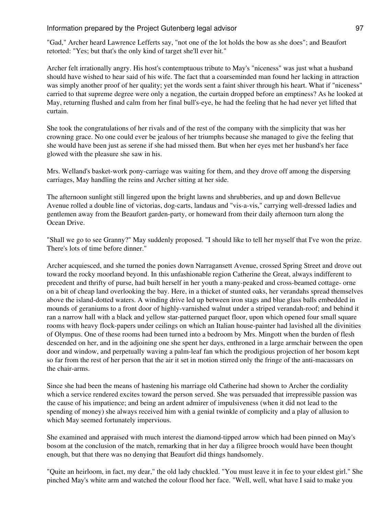"Gad," Archer heard Lawrence Lefferts say, "not one of the lot holds the bow as she does"; and Beaufort retorted: "Yes; but that's the only kind of target she'll ever hit."

Archer felt irrationally angry. His host's contemptuous tribute to May's "niceness" was just what a husband should have wished to hear said of his wife. The fact that a coarseminded man found her lacking in attraction was simply another proof of her quality; yet the words sent a faint shiver through his heart. What if "niceness" carried to that supreme degree were only a negation, the curtain dropped before an emptiness? As he looked at May, returning flushed and calm from her final bull's-eye, he had the feeling that he had never yet lifted that curtain.

She took the congratulations of her rivals and of the rest of the company with the simplicity that was her crowning grace. No one could ever be jealous of her triumphs because she managed to give the feeling that she would have been just as serene if she had missed them. But when her eyes met her husband's her face glowed with the pleasure she saw in his.

Mrs. Welland's basket-work pony-carriage was waiting for them, and they drove off among the dispersing carriages, May handling the reins and Archer sitting at her side.

The afternoon sunlight still lingered upon the bright lawns and shrubberies, and up and down Bellevue Avenue rolled a double line of victorias, dog-carts, landaus and "vis-a-vis," carrying well-dressed ladies and gentlemen away from the Beaufort garden-party, or homeward from their daily afternoon turn along the Ocean Drive.

"Shall we go to see Granny?" May suddenly proposed. "I should like to tell her myself that I've won the prize. There's lots of time before dinner."

Archer acquiesced, and she turned the ponies down Narragansett Avenue, crossed Spring Street and drove out toward the rocky moorland beyond. In this unfashionable region Catherine the Great, always indifferent to precedent and thrifty of purse, had built herself in her youth a many-peaked and cross-beamed cottage- orne on a bit of cheap land overlooking the bay. Here, in a thicket of stunted oaks, her verandahs spread themselves above the island-dotted waters. A winding drive led up between iron stags and blue glass balls embedded in mounds of geraniums to a front door of highly-varnished walnut under a striped verandah-roof; and behind it ran a narrow hall with a black and yellow star-patterned parquet floor, upon which opened four small square rooms with heavy flock-papers under ceilings on which an Italian house-painter had lavished all the divinities of Olympus. One of these rooms had been turned into a bedroom by Mrs. Mingott when the burden of flesh descended on her, and in the adjoining one she spent her days, enthroned in a large armchair between the open door and window, and perpetually waving a palm-leaf fan which the prodigious projection of her bosom kept so far from the rest of her person that the air it set in motion stirred only the fringe of the anti-macassars on the chair-arms.

Since she had been the means of hastening his marriage old Catherine had shown to Archer the cordiality which a service rendered excites toward the person served. She was persuaded that irrepressible passion was the cause of his impatience; and being an ardent admirer of impulsiveness (when it did not lead to the spending of money) she always received him with a genial twinkle of complicity and a play of allusion to which May seemed fortunately impervious.

She examined and appraised with much interest the diamond-tipped arrow which had been pinned on May's bosom at the conclusion of the match, remarking that in her day a filigree brooch would have been thought enough, but that there was no denying that Beaufort did things handsomely.

"Quite an heirloom, in fact, my dear," the old lady chuckled. "You must leave it in fee to your eldest girl." She pinched May's white arm and watched the colour flood her face. "Well, well, what have I said to make you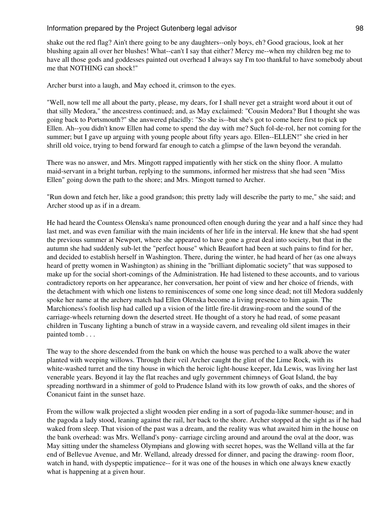shake out the red flag? Ain't there going to be any daughters--only boys, eh? Good gracious, look at her blushing again all over her blushes! What--can't I say that either? Mercy me--when my children beg me to have all those gods and goddesses painted out overhead I always say I'm too thankful to have somebody about me that NOTHING can shock!"

Archer burst into a laugh, and May echoed it, crimson to the eyes.

"Well, now tell me all about the party, please, my dears, for I shall never get a straight word about it out of that silly Medora," the ancestress continued; and, as May exclaimed: "Cousin Medora? But I thought she was going back to Portsmouth?" she answered placidly: "So she is--but she's got to come here first to pick up Ellen. Ah--you didn't know Ellen had come to spend the day with me? Such fol-de-rol, her not coming for the summer; but I gave up arguing with young people about fifty years ago. Ellen--ELLEN!" she cried in her shrill old voice, trying to bend forward far enough to catch a glimpse of the lawn beyond the verandah.

There was no answer, and Mrs. Mingott rapped impatiently with her stick on the shiny floor. A mulatto maid-servant in a bright turban, replying to the summons, informed her mistress that she had seen "Miss Ellen" going down the path to the shore; and Mrs. Mingott turned to Archer.

"Run down and fetch her, like a good grandson; this pretty lady will describe the party to me," she said; and Archer stood up as if in a dream.

He had heard the Countess Olenska's name pronounced often enough during the year and a half since they had last met, and was even familiar with the main incidents of her life in the interval. He knew that she had spent the previous summer at Newport, where she appeared to have gone a great deal into society, but that in the autumn she had suddenly sub-let the "perfect house" which Beaufort had been at such pains to find for her, and decided to establish herself in Washington. There, during the winter, he had heard of her (as one always heard of pretty women in Washington) as shining in the "brilliant diplomatic society" that was supposed to make up for the social short-comings of the Administration. He had listened to these accounts, and to various contradictory reports on her appearance, her conversation, her point of view and her choice of friends, with the detachment with which one listens to reminiscences of some one long since dead; not till Medora suddenly spoke her name at the archery match had Ellen Olenska become a living presence to him again. The Marchioness's foolish lisp had called up a vision of the little fire-lit drawing-room and the sound of the carriage-wheels returning down the deserted street. He thought of a story he had read, of some peasant children in Tuscany lighting a bunch of straw in a wayside cavern, and revealing old silent images in their painted tomb . . .

The way to the shore descended from the bank on which the house was perched to a walk above the water planted with weeping willows. Through their veil Archer caught the glint of the Lime Rock, with its white-washed turret and the tiny house in which the heroic light-house keeper, Ida Lewis, was living her last venerable years. Beyond it lay the flat reaches and ugly government chimneys of Goat Island, the bay spreading northward in a shimmer of gold to Prudence Island with its low growth of oaks, and the shores of Conanicut faint in the sunset haze.

From the willow walk projected a slight wooden pier ending in a sort of pagoda-like summer-house; and in the pagoda a lady stood, leaning against the rail, her back to the shore. Archer stopped at the sight as if he had waked from sleep. That vision of the past was a dream, and the reality was what awaited him in the house on the bank overhead: was Mrs. Welland's pony- carriage circling around and around the oval at the door, was May sitting under the shameless Olympians and glowing with secret hopes, was the Welland villa at the far end of Bellevue Avenue, and Mr. Welland, already dressed for dinner, and pacing the drawing- room floor, watch in hand, with dyspeptic impatience-- for it was one of the houses in which one always knew exactly what is happening at a given hour.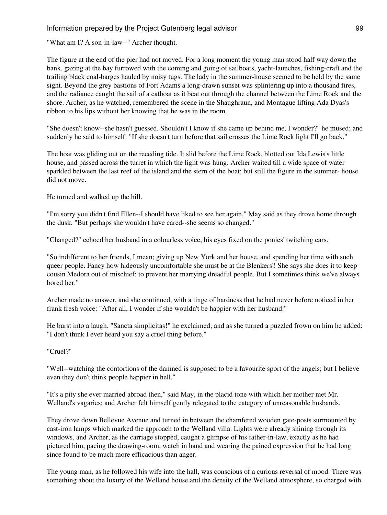"What am I? A son-in-law--" Archer thought.

The figure at the end of the pier had not moved. For a long moment the young man stood half way down the bank, gazing at the bay furrowed with the coming and going of sailboats, yacht-launches, fishing-craft and the trailing black coal-barges hauled by noisy tugs. The lady in the summer-house seemed to be held by the same sight. Beyond the grey bastions of Fort Adams a long-drawn sunset was splintering up into a thousand fires, and the radiance caught the sail of a catboat as it beat out through the channel between the Lime Rock and the shore. Archer, as he watched, remembered the scene in the Shaughraun, and Montague lifting Ada Dyas's ribbon to his lips without her knowing that he was in the room.

"She doesn't know--she hasn't guessed. Shouldn't I know if she came up behind me, I wonder?" he mused; and suddenly he said to himself: "If she doesn't turn before that sail crosses the Lime Rock light I'll go back."

The boat was gliding out on the receding tide. It slid before the Lime Rock, blotted out Ida Lewis's little house, and passed across the turret in which the light was hung. Archer waited till a wide space of water sparkled between the last reef of the island and the stern of the boat; but still the figure in the summer- house did not move.

He turned and walked up the hill.

"I'm sorry you didn't find Ellen--I should have liked to see her again," May said as they drove home through the dusk. "But perhaps she wouldn't have cared--she seems so changed."

"Changed?" echoed her husband in a colourless voice, his eyes fixed on the ponies' twitching ears.

"So indifferent to her friends, I mean; giving up New York and her house, and spending her time with such queer people. Fancy how hideously uncomfortable she must be at the Blenkers'! She says she does it to keep cousin Medora out of mischief: to prevent her marrying dreadful people. But I sometimes think we've always bored her."

Archer made no answer, and she continued, with a tinge of hardness that he had never before noticed in her frank fresh voice: "After all, I wonder if she wouldn't be happier with her husband."

He burst into a laugh. "Sancta simplicitas!" he exclaimed; and as she turned a puzzled frown on him he added: "I don't think I ever heard you say a cruel thing before."

"Cruel?"

"Well--watching the contortions of the damned is supposed to be a favourite sport of the angels; but I believe even they don't think people happier in hell."

"It's a pity she ever married abroad then," said May, in the placid tone with which her mother met Mr. Welland's vagaries; and Archer felt himself gently relegated to the category of unreasonable husbands.

They drove down Bellevue Avenue and turned in between the chamfered wooden gate-posts surmounted by cast-iron lamps which marked the approach to the Welland villa. Lights were already shining through its windows, and Archer, as the carriage stopped, caught a glimpse of his father-in-law, exactly as he had pictured him, pacing the drawing-room, watch in hand and wearing the pained expression that he had long since found to be much more efficacious than anger.

The young man, as he followed his wife into the hall, was conscious of a curious reversal of mood. There was something about the luxury of the Welland house and the density of the Welland atmosphere, so charged with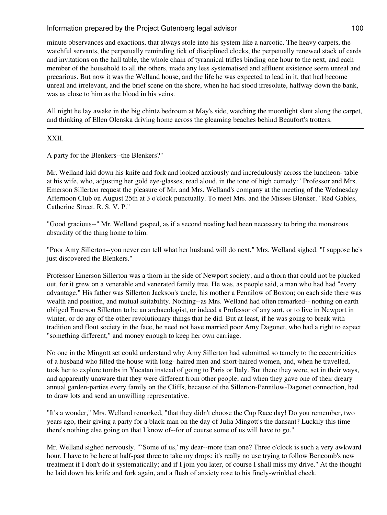minute observances and exactions, that always stole into his system like a narcotic. The heavy carpets, the watchful servants, the perpetually reminding tick of disciplined clocks, the perpetually renewed stack of cards and invitations on the hall table, the whole chain of tyrannical trifles binding one hour to the next, and each member of the household to all the others, made any less systematised and affluent existence seem unreal and precarious. But now it was the Welland house, and the life he was expected to lead in it, that had become unreal and irrelevant, and the brief scene on the shore, when he had stood irresolute, halfway down the bank, was as close to him as the blood in his veins.

All night he lay awake in the big chintz bedroom at May's side, watching the moonlight slant along the carpet, and thinking of Ellen Olenska driving home across the gleaming beaches behind Beaufort's trotters.

#### XXII.

A party for the Blenkers--the Blenkers?"

Mr. Welland laid down his knife and fork and looked anxiously and incredulously across the luncheon- table at his wife, who, adjusting her gold eye-glasses, read aloud, in the tone of high comedy: "Professor and Mrs. Emerson Sillerton request the pleasure of Mr. and Mrs. Welland's company at the meeting of the Wednesday Afternoon Club on August 25th at 3 o'clock punctually. To meet Mrs. and the Misses Blenker. "Red Gables, Catherine Street. R. S. V. P."

"Good gracious--" Mr. Welland gasped, as if a second reading had been necessary to bring the monstrous absurdity of the thing home to him.

"Poor Amy Sillerton--you never can tell what her husband will do next," Mrs. Welland sighed. "I suppose he's just discovered the Blenkers."

Professor Emerson Sillerton was a thorn in the side of Newport society; and a thorn that could not be plucked out, for it grew on a venerable and venerated family tree. He was, as people said, a man who had had "every advantage." His father was Sillerton Jackson's uncle, his mother a Pennilow of Boston; on each side there was wealth and position, and mutual suitability. Nothing--as Mrs. Welland had often remarked-- nothing on earth obliged Emerson Sillerton to be an archaeologist, or indeed a Professor of any sort, or to live in Newport in winter, or do any of the other revolutionary things that he did. But at least, if he was going to break with tradition and flout society in the face, he need not have married poor Amy Dagonet, who had a right to expect "something different," and money enough to keep her own carriage.

No one in the Mingott set could understand why Amy Sillerton had submitted so tamely to the eccentricities of a husband who filled the house with long- haired men and short-haired women, and, when he travelled, took her to explore tombs in Yucatan instead of going to Paris or Italy. But there they were, set in their ways, and apparently unaware that they were different from other people; and when they gave one of their dreary annual garden-parties every family on the Cliffs, because of the Sillerton-Pennilow-Dagonet connection, had to draw lots and send an unwilling representative.

"It's a wonder," Mrs. Welland remarked, "that they didn't choose the Cup Race day! Do you remember, two years ago, their giving a party for a black man on the day of Julia Mingott's the dansant? Luckily this time there's nothing else going on that I know of--for of course some of us will have to go."

Mr. Welland sighed nervously. "`Some of us,' my dear--more than one? Three o'clock is such a very awkward hour. I have to be here at half-past three to take my drops: it's really no use trying to follow Bencomb's new treatment if I don't do it systematically; and if I join you later, of course I shall miss my drive." At the thought he laid down his knife and fork again, and a flush of anxiety rose to his finely-wrinkled cheek.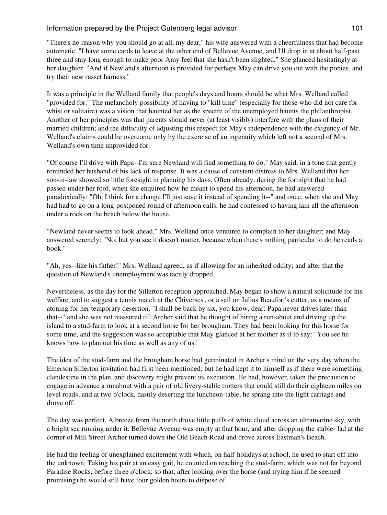"There's no reason why you should go at all, my dear," his wife answered with a cheerfulness that had become automatic. "I have some cards to leave at the other end of Bellevue Avenue, and I'll drop in at about half-past three and stay long enough to make poor Amy feel that she hasn't been slighted." She glanced hesitatingly at her daughter. "And if Newland's afternoon is provided for perhaps May can drive you out with the ponies, and try their new russet harness."

It was a principle in the Welland family that people's days and hours should be what Mrs. Welland called "provided for." The melancholy possibility of having to "kill time" (especially for those who did not care for whist or solitaire) was a vision that haunted her as the spectre of the unemployed haunts the philanthropist. Another of her principles was that parents should never (at least visibly) interfere with the plans of their married children; and the difficulty of adjusting this respect for May's independence with the exigency of Mr. Welland's claims could be overcome only by the exercise of an ingenuity which left not a second of Mrs. Welland's own time unprovided for.

"Of course I'll drive with Papa--I'm sure Newland will find something to do," May said, in a tone that gently reminded her husband of his lack of response. It was a cause of constant distress to Mrs. Welland that her son-in-law showed so little foresight in planning his days. Often already, during the fortnight that he had passed under her roof, when she enquired how he meant to spend his afternoon, he had answered paradoxically: "Oh, I think for a change I'll just save it instead of spending it--" and once, when she and May had had to go on a long-postponed round of afternoon calls, he had confessed to having lain all the afternoon under a rock on the beach below the house.

"Newland never seems to look ahead," Mrs. Welland once ventured to complain to her daughter; and May answered serenely: "No; but you see it doesn't matter, because when there's nothing particular to do he reads a book."

"Ah, yes--like his father!" Mrs. Welland agreed, as if allowing for an inherited oddity; and after that the question of Newland's unemployment was tacitly dropped.

Nevertheless, as the day for the Sillerton reception approached, May began to show a natural solicitude for his welfare, and to suggest a tennis match at the Chiverses', or a sail on Julius Beaufort's cutter, as a means of atoning for her temporary desertion. "I shall be back by six, you know, dear: Papa never drives later than that--" and she was not reassured till Archer said that he thought of hiring a run-about and driving up the island to a stud-farm to look at a second horse for her brougham. They had been looking for this horse for some time, and the suggestion was so acceptable that May glanced at her mother as if to say: "You see he knows how to plan out his time as well as any of us."

The idea of the stud-farm and the brougham horse had germinated in Archer's mind on the very day when the Emerson Sillerton invitation had first been mentioned; but he had kept it to himself as if there were something clandestine in the plan, and discovery might prevent its execution. He had, however, taken the precaution to engage in advance a runabout with a pair of old livery-stable trotters that could still do their eighteen miles on level roads; and at two o'clock, hastily deserting the luncheon-table, he sprang into the light carriage and drove off.

The day was perfect. A breeze from the north drove little puffs of white cloud across an ultramarine sky, with a bright sea running under it. Bellevue Avenue was empty at that hour, and after dropping the stable- lad at the corner of Mill Street Archer turned down the Old Beach Road and drove across Eastman's Beach.

He had the feeling of unexplained excitement with which, on half-holidays at school, he used to start off into the unknown. Taking his pair at an easy gait, he counted on reaching the stud-farm, which was not far beyond Paradise Rocks, before three o'clock; so that, after looking over the horse (and trying him if he seemed promising) he would still have four golden hours to dispose of.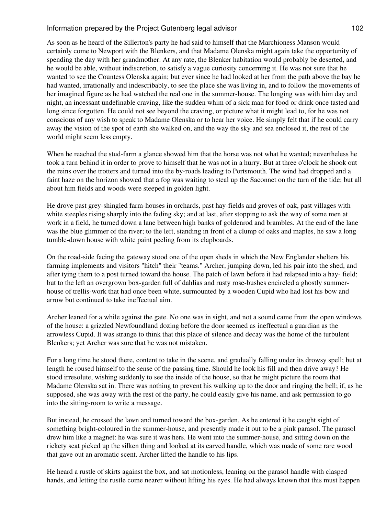As soon as he heard of the Sillerton's party he had said to himself that the Marchioness Manson would certainly come to Newport with the Blenkers, and that Madame Olenska might again take the opportunity of spending the day with her grandmother. At any rate, the Blenker habitation would probably be deserted, and he would be able, without indiscretion, to satisfy a vague curiosity concerning it. He was not sure that he wanted to see the Countess Olenska again; but ever since he had looked at her from the path above the bay he had wanted, irrationally and indescribably, to see the place she was living in, and to follow the movements of her imagined figure as he had watched the real one in the summer-house. The longing was with him day and night, an incessant undefinable craving, like the sudden whim of a sick man for food or drink once tasted and long since forgotten. He could not see beyond the craving, or picture what it might lead to, for he was not conscious of any wish to speak to Madame Olenska or to hear her voice. He simply felt that if he could carry away the vision of the spot of earth she walked on, and the way the sky and sea enclosed it, the rest of the world might seem less empty.

When he reached the stud-farm a glance showed him that the horse was not what he wanted; nevertheless he took a turn behind it in order to prove to himself that he was not in a hurry. But at three o'clock he shook out the reins over the trotters and turned into the by-roads leading to Portsmouth. The wind had dropped and a faint haze on the horizon showed that a fog was waiting to steal up the Saconnet on the turn of the tide; but all about him fields and woods were steeped in golden light.

He drove past grey-shingled farm-houses in orchards, past hay-fields and groves of oak, past villages with white steeples rising sharply into the fading sky; and at last, after stopping to ask the way of some men at work in a field, he turned down a lane between high banks of goldenrod and brambles. At the end of the lane was the blue glimmer of the river; to the left, standing in front of a clump of oaks and maples, he saw a long tumble-down house with white paint peeling from its clapboards.

On the road-side facing the gateway stood one of the open sheds in which the New Englander shelters his farming implements and visitors "hitch" their "teams." Archer, jumping down, led his pair into the shed, and after tying them to a post turned toward the house. The patch of lawn before it had relapsed into a hay- field; but to the left an overgrown box-garden full of dahlias and rusty rose-bushes encircled a ghostly summerhouse of trellis-work that had once been white, surmounted by a wooden Cupid who had lost his bow and arrow but continued to take ineffectual aim.

Archer leaned for a while against the gate. No one was in sight, and not a sound came from the open windows of the house: a grizzled Newfoundland dozing before the door seemed as ineffectual a guardian as the arrowless Cupid. It was strange to think that this place of silence and decay was the home of the turbulent Blenkers; yet Archer was sure that he was not mistaken.

For a long time he stood there, content to take in the scene, and gradually falling under its drowsy spell; but at length he roused himself to the sense of the passing time. Should he look his fill and then drive away? He stood irresolute, wishing suddenly to see the inside of the house, so that he might picture the room that Madame Olenska sat in. There was nothing to prevent his walking up to the door and ringing the bell; if, as he supposed, she was away with the rest of the party, he could easily give his name, and ask permission to go into the sitting-room to write a message.

But instead, he crossed the lawn and turned toward the box-garden. As he entered it he caught sight of something bright-coloured in the summer-house, and presently made it out to be a pink parasol. The parasol drew him like a magnet: he was sure it was hers. He went into the summer-house, and sitting down on the rickety seat picked up the silken thing and looked at its carved handle, which was made of some rare wood that gave out an aromatic scent. Archer lifted the handle to his lips.

He heard a rustle of skirts against the box, and sat motionless, leaning on the parasol handle with clasped hands, and letting the rustle come nearer without lifting his eyes. He had always known that this must happen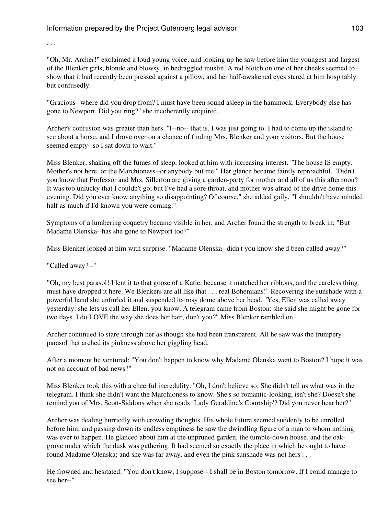. . .

"Oh, Mr. Archer!" exclaimed a loud young voice; and looking up he saw before him the youngest and largest of the Blenker girls, blonde and blowsy, in bedraggled muslin. A red blotch on one of her cheeks seemed to show that it had recently been pressed against a pillow, and her half-awakened eyes stared at him hospitably but confusedly.

"Gracious--where did you drop from? I must have been sound asleep in the hammock. Everybody else has gone to Newport. Did you ring?" she incoherently enquired.

Archer's confusion was greater than hers. "I--no-- that is, I was just going to. I had to come up the island to see about a horse, and I drove over on a chance of finding Mrs. Blenker and your visitors. But the house seemed empty--so I sat down to wait."

Miss Blenker, shaking off the fumes of sleep, looked at him with increasing interest. "The house IS empty. Mother's not here, or the Marchioness--or anybody but me." Her glance became faintly reproachful. "Didn't you know that Professor and Mrs. Sillerton are giving a garden-party for mother and all of us this afternoon? It was too unlucky that I couldn't go; but I've had a sore throat, and mother was afraid of the drive home this evening. Did you ever know anything so disappointing? Of course," she added gaily, "I shouldn't have minded half as much if I'd known you were coming."

Symptoms of a lumbering coquetry became visible in her, and Archer found the strength to break in: "But Madame Olenska--has she gone to Newport too?"

Miss Blenker looked at him with surprise. "Madame Olenska--didn't you know she'd been called away?"

"Called away?--"

"Oh, my best parasol! I lent it to that goose of a Katie, because it matched her ribbons, and the careless thing must have dropped it here. We Blenkers are all like that . . . real Bohemians!" Recovering the sunshade with a powerful hand she unfurled it and suspended its rosy dome above her head. "Yes, Ellen was called away yesterday: she lets us call her Ellen, you know. A telegram came from Boston: she said she might be gone for two days. I do LOVE the way she does her hair, don't you?" Miss Blenker rambled on.

Archer continued to stare through her as though she had been transparent. All he saw was the trumpery parasol that arched its pinkness above her giggling head.

After a moment he ventured: "You don't happen to know why Madame Olenska went to Boston? I hope it was not on account of bad news?"

Miss Blenker took this with a cheerful incredulity. "Oh, I don't believe so. She didn't tell us what was in the telegram. I think she didn't want the Marchioness to know. She's so romantic-looking, isn't she? Doesn't she remind you of Mrs. Scott-Siddons when she reads `Lady Geraldine's Courtship'? Did you never hear her?"

Archer was dealing hurriedly with crowding thoughts. His whole future seemed suddenly to be unrolled before him; and passing down its endless emptiness he saw the dwindling figure of a man to whom nothing was ever to happen. He glanced about him at the unpruned garden, the tumble-down house, and the oakgrove under which the dusk was gathering. It had seemed so exactly the place in which he ought to have found Madame Olenska; and she was far away, and even the pink sunshade was not hers . . .

He frowned and hesitated. "You don't know, I suppose-- I shall be in Boston tomorrow. If I could manage to see her--"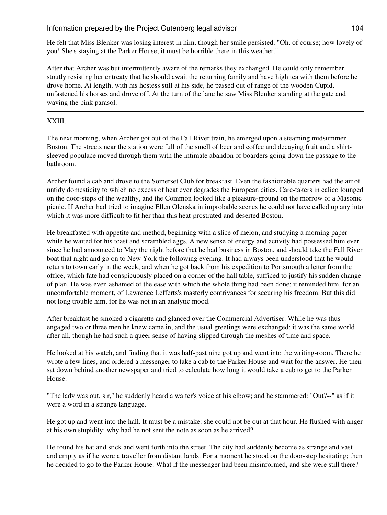He felt that Miss Blenker was losing interest in him, though her smile persisted. "Oh, of course; how lovely of you! She's staying at the Parker House; it must be horrible there in this weather."

After that Archer was but intermittently aware of the remarks they exchanged. He could only remember stoutly resisting her entreaty that he should await the returning family and have high tea with them before he drove home. At length, with his hostess still at his side, he passed out of range of the wooden Cupid, unfastened his horses and drove off. At the turn of the lane he saw Miss Blenker standing at the gate and waving the pink parasol.

## XXIII.

The next morning, when Archer got out of the Fall River train, he emerged upon a steaming midsummer Boston. The streets near the station were full of the smell of beer and coffee and decaying fruit and a shirtsleeved populace moved through them with the intimate abandon of boarders going down the passage to the bathroom.

Archer found a cab and drove to the Somerset Club for breakfast. Even the fashionable quarters had the air of untidy domesticity to which no excess of heat ever degrades the European cities. Care-takers in calico lounged on the door-steps of the wealthy, and the Common looked like a pleasure-ground on the morrow of a Masonic picnic. If Archer had tried to imagine Ellen Olenska in improbable scenes he could not have called up any into which it was more difficult to fit her than this heat-prostrated and deserted Boston.

He breakfasted with appetite and method, beginning with a slice of melon, and studying a morning paper while he waited for his toast and scrambled eggs. A new sense of energy and activity had possessed him ever since he had announced to May the night before that he had business in Boston, and should take the Fall River boat that night and go on to New York the following evening. It had always been understood that he would return to town early in the week, and when he got back from his expedition to Portsmouth a letter from the office, which fate had conspicuously placed on a corner of the hall table, sufficed to justify his sudden change of plan. He was even ashamed of the ease with which the whole thing had been done: it reminded him, for an uncomfortable moment, of Lawrence Lefferts's masterly contrivances for securing his freedom. But this did not long trouble him, for he was not in an analytic mood.

After breakfast he smoked a cigarette and glanced over the Commercial Advertiser. While he was thus engaged two or three men he knew came in, and the usual greetings were exchanged: it was the same world after all, though he had such a queer sense of having slipped through the meshes of time and space.

He looked at his watch, and finding that it was half-past nine got up and went into the writing-room. There he wrote a few lines, and ordered a messenger to take a cab to the Parker House and wait for the answer. He then sat down behind another newspaper and tried to calculate how long it would take a cab to get to the Parker House.

"The lady was out, sir," he suddenly heard a waiter's voice at his elbow; and he stammered: "Out?--" as if it were a word in a strange language.

He got up and went into the hall. It must be a mistake: she could not be out at that hour. He flushed with anger at his own stupidity: why had he not sent the note as soon as he arrived?

He found his hat and stick and went forth into the street. The city had suddenly become as strange and vast and empty as if he were a traveller from distant lands. For a moment he stood on the door-step hesitating; then he decided to go to the Parker House. What if the messenger had been misinformed, and she were still there?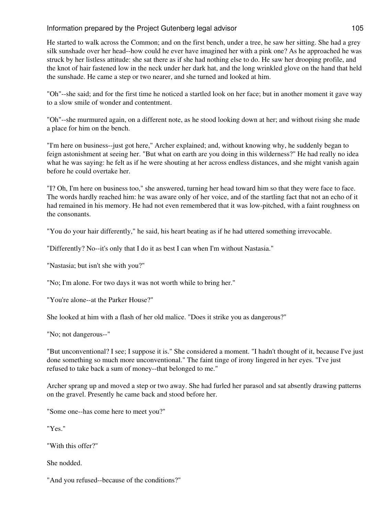He started to walk across the Common; and on the first bench, under a tree, he saw her sitting. She had a grey silk sunshade over her head--how could he ever have imagined her with a pink one? As he approached he was struck by her listless attitude: she sat there as if she had nothing else to do. He saw her drooping profile, and the knot of hair fastened low in the neck under her dark hat, and the long wrinkled glove on the hand that held the sunshade. He came a step or two nearer, and she turned and looked at him.

"Oh"--she said; and for the first time he noticed a startled look on her face; but in another moment it gave way to a slow smile of wonder and contentment.

"Oh"--she murmured again, on a different note, as he stood looking down at her; and without rising she made a place for him on the bench.

"I'm here on business--just got here," Archer explained; and, without knowing why, he suddenly began to feign astonishment at seeing her. "But what on earth are you doing in this wilderness?" He had really no idea what he was saying: he felt as if he were shouting at her across endless distances, and she might vanish again before he could overtake her.

"I? Oh, I'm here on business too," she answered, turning her head toward him so that they were face to face. The words hardly reached him: he was aware only of her voice, and of the startling fact that not an echo of it had remained in his memory. He had not even remembered that it was low-pitched, with a faint roughness on the consonants.

"You do your hair differently," he said, his heart beating as if he had uttered something irrevocable.

"Differently? No--it's only that I do it as best I can when I'm without Nastasia."

"Nastasia; but isn't she with you?"

"No; I'm alone. For two days it was not worth while to bring her."

"You're alone--at the Parker House?"

She looked at him with a flash of her old malice. "Does it strike you as dangerous?"

"No; not dangerous--"

"But unconventional? I see; I suppose it is." She considered a moment. "I hadn't thought of it, because I've just done something so much more unconventional." The faint tinge of irony lingered in her eyes. "I've just refused to take back a sum of money--that belonged to me."

Archer sprang up and moved a step or two away. She had furled her parasol and sat absently drawing patterns on the gravel. Presently he came back and stood before her.

"Some one--has come here to meet you?"

"Yes."

"With this offer?"

She nodded.

"And you refused--because of the conditions?"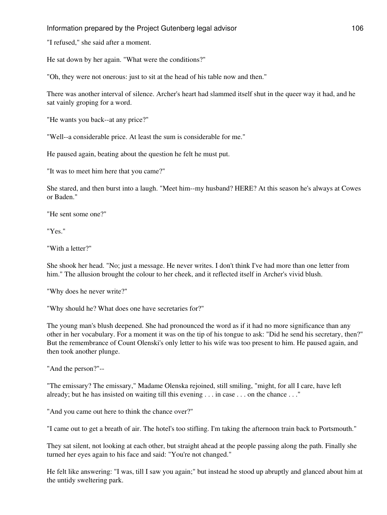"I refused," she said after a moment.

He sat down by her again. "What were the conditions?"

"Oh, they were not onerous: just to sit at the head of his table now and then."

There was another interval of silence. Archer's heart had slammed itself shut in the queer way it had, and he sat vainly groping for a word.

"He wants you back--at any price?"

"Well--a considerable price. At least the sum is considerable for me."

He paused again, beating about the question he felt he must put.

"It was to meet him here that you came?"

She stared, and then burst into a laugh. "Meet him--my husband? HERE? At this season he's always at Cowes or Baden."

"He sent some one?"

"Yes."

"With a letter?"

She shook her head. "No; just a message. He never writes. I don't think I've had more than one letter from him." The allusion brought the colour to her cheek, and it reflected itself in Archer's vivid blush.

"Why does he never write?"

"Why should he? What does one have secretaries for?"

The young man's blush deepened. She had pronounced the word as if it had no more significance than any other in her vocabulary. For a moment it was on the tip of his tongue to ask: "Did he send his secretary, then?" But the remembrance of Count Olenski's only letter to his wife was too present to him. He paused again, and then took another plunge.

"And the person?"--

"The emissary? The emissary," Madame Olenska rejoined, still smiling, "might, for all I care, have left already; but he has insisted on waiting till this evening . . . in case . . . on the chance . . ."

"And you came out here to think the chance over?"

"I came out to get a breath of air. The hotel's too stifling. I'm taking the afternoon train back to Portsmouth."

They sat silent, not looking at each other, but straight ahead at the people passing along the path. Finally she turned her eyes again to his face and said: "You're not changed."

He felt like answering: "I was, till I saw you again;" but instead he stood up abruptly and glanced about him at the untidy sweltering park.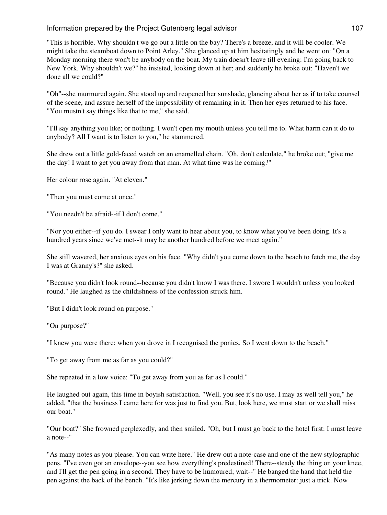"This is horrible. Why shouldn't we go out a little on the bay? There's a breeze, and it will be cooler. We might take the steamboat down to Point Arley." She glanced up at him hesitatingly and he went on: "On a Monday morning there won't be anybody on the boat. My train doesn't leave till evening: I'm going back to New York. Why shouldn't we?" he insisted, looking down at her; and suddenly he broke out: "Haven't we done all we could?"

"Oh"--she murmured again. She stood up and reopened her sunshade, glancing about her as if to take counsel of the scene, and assure herself of the impossibility of remaining in it. Then her eyes returned to his face. "You mustn't say things like that to me," she said.

"I'll say anything you like; or nothing. I won't open my mouth unless you tell me to. What harm can it do to anybody? All I want is to listen to you," he stammered.

She drew out a little gold-faced watch on an enamelled chain. "Oh, don't calculate," he broke out; "give me the day! I want to get you away from that man. At what time was he coming?"

Her colour rose again. "At eleven."

"Then you must come at once."

"You needn't be afraid--if I don't come."

"Nor you either--if you do. I swear I only want to hear about you, to know what you've been doing. It's a hundred years since we've met--it may be another hundred before we meet again."

She still wavered, her anxious eyes on his face. "Why didn't you come down to the beach to fetch me, the day I was at Granny's?" she asked.

"Because you didn't look round--because you didn't know I was there. I swore I wouldn't unless you looked round." He laughed as the childishness of the confession struck him.

"But I didn't look round on purpose."

"On purpose?"

"I knew you were there; when you drove in I recognised the ponies. So I went down to the beach."

"To get away from me as far as you could?"

She repeated in a low voice: "To get away from you as far as I could."

He laughed out again, this time in boyish satisfaction. "Well, you see it's no use. I may as well tell you," he added, "that the business I came here for was just to find you. But, look here, we must start or we shall miss our boat."

"Our boat?" She frowned perplexedly, and then smiled. "Oh, but I must go back to the hotel first: I must leave a note--"

"As many notes as you please. You can write here." He drew out a note-case and one of the new stylographic pens. "I've even got an envelope--you see how everything's predestined! There--steady the thing on your knee, and I'll get the pen going in a second. They have to be humoured; wait--" He banged the hand that held the pen against the back of the bench. "It's like jerking down the mercury in a thermometer: just a trick. Now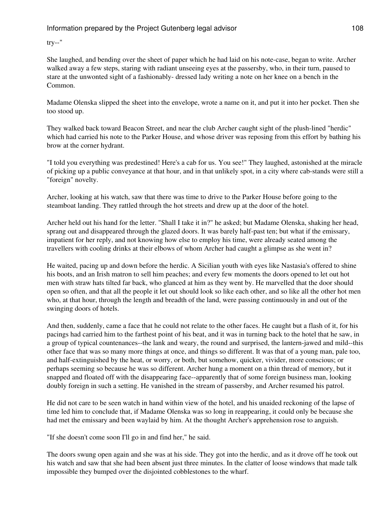try--"

She laughed, and bending over the sheet of paper which he had laid on his note-case, began to write. Archer walked away a few steps, staring with radiant unseeing eyes at the passersby, who, in their turn, paused to stare at the unwonted sight of a fashionably- dressed lady writing a note on her knee on a bench in the Common.

Madame Olenska slipped the sheet into the envelope, wrote a name on it, and put it into her pocket. Then she too stood up.

They walked back toward Beacon Street, and near the club Archer caught sight of the plush-lined "herdic" which had carried his note to the Parker House, and whose driver was reposing from this effort by bathing his brow at the corner hydrant.

"I told you everything was predestined! Here's a cab for us. You see!" They laughed, astonished at the miracle of picking up a public conveyance at that hour, and in that unlikely spot, in a city where cab-stands were still a "foreign" novelty.

Archer, looking at his watch, saw that there was time to drive to the Parker House before going to the steamboat landing. They rattled through the hot streets and drew up at the door of the hotel.

Archer held out his hand for the letter. "Shall I take it in?" he asked; but Madame Olenska, shaking her head, sprang out and disappeared through the glazed doors. It was barely half-past ten; but what if the emissary, impatient for her reply, and not knowing how else to employ his time, were already seated among the travellers with cooling drinks at their elbows of whom Archer had caught a glimpse as she went in?

He waited, pacing up and down before the herdic. A Sicilian youth with eyes like Nastasia's offered to shine his boots, and an Irish matron to sell him peaches; and every few moments the doors opened to let out hot men with straw hats tilted far back, who glanced at him as they went by. He marvelled that the door should open so often, and that all the people it let out should look so like each other, and so like all the other hot men who, at that hour, through the length and breadth of the land, were passing continuously in and out of the swinging doors of hotels.

And then, suddenly, came a face that he could not relate to the other faces. He caught but a flash of it, for his pacings had carried him to the farthest point of his beat, and it was in turning back to the hotel that he saw, in a group of typical countenances--the lank and weary, the round and surprised, the lantern-jawed and mild--this other face that was so many more things at once, and things so different. It was that of a young man, pale too, and half-extinguished by the heat, or worry, or both, but somehow, quicker, vivider, more conscious; or perhaps seeming so because he was so different. Archer hung a moment on a thin thread of memory, but it snapped and floated off with the disappearing face--apparently that of some foreign business man, looking doubly foreign in such a setting. He vanished in the stream of passersby, and Archer resumed his patrol.

He did not care to be seen watch in hand within view of the hotel, and his unaided reckoning of the lapse of time led him to conclude that, if Madame Olenska was so long in reappearing, it could only be because she had met the emissary and been waylaid by him. At the thought Archer's apprehension rose to anguish.

"If she doesn't come soon I'll go in and find her," he said.

The doors swung open again and she was at his side. They got into the herdic, and as it drove off he took out his watch and saw that she had been absent just three minutes. In the clatter of loose windows that made talk impossible they bumped over the disjointed cobblestones to the wharf.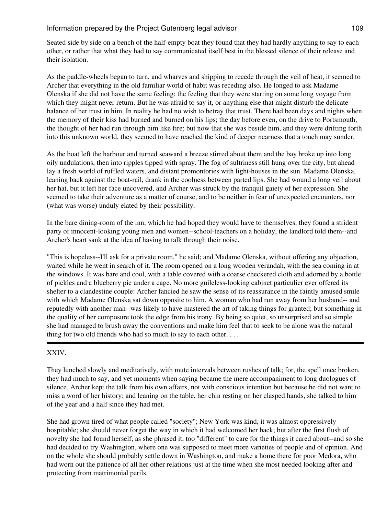Seated side by side on a bench of the half-empty boat they found that they had hardly anything to say to each other, or rather that what they had to say communicated itself best in the blessed silence of their release and their isolation.

As the paddle-wheels began to turn, and wharves and shipping to recede through the veil of heat, it seemed to Archer that everything in the old familiar world of habit was receding also. He longed to ask Madame Olenska if she did not have the same feeling: the feeling that they were starting on some long voyage from which they might never return. But he was afraid to say it, or anything else that might disturb the delicate balance of her trust in him. In reality he had no wish to betray that trust. There had been days and nights when the memory of their kiss had burned and burned on his lips; the day before even, on the drive to Portsmouth, the thought of her had run through him like fire; but now that she was beside him, and they were drifting forth into this unknown world, they seemed to have reached the kind of deeper nearness that a touch may sunder.

As the boat left the harbour and turned seaward a breeze stirred about them and the bay broke up into long oily undulations, then into ripples tipped with spray. The fog of sultriness still hung over the city, but ahead lay a fresh world of ruffled waters, and distant promontories with light-houses in the sun. Madame Olenska, leaning back against the boat-rail, drank in the coolness between parted lips. She had wound a long veil about her hat, but it left her face uncovered, and Archer was struck by the tranquil gaiety of her expression. She seemed to take their adventure as a matter of course, and to be neither in fear of unexpected encounters, nor (what was worse) unduly elated by their possibility.

In the bare dining-room of the inn, which he had hoped they would have to themselves, they found a strident party of innocent-looking young men and women--school-teachers on a holiday, the landlord told them--and Archer's heart sank at the idea of having to talk through their noise.

"This is hopeless--I'll ask for a private room," he said; and Madame Olenska, without offering any objection, waited while he went in search of it. The room opened on a long wooden verandah, with the sea coming in at the windows. It was bare and cool, with a table covered with a coarse checkered cloth and adorned by a bottle of pickles and a blueberry pie under a cage. No more guileless-looking cabinet particulier ever offered its shelter to a clandestine couple: Archer fancied he saw the sense of its reassurance in the faintly amused smile with which Madame Olenska sat down opposite to him. A woman who had run away from her husband-- and reputedly with another man--was likely to have mastered the art of taking things for granted; but something in the quality of her composure took the edge from his irony. By being so quiet, so unsurprised and so simple she had managed to brush away the conventions and make him feel that to seek to be alone was the natural thing for two old friends who had so much to say to each other. . . .

# XXIV.

They lunched slowly and meditatively, with mute intervals between rushes of talk; for, the spell once broken, they had much to say, and yet moments when saying became the mere accompaniment to long duologues of silence. Archer kept the talk from his own affairs, not with conscious intention but because he did not want to miss a word of her history; and leaning on the table, her chin resting on her clasped hands, she talked to him of the year and a half since they had met.

She had grown tired of what people called "society"; New York was kind, it was almost oppressively hospitable; she should never forget the way in which it had welcomed her back; but after the first flush of novelty she had found herself, as she phrased it, too "different" to care for the things it cared about--and so she had decided to try Washington, where one was supposed to meet more varieties of people and of opinion. And on the whole she should probably settle down in Washington, and make a home there for poor Medora, who had worn out the patience of all her other relations just at the time when she most needed looking after and protecting from matrimonial perils.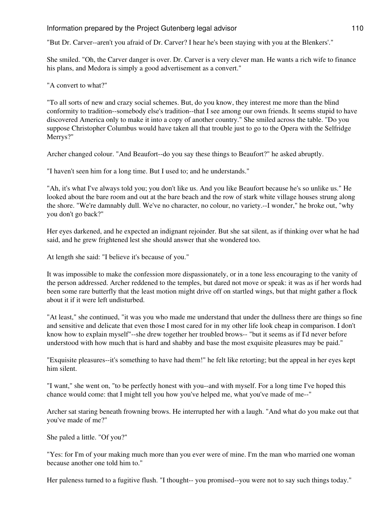"But Dr. Carver--aren't you afraid of Dr. Carver? I hear he's been staying with you at the Blenkers'."

She smiled. "Oh, the Carver danger is over. Dr. Carver is a very clever man. He wants a rich wife to finance his plans, and Medora is simply a good advertisement as a convert."

"A convert to what?"

"To all sorts of new and crazy social schemes. But, do you know, they interest me more than the blind conformity to tradition--somebody else's tradition--that I see among our own friends. It seems stupid to have discovered America only to make it into a copy of another country." She smiled across the table. "Do you suppose Christopher Columbus would have taken all that trouble just to go to the Opera with the Selfridge Merrys?"

Archer changed colour. "And Beaufort--do you say these things to Beaufort?" he asked abruptly.

"I haven't seen him for a long time. But I used to; and he understands."

"Ah, it's what I've always told you; you don't like us. And you like Beaufort because he's so unlike us." He looked about the bare room and out at the bare beach and the row of stark white village houses strung along the shore. "We're damnably dull. We've no character, no colour, no variety.--I wonder," he broke out, "why you don't go back?"

Her eyes darkened, and he expected an indignant rejoinder. But she sat silent, as if thinking over what he had said, and he grew frightened lest she should answer that she wondered too.

At length she said: "I believe it's because of you."

It was impossible to make the confession more dispassionately, or in a tone less encouraging to the vanity of the person addressed. Archer reddened to the temples, but dared not move or speak: it was as if her words had been some rare butterfly that the least motion might drive off on startled wings, but that might gather a flock about it if it were left undisturbed.

"At least," she continued, "it was you who made me understand that under the dullness there are things so fine and sensitive and delicate that even those I most cared for in my other life look cheap in comparison. I don't know how to explain myself"--she drew together her troubled brows-- "but it seems as if I'd never before understood with how much that is hard and shabby and base the most exquisite pleasures may be paid."

"Exquisite pleasures--it's something to have had them!" he felt like retorting; but the appeal in her eyes kept him silent.

"I want," she went on, "to be perfectly honest with you--and with myself. For a long time I've hoped this chance would come: that I might tell you how you've helped me, what you've made of me--"

Archer sat staring beneath frowning brows. He interrupted her with a laugh. "And what do you make out that you've made of me?"

She paled a little. "Of you?"

"Yes: for I'm of your making much more than you ever were of mine. I'm the man who married one woman because another one told him to."

Her paleness turned to a fugitive flush. "I thought-- you promised--you were not to say such things today."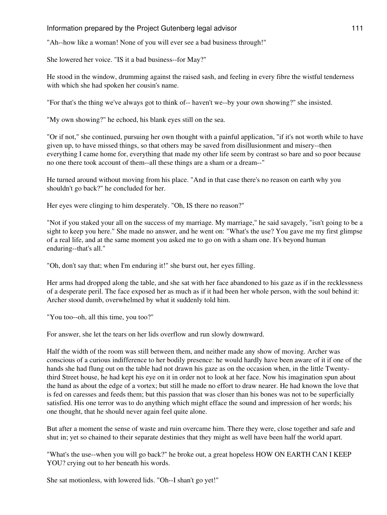"Ah--how like a woman! None of you will ever see a bad business through!"

She lowered her voice. "IS it a bad business--for May?"

He stood in the window, drumming against the raised sash, and feeling in every fibre the wistful tenderness with which she had spoken her cousin's name.

"For that's the thing we've always got to think of-- haven't we--by your own showing?" she insisted.

"My own showing?" he echoed, his blank eyes still on the sea.

"Or if not," she continued, pursuing her own thought with a painful application, "if it's not worth while to have given up, to have missed things, so that others may be saved from disillusionment and misery--then everything I came home for, everything that made my other life seem by contrast so bare and so poor because no one there took account of them--all these things are a sham or a dream--"

He turned around without moving from his place. "And in that case there's no reason on earth why you shouldn't go back?" he concluded for her.

Her eyes were clinging to him desperately. "Oh, IS there no reason?"

"Not if you staked your all on the success of my marriage. My marriage," he said savagely, "isn't going to be a sight to keep you here." She made no answer, and he went on: "What's the use? You gave me my first glimpse of a real life, and at the same moment you asked me to go on with a sham one. It's beyond human enduring--that's all."

"Oh, don't say that; when I'm enduring it!" she burst out, her eyes filling.

Her arms had dropped along the table, and she sat with her face abandoned to his gaze as if in the recklessness of a desperate peril. The face exposed her as much as if it had been her whole person, with the soul behind it: Archer stood dumb, overwhelmed by what it suddenly told him.

"You too--oh, all this time, you too?"

For answer, she let the tears on her lids overflow and run slowly downward.

Half the width of the room was still between them, and neither made any show of moving. Archer was conscious of a curious indifference to her bodily presence: he would hardly have been aware of it if one of the hands she had flung out on the table had not drawn his gaze as on the occasion when, in the little Twentythird Street house, he had kept his eye on it in order not to look at her face. Now his imagination spun about the hand as about the edge of a vortex; but still he made no effort to draw nearer. He had known the love that is fed on caresses and feeds them; but this passion that was closer than his bones was not to be superficially satisfied. His one terror was to do anything which might efface the sound and impression of her words; his one thought, that he should never again feel quite alone.

But after a moment the sense of waste and ruin overcame him. There they were, close together and safe and shut in; yet so chained to their separate destinies that they might as well have been half the world apart.

"What's the use--when you will go back?" he broke out, a great hopeless HOW ON EARTH CAN I KEEP YOU? crying out to her beneath his words.

She sat motionless, with lowered lids. "Oh--I shan't go yet!"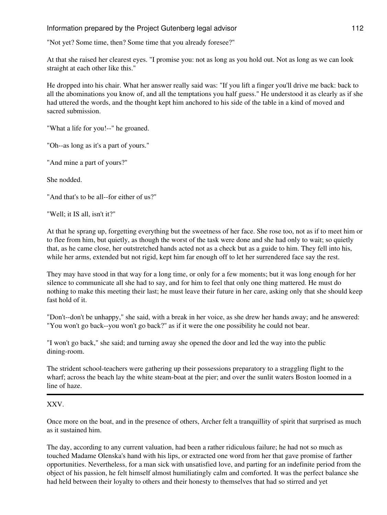"Not yet? Some time, then? Some time that you already foresee?"

At that she raised her clearest eyes. "I promise you: not as long as you hold out. Not as long as we can look straight at each other like this."

He dropped into his chair. What her answer really said was: "If you lift a finger you'll drive me back: back to all the abominations you know of, and all the temptations you half guess." He understood it as clearly as if she had uttered the words, and the thought kept him anchored to his side of the table in a kind of moved and sacred submission.

"What a life for you!--" he groaned.

"Oh--as long as it's a part of yours."

"And mine a part of yours?"

She nodded.

"And that's to be all--for either of us?"

"Well; it IS all, isn't it?"

At that he sprang up, forgetting everything but the sweetness of her face. She rose too, not as if to meet him or to flee from him, but quietly, as though the worst of the task were done and she had only to wait; so quietly that, as he came close, her outstretched hands acted not as a check but as a guide to him. They fell into his, while her arms, extended but not rigid, kept him far enough off to let her surrendered face say the rest.

They may have stood in that way for a long time, or only for a few moments; but it was long enough for her silence to communicate all she had to say, and for him to feel that only one thing mattered. He must do nothing to make this meeting their last; he must leave their future in her care, asking only that she should keep fast hold of it.

"Don't--don't be unhappy," she said, with a break in her voice, as she drew her hands away; and he answered: "You won't go back--you won't go back?" as if it were the one possibility he could not bear.

"I won't go back," she said; and turning away she opened the door and led the way into the public dining-room.

The strident school-teachers were gathering up their possessions preparatory to a straggling flight to the wharf; across the beach lay the white steam-boat at the pier; and over the sunlit waters Boston loomed in a line of haze.

# XXV.

Once more on the boat, and in the presence of others, Archer felt a tranquillity of spirit that surprised as much as it sustained him.

The day, according to any current valuation, had been a rather ridiculous failure; he had not so much as touched Madame Olenska's hand with his lips, or extracted one word from her that gave promise of farther opportunities. Nevertheless, for a man sick with unsatisfied love, and parting for an indefinite period from the object of his passion, he felt himself almost humiliatingly calm and comforted. It was the perfect balance she had held between their loyalty to others and their honesty to themselves that had so stirred and yet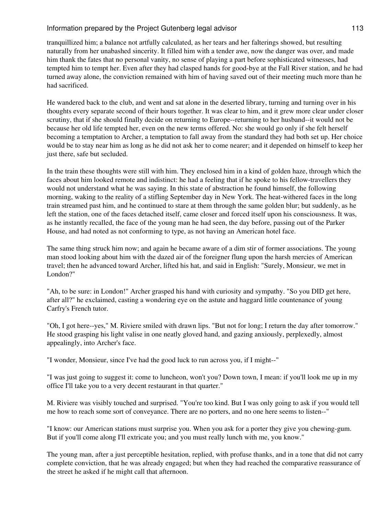tranquillized him; a balance not artfully calculated, as her tears and her falterings showed, but resulting naturally from her unabashed sincerity. It filled him with a tender awe, now the danger was over, and made him thank the fates that no personal vanity, no sense of playing a part before sophisticated witnesses, had tempted him to tempt her. Even after they had clasped hands for good-bye at the Fall River station, and he had turned away alone, the conviction remained with him of having saved out of their meeting much more than he had sacrificed.

He wandered back to the club, and went and sat alone in the deserted library, turning and turning over in his thoughts every separate second of their hours together. It was clear to him, and it grew more clear under closer scrutiny, that if she should finally decide on returning to Europe--returning to her husband--it would not be because her old life tempted her, even on the new terms offered. No: she would go only if she felt herself becoming a temptation to Archer, a temptation to fall away from the standard they had both set up. Her choice would be to stay near him as long as he did not ask her to come nearer; and it depended on himself to keep her just there, safe but secluded.

In the train these thoughts were still with him. They enclosed him in a kind of golden haze, through which the faces about him looked remote and indistinct: he had a feeling that if he spoke to his fellow-travellers they would not understand what he was saying. In this state of abstraction he found himself, the following morning, waking to the reality of a stifling September day in New York. The heat-withered faces in the long train streamed past him, and he continued to stare at them through the same golden blur; but suddenly, as he left the station, one of the faces detached itself, came closer and forced itself upon his consciousness. It was, as he instantly recalled, the face of the young man he had seen, the day before, passing out of the Parker House, and had noted as not conforming to type, as not having an American hotel face.

The same thing struck him now; and again he became aware of a dim stir of former associations. The young man stood looking about him with the dazed air of the foreigner flung upon the harsh mercies of American travel; then he advanced toward Archer, lifted his hat, and said in English: "Surely, Monsieur, we met in London?"

"Ah, to be sure: in London!" Archer grasped his hand with curiosity and sympathy. "So you DID get here, after all?" he exclaimed, casting a wondering eye on the astute and haggard little countenance of young Carfry's French tutor.

"Oh, I got here--yes," M. Riviere smiled with drawn lips. "But not for long; I return the day after tomorrow." He stood grasping his light valise in one neatly gloved hand, and gazing anxiously, perplexedly, almost appealingly, into Archer's face.

"I wonder, Monsieur, since I've had the good luck to run across you, if I might--"

"I was just going to suggest it: come to luncheon, won't you? Down town, I mean: if you'll look me up in my office I'll take you to a very decent restaurant in that quarter."

M. Riviere was visibly touched and surprised. "You're too kind. But I was only going to ask if you would tell me how to reach some sort of conveyance. There are no porters, and no one here seems to listen--"

"I know: our American stations must surprise you. When you ask for a porter they give you chewing-gum. But if you'll come along I'll extricate you; and you must really lunch with me, you know."

The young man, after a just perceptible hesitation, replied, with profuse thanks, and in a tone that did not carry complete conviction, that he was already engaged; but when they had reached the comparative reassurance of the street he asked if he might call that afternoon.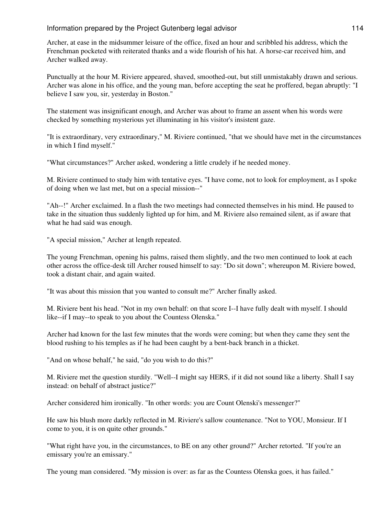Archer, at ease in the midsummer leisure of the office, fixed an hour and scribbled his address, which the Frenchman pocketed with reiterated thanks and a wide flourish of his hat. A horse-car received him, and Archer walked away.

Punctually at the hour M. Riviere appeared, shaved, smoothed-out, but still unmistakably drawn and serious. Archer was alone in his office, and the young man, before accepting the seat he proffered, began abruptly: "I believe I saw you, sir, yesterday in Boston."

The statement was insignificant enough, and Archer was about to frame an assent when his words were checked by something mysterious yet illuminating in his visitor's insistent gaze.

"It is extraordinary, very extraordinary," M. Riviere continued, "that we should have met in the circumstances in which I find myself."

"What circumstances?" Archer asked, wondering a little crudely if he needed money.

M. Riviere continued to study him with tentative eyes. "I have come, not to look for employment, as I spoke of doing when we last met, but on a special mission--"

"Ah--!" Archer exclaimed. In a flash the two meetings had connected themselves in his mind. He paused to take in the situation thus suddenly lighted up for him, and M. Riviere also remained silent, as if aware that what he had said was enough.

"A special mission," Archer at length repeated.

The young Frenchman, opening his palms, raised them slightly, and the two men continued to look at each other across the office-desk till Archer roused himself to say: "Do sit down"; whereupon M. Riviere bowed, took a distant chair, and again waited.

"It was about this mission that you wanted to consult me?" Archer finally asked.

M. Riviere bent his head. "Not in my own behalf: on that score I--I have fully dealt with myself. I should like--if I may--to speak to you about the Countess Olenska."

Archer had known for the last few minutes that the words were coming; but when they came they sent the blood rushing to his temples as if he had been caught by a bent-back branch in a thicket.

"And on whose behalf," he said, "do you wish to do this?"

M. Riviere met the question sturdily. "Well--I might say HERS, if it did not sound like a liberty. Shall I say instead: on behalf of abstract justice?"

Archer considered him ironically. "In other words: you are Count Olenski's messenger?"

He saw his blush more darkly reflected in M. Riviere's sallow countenance. "Not to YOU, Monsieur. If I come to you, it is on quite other grounds."

"What right have you, in the circumstances, to BE on any other ground?" Archer retorted. "If you're an emissary you're an emissary."

The young man considered. "My mission is over: as far as the Countess Olenska goes, it has failed."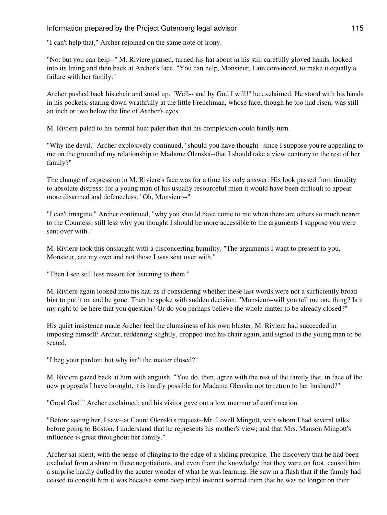"I can't help that," Archer rejoined on the same note of irony.

"No: but you can help--" M. Riviere paused, turned his hat about in his still carefully gloved hands, looked into its lining and then back at Archer's face. "You can help, Monsieur, I am convinced, to make it equally a failure with her family."

Archer pushed back his chair and stood up. "Well-- and by God I will!" he exclaimed. He stood with his hands in his pockets, staring down wrathfully at the little Frenchman, whose face, though he too had risen, was still an inch or two below the line of Archer's eyes.

M. Riviere paled to his normal hue: paler than that his complexion could hardly turn.

"Why the devil," Archer explosively continued, "should you have thought--since I suppose you're appealing to me on the ground of my relationship to Madame Olenska--that I should take a view contrary to the rest of her family?"

The change of expression in M. Riviere's face was for a time his only answer. His look passed from timidity to absolute distress: for a young man of his usually resourceful mien it would have been difficult to appear more disarmed and defenceless. "Oh, Monsieur--"

"I can't imagine," Archer continued, "why you should have come to me when there are others so much nearer to the Countess; still less why you thought I should be more accessible to the arguments I suppose you were sent over with."

M. Riviere took this onslaught with a disconcerting humility. "The arguments I want to present to you, Monsieur, are my own and not those I was sent over with."

"Then I see still less reason for listening to them."

M. Riviere again looked into his hat, as if considering whether these last words were not a sufficiently broad hint to put it on and be gone. Then he spoke with sudden decision. "Monsieur--will you tell me one thing? Is it my right to be here that you question? Or do you perhaps believe the whole matter to be already closed?"

His quiet insistence made Archer feel the clumsiness of his own bluster. M. Riviere had succeeded in imposing himself: Archer, reddening slightly, dropped into his chair again, and signed to the young man to be seated.

"I beg your pardon: but why isn't the matter closed?"

M. Riviere gazed back at him with anguish. "You do, then, agree with the rest of the family that, in face of the new proposals I have brought, it is hardly possible for Madame Olenska not to return to her husband?"

"Good God!" Archer exclaimed; and his visitor gave out a low murmur of confirmation.

"Before seeing her, I saw--at Count Olenski's request--Mr. Lovell Mingott, with whom I had several talks before going to Boston. I understand that he represents his mother's view; and that Mrs. Manson Mingott's influence is great throughout her family."

Archer sat silent, with the sense of clinging to the edge of a sliding precipice. The discovery that he had been excluded from a share in these negotiations, and even from the knowledge that they were on foot, caused him a surprise hardly dulled by the acuter wonder of what he was learning. He saw in a flash that if the family had ceased to consult him it was because some deep tribal instinct warned them that he was no longer on their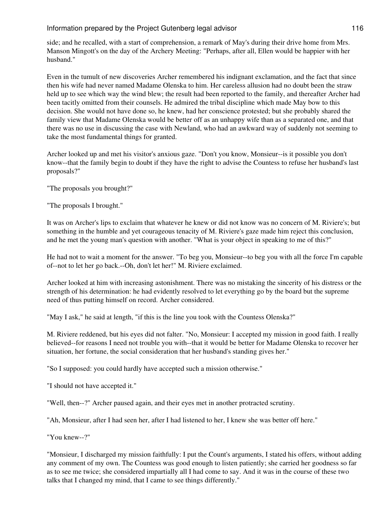side; and he recalled, with a start of comprehension, a remark of May's during their drive home from Mrs. Manson Mingott's on the day of the Archery Meeting: "Perhaps, after all, Ellen would be happier with her husband."

Even in the tumult of new discoveries Archer remembered his indignant exclamation, and the fact that since then his wife had never named Madame Olenska to him. Her careless allusion had no doubt been the straw held up to see which way the wind blew; the result had been reported to the family, and thereafter Archer had been tacitly omitted from their counsels. He admired the tribal discipline which made May bow to this decision. She would not have done so, he knew, had her conscience protested; but she probably shared the family view that Madame Olenska would be better off as an unhappy wife than as a separated one, and that there was no use in discussing the case with Newland, who had an awkward way of suddenly not seeming to take the most fundamental things for granted.

Archer looked up and met his visitor's anxious gaze. "Don't you know, Monsieur--is it possible you don't know--that the family begin to doubt if they have the right to advise the Countess to refuse her husband's last proposals?"

"The proposals you brought?"

"The proposals I brought."

It was on Archer's lips to exclaim that whatever he knew or did not know was no concern of M. Riviere's; but something in the humble and yet courageous tenacity of M. Riviere's gaze made him reject this conclusion, and he met the young man's question with another. "What is your object in speaking to me of this?"

He had not to wait a moment for the answer. "To beg you, Monsieur--to beg you with all the force I'm capable of--not to let her go back.--Oh, don't let her!" M. Riviere exclaimed.

Archer looked at him with increasing astonishment. There was no mistaking the sincerity of his distress or the strength of his determination: he had evidently resolved to let everything go by the board but the supreme need of thus putting himself on record. Archer considered.

"May I ask," he said at length, "if this is the line you took with the Countess Olenska?"

M. Riviere reddened, but his eyes did not falter. "No, Monsieur: I accepted my mission in good faith. I really believed--for reasons I need not trouble you with--that it would be better for Madame Olenska to recover her situation, her fortune, the social consideration that her husband's standing gives her."

"So I supposed: you could hardly have accepted such a mission otherwise."

"I should not have accepted it."

"Well, then--?" Archer paused again, and their eyes met in another protracted scrutiny.

"Ah, Monsieur, after I had seen her, after I had listened to her, I knew she was better off here."

"You knew--?"

"Monsieur, I discharged my mission faithfully: I put the Count's arguments, I stated his offers, without adding any comment of my own. The Countess was good enough to listen patiently; she carried her goodness so far as to see me twice; she considered impartially all I had come to say. And it was in the course of these two talks that I changed my mind, that I came to see things differently."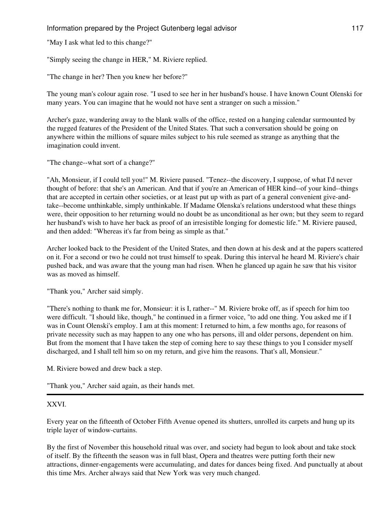"May I ask what led to this change?"

"Simply seeing the change in HER," M. Riviere replied.

"The change in her? Then you knew her before?"

The young man's colour again rose. "I used to see her in her husband's house. I have known Count Olenski for many years. You can imagine that he would not have sent a stranger on such a mission."

Archer's gaze, wandering away to the blank walls of the office, rested on a hanging calendar surmounted by the rugged features of the President of the United States. That such a conversation should be going on anywhere within the millions of square miles subject to his rule seemed as strange as anything that the imagination could invent.

"The change--what sort of a change?"

"Ah, Monsieur, if I could tell you!" M. Riviere paused. "Tenez--the discovery, I suppose, of what I'd never thought of before: that she's an American. And that if you're an American of HER kind--of your kind--things that are accepted in certain other societies, or at least put up with as part of a general convenient give-andtake--become unthinkable, simply unthinkable. If Madame Olenska's relations understood what these things were, their opposition to her returning would no doubt be as unconditional as her own; but they seem to regard her husband's wish to have her back as proof of an irresistible longing for domestic life." M. Riviere paused, and then added: "Whereas it's far from being as simple as that."

Archer looked back to the President of the United States, and then down at his desk and at the papers scattered on it. For a second or two he could not trust himself to speak. During this interval he heard M. Riviere's chair pushed back, and was aware that the young man had risen. When he glanced up again he saw that his visitor was as moved as himself.

"Thank you," Archer said simply.

"There's nothing to thank me for, Monsieur: it is I, rather--" M. Riviere broke off, as if speech for him too were difficult. "I should like, though," he continued in a firmer voice, "to add one thing. You asked me if I was in Count Olenski's employ. I am at this moment: I returned to him, a few months ago, for reasons of private necessity such as may happen to any one who has persons, ill and older persons, dependent on him. But from the moment that I have taken the step of coming here to say these things to you I consider myself discharged, and I shall tell him so on my return, and give him the reasons. That's all, Monsieur."

M. Riviere bowed and drew back a step.

"Thank you," Archer said again, as their hands met.

# XXVI.

Every year on the fifteenth of October Fifth Avenue opened its shutters, unrolled its carpets and hung up its triple layer of window-curtains.

By the first of November this household ritual was over, and society had begun to look about and take stock of itself. By the fifteenth the season was in full blast, Opera and theatres were putting forth their new attractions, dinner-engagements were accumulating, and dates for dances being fixed. And punctually at about this time Mrs. Archer always said that New York was very much changed.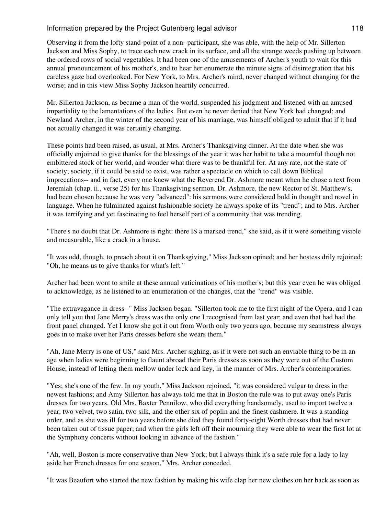Observing it from the lofty stand-point of a non- participant, she was able, with the help of Mr. Sillerton Jackson and Miss Sophy, to trace each new crack in its surface, and all the strange weeds pushing up between the ordered rows of social vegetables. It had been one of the amusements of Archer's youth to wait for this annual pronouncement of his mother's, and to hear her enumerate the minute signs of disintegration that his careless gaze had overlooked. For New York, to Mrs. Archer's mind, never changed without changing for the worse; and in this view Miss Sophy Jackson heartily concurred.

Mr. Sillerton Jackson, as became a man of the world, suspended his judgment and listened with an amused impartiality to the lamentations of the ladies. But even he never denied that New York had changed; and Newland Archer, in the winter of the second year of his marriage, was himself obliged to admit that if it had not actually changed it was certainly changing.

These points had been raised, as usual, at Mrs. Archer's Thanksgiving dinner. At the date when she was officially enjoined to give thanks for the blessings of the year it was her habit to take a mournful though not embittered stock of her world, and wonder what there was to be thankful for. At any rate, not the state of society; society, if it could be said to exist, was rather a spectacle on which to call down Biblical imprecations-- and in fact, every one knew what the Reverend Dr. Ashmore meant when he chose a text from Jeremiah (chap. ii., verse 25) for his Thanksgiving sermon. Dr. Ashmore, the new Rector of St. Matthew's, had been chosen because he was very "advanced": his sermons were considered bold in thought and novel in language. When he fulminated against fashionable society he always spoke of its "trend"; and to Mrs. Archer it was terrifying and yet fascinating to feel herself part of a community that was trending.

"There's no doubt that Dr. Ashmore is right: there IS a marked trend," she said, as if it were something visible and measurable, like a crack in a house.

"It was odd, though, to preach about it on Thanksgiving," Miss Jackson opined; and her hostess drily rejoined: "Oh, he means us to give thanks for what's left."

Archer had been wont to smile at these annual vaticinations of his mother's; but this year even he was obliged to acknowledge, as he listened to an enumeration of the changes, that the "trend" was visible.

"The extravagance in dress--" Miss Jackson began. "Sillerton took me to the first night of the Opera, and I can only tell you that Jane Merry's dress was the only one I recognised from last year; and even that had had the front panel changed. Yet I know she got it out from Worth only two years ago, because my seamstress always goes in to make over her Paris dresses before she wears them."

"Ah, Jane Merry is one of US," said Mrs. Archer sighing, as if it were not such an enviable thing to be in an age when ladies were beginning to flaunt abroad their Paris dresses as soon as they were out of the Custom House, instead of letting them mellow under lock and key, in the manner of Mrs. Archer's contemporaries.

"Yes; she's one of the few. In my youth," Miss Jackson rejoined, "it was considered vulgar to dress in the newest fashions; and Amy Sillerton has always told me that in Boston the rule was to put away one's Paris dresses for two years. Old Mrs. Baxter Pennilow, who did everything handsomely, used to import twelve a year, two velvet, two satin, two silk, and the other six of poplin and the finest cashmere. It was a standing order, and as she was ill for two years before she died they found forty-eight Worth dresses that had never been taken out of tissue paper; and when the girls left off their mourning they were able to wear the first lot at the Symphony concerts without looking in advance of the fashion."

"Ah, well, Boston is more conservative than New York; but I always think it's a safe rule for a lady to lay aside her French dresses for one season," Mrs. Archer conceded.

"It was Beaufort who started the new fashion by making his wife clap her new clothes on her back as soon as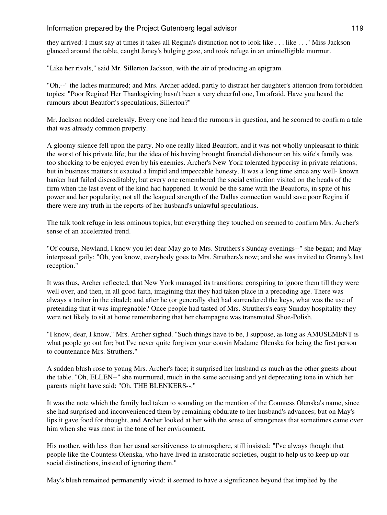they arrived: I must say at times it takes all Regina's distinction not to look like . . . like . . ." Miss Jackson glanced around the table, caught Janey's bulging gaze, and took refuge in an unintelligible murmur.

"Like her rivals," said Mr. Sillerton Jackson, with the air of producing an epigram.

"Oh,--" the ladies murmured; and Mrs. Archer added, partly to distract her daughter's attention from forbidden topics: "Poor Regina! Her Thanksgiving hasn't been a very cheerful one, I'm afraid. Have you heard the rumours about Beaufort's speculations, Sillerton?"

Mr. Jackson nodded carelessly. Every one had heard the rumours in question, and he scorned to confirm a tale that was already common property.

A gloomy silence fell upon the party. No one really liked Beaufort, and it was not wholly unpleasant to think the worst of his private life; but the idea of his having brought financial dishonour on his wife's family was too shocking to be enjoyed even by his enemies. Archer's New York tolerated hypocrisy in private relations; but in business matters it exacted a limpid and impeccable honesty. It was a long time since any well- known banker had failed discreditably; but every one remembered the social extinction visited on the heads of the firm when the last event of the kind had happened. It would be the same with the Beauforts, in spite of his power and her popularity; not all the leagued strength of the Dallas connection would save poor Regina if there were any truth in the reports of her husband's unlawful speculations.

The talk took refuge in less ominous topics; but everything they touched on seemed to confirm Mrs. Archer's sense of an accelerated trend.

"Of course, Newland, I know you let dear May go to Mrs. Struthers's Sunday evenings--" she began; and May interposed gaily: "Oh, you know, everybody goes to Mrs. Struthers's now; and she was invited to Granny's last reception."

It was thus, Archer reflected, that New York managed its transitions: conspiring to ignore them till they were well over, and then, in all good faith, imagining that they had taken place in a preceding age. There was always a traitor in the citadel; and after he (or generally she) had surrendered the keys, what was the use of pretending that it was impregnable? Once people had tasted of Mrs. Struthers's easy Sunday hospitality they were not likely to sit at home remembering that her champagne was transmuted Shoe-Polish.

"I know, dear, I know," Mrs. Archer sighed. "Such things have to be, I suppose, as long as AMUSEMENT is what people go out for; but I've never quite forgiven your cousin Madame Olenska for being the first person to countenance Mrs. Struthers."

A sudden blush rose to young Mrs. Archer's face; it surprised her husband as much as the other guests about the table. "Oh, ELLEN--" she murmured, much in the same accusing and yet deprecating tone in which her parents might have said: "Oh, THE BLENKERS--."

It was the note which the family had taken to sounding on the mention of the Countess Olenska's name, since she had surprised and inconvenienced them by remaining obdurate to her husband's advances; but on May's lips it gave food for thought, and Archer looked at her with the sense of strangeness that sometimes came over him when she was most in the tone of her environment.

His mother, with less than her usual sensitiveness to atmosphere, still insisted: "I've always thought that people like the Countess Olenska, who have lived in aristocratic societies, ought to help us to keep up our social distinctions, instead of ignoring them."

May's blush remained permanently vivid: it seemed to have a significance beyond that implied by the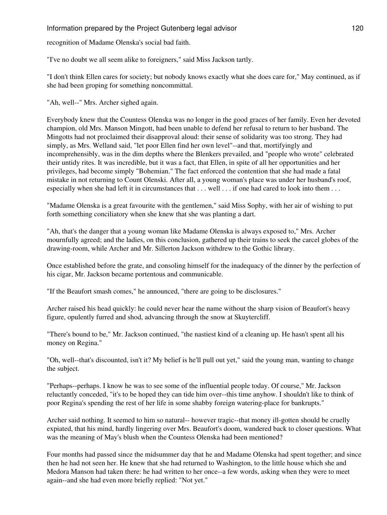recognition of Madame Olenska's social bad faith.

"I've no doubt we all seem alike to foreigners," said Miss Jackson tartly.

"I don't think Ellen cares for society; but nobody knows exactly what she does care for," May continued, as if she had been groping for something noncommittal.

"Ah, well--" Mrs. Archer sighed again.

Everybody knew that the Countess Olenska was no longer in the good graces of her family. Even her devoted champion, old Mrs. Manson Mingott, had been unable to defend her refusal to return to her husband. The Mingotts had not proclaimed their disapproval aloud: their sense of solidarity was too strong. They had simply, as Mrs. Welland said, "let poor Ellen find her own level"--and that, mortifyingly and incomprehensibly, was in the dim depths where the Blenkers prevailed, and "people who wrote" celebrated their untidy rites. It was incredible, but it was a fact, that Ellen, in spite of all her opportunities and her privileges, had become simply "Bohemian." The fact enforced the contention that she had made a fatal mistake in not returning to Count Olenski. After all, a young woman's place was under her husband's roof, especially when she had left it in circumstances that . . . well . . . if one had cared to look into them . . .

"Madame Olenska is a great favourite with the gentlemen," said Miss Sophy, with her air of wishing to put forth something conciliatory when she knew that she was planting a dart.

"Ah, that's the danger that a young woman like Madame Olenska is always exposed to," Mrs. Archer mournfully agreed; and the ladies, on this conclusion, gathered up their trains to seek the carcel globes of the drawing-room, while Archer and Mr. Sillerton Jackson withdrew to the Gothic library.

Once established before the grate, and consoling himself for the inadequacy of the dinner by the perfection of his cigar, Mr. Jackson became portentous and communicable.

"If the Beaufort smash comes," he announced, "there are going to be disclosures."

Archer raised his head quickly: he could never hear the name without the sharp vision of Beaufort's heavy figure, opulently furred and shod, advancing through the snow at Skuytercliff.

"There's bound to be," Mr. Jackson continued, "the nastiest kind of a cleaning up. He hasn't spent all his money on Regina."

"Oh, well--that's discounted, isn't it? My belief is he'll pull out yet," said the young man, wanting to change the subject.

"Perhaps--perhaps. I know he was to see some of the influential people today. Of course," Mr. Jackson reluctantly conceded, "it's to be hoped they can tide him over--this time anyhow. I shouldn't like to think of poor Regina's spending the rest of her life in some shabby foreign watering-place for bankrupts."

Archer said nothing. It seemed to him so natural-- however tragic--that money ill-gotten should be cruelly expiated, that his mind, hardly lingering over Mrs. Beaufort's doom, wandered back to closer questions. What was the meaning of May's blush when the Countess Olenska had been mentioned?

Four months had passed since the midsummer day that he and Madame Olenska had spent together; and since then he had not seen her. He knew that she had returned to Washington, to the little house which she and Medora Manson had taken there: he had written to her once--a few words, asking when they were to meet again--and she had even more briefly replied: "Not yet."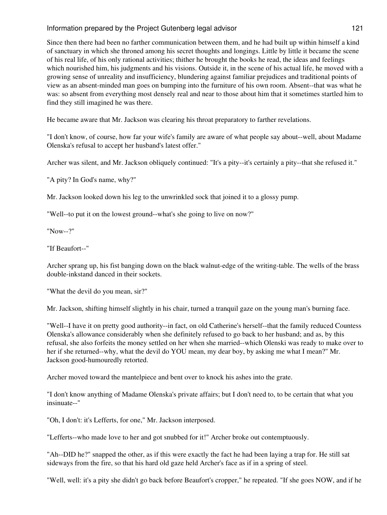Since then there had been no farther communication between them, and he had built up within himself a kind of sanctuary in which she throned among his secret thoughts and longings. Little by little it became the scene of his real life, of his only rational activities; thither he brought the books he read, the ideas and feelings which nourished him, his judgments and his visions. Outside it, in the scene of his actual life, he moved with a growing sense of unreality and insufficiency, blundering against familiar prejudices and traditional points of view as an absent-minded man goes on bumping into the furniture of his own room. Absent--that was what he was: so absent from everything most densely real and near to those about him that it sometimes startled him to find they still imagined he was there.

He became aware that Mr. Jackson was clearing his throat preparatory to farther revelations.

"I don't know, of course, how far your wife's family are aware of what people say about--well, about Madame Olenska's refusal to accept her husband's latest offer."

Archer was silent, and Mr. Jackson obliquely continued: "It's a pity--it's certainly a pity--that she refused it."

"A pity? In God's name, why?"

Mr. Jackson looked down his leg to the unwrinkled sock that joined it to a glossy pump.

"Well--to put it on the lowest ground--what's she going to live on now?"

"Now--?"

"If Beaufort--"

Archer sprang up, his fist banging down on the black walnut-edge of the writing-table. The wells of the brass double-inkstand danced in their sockets.

"What the devil do you mean, sir?"

Mr. Jackson, shifting himself slightly in his chair, turned a tranquil gaze on the young man's burning face.

"Well--I have it on pretty good authority--in fact, on old Catherine's herself--that the family reduced Countess Olenska's allowance considerably when she definitely refused to go back to her husband; and as, by this refusal, she also forfeits the money settled on her when she married--which Olenski was ready to make over to her if she returned--why, what the devil do YOU mean, my dear boy, by asking me what I mean?" Mr. Jackson good-humouredly retorted.

Archer moved toward the mantelpiece and bent over to knock his ashes into the grate.

"I don't know anything of Madame Olenska's private affairs; but I don't need to, to be certain that what you insinuate--"

"Oh, I don't: it's Lefferts, for one," Mr. Jackson interposed.

"Lefferts--who made love to her and got snubbed for it!" Archer broke out contemptuously.

"Ah--DID he?" snapped the other, as if this were exactly the fact he had been laying a trap for. He still sat sideways from the fire, so that his hard old gaze held Archer's face as if in a spring of steel.

"Well, well: it's a pity she didn't go back before Beaufort's cropper," he repeated. "If she goes NOW, and if he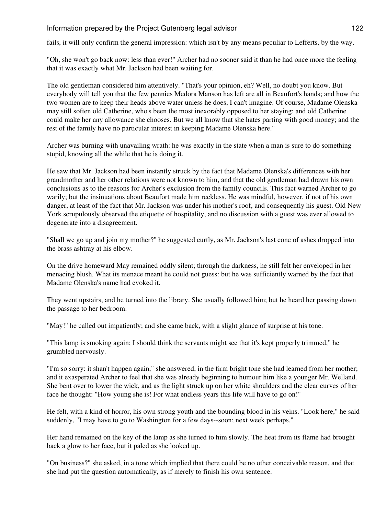fails, it will only confirm the general impression: which isn't by any means peculiar to Lefferts, by the way.

"Oh, she won't go back now: less than ever!" Archer had no sooner said it than he had once more the feeling that it was exactly what Mr. Jackson had been waiting for.

The old gentleman considered him attentively. "That's your opinion, eh? Well, no doubt you know. But everybody will tell you that the few pennies Medora Manson has left are all in Beaufort's hands; and how the two women are to keep their heads above water unless he does, I can't imagine. Of course, Madame Olenska may still soften old Catherine, who's been the most inexorably opposed to her staying; and old Catherine could make her any allowance she chooses. But we all know that she hates parting with good money; and the rest of the family have no particular interest in keeping Madame Olenska here."

Archer was burning with unavailing wrath: he was exactly in the state when a man is sure to do something stupid, knowing all the while that he is doing it.

He saw that Mr. Jackson had been instantly struck by the fact that Madame Olenska's differences with her grandmother and her other relations were not known to him, and that the old gentleman had drawn his own conclusions as to the reasons for Archer's exclusion from the family councils. This fact warned Archer to go warily; but the insinuations about Beaufort made him reckless. He was mindful, however, if not of his own danger, at least of the fact that Mr. Jackson was under his mother's roof, and consequently his guest. Old New York scrupulously observed the etiquette of hospitality, and no discussion with a guest was ever allowed to degenerate into a disagreement.

"Shall we go up and join my mother?" he suggested curtly, as Mr. Jackson's last cone of ashes dropped into the brass ashtray at his elbow.

On the drive homeward May remained oddly silent; through the darkness, he still felt her enveloped in her menacing blush. What its menace meant he could not guess: but he was sufficiently warned by the fact that Madame Olenska's name had evoked it.

They went upstairs, and he turned into the library. She usually followed him; but he heard her passing down the passage to her bedroom.

"May!" he called out impatiently; and she came back, with a slight glance of surprise at his tone.

"This lamp is smoking again; I should think the servants might see that it's kept properly trimmed," he grumbled nervously.

"I'm so sorry: it shan't happen again," she answered, in the firm bright tone she had learned from her mother; and it exasperated Archer to feel that she was already beginning to humour him like a younger Mr. Welland. She bent over to lower the wick, and as the light struck up on her white shoulders and the clear curves of her face he thought: "How young she is! For what endless years this life will have to go on!"

He felt, with a kind of horror, his own strong youth and the bounding blood in his veins. "Look here," he said suddenly, "I may have to go to Washington for a few days--soon; next week perhaps."

Her hand remained on the key of the lamp as she turned to him slowly. The heat from its flame had brought back a glow to her face, but it paled as she looked up.

"On business?" she asked, in a tone which implied that there could be no other conceivable reason, and that she had put the question automatically, as if merely to finish his own sentence.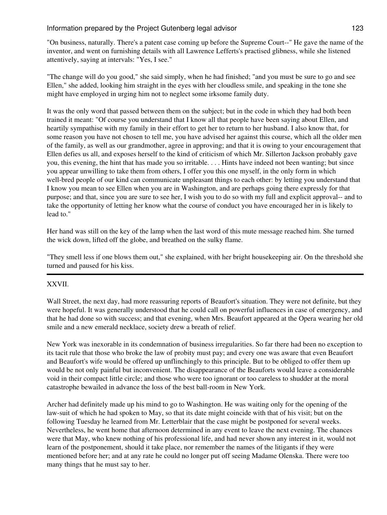"On business, naturally. There's a patent case coming up before the Supreme Court--" He gave the name of the inventor, and went on furnishing details with all Lawrence Lefferts's practised glibness, while she listened attentively, saying at intervals: "Yes, I see."

"The change will do you good," she said simply, when he had finished; "and you must be sure to go and see Ellen," she added, looking him straight in the eyes with her cloudless smile, and speaking in the tone she might have employed in urging him not to neglect some irksome family duty.

It was the only word that passed between them on the subject; but in the code in which they had both been trained it meant: "Of course you understand that I know all that people have been saying about Ellen, and heartily sympathise with my family in their effort to get her to return to her husband. I also know that, for some reason you have not chosen to tell me, you have advised her against this course, which all the older men of the family, as well as our grandmother, agree in approving; and that it is owing to your encouragement that Ellen defies us all, and exposes herself to the kind of criticism of which Mr. Sillerton Jackson probably gave you, this evening, the hint that has made you so irritable. . . . Hints have indeed not been wanting; but since you appear unwilling to take them from others, I offer you this one myself, in the only form in which well-bred people of our kind can communicate unpleasant things to each other: by letting you understand that I know you mean to see Ellen when you are in Washington, and are perhaps going there expressly for that purpose; and that, since you are sure to see her, I wish you to do so with my full and explicit approval-- and to take the opportunity of letting her know what the course of conduct you have encouraged her in is likely to lead to."

Her hand was still on the key of the lamp when the last word of this mute message reached him. She turned the wick down, lifted off the globe, and breathed on the sulky flame.

"They smell less if one blows them out," she explained, with her bright housekeeping air. On the threshold she turned and paused for his kiss.

# XXVII.

Wall Street, the next day, had more reassuring reports of Beaufort's situation. They were not definite, but they were hopeful. It was generally understood that he could call on powerful influences in case of emergency, and that he had done so with success; and that evening, when Mrs. Beaufort appeared at the Opera wearing her old smile and a new emerald necklace, society drew a breath of relief.

New York was inexorable in its condemnation of business irregularities. So far there had been no exception to its tacit rule that those who broke the law of probity must pay; and every one was aware that even Beaufort and Beaufort's wife would be offered up unflinchingly to this principle. But to be obliged to offer them up would be not only painful but inconvenient. The disappearance of the Beauforts would leave a considerable void in their compact little circle; and those who were too ignorant or too careless to shudder at the moral catastrophe bewailed in advance the loss of the best ball-room in New York.

Archer had definitely made up his mind to go to Washington. He was waiting only for the opening of the law-suit of which he had spoken to May, so that its date might coincide with that of his visit; but on the following Tuesday he learned from Mr. Letterblair that the case might be postponed for several weeks. Nevertheless, he went home that afternoon determined in any event to leave the next evening. The chances were that May, who knew nothing of his professional life, and had never shown any interest in it, would not learn of the postponement, should it take place, nor remember the names of the litigants if they were mentioned before her; and at any rate he could no longer put off seeing Madame Olenska. There were too many things that he must say to her.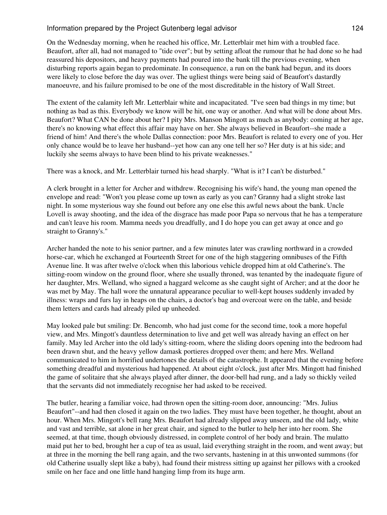On the Wednesday morning, when he reached his office, Mr. Letterblair met him with a troubled face. Beaufort, after all, had not managed to "tide over"; but by setting afloat the rumour that he had done so he had reassured his depositors, and heavy payments had poured into the bank till the previous evening, when disturbing reports again began to predominate. In consequence, a run on the bank had begun, and its doors were likely to close before the day was over. The ugliest things were being said of Beaufort's dastardly manoeuvre, and his failure promised to be one of the most discreditable in the history of Wall Street.

The extent of the calamity left Mr. Letterblair white and incapacitated. "I've seen bad things in my time; but nothing as bad as this. Everybody we know will be hit, one way or another. And what will be done about Mrs. Beaufort? What CAN be done about her? I pity Mrs. Manson Mingott as much as anybody: coming at her age, there's no knowing what effect this affair may have on her. She always believed in Beaufort--she made a friend of him! And there's the whole Dallas connection: poor Mrs. Beaufort is related to every one of you. Her only chance would be to leave her husband--yet how can any one tell her so? Her duty is at his side; and luckily she seems always to have been blind to his private weaknesses."

There was a knock, and Mr. Letterblair turned his head sharply. "What is it? I can't be disturbed."

A clerk brought in a letter for Archer and withdrew. Recognising his wife's hand, the young man opened the envelope and read: "Won't you please come up town as early as you can? Granny had a slight stroke last night. In some mysterious way she found out before any one else this awful news about the bank. Uncle Lovell is away shooting, and the idea of the disgrace has made poor Papa so nervous that he has a temperature and can't leave his room. Mamma needs you dreadfully, and I do hope you can get away at once and go straight to Granny's."

Archer handed the note to his senior partner, and a few minutes later was crawling northward in a crowded horse-car, which he exchanged at Fourteenth Street for one of the high staggering omnibuses of the Fifth Avenue line. It was after twelve o'clock when this laborious vehicle dropped him at old Catherine's. The sitting-room window on the ground floor, where she usually throned, was tenanted by the inadequate figure of her daughter, Mrs. Welland, who signed a haggard welcome as she caught sight of Archer; and at the door he was met by May. The hall wore the unnatural appearance peculiar to well-kept houses suddenly invaded by illness: wraps and furs lay in heaps on the chairs, a doctor's bag and overcoat were on the table, and beside them letters and cards had already piled up unheeded.

May looked pale but smiling: Dr. Bencomb, who had just come for the second time, took a more hopeful view, and Mrs. Mingott's dauntless determination to live and get well was already having an effect on her family. May led Archer into the old lady's sitting-room, where the sliding doors opening into the bedroom had been drawn shut, and the heavy yellow damask portieres dropped over them; and here Mrs. Welland communicated to him in horrified undertones the details of the catastrophe. It appeared that the evening before something dreadful and mysterious had happened. At about eight o'clock, just after Mrs. Mingott had finished the game of solitaire that she always played after dinner, the door-bell had rung, and a lady so thickly veiled that the servants did not immediately recognise her had asked to be received.

The butler, hearing a familiar voice, had thrown open the sitting-room door, announcing: "Mrs. Julius Beaufort"--and had then closed it again on the two ladies. They must have been together, he thought, about an hour. When Mrs. Mingott's bell rang Mrs. Beaufort had already slipped away unseen, and the old lady, white and vast and terrible, sat alone in her great chair, and signed to the butler to help her into her room. She seemed, at that time, though obviously distressed, in complete control of her body and brain. The mulatto maid put her to bed, brought her a cup of tea as usual, laid everything straight in the room, and went away; but at three in the morning the bell rang again, and the two servants, hastening in at this unwonted summons (for old Catherine usually slept like a baby), had found their mistress sitting up against her pillows with a crooked smile on her face and one little hand hanging limp from its huge arm.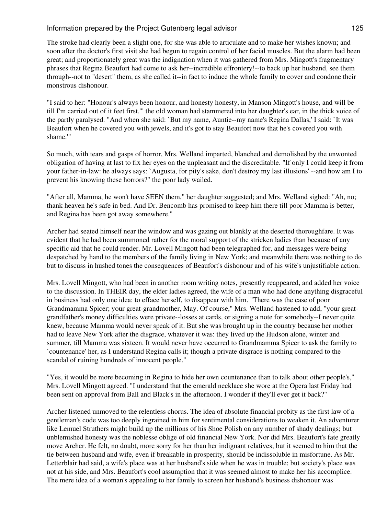The stroke had clearly been a slight one, for she was able to articulate and to make her wishes known; and soon after the doctor's first visit she had begun to regain control of her facial muscles. But the alarm had been great; and proportionately great was the indignation when it was gathered from Mrs. Mingott's fragmentary phrases that Regina Beaufort had come to ask her--incredible effrontery!--to back up her husband, see them through--not to "desert" them, as she called it--in fact to induce the whole family to cover and condone their monstrous dishonour.

"I said to her: "Honour's always been honour, and honesty honesty, in Manson Mingott's house, and will be till I'm carried out of it feet first,'" the old woman had stammered into her daughter's ear, in the thick voice of the partly paralysed. "And when she said: `But my name, Auntie--my name's Regina Dallas,' I said: `It was Beaufort when he covered you with jewels, and it's got to stay Beaufort now that he's covered you with shame.'"

So much, with tears and gasps of horror, Mrs. Welland imparted, blanched and demolished by the unwonted obligation of having at last to fix her eyes on the unpleasant and the discreditable. "If only I could keep it from your father-in-law: he always says: `Augusta, for pity's sake, don't destroy my last illusions' --and how am I to prevent his knowing these horrors?" the poor lady wailed.

"After all, Mamma, he won't have SEEN them," her daughter suggested; and Mrs. Welland sighed: "Ah, no; thank heaven he's safe in bed. And Dr. Bencomb has promised to keep him there till poor Mamma is better, and Regina has been got away somewhere."

Archer had seated himself near the window and was gazing out blankly at the deserted thoroughfare. It was evident that he had been summoned rather for the moral support of the stricken ladies than because of any specific aid that he could render. Mr. Lovell Mingott had been telegraphed for, and messages were being despatched by hand to the members of the family living in New York; and meanwhile there was nothing to do but to discuss in hushed tones the consequences of Beaufort's dishonour and of his wife's unjustifiable action.

Mrs. Lovell Mingott, who had been in another room writing notes, presently reappeared, and added her voice to the discussion. In THEIR day, the elder ladies agreed, the wife of a man who had done anything disgraceful in business had only one idea: to efface herself, to disappear with him. "There was the case of poor Grandmamma Spicer; your great-grandmother, May. Of course," Mrs. Welland hastened to add, "your greatgrandfather's money difficulties were private--losses at cards, or signing a note for somebody--I never quite knew, because Mamma would never speak of it. But she was brought up in the country because her mother had to leave New York after the disgrace, whatever it was: they lived up the Hudson alone, winter and summer, till Mamma was sixteen. It would never have occurred to Grandmamma Spicer to ask the family to `countenance' her, as I understand Regina calls it; though a private disgrace is nothing compared to the scandal of ruining hundreds of innocent people."

"Yes, it would be more becoming in Regina to hide her own countenance than to talk about other people's," Mrs. Lovell Mingott agreed. "I understand that the emerald necklace she wore at the Opera last Friday had been sent on approval from Ball and Black's in the afternoon. I wonder if they'll ever get it back?"

Archer listened unmoved to the relentless chorus. The idea of absolute financial probity as the first law of a gentleman's code was too deeply ingrained in him for sentimental considerations to weaken it. An adventurer like Lemuel Struthers might build up the millions of his Shoe Polish on any number of shady dealings; but unblemished honesty was the noblesse oblige of old financial New York. Nor did Mrs. Beaufort's fate greatly move Archer. He felt, no doubt, more sorry for her than her indignant relatives; but it seemed to him that the tie between husband and wife, even if breakable in prosperity, should be indissoluble in misfortune. As Mr. Letterblair had said, a wife's place was at her husband's side when he was in trouble; but society's place was not at his side, and Mrs. Beaufort's cool assumption that it was seemed almost to make her his accomplice. The mere idea of a woman's appealing to her family to screen her husband's business dishonour was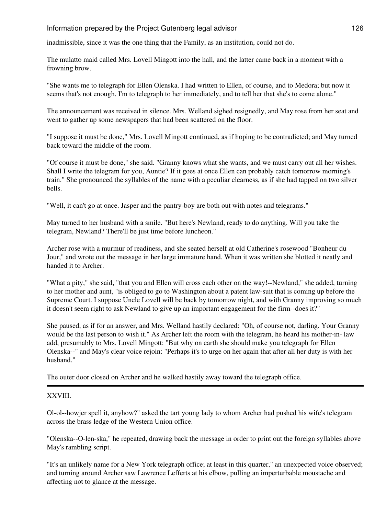inadmissible, since it was the one thing that the Family, as an institution, could not do.

The mulatto maid called Mrs. Lovell Mingott into the hall, and the latter came back in a moment with a frowning brow.

"She wants me to telegraph for Ellen Olenska. I had written to Ellen, of course, and to Medora; but now it seems that's not enough. I'm to telegraph to her immediately, and to tell her that she's to come alone."

The announcement was received in silence. Mrs. Welland sighed resignedly, and May rose from her seat and went to gather up some newspapers that had been scattered on the floor.

"I suppose it must be done," Mrs. Lovell Mingott continued, as if hoping to be contradicted; and May turned back toward the middle of the room.

"Of course it must be done," she said. "Granny knows what she wants, and we must carry out all her wishes. Shall I write the telegram for you, Auntie? If it goes at once Ellen can probably catch tomorrow morning's train." She pronounced the syllables of the name with a peculiar clearness, as if she had tapped on two silver bells.

"Well, it can't go at once. Jasper and the pantry-boy are both out with notes and telegrams."

May turned to her husband with a smile. "But here's Newland, ready to do anything. Will you take the telegram, Newland? There'll be just time before luncheon."

Archer rose with a murmur of readiness, and she seated herself at old Catherine's rosewood "Bonheur du Jour," and wrote out the message in her large immature hand. When it was written she blotted it neatly and handed it to Archer.

"What a pity," she said, "that you and Ellen will cross each other on the way!--Newland," she added, turning to her mother and aunt, "is obliged to go to Washington about a patent law-suit that is coming up before the Supreme Court. I suppose Uncle Lovell will be back by tomorrow night, and with Granny improving so much it doesn't seem right to ask Newland to give up an important engagement for the firm--does it?"

She paused, as if for an answer, and Mrs. Welland hastily declared: "Oh, of course not, darling. Your Granny would be the last person to wish it." As Archer left the room with the telegram, he heard his mother-in- law add, presumably to Mrs. Lovell Mingott: "But why on earth she should make you telegraph for Ellen Olenska--" and May's clear voice rejoin: "Perhaps it's to urge on her again that after all her duty is with her husband."

The outer door closed on Archer and he walked hastily away toward the telegraph office.

### XXVIII.

Ol-ol--howjer spell it, anyhow?" asked the tart young lady to whom Archer had pushed his wife's telegram across the brass ledge of the Western Union office.

"Olenska--O-len-ska," he repeated, drawing back the message in order to print out the foreign syllables above May's rambling script.

"It's an unlikely name for a New York telegraph office; at least in this quarter," an unexpected voice observed; and turning around Archer saw Lawrence Lefferts at his elbow, pulling an imperturbable moustache and affecting not to glance at the message.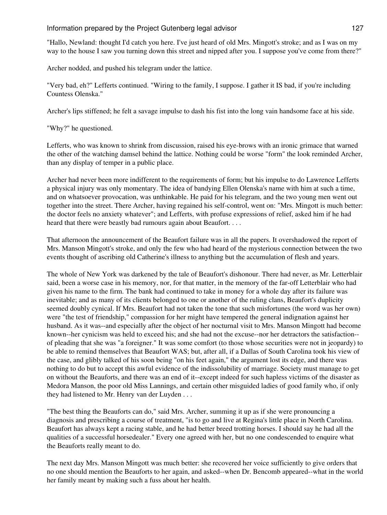"Hallo, Newland: thought I'd catch you here. I've just heard of old Mrs. Mingott's stroke; and as I was on my way to the house I saw you turning down this street and nipped after you. I suppose you've come from there?"

Archer nodded, and pushed his telegram under the lattice.

"Very bad, eh?" Lefferts continued. "Wiring to the family, I suppose. I gather it IS bad, if you're including Countess Olenska."

Archer's lips stiffened; he felt a savage impulse to dash his fist into the long vain handsome face at his side.

"Why?" he questioned.

Lefferts, who was known to shrink from discussion, raised his eye-brows with an ironic grimace that warned the other of the watching damsel behind the lattice. Nothing could be worse "form" the look reminded Archer, than any display of temper in a public place.

Archer had never been more indifferent to the requirements of form; but his impulse to do Lawrence Lefferts a physical injury was only momentary. The idea of bandying Ellen Olenska's name with him at such a time, and on whatsoever provocation, was unthinkable. He paid for his telegram, and the two young men went out together into the street. There Archer, having regained his self-control, went on: "Mrs. Mingott is much better: the doctor feels no anxiety whatever"; and Lefferts, with profuse expressions of relief, asked him if he had heard that there were beastly bad rumours again about Beaufort. . . .

That afternoon the announcement of the Beaufort failure was in all the papers. It overshadowed the report of Mrs. Manson Mingott's stroke, and only the few who had heard of the mysterious connection between the two events thought of ascribing old Catherine's illness to anything but the accumulation of flesh and years.

The whole of New York was darkened by the tale of Beaufort's dishonour. There had never, as Mr. Letterblair said, been a worse case in his memory, nor, for that matter, in the memory of the far-off Letterblair who had given his name to the firm. The bank had continued to take in money for a whole day after its failure was inevitable; and as many of its clients belonged to one or another of the ruling clans, Beaufort's duplicity seemed doubly cynical. If Mrs. Beaufort had not taken the tone that such misfortunes (the word was her own) were "the test of friendship," compassion for her might have tempered the general indignation against her husband. As it was--and especially after the object of her nocturnal visit to Mrs. Manson Mingott had become known--her cynicism was held to exceed his; and she had not the excuse--nor her detractors the satisfaction- of pleading that she was "a foreigner." It was some comfort (to those whose securities were not in jeopardy) to be able to remind themselves that Beaufort WAS; but, after all, if a Dallas of South Carolina took his view of the case, and glibly talked of his soon being "on his feet again," the argument lost its edge, and there was nothing to do but to accept this awful evidence of the indissolubility of marriage. Society must manage to get on without the Beauforts, and there was an end of it--except indeed for such hapless victims of the disaster as Medora Manson, the poor old Miss Lannings, and certain other misguided ladies of good family who, if only they had listened to Mr. Henry van der Luyden . . .

"The best thing the Beauforts can do," said Mrs. Archer, summing it up as if she were pronouncing a diagnosis and prescribing a course of treatment, "is to go and live at Regina's little place in North Carolina. Beaufort has always kept a racing stable, and he had better breed trotting horses. I should say he had all the qualities of a successful horsedealer." Every one agreed with her, but no one condescended to enquire what the Beauforts really meant to do.

The next day Mrs. Manson Mingott was much better: she recovered her voice sufficiently to give orders that no one should mention the Beauforts to her again, and asked--when Dr. Bencomb appeared--what in the world her family meant by making such a fuss about her health.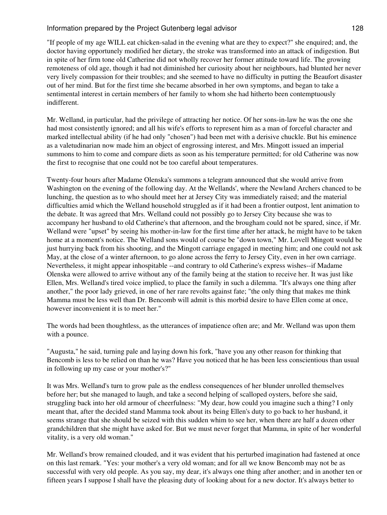"If people of my age WILL eat chicken-salad in the evening what are they to expect?" she enquired; and, the doctor having opportunely modified her dietary, the stroke was transformed into an attack of indigestion. But in spite of her firm tone old Catherine did not wholly recover her former attitude toward life. The growing remoteness of old age, though it had not diminished her curiosity about her neighbours, had blunted her never very lively compassion for their troubles; and she seemed to have no difficulty in putting the Beaufort disaster out of her mind. But for the first time she became absorbed in her own symptoms, and began to take a sentimental interest in certain members of her family to whom she had hitherto been contemptuously indifferent.

Mr. Welland, in particular, had the privilege of attracting her notice. Of her sons-in-law he was the one she had most consistently ignored; and all his wife's efforts to represent him as a man of forceful character and marked intellectual ability (if he had only "chosen") had been met with a derisive chuckle. But his eminence as a valetudinarian now made him an object of engrossing interest, and Mrs. Mingott issued an imperial summons to him to come and compare diets as soon as his temperature permitted; for old Catherine was now the first to recognise that one could not be too careful about temperatures.

Twenty-four hours after Madame Olenska's summons a telegram announced that she would arrive from Washington on the evening of the following day. At the Wellands', where the Newland Archers chanced to be lunching, the question as to who should meet her at Jersey City was immediately raised; and the material difficulties amid which the Welland household struggled as if it had been a frontier outpost, lent animation to the debate. It was agreed that Mrs. Welland could not possibly go to Jersey City because she was to accompany her husband to old Catherine's that afternoon, and the brougham could not be spared, since, if Mr. Welland were "upset" by seeing his mother-in-law for the first time after her attack, he might have to be taken home at a moment's notice. The Welland sons would of course be "down town," Mr. Lovell Mingott would be just hurrying back from his shooting, and the Mingott carriage engaged in meeting him; and one could not ask May, at the close of a winter afternoon, to go alone across the ferry to Jersey City, even in her own carriage. Nevertheless, it might appear inhospitable --and contrary to old Catherine's express wishes--if Madame Olenska were allowed to arrive without any of the family being at the station to receive her. It was just like Ellen, Mrs. Welland's tired voice implied, to place the family in such a dilemma. "It's always one thing after another," the poor lady grieved, in one of her rare revolts against fate; "the only thing that makes me think Mamma must be less well than Dr. Bencomb will admit is this morbid desire to have Ellen come at once, however inconvenient it is to meet her."

The words had been thoughtless, as the utterances of impatience often are; and Mr. Welland was upon them with a pounce.

"Augusta," he said, turning pale and laying down his fork, "have you any other reason for thinking that Bencomb is less to be relied on than he was? Have you noticed that he has been less conscientious than usual in following up my case or your mother's?"

It was Mrs. Welland's turn to grow pale as the endless consequences of her blunder unrolled themselves before her; but she managed to laugh, and take a second helping of scalloped oysters, before she said, struggling back into her old armour of cheerfulness: "My dear, how could you imagine such a thing? I only meant that, after the decided stand Mamma took about its being Ellen's duty to go back to her husband, it seems strange that she should be seized with this sudden whim to see her, when there are half a dozen other grandchildren that she might have asked for. But we must never forget that Mamma, in spite of her wonderful vitality, is a very old woman."

Mr. Welland's brow remained clouded, and it was evident that his perturbed imagination had fastened at once on this last remark. "Yes: your mother's a very old woman; and for all we know Bencomb may not be as successful with very old people. As you say, my dear, it's always one thing after another; and in another ten or fifteen years I suppose I shall have the pleasing duty of looking about for a new doctor. It's always better to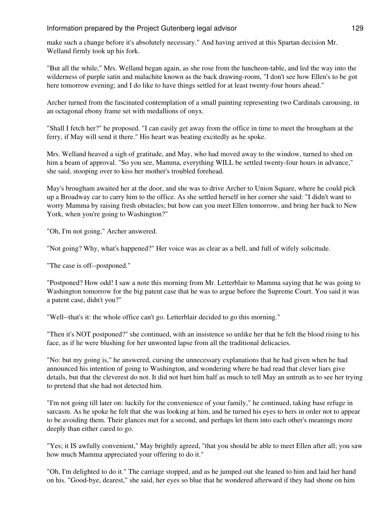make such a change before it's absolutely necessary." And having arrived at this Spartan decision Mr. Welland firmly took up his fork.

"But all the while," Mrs. Welland began again, as she rose from the luncheon-table, and led the way into the wilderness of purple satin and malachite known as the back drawing-room, "I don't see how Ellen's to be got here tomorrow evening; and I do like to have things settled for at least twenty-four hours ahead."

Archer turned from the fascinated contemplation of a small painting representing two Cardinals carousing, in an octagonal ebony frame set with medallions of onyx.

"Shall I fetch her?" he proposed. "I can easily get away from the office in time to meet the brougham at the ferry, if May will send it there." His heart was beating excitedly as he spoke.

Mrs. Welland heaved a sigh of gratitude, and May, who had moved away to the window, turned to shed on him a beam of approval. "So you see, Mamma, everything WILL be settled twenty-four hours in advance," she said, stooping over to kiss her mother's troubled forehead.

May's brougham awaited her at the door, and she was to drive Archer to Union Square, where he could pick up a Broadway car to carry him to the office. As she settled herself in her corner she said: "I didn't want to worry Mamma by raising fresh obstacles; but how can you meet Ellen tomorrow, and bring her back to New York, when you're going to Washington?"

"Oh, I'm not going," Archer answered.

"Not going? Why, what's happened?" Her voice was as clear as a bell, and full of wifely solicitude.

"The case is off--postponed."

"Postponed? How odd! I saw a note this morning from Mr. Letterblair to Mamma saying that he was going to Washington tomorrow for the big patent case that he was to argue before the Supreme Court. You said it was a patent case, didn't you?"

"Well--that's it: the whole office can't go. Letterblair decided to go this morning."

"Then it's NOT postponed?" she continued, with an insistence so unlike her that he felt the blood rising to his face, as if he were blushing for her unwonted lapse from all the traditional delicacies.

"No: but my going is," he answered, cursing the unnecessary explanations that he had given when he had announced his intention of going to Washington, and wondering where he had read that clever liars give details, but that the cleverest do not. It did not hurt him half as much to tell May an untruth as to see her trying to pretend that she had not detected him.

"I'm not going till later on: luckily for the convenience of your family," he continued, taking base refuge in sarcasm. As he spoke he felt that she was looking at him, and he turned his eyes to hers in order not to appear to be avoiding them. Their glances met for a second, and perhaps let them into each other's meanings more deeply than either cared to go.

"Yes; it IS awfully convenient," May brightly agreed, "that you should be able to meet Ellen after all; you saw how much Mamma appreciated your offering to do it."

"Oh, I'm delighted to do it." The carriage stopped, and as he jumped out she leaned to him and laid her hand on his. "Good-bye, dearest," she said, her eyes so blue that he wondered afterward if they had shone on him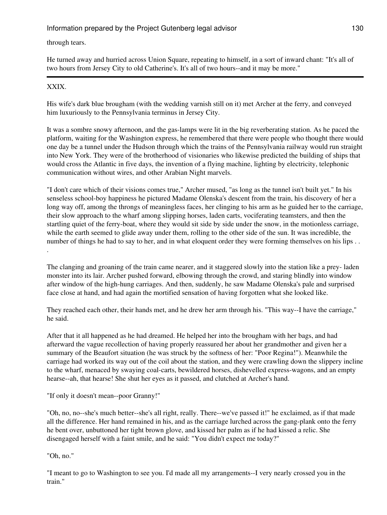# through tears.

He turned away and hurried across Union Square, repeating to himself, in a sort of inward chant: "It's all of two hours from Jersey City to old Catherine's. It's all of two hours--and it may be more."

# XXIX.

.

His wife's dark blue brougham (with the wedding varnish still on it) met Archer at the ferry, and conveyed him luxuriously to the Pennsylvania terminus in Jersey City.

It was a sombre snowy afternoon, and the gas-lamps were lit in the big reverberating station. As he paced the platform, waiting for the Washington express, he remembered that there were people who thought there would one day be a tunnel under the Hudson through which the trains of the Pennsylvania railway would run straight into New York. They were of the brotherhood of visionaries who likewise predicted the building of ships that would cross the Atlantic in five days, the invention of a flying machine, lighting by electricity, telephonic communication without wires, and other Arabian Night marvels.

"I don't care which of their visions comes true," Archer mused, "as long as the tunnel isn't built yet." In his senseless school-boy happiness he pictured Madame Olenska's descent from the train, his discovery of her a long way off, among the throngs of meaningless faces, her clinging to his arm as he guided her to the carriage, their slow approach to the wharf among slipping horses, laden carts, vociferating teamsters, and then the startling quiet of the ferry-boat, where they would sit side by side under the snow, in the motionless carriage, while the earth seemed to glide away under them, rolling to the other side of the sun. It was incredible, the number of things he had to say to her, and in what eloquent order they were forming themselves on his lips . .

The clanging and groaning of the train came nearer, and it staggered slowly into the station like a prey- laden monster into its lair. Archer pushed forward, elbowing through the crowd, and staring blindly into window after window of the high-hung carriages. And then, suddenly, he saw Madame Olenska's pale and surprised face close at hand, and had again the mortified sensation of having forgotten what she looked like.

They reached each other, their hands met, and he drew her arm through his. "This way--I have the carriage," he said.

After that it all happened as he had dreamed. He helped her into the brougham with her bags, and had afterward the vague recollection of having properly reassured her about her grandmother and given her a summary of the Beaufort situation (he was struck by the softness of her: "Poor Regina!"). Meanwhile the carriage had worked its way out of the coil about the station, and they were crawling down the slippery incline to the wharf, menaced by swaying coal-carts, bewildered horses, dishevelled express-wagons, and an empty hearse--ah, that hearse! She shut her eyes as it passed, and clutched at Archer's hand.

"If only it doesn't mean--poor Granny!"

"Oh, no, no--she's much better--she's all right, really. There--we've passed it!" he exclaimed, as if that made all the difference. Her hand remained in his, and as the carriage lurched across the gang-plank onto the ferry he bent over, unbuttoned her tight brown glove, and kissed her palm as if he had kissed a relic. She disengaged herself with a faint smile, and he said: "You didn't expect me today?"

"Oh, no."

"I meant to go to Washington to see you. I'd made all my arrangements--I very nearly crossed you in the train."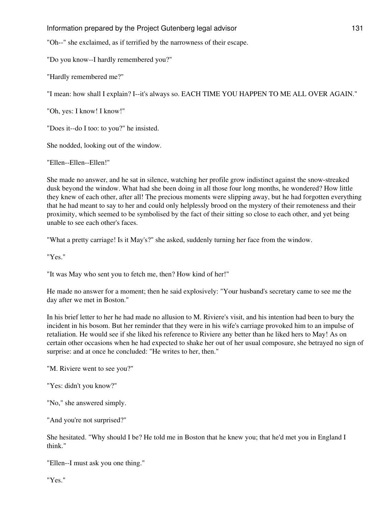"Oh--" she exclaimed, as if terrified by the narrowness of their escape.

"Do you know--I hardly remembered you?"

"Hardly remembered me?"

"I mean: how shall I explain? I--it's always so. EACH TIME YOU HAPPEN TO ME ALL OVER AGAIN."

"Oh, yes: I know! I know!"

"Does it--do I too: to you?" he insisted.

She nodded, looking out of the window.

"Ellen--Ellen--Ellen!"

She made no answer, and he sat in silence, watching her profile grow indistinct against the snow-streaked dusk beyond the window. What had she been doing in all those four long months, he wondered? How little they knew of each other, after all! The precious moments were slipping away, but he had forgotten everything that he had meant to say to her and could only helplessly brood on the mystery of their remoteness and their proximity, which seemed to be symbolised by the fact of their sitting so close to each other, and yet being unable to see each other's faces.

"What a pretty carriage! Is it May's?" she asked, suddenly turning her face from the window.

"Yes."

"It was May who sent you to fetch me, then? How kind of her!"

He made no answer for a moment; then he said explosively: "Your husband's secretary came to see me the day after we met in Boston."

In his brief letter to her he had made no allusion to M. Riviere's visit, and his intention had been to bury the incident in his bosom. But her reminder that they were in his wife's carriage provoked him to an impulse of retaliation. He would see if she liked his reference to Riviere any better than he liked hers to May! As on certain other occasions when he had expected to shake her out of her usual composure, she betrayed no sign of surprise: and at once he concluded: "He writes to her, then."

"M. Riviere went to see you?"

"Yes: didn't you know?"

"No," she answered simply.

"And you're not surprised?"

She hesitated. "Why should I be? He told me in Boston that he knew you; that he'd met you in England I think."

"Ellen--I must ask you one thing."

"Yes."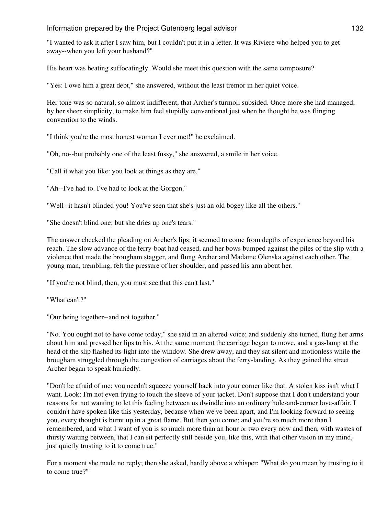"I wanted to ask it after I saw him, but I couldn't put it in a letter. It was Riviere who helped you to get away--when you left your husband?"

His heart was beating suffocatingly. Would she meet this question with the same composure?

"Yes: I owe him a great debt," she answered, without the least tremor in her quiet voice.

Her tone was so natural, so almost indifferent, that Archer's turmoil subsided. Once more she had managed, by her sheer simplicity, to make him feel stupidly conventional just when he thought he was flinging convention to the winds.

"I think you're the most honest woman I ever met!" he exclaimed.

"Oh, no--but probably one of the least fussy," she answered, a smile in her voice.

"Call it what you like: you look at things as they are."

"Ah--I've had to. I've had to look at the Gorgon."

"Well--it hasn't blinded you! You've seen that she's just an old bogey like all the others."

"She doesn't blind one; but she dries up one's tears."

The answer checked the pleading on Archer's lips: it seemed to come from depths of experience beyond his reach. The slow advance of the ferry-boat had ceased, and her bows bumped against the piles of the slip with a violence that made the brougham stagger, and flung Archer and Madame Olenska against each other. The young man, trembling, felt the pressure of her shoulder, and passed his arm about her.

"If you're not blind, then, you must see that this can't last."

"What can't?"

"Our being together--and not together."

"No. You ought not to have come today," she said in an altered voice; and suddenly she turned, flung her arms about him and pressed her lips to his. At the same moment the carriage began to move, and a gas-lamp at the head of the slip flashed its light into the window. She drew away, and they sat silent and motionless while the brougham struggled through the congestion of carriages about the ferry-landing. As they gained the street Archer began to speak hurriedly.

"Don't be afraid of me: you needn't squeeze yourself back into your corner like that. A stolen kiss isn't what I want. Look: I'm not even trying to touch the sleeve of your jacket. Don't suppose that I don't understand your reasons for not wanting to let this feeling between us dwindle into an ordinary hole-and-corner love-affair. I couldn't have spoken like this yesterday, because when we've been apart, and I'm looking forward to seeing you, every thought is burnt up in a great flame. But then you come; and you're so much more than I remembered, and what I want of you is so much more than an hour or two every now and then, with wastes of thirsty waiting between, that I can sit perfectly still beside you, like this, with that other vision in my mind, just quietly trusting to it to come true."

For a moment she made no reply; then she asked, hardly above a whisper: "What do you mean by trusting to it to come true?"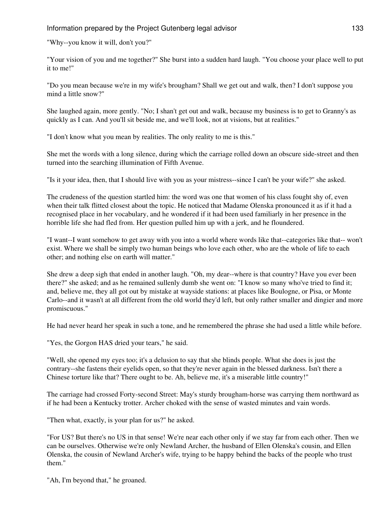"Why--you know it will, don't you?"

"Your vision of you and me together?" She burst into a sudden hard laugh. "You choose your place well to put it to me!"

"Do you mean because we're in my wife's brougham? Shall we get out and walk, then? I don't suppose you mind a little snow?"

She laughed again, more gently. "No; I shan't get out and walk, because my business is to get to Granny's as quickly as I can. And you'll sit beside me, and we'll look, not at visions, but at realities."

"I don't know what you mean by realities. The only reality to me is this."

She met the words with a long silence, during which the carriage rolled down an obscure side-street and then turned into the searching illumination of Fifth Avenue.

"Is it your idea, then, that I should live with you as your mistress--since I can't be your wife?" she asked.

The crudeness of the question startled him: the word was one that women of his class fought shy of, even when their talk flitted closest about the topic. He noticed that Madame Olenska pronounced it as if it had a recognised place in her vocabulary, and he wondered if it had been used familiarly in her presence in the horrible life she had fled from. Her question pulled him up with a jerk, and he floundered.

"I want--I want somehow to get away with you into a world where words like that--categories like that-- won't exist. Where we shall be simply two human beings who love each other, who are the whole of life to each other; and nothing else on earth will matter."

She drew a deep sigh that ended in another laugh. "Oh, my dear--where is that country? Have you ever been there?" she asked; and as he remained sullenly dumb she went on: "I know so many who've tried to find it; and, believe me, they all got out by mistake at wayside stations: at places like Boulogne, or Pisa, or Monte Carlo--and it wasn't at all different from the old world they'd left, but only rather smaller and dingier and more promiscuous."

He had never heard her speak in such a tone, and he remembered the phrase she had used a little while before.

"Yes, the Gorgon HAS dried your tears," he said.

"Well, she opened my eyes too; it's a delusion to say that she blinds people. What she does is just the contrary--she fastens their eyelids open, so that they're never again in the blessed darkness. Isn't there a Chinese torture like that? There ought to be. Ah, believe me, it's a miserable little country!"

The carriage had crossed Forty-second Street: May's sturdy brougham-horse was carrying them northward as if he had been a Kentucky trotter. Archer choked with the sense of wasted minutes and vain words.

"Then what, exactly, is your plan for us?" he asked.

"For US? But there's no US in that sense! We're near each other only if we stay far from each other. Then we can be ourselves. Otherwise we're only Newland Archer, the husband of Ellen Olenska's cousin, and Ellen Olenska, the cousin of Newland Archer's wife, trying to be happy behind the backs of the people who trust them."

"Ah, I'm beyond that," he groaned.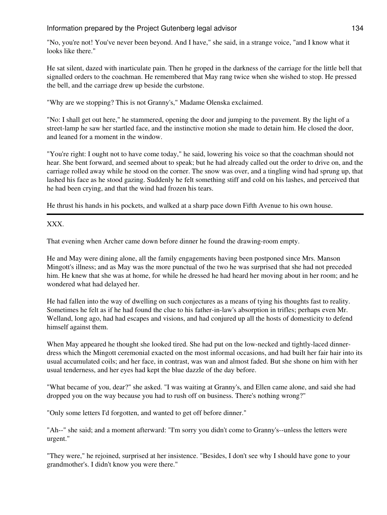"No, you're not! You've never been beyond. And I have," she said, in a strange voice, "and I know what it looks like there."

He sat silent, dazed with inarticulate pain. Then he groped in the darkness of the carriage for the little bell that signalled orders to the coachman. He remembered that May rang twice when she wished to stop. He pressed the bell, and the carriage drew up beside the curbstone.

"Why are we stopping? This is not Granny's," Madame Olenska exclaimed.

"No: I shall get out here," he stammered, opening the door and jumping to the pavement. By the light of a street-lamp he saw her startled face, and the instinctive motion she made to detain him. He closed the door, and leaned for a moment in the window.

"You're right: I ought not to have come today," he said, lowering his voice so that the coachman should not hear. She bent forward, and seemed about to speak; but he had already called out the order to drive on, and the carriage rolled away while he stood on the corner. The snow was over, and a tingling wind had sprung up, that lashed his face as he stood gazing. Suddenly he felt something stiff and cold on his lashes, and perceived that he had been crying, and that the wind had frozen his tears.

He thrust his hands in his pockets, and walked at a sharp pace down Fifth Avenue to his own house.

XXX.

That evening when Archer came down before dinner he found the drawing-room empty.

He and May were dining alone, all the family engagements having been postponed since Mrs. Manson Mingott's illness; and as May was the more punctual of the two he was surprised that she had not preceded him. He knew that she was at home, for while he dressed he had heard her moving about in her room; and he wondered what had delayed her.

He had fallen into the way of dwelling on such conjectures as a means of tying his thoughts fast to reality. Sometimes he felt as if he had found the clue to his father-in-law's absorption in trifles; perhaps even Mr. Welland, long ago, had had escapes and visions, and had conjured up all the hosts of domesticity to defend himself against them.

When May appeared he thought she looked tired. She had put on the low-necked and tightly-laced dinnerdress which the Mingott ceremonial exacted on the most informal occasions, and had built her fair hair into its usual accumulated coils; and her face, in contrast, was wan and almost faded. But she shone on him with her usual tenderness, and her eyes had kept the blue dazzle of the day before.

"What became of you, dear?" she asked. "I was waiting at Granny's, and Ellen came alone, and said she had dropped you on the way because you had to rush off on business. There's nothing wrong?"

"Only some letters I'd forgotten, and wanted to get off before dinner."

"Ah--" she said; and a moment afterward: "I'm sorry you didn't come to Granny's--unless the letters were urgent."

"They were," he rejoined, surprised at her insistence. "Besides, I don't see why I should have gone to your grandmother's. I didn't know you were there."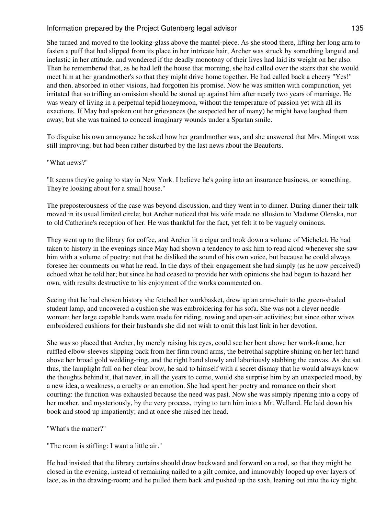She turned and moved to the looking-glass above the mantel-piece. As she stood there, lifting her long arm to fasten a puff that had slipped from its place in her intricate hair, Archer was struck by something languid and inelastic in her attitude, and wondered if the deadly monotony of their lives had laid its weight on her also. Then he remembered that, as he had left the house that morning, she had called over the stairs that she would meet him at her grandmother's so that they might drive home together. He had called back a cheery "Yes!" and then, absorbed in other visions, had forgotten his promise. Now he was smitten with compunction, yet irritated that so trifling an omission should be stored up against him after nearly two years of marriage. He was weary of living in a perpetual tepid honeymoon, without the temperature of passion yet with all its exactions. If May had spoken out her grievances (he suspected her of many) he might have laughed them away; but she was trained to conceal imaginary wounds under a Spartan smile.

To disguise his own annoyance he asked how her grandmother was, and she answered that Mrs. Mingott was still improving, but had been rather disturbed by the last news about the Beauforts.

### "What news?"

"It seems they're going to stay in New York. I believe he's going into an insurance business, or something. They're looking about for a small house."

The preposterousness of the case was beyond discussion, and they went in to dinner. During dinner their talk moved in its usual limited circle; but Archer noticed that his wife made no allusion to Madame Olenska, nor to old Catherine's reception of her. He was thankful for the fact, yet felt it to be vaguely ominous.

They went up to the library for coffee, and Archer lit a cigar and took down a volume of Michelet. He had taken to history in the evenings since May had shown a tendency to ask him to read aloud whenever she saw him with a volume of poetry: not that he disliked the sound of his own voice, but because he could always foresee her comments on what he read. In the days of their engagement she had simply (as he now perceived) echoed what he told her; but since he had ceased to provide her with opinions she had begun to hazard her own, with results destructive to his enjoyment of the works commented on.

Seeing that he had chosen history she fetched her workbasket, drew up an arm-chair to the green-shaded student lamp, and uncovered a cushion she was embroidering for his sofa. She was not a clever needlewoman; her large capable hands were made for riding, rowing and open-air activities; but since other wives embroidered cushions for their husbands she did not wish to omit this last link in her devotion.

She was so placed that Archer, by merely raising his eyes, could see her bent above her work-frame, her ruffled elbow-sleeves slipping back from her firm round arms, the betrothal sapphire shining on her left hand above her broad gold wedding-ring, and the right hand slowly and laboriously stabbing the canvas. As she sat thus, the lamplight full on her clear brow, he said to himself with a secret dismay that he would always know the thoughts behind it, that never, in all the years to come, would she surprise him by an unexpected mood, by a new idea, a weakness, a cruelty or an emotion. She had spent her poetry and romance on their short courting: the function was exhausted because the need was past. Now she was simply ripening into a copy of her mother, and mysteriously, by the very process, trying to turn him into a Mr. Welland. He laid down his book and stood up impatiently; and at once she raised her head.

"What's the matter?"

"The room is stifling: I want a little air."

He had insisted that the library curtains should draw backward and forward on a rod, so that they might be closed in the evening, instead of remaining nailed to a gilt cornice, and immovably looped up over layers of lace, as in the drawing-room; and he pulled them back and pushed up the sash, leaning out into the icy night.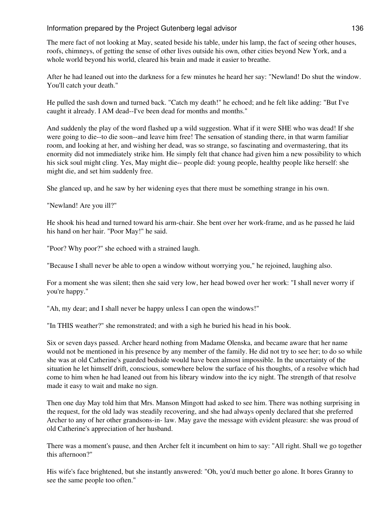The mere fact of not looking at May, seated beside his table, under his lamp, the fact of seeing other houses, roofs, chimneys, of getting the sense of other lives outside his own, other cities beyond New York, and a whole world beyond his world, cleared his brain and made it easier to breathe.

After he had leaned out into the darkness for a few minutes he heard her say: "Newland! Do shut the window. You'll catch your death."

He pulled the sash down and turned back. "Catch my death!" he echoed; and he felt like adding: "But I've caught it already. I AM dead--I've been dead for months and months."

And suddenly the play of the word flashed up a wild suggestion. What if it were SHE who was dead! If she were going to die--to die soon--and leave him free! The sensation of standing there, in that warm familiar room, and looking at her, and wishing her dead, was so strange, so fascinating and overmastering, that its enormity did not immediately strike him. He simply felt that chance had given him a new possibility to which his sick soul might cling. Yes, May might die-- people did: young people, healthy people like herself: she might die, and set him suddenly free.

She glanced up, and he saw by her widening eyes that there must be something strange in his own.

"Newland! Are you ill?"

He shook his head and turned toward his arm-chair. She bent over her work-frame, and as he passed he laid his hand on her hair. "Poor May!" he said.

"Poor? Why poor?" she echoed with a strained laugh.

"Because I shall never be able to open a window without worrying you," he rejoined, laughing also.

For a moment she was silent; then she said very low, her head bowed over her work: "I shall never worry if you're happy."

"Ah, my dear; and I shall never be happy unless I can open the windows!"

"In THIS weather?" she remonstrated; and with a sigh he buried his head in his book.

Six or seven days passed. Archer heard nothing from Madame Olenska, and became aware that her name would not be mentioned in his presence by any member of the family. He did not try to see her; to do so while she was at old Catherine's guarded bedside would have been almost impossible. In the uncertainty of the situation he let himself drift, conscious, somewhere below the surface of his thoughts, of a resolve which had come to him when he had leaned out from his library window into the icy night. The strength of that resolve made it easy to wait and make no sign.

Then one day May told him that Mrs. Manson Mingott had asked to see him. There was nothing surprising in the request, for the old lady was steadily recovering, and she had always openly declared that she preferred Archer to any of her other grandsons-in- law. May gave the message with evident pleasure: she was proud of old Catherine's appreciation of her husband.

There was a moment's pause, and then Archer felt it incumbent on him to say: "All right. Shall we go together this afternoon?"

His wife's face brightened, but she instantly answered: "Oh, you'd much better go alone. It bores Granny to see the same people too often."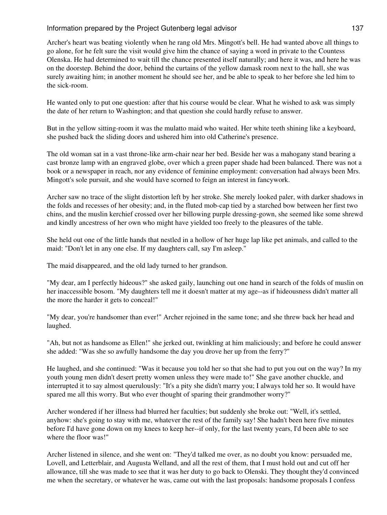Archer's heart was beating violently when he rang old Mrs. Mingott's bell. He had wanted above all things to go alone, for he felt sure the visit would give him the chance of saying a word in private to the Countess Olenska. He had determined to wait till the chance presented itself naturally; and here it was, and here he was on the doorstep. Behind the door, behind the curtains of the yellow damask room next to the hall, she was surely awaiting him; in another moment he should see her, and be able to speak to her before she led him to the sick-room.

He wanted only to put one question: after that his course would be clear. What he wished to ask was simply the date of her return to Washington; and that question she could hardly refuse to answer.

But in the yellow sitting-room it was the mulatto maid who waited. Her white teeth shining like a keyboard, she pushed back the sliding doors and ushered him into old Catherine's presence.

The old woman sat in a vast throne-like arm-chair near her bed. Beside her was a mahogany stand bearing a cast bronze lamp with an engraved globe, over which a green paper shade had been balanced. There was not a book or a newspaper in reach, nor any evidence of feminine employment: conversation had always been Mrs. Mingott's sole pursuit, and she would have scorned to feign an interest in fancywork.

Archer saw no trace of the slight distortion left by her stroke. She merely looked paler, with darker shadows in the folds and recesses of her obesity; and, in the fluted mob-cap tied by a starched bow between her first two chins, and the muslin kerchief crossed over her billowing purple dressing-gown, she seemed like some shrewd and kindly ancestress of her own who might have yielded too freely to the pleasures of the table.

She held out one of the little hands that nestled in a hollow of her huge lap like pet animals, and called to the maid: "Don't let in any one else. If my daughters call, say I'm asleep."

The maid disappeared, and the old lady turned to her grandson.

"My dear, am I perfectly hideous?" she asked gaily, launching out one hand in search of the folds of muslin on her inaccessible bosom. "My daughters tell me it doesn't matter at my age--as if hideousness didn't matter all the more the harder it gets to conceal!"

"My dear, you're handsomer than ever!" Archer rejoined in the same tone; and she threw back her head and laughed.

"Ah, but not as handsome as Ellen!" she jerked out, twinkling at him maliciously; and before he could answer she added: "Was she so awfully handsome the day you drove her up from the ferry?"

He laughed, and she continued: "Was it because you told her so that she had to put you out on the way? In my youth young men didn't desert pretty women unless they were made to!" She gave another chuckle, and interrupted it to say almost querulously: "It's a pity she didn't marry you; I always told her so. It would have spared me all this worry. But who ever thought of sparing their grandmother worry?"

Archer wondered if her illness had blurred her faculties; but suddenly she broke out: "Well, it's settled, anyhow: she's going to stay with me, whatever the rest of the family say! She hadn't been here five minutes before I'd have gone down on my knees to keep her--if only, for the last twenty years, I'd been able to see where the floor was!"

Archer listened in silence, and she went on: "They'd talked me over, as no doubt you know: persuaded me, Lovell, and Letterblair, and Augusta Welland, and all the rest of them, that I must hold out and cut off her allowance, till she was made to see that it was her duty to go back to Olenski. They thought they'd convinced me when the secretary, or whatever he was, came out with the last proposals: handsome proposals I confess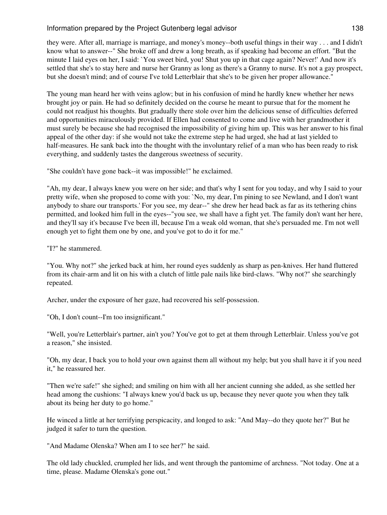they were. After all, marriage is marriage, and money's money--both useful things in their way . . . and I didn't know what to answer--" She broke off and drew a long breath, as if speaking had become an effort. "But the minute I laid eyes on her, I said: `You sweet bird, you! Shut you up in that cage again? Never!' And now it's settled that she's to stay here and nurse her Granny as long as there's a Granny to nurse. It's not a gay prospect, but she doesn't mind; and of course I've told Letterblair that she's to be given her proper allowance."

The young man heard her with veins aglow; but in his confusion of mind he hardly knew whether her news brought joy or pain. He had so definitely decided on the course he meant to pursue that for the moment he could not readjust his thoughts. But gradually there stole over him the delicious sense of difficulties deferred and opportunities miraculously provided. If Ellen had consented to come and live with her grandmother it must surely be because she had recognised the impossibility of giving him up. This was her answer to his final appeal of the other day: if she would not take the extreme step he had urged, she had at last yielded to half-measures. He sank back into the thought with the involuntary relief of a man who has been ready to risk everything, and suddenly tastes the dangerous sweetness of security.

"She couldn't have gone back--it was impossible!" he exclaimed.

"Ah, my dear, I always knew you were on her side; and that's why I sent for you today, and why I said to your pretty wife, when she proposed to come with you: `No, my dear, I'm pining to see Newland, and I don't want anybody to share our transports.' For you see, my dear--" she drew her head back as far as its tethering chins permitted, and looked him full in the eyes--"you see, we shall have a fight yet. The family don't want her here, and they'll say it's because I've been ill, because I'm a weak old woman, that she's persuaded me. I'm not well enough yet to fight them one by one, and you've got to do it for me."

"I?" he stammered.

"You. Why not?" she jerked back at him, her round eyes suddenly as sharp as pen-knives. Her hand fluttered from its chair-arm and lit on his with a clutch of little pale nails like bird-claws. "Why not?" she searchingly repeated.

Archer, under the exposure of her gaze, had recovered his self-possession.

"Oh, I don't count--I'm too insignificant."

"Well, you're Letterblair's partner, ain't you? You've got to get at them through Letterblair. Unless you've got a reason," she insisted.

"Oh, my dear, I back you to hold your own against them all without my help; but you shall have it if you need it," he reassured her.

"Then we're safe!" she sighed; and smiling on him with all her ancient cunning she added, as she settled her head among the cushions: "I always knew you'd back us up, because they never quote you when they talk about its being her duty to go home."

He winced a little at her terrifying perspicacity, and longed to ask: "And May--do they quote her?" But he judged it safer to turn the question.

"And Madame Olenska? When am I to see her?" he said.

The old lady chuckled, crumpled her lids, and went through the pantomime of archness. "Not today. One at a time, please. Madame Olenska's gone out."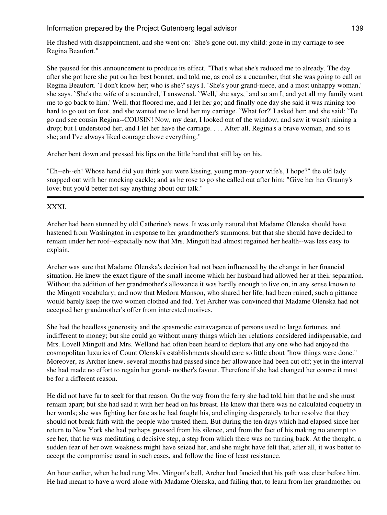He flushed with disappointment, and she went on: "She's gone out, my child: gone in my carriage to see Regina Beaufort."

She paused for this announcement to produce its effect. "That's what she's reduced me to already. The day after she got here she put on her best bonnet, and told me, as cool as a cucumber, that she was going to call on Regina Beaufort. `I don't know her; who is she?' says I. `She's your grand-niece, and a most unhappy woman,' she says. `She's the wife of a scoundrel,' I answered. `Well,' she says, `and so am I, and yet all my family want me to go back to him.' Well, that floored me, and I let her go; and finally one day she said it was raining too hard to go out on foot, and she wanted me to lend her my carriage. `What for?' I asked her; and she said: `To go and see cousin Regina--COUSIN! Now, my dear, I looked out of the window, and saw it wasn't raining a drop; but I understood her, and I let her have the carriage. . . . After all, Regina's a brave woman, and so is she; and I've always liked courage above everything."

Archer bent down and pressed his lips on the little hand that still lay on his.

"Eh--eh--eh! Whose hand did you think you were kissing, young man--your wife's, I hope?" the old lady snapped out with her mocking cackle; and as he rose to go she called out after him: "Give her her Granny's love; but you'd better not say anything about our talk."

# XXXI.

Archer had been stunned by old Catherine's news. It was only natural that Madame Olenska should have hastened from Washington in response to her grandmother's summons; but that she should have decided to remain under her roof--especially now that Mrs. Mingott had almost regained her health--was less easy to explain.

Archer was sure that Madame Olenska's decision had not been influenced by the change in her financial situation. He knew the exact figure of the small income which her husband had allowed her at their separation. Without the addition of her grandmother's allowance it was hardly enough to live on, in any sense known to the Mingott vocabulary; and now that Medora Manson, who shared her life, had been ruined, such a pittance would barely keep the two women clothed and fed. Yet Archer was convinced that Madame Olenska had not accepted her grandmother's offer from interested motives.

She had the heedless generosity and the spasmodic extravagance of persons used to large fortunes, and indifferent to money; but she could go without many things which her relations considered indispensable, and Mrs. Lovell Mingott and Mrs. Welland had often been heard to deplore that any one who had enjoyed the cosmopolitan luxuries of Count Olenski's establishments should care so little about "how things were done." Moreover, as Archer knew, several months had passed since her allowance had been cut off; yet in the interval she had made no effort to regain her grand- mother's favour. Therefore if she had changed her course it must be for a different reason.

He did not have far to seek for that reason. On the way from the ferry she had told him that he and she must remain apart; but she had said it with her head on his breast. He knew that there was no calculated coquetry in her words; she was fighting her fate as he had fought his, and clinging desperately to her resolve that they should not break faith with the people who trusted them. But during the ten days which had elapsed since her return to New York she had perhaps guessed from his silence, and from the fact of his making no attempt to see her, that he was meditating a decisive step, a step from which there was no turning back. At the thought, a sudden fear of her own weakness might have seized her, and she might have felt that, after all, it was better to accept the compromise usual in such cases, and follow the line of least resistance.

An hour earlier, when he had rung Mrs. Mingott's bell, Archer had fancied that his path was clear before him. He had meant to have a word alone with Madame Olenska, and failing that, to learn from her grandmother on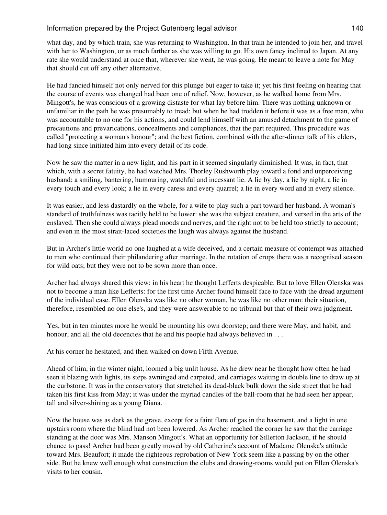what day, and by which train, she was returning to Washington. In that train he intended to join her, and travel with her to Washington, or as much farther as she was willing to go. His own fancy inclined to Japan. At any rate she would understand at once that, wherever she went, he was going. He meant to leave a note for May that should cut off any other alternative.

He had fancied himself not only nerved for this plunge but eager to take it; yet his first feeling on hearing that the course of events was changed had been one of relief. Now, however, as he walked home from Mrs. Mingott's, he was conscious of a growing distaste for what lay before him. There was nothing unknown or unfamiliar in the path he was presumably to tread; but when he had trodden it before it was as a free man, who was accountable to no one for his actions, and could lend himself with an amused detachment to the game of precautions and prevarications, concealments and compliances, that the part required. This procedure was called "protecting a woman's honour"; and the best fiction, combined with the after-dinner talk of his elders, had long since initiated him into every detail of its code.

Now he saw the matter in a new light, and his part in it seemed singularly diminished. It was, in fact, that which, with a secret fatuity, he had watched Mrs. Thorley Rushworth play toward a fond and unperceiving husband: a smiling, bantering, humouring, watchful and incessant lie. A lie by day, a lie by night, a lie in every touch and every look; a lie in every caress and every quarrel; a lie in every word and in every silence.

It was easier, and less dastardly on the whole, for a wife to play such a part toward her husband. A woman's standard of truthfulness was tacitly held to be lower: she was the subject creature, and versed in the arts of the enslaved. Then she could always plead moods and nerves, and the right not to be held too strictly to account; and even in the most strait-laced societies the laugh was always against the husband.

But in Archer's little world no one laughed at a wife deceived, and a certain measure of contempt was attached to men who continued their philandering after marriage. In the rotation of crops there was a recognised season for wild oats; but they were not to be sown more than once.

Archer had always shared this view: in his heart he thought Lefferts despicable. But to love Ellen Olenska was not to become a man like Lefferts: for the first time Archer found himself face to face with the dread argument of the individual case. Ellen Olenska was like no other woman, he was like no other man: their situation, therefore, resembled no one else's, and they were answerable to no tribunal but that of their own judgment.

Yes, but in ten minutes more he would be mounting his own doorstep; and there were May, and habit, and honour, and all the old decencies that he and his people had always believed in ...

At his corner he hesitated, and then walked on down Fifth Avenue.

Ahead of him, in the winter night, loomed a big unlit house. As he drew near he thought how often he had seen it blazing with lights, its steps awninged and carpeted, and carriages waiting in double line to draw up at the curbstone. It was in the conservatory that stretched its dead-black bulk down the side street that he had taken his first kiss from May; it was under the myriad candles of the ball-room that he had seen her appear, tall and silver-shining as a young Diana.

Now the house was as dark as the grave, except for a faint flare of gas in the basement, and a light in one upstairs room where the blind had not been lowered. As Archer reached the corner he saw that the carriage standing at the door was Mrs. Manson Mingott's. What an opportunity for Sillerton Jackson, if he should chance to pass! Archer had been greatly moved by old Catherine's account of Madame Olenska's attitude toward Mrs. Beaufort; it made the righteous reprobation of New York seem like a passing by on the other side. But he knew well enough what construction the clubs and drawing-rooms would put on Ellen Olenska's visits to her cousin.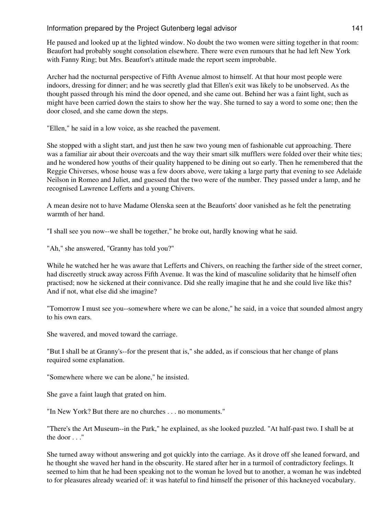He paused and looked up at the lighted window. No doubt the two women were sitting together in that room: Beaufort had probably sought consolation elsewhere. There were even rumours that he had left New York with Fanny Ring; but Mrs. Beaufort's attitude made the report seem improbable.

Archer had the nocturnal perspective of Fifth Avenue almost to himself. At that hour most people were indoors, dressing for dinner; and he was secretly glad that Ellen's exit was likely to be unobserved. As the thought passed through his mind the door opened, and she came out. Behind her was a faint light, such as might have been carried down the stairs to show her the way. She turned to say a word to some one; then the door closed, and she came down the steps.

"Ellen," he said in a low voice, as she reached the pavement.

She stopped with a slight start, and just then he saw two young men of fashionable cut approaching. There was a familiar air about their overcoats and the way their smart silk mufflers were folded over their white ties; and he wondered how youths of their quality happened to be dining out so early. Then he remembered that the Reggie Chiverses, whose house was a few doors above, were taking a large party that evening to see Adelaide Neilson in Romeo and Juliet, and guessed that the two were of the number. They passed under a lamp, and he recognised Lawrence Lefferts and a young Chivers.

A mean desire not to have Madame Olenska seen at the Beauforts' door vanished as he felt the penetrating warmth of her hand.

"I shall see you now--we shall be together," he broke out, hardly knowing what he said.

"Ah," she answered, "Granny has told you?"

While he watched her he was aware that Lefferts and Chivers, on reaching the farther side of the street corner, had discreetly struck away across Fifth Avenue. It was the kind of masculine solidarity that he himself often practised; now he sickened at their connivance. Did she really imagine that he and she could live like this? And if not, what else did she imagine?

"Tomorrow I must see you--somewhere where we can be alone," he said, in a voice that sounded almost angry to his own ears.

She wavered, and moved toward the carriage.

"But I shall be at Granny's--for the present that is," she added, as if conscious that her change of plans required some explanation.

"Somewhere where we can be alone," he insisted.

She gave a faint laugh that grated on him.

"In New York? But there are no churches . . . no monuments."

"There's the Art Museum--in the Park," he explained, as she looked puzzled. "At half-past two. I shall be at the door . . ."

She turned away without answering and got quickly into the carriage. As it drove off she leaned forward, and he thought she waved her hand in the obscurity. He stared after her in a turmoil of contradictory feelings. It seemed to him that he had been speaking not to the woman he loved but to another, a woman he was indebted to for pleasures already wearied of: it was hateful to find himself the prisoner of this hackneyed vocabulary.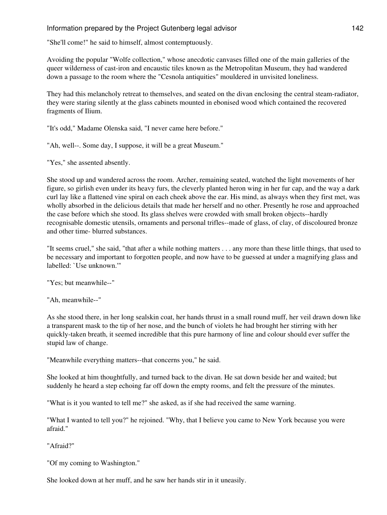"She'll come!" he said to himself, almost contemptuously.

Avoiding the popular "Wolfe collection," whose anecdotic canvases filled one of the main galleries of the queer wilderness of cast-iron and encaustic tiles known as the Metropolitan Museum, they had wandered down a passage to the room where the "Cesnola antiquities" mouldered in unvisited loneliness.

They had this melancholy retreat to themselves, and seated on the divan enclosing the central steam-radiator, they were staring silently at the glass cabinets mounted in ebonised wood which contained the recovered fragments of Ilium.

"It's odd," Madame Olenska said, "I never came here before."

"Ah, well--. Some day, I suppose, it will be a great Museum."

"Yes," she assented absently.

She stood up and wandered across the room. Archer, remaining seated, watched the light movements of her figure, so girlish even under its heavy furs, the cleverly planted heron wing in her fur cap, and the way a dark curl lay like a flattened vine spiral on each cheek above the ear. His mind, as always when they first met, was wholly absorbed in the delicious details that made her herself and no other. Presently he rose and approached the case before which she stood. Its glass shelves were crowded with small broken objects--hardly recognisable domestic utensils, ornaments and personal trifles--made of glass, of clay, of discoloured bronze and other time- blurred substances.

"It seems cruel," she said, "that after a while nothing matters . . . any more than these little things, that used to be necessary and important to forgotten people, and now have to be guessed at under a magnifying glass and labelled: `Use unknown.'"

"Yes; but meanwhile--"

"Ah, meanwhile--"

As she stood there, in her long sealskin coat, her hands thrust in a small round muff, her veil drawn down like a transparent mask to the tip of her nose, and the bunch of violets he had brought her stirring with her quickly-taken breath, it seemed incredible that this pure harmony of line and colour should ever suffer the stupid law of change.

"Meanwhile everything matters--that concerns you," he said.

She looked at him thoughtfully, and turned back to the divan. He sat down beside her and waited; but suddenly he heard a step echoing far off down the empty rooms, and felt the pressure of the minutes.

"What is it you wanted to tell me?" she asked, as if she had received the same warning.

"What I wanted to tell you?" he rejoined. "Why, that I believe you came to New York because you were afraid."

"Afraid?"

"Of my coming to Washington."

She looked down at her muff, and he saw her hands stir in it uneasily.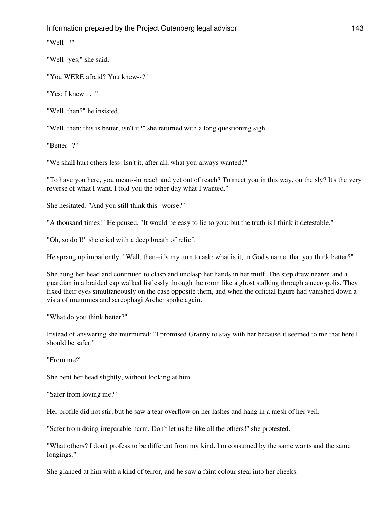"Well--?"

"Well--yes," she said.

"You WERE afraid? You knew--?"

"Yes: I knew . . ."

"Well, then?" he insisted.

"Well, then: this is better, isn't it?" she returned with a long questioning sigh.

"Better--?"

"We shall hurt others less. Isn't it, after all, what you always wanted?"

"To have you here, you mean--in reach and yet out of reach? To meet you in this way, on the sly? It's the very reverse of what I want. I told you the other day what I wanted."

She hesitated. "And you still think this--worse?"

"A thousand times!" He paused. "It would be easy to lie to you; but the truth is I think it detestable."

"Oh, so do I!" she cried with a deep breath of relief.

He sprang up impatiently. "Well, then--it's my turn to ask: what is it, in God's name, that you think better?"

She hung her head and continued to clasp and unclasp her hands in her muff. The step drew nearer, and a guardian in a braided cap walked listlessly through the room like a ghost stalking through a necropolis. They fixed their eyes simultaneously on the case opposite them, and when the official figure had vanished down a vista of mummies and sarcophagi Archer spoke again.

"What do you think better?"

Instead of answering she murmured: "I promised Granny to stay with her because it seemed to me that here I should be safer."

"From me?"

She bent her head slightly, without looking at him.

"Safer from loving me?"

Her profile did not stir, but he saw a tear overflow on her lashes and hang in a mesh of her veil.

"Safer from doing irreparable harm. Don't let us be like all the others!" she protested.

"What others? I don't profess to be different from my kind. I'm consumed by the same wants and the same longings."

She glanced at him with a kind of terror, and he saw a faint colour steal into her cheeks.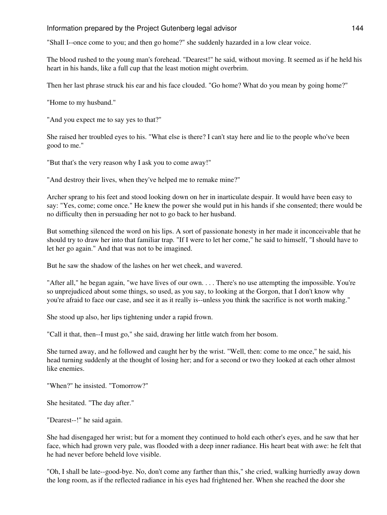"Shall I--once come to you; and then go home?" she suddenly hazarded in a low clear voice.

The blood rushed to the young man's forehead. "Dearest!" he said, without moving. It seemed as if he held his heart in his hands, like a full cup that the least motion might overbrim.

Then her last phrase struck his ear and his face clouded. "Go home? What do you mean by going home?"

"Home to my husband."

"And you expect me to say yes to that?"

She raised her troubled eyes to his. "What else is there? I can't stay here and lie to the people who've been good to me."

"But that's the very reason why I ask you to come away!"

"And destroy their lives, when they've helped me to remake mine?"

Archer sprang to his feet and stood looking down on her in inarticulate despair. It would have been easy to say: "Yes, come; come once." He knew the power she would put in his hands if she consented; there would be no difficulty then in persuading her not to go back to her husband.

But something silenced the word on his lips. A sort of passionate honesty in her made it inconceivable that he should try to draw her into that familiar trap. "If I were to let her come," he said to himself, "I should have to let her go again." And that was not to be imagined.

But he saw the shadow of the lashes on her wet cheek, and wavered.

"After all," he began again, "we have lives of our own. . . . There's no use attempting the impossible. You're so unprejudiced about some things, so used, as you say, to looking at the Gorgon, that I don't know why you're afraid to face our case, and see it as it really is--unless you think the sacrifice is not worth making."

She stood up also, her lips tightening under a rapid frown.

"Call it that, then--I must go," she said, drawing her little watch from her bosom.

She turned away, and he followed and caught her by the wrist. "Well, then: come to me once," he said, his head turning suddenly at the thought of losing her; and for a second or two they looked at each other almost like enemies.

"When?" he insisted. "Tomorrow?"

She hesitated. "The day after."

"Dearest--!" he said again.

She had disengaged her wrist; but for a moment they continued to hold each other's eyes, and he saw that her face, which had grown very pale, was flooded with a deep inner radiance. His heart beat with awe: he felt that he had never before beheld love visible.

"Oh, I shall be late--good-bye. No, don't come any farther than this," she cried, walking hurriedly away down the long room, as if the reflected radiance in his eyes had frightened her. When she reached the door she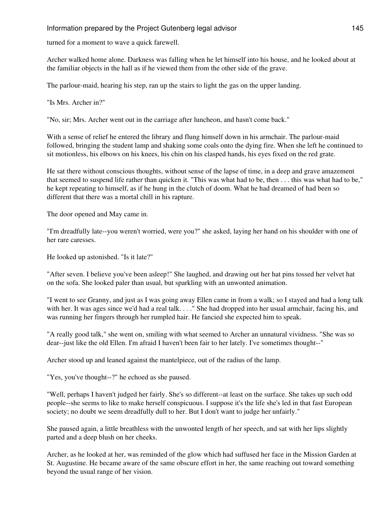turned for a moment to wave a quick farewell.

Archer walked home alone. Darkness was falling when he let himself into his house, and he looked about at the familiar objects in the hall as if he viewed them from the other side of the grave.

The parlour-maid, hearing his step, ran up the stairs to light the gas on the upper landing.

"Is Mrs. Archer in?"

"No, sir; Mrs. Archer went out in the carriage after luncheon, and hasn't come back."

With a sense of relief he entered the library and flung himself down in his armchair. The parlour-maid followed, bringing the student lamp and shaking some coals onto the dying fire. When she left he continued to sit motionless, his elbows on his knees, his chin on his clasped hands, his eyes fixed on the red grate.

He sat there without conscious thoughts, without sense of the lapse of time, in a deep and grave amazement that seemed to suspend life rather than quicken it. "This was what had to be, then . . . this was what had to be," he kept repeating to himself, as if he hung in the clutch of doom. What he had dreamed of had been so different that there was a mortal chill in his rapture.

The door opened and May came in.

"I'm dreadfully late--you weren't worried, were you?" she asked, laying her hand on his shoulder with one of her rare caresses.

He looked up astonished. "Is it late?"

"After seven. I believe you've been asleep!" She laughed, and drawing out her hat pins tossed her velvet hat on the sofa. She looked paler than usual, but sparkling with an unwonted animation.

"I went to see Granny, and just as I was going away Ellen came in from a walk; so I stayed and had a long talk with her. It was ages since we'd had a real talk. . . . " She had dropped into her usual armchair, facing his, and was running her fingers through her rumpled hair. He fancied she expected him to speak.

"A really good talk," she went on, smiling with what seemed to Archer an unnatural vividness. "She was so dear--just like the old Ellen. I'm afraid I haven't been fair to her lately. I've sometimes thought--"

Archer stood up and leaned against the mantelpiece, out of the radius of the lamp.

"Yes, you've thought--?" he echoed as she paused.

"Well, perhaps I haven't judged her fairly. She's so different--at least on the surface. She takes up such odd people--she seems to like to make herself conspicuous. I suppose it's the life she's led in that fast European society; no doubt we seem dreadfully dull to her. But I don't want to judge her unfairly."

She paused again, a little breathless with the unwonted length of her speech, and sat with her lips slightly parted and a deep blush on her cheeks.

Archer, as he looked at her, was reminded of the glow which had suffused her face in the Mission Garden at St. Augustine. He became aware of the same obscure effort in her, the same reaching out toward something beyond the usual range of her vision.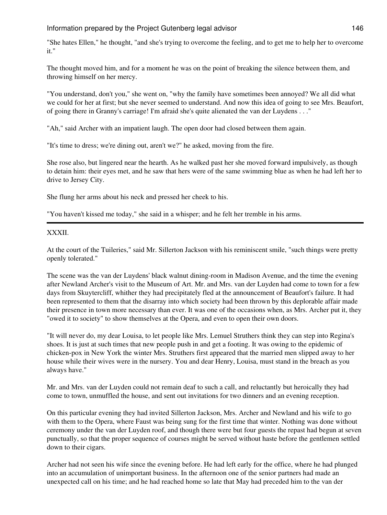"She hates Ellen," he thought, "and she's trying to overcome the feeling, and to get me to help her to overcome it."

The thought moved him, and for a moment he was on the point of breaking the silence between them, and throwing himself on her mercy.

"You understand, don't you," she went on, "why the family have sometimes been annoyed? We all did what we could for her at first; but she never seemed to understand. And now this idea of going to see Mrs. Beaufort, of going there in Granny's carriage! I'm afraid she's quite alienated the van der Luydens . . ."

"Ah," said Archer with an impatient laugh. The open door had closed between them again.

"It's time to dress; we're dining out, aren't we?" he asked, moving from the fire.

She rose also, but lingered near the hearth. As he walked past her she moved forward impulsively, as though to detain him: their eyes met, and he saw that hers were of the same swimming blue as when he had left her to drive to Jersey City.

She flung her arms about his neck and pressed her cheek to his.

"You haven't kissed me today," she said in a whisper; and he felt her tremble in his arms.

# XXXII.

At the court of the Tuileries," said Mr. Sillerton Jackson with his reminiscent smile, "such things were pretty openly tolerated."

The scene was the van der Luydens' black walnut dining-room in Madison Avenue, and the time the evening after Newland Archer's visit to the Museum of Art. Mr. and Mrs. van der Luyden had come to town for a few days from Skuytercliff, whither they had precipitately fled at the announcement of Beaufort's failure. It had been represented to them that the disarray into which society had been thrown by this deplorable affair made their presence in town more necessary than ever. It was one of the occasions when, as Mrs. Archer put it, they "owed it to society" to show themselves at the Opera, and even to open their own doors.

"It will never do, my dear Louisa, to let people like Mrs. Lemuel Struthers think they can step into Regina's shoes. It is just at such times that new people push in and get a footing. It was owing to the epidemic of chicken-pox in New York the winter Mrs. Struthers first appeared that the married men slipped away to her house while their wives were in the nursery. You and dear Henry, Louisa, must stand in the breach as you always have."

Mr. and Mrs. van der Luyden could not remain deaf to such a call, and reluctantly but heroically they had come to town, unmuffled the house, and sent out invitations for two dinners and an evening reception.

On this particular evening they had invited Sillerton Jackson, Mrs. Archer and Newland and his wife to go with them to the Opera, where Faust was being sung for the first time that winter. Nothing was done without ceremony under the van der Luyden roof, and though there were but four guests the repast had begun at seven punctually, so that the proper sequence of courses might be served without haste before the gentlemen settled down to their cigars.

Archer had not seen his wife since the evening before. He had left early for the office, where he had plunged into an accumulation of unimportant business. In the afternoon one of the senior partners had made an unexpected call on his time; and he had reached home so late that May had preceded him to the van der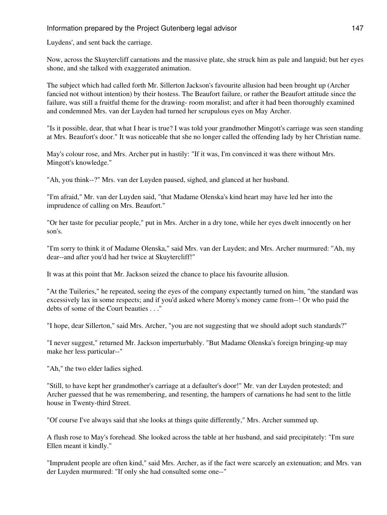Luydens', and sent back the carriage.

Now, across the Skuytercliff carnations and the massive plate, she struck him as pale and languid; but her eyes shone, and she talked with exaggerated animation.

The subject which had called forth Mr. Sillerton Jackson's favourite allusion had been brought up (Archer fancied not without intention) by their hostess. The Beaufort failure, or rather the Beaufort attitude since the failure, was still a fruitful theme for the drawing- room moralist; and after it had been thoroughly examined and condemned Mrs. van der Luyden had turned her scrupulous eyes on May Archer.

"Is it possible, dear, that what I hear is true? I was told your grandmother Mingott's carriage was seen standing at Mrs. Beaufort's door." It was noticeable that she no longer called the offending lady by her Christian name.

May's colour rose, and Mrs. Archer put in hastily: "If it was, I'm convinced it was there without Mrs. Mingott's knowledge."

"Ah, you think--?" Mrs. van der Luyden paused, sighed, and glanced at her husband.

"I'm afraid," Mr. van der Luyden said, "that Madame Olenska's kind heart may have led her into the imprudence of calling on Mrs. Beaufort."

"Or her taste for peculiar people," put in Mrs. Archer in a dry tone, while her eyes dwelt innocently on her son's.

"I'm sorry to think it of Madame Olenska," said Mrs. van der Luyden; and Mrs. Archer murmured: "Ah, my dear--and after you'd had her twice at Skuytercliff!"

It was at this point that Mr. Jackson seized the chance to place his favourite allusion.

"At the Tuileries," he repeated, seeing the eyes of the company expectantly turned on him, "the standard was excessively lax in some respects; and if you'd asked where Morny's money came from--! Or who paid the debts of some of the Court beauties . . ."

"I hope, dear Sillerton," said Mrs. Archer, "you are not suggesting that we should adopt such standards?"

"I never suggest," returned Mr. Jackson imperturbably. "But Madame Olenska's foreign bringing-up may make her less particular--"

"Ah," the two elder ladies sighed.

"Still, to have kept her grandmother's carriage at a defaulter's door!" Mr. van der Luyden protested; and Archer guessed that he was remembering, and resenting, the hampers of carnations he had sent to the little house in Twenty-third Street.

"Of course I've always said that she looks at things quite differently," Mrs. Archer summed up.

A flush rose to May's forehead. She looked across the table at her husband, and said precipitately: "I'm sure Ellen meant it kindly."

"Imprudent people are often kind," said Mrs. Archer, as if the fact were scarcely an extenuation; and Mrs. van der Luyden murmured: "If only she had consulted some one--"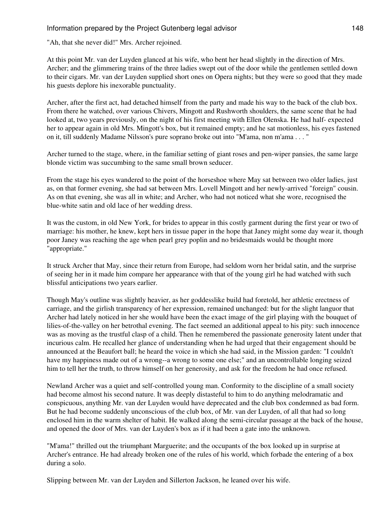"Ah, that she never did!" Mrs. Archer rejoined.

At this point Mr. van der Luyden glanced at his wife, who bent her head slightly in the direction of Mrs. Archer; and the glimmering trains of the three ladies swept out of the door while the gentlemen settled down to their cigars. Mr. van der Luyden supplied short ones on Opera nights; but they were so good that they made his guests deplore his inexorable punctuality.

Archer, after the first act, had detached himself from the party and made his way to the back of the club box. From there he watched, over various Chivers, Mingott and Rushworth shoulders, the same scene that he had looked at, two years previously, on the night of his first meeting with Ellen Olenska. He had half- expected her to appear again in old Mrs. Mingott's box, but it remained empty; and he sat motionless, his eyes fastened on it, till suddenly Madame Nilsson's pure soprano broke out into "M'ama, non m'ama . . . "

Archer turned to the stage, where, in the familiar setting of giant roses and pen-wiper pansies, the same large blonde victim was succumbing to the same small brown seducer.

From the stage his eyes wandered to the point of the horseshoe where May sat between two older ladies, just as, on that former evening, she had sat between Mrs. Lovell Mingott and her newly-arrived "foreign" cousin. As on that evening, she was all in white; and Archer, who had not noticed what she wore, recognised the blue-white satin and old lace of her wedding dress.

It was the custom, in old New York, for brides to appear in this costly garment during the first year or two of marriage: his mother, he knew, kept hers in tissue paper in the hope that Janey might some day wear it, though poor Janey was reaching the age when pearl grey poplin and no bridesmaids would be thought more "appropriate."

It struck Archer that May, since their return from Europe, had seldom worn her bridal satin, and the surprise of seeing her in it made him compare her appearance with that of the young girl he had watched with such blissful anticipations two years earlier.

Though May's outline was slightly heavier, as her goddesslike build had foretold, her athletic erectness of carriage, and the girlish transparency of her expression, remained unchanged: but for the slight languor that Archer had lately noticed in her she would have been the exact image of the girl playing with the bouquet of lilies-of-the-valley on her betrothal evening. The fact seemed an additional appeal to his pity: such innocence was as moving as the trustful clasp of a child. Then he remembered the passionate generosity latent under that incurious calm. He recalled her glance of understanding when he had urged that their engagement should be announced at the Beaufort ball; he heard the voice in which she had said, in the Mission garden: "I couldn't have my happiness made out of a wrong--a wrong to some one else;" and an uncontrollable longing seized him to tell her the truth, to throw himself on her generosity, and ask for the freedom he had once refused.

Newland Archer was a quiet and self-controlled young man. Conformity to the discipline of a small society had become almost his second nature. It was deeply distasteful to him to do anything melodramatic and conspicuous, anything Mr. van der Luyden would have deprecated and the club box condemned as bad form. But he had become suddenly unconscious of the club box, of Mr. van der Luyden, of all that had so long enclosed him in the warm shelter of habit. He walked along the semi-circular passage at the back of the house, and opened the door of Mrs. van der Luyden's box as if it had been a gate into the unknown.

"M'ama!" thrilled out the triumphant Marguerite; and the occupants of the box looked up in surprise at Archer's entrance. He had already broken one of the rules of his world, which forbade the entering of a box during a solo.

Slipping between Mr. van der Luyden and Sillerton Jackson, he leaned over his wife.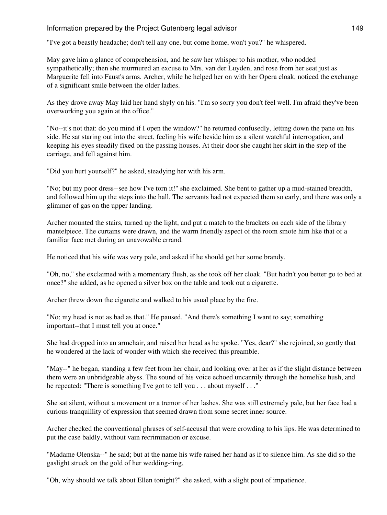"I've got a beastly headache; don't tell any one, but come home, won't you?" he whispered.

May gave him a glance of comprehension, and he saw her whisper to his mother, who nodded sympathetically; then she murmured an excuse to Mrs. van der Luyden, and rose from her seat just as Marguerite fell into Faust's arms. Archer, while he helped her on with her Opera cloak, noticed the exchange of a significant smile between the older ladies.

As they drove away May laid her hand shyly on his. "I'm so sorry you don't feel well. I'm afraid they've been overworking you again at the office."

"No--it's not that: do you mind if I open the window?" he returned confusedly, letting down the pane on his side. He sat staring out into the street, feeling his wife beside him as a silent watchful interrogation, and keeping his eyes steadily fixed on the passing houses. At their door she caught her skirt in the step of the carriage, and fell against him.

"Did you hurt yourself?" he asked, steadying her with his arm.

"No; but my poor dress--see how I've torn it!" she exclaimed. She bent to gather up a mud-stained breadth, and followed him up the steps into the hall. The servants had not expected them so early, and there was only a glimmer of gas on the upper landing.

Archer mounted the stairs, turned up the light, and put a match to the brackets on each side of the library mantelpiece. The curtains were drawn, and the warm friendly aspect of the room smote him like that of a familiar face met during an unavowable errand.

He noticed that his wife was very pale, and asked if he should get her some brandy.

"Oh, no," she exclaimed with a momentary flush, as she took off her cloak. "But hadn't you better go to bed at once?" she added, as he opened a silver box on the table and took out a cigarette.

Archer threw down the cigarette and walked to his usual place by the fire.

"No; my head is not as bad as that." He paused. "And there's something I want to say; something important--that I must tell you at once."

She had dropped into an armchair, and raised her head as he spoke. "Yes, dear?" she rejoined, so gently that he wondered at the lack of wonder with which she received this preamble.

"May--" he began, standing a few feet from her chair, and looking over at her as if the slight distance between them were an unbridgeable abyss. The sound of his voice echoed uncannily through the homelike hush, and he repeated: "There is something I've got to tell you . . . about myself . . ."

She sat silent, without a movement or a tremor of her lashes. She was still extremely pale, but her face had a curious tranquillity of expression that seemed drawn from some secret inner source.

Archer checked the conventional phrases of self-accusal that were crowding to his lips. He was determined to put the case baldly, without vain recrimination or excuse.

"Madame Olenska--" he said; but at the name his wife raised her hand as if to silence him. As she did so the gaslight struck on the gold of her wedding-ring,

"Oh, why should we talk about Ellen tonight?" she asked, with a slight pout of impatience.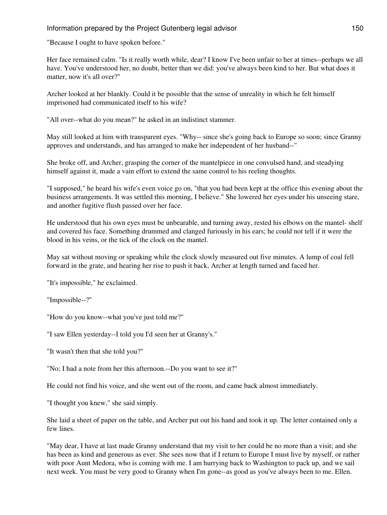"Because I ought to have spoken before."

Her face remained calm. "Is it really worth while, dear? I know I've been unfair to her at times--perhaps we all have. You've understood her, no doubt, better than we did: you've always been kind to her. But what does it matter, now it's all over?"

Archer looked at her blankly. Could it be possible that the sense of unreality in which he felt himself imprisoned had communicated itself to his wife?

"All over--what do you mean?" he asked in an indistinct stammer.

May still looked at him with transparent eyes. "Why-- since she's going back to Europe so soon; since Granny approves and understands, and has arranged to make her independent of her husband--"

She broke off, and Archer, grasping the corner of the mantelpiece in one convulsed hand, and steadying himself against it, made a vain effort to extend the same control to his reeling thoughts.

"I supposed," he heard his wife's even voice go on, "that you had been kept at the office this evening about the business arrangements. It was settled this morning, I believe." She lowered her eyes under his unseeing stare, and another fugitive flush passed over her face.

He understood that his own eyes must be unbearable, and turning away, rested his elbows on the mantel- shelf and covered his face. Something drummed and clanged furiously in his ears; he could not tell if it were the blood in his veins, or the tick of the clock on the mantel.

May sat without moving or speaking while the clock slowly measured out five minutes. A lump of coal fell forward in the grate, and hearing her rise to push it back, Archer at length turned and faced her.

"It's impossible," he exclaimed.

"Impossible--?"

"How do you know--what you've just told me?"

"I saw Ellen yesterday--I told you I'd seen her at Granny's."

"It wasn't then that she told you?"

"No; I had a note from her this afternoon.--Do you want to see it?"

He could not find his voice, and she went out of the room, and came back almost immediately.

"I thought you knew," she said simply.

She laid a sheet of paper on the table, and Archer put out his hand and took it up. The letter contained only a few lines.

"May dear, I have at last made Granny understand that my visit to her could be no more than a visit; and she has been as kind and generous as ever. She sees now that if I return to Europe I must live by myself, or rather with poor Aunt Medora, who is coming with me. I am hurrying back to Washington to pack up, and we sail next week. You must be very good to Granny when I'm gone--as good as you've always been to me. Ellen.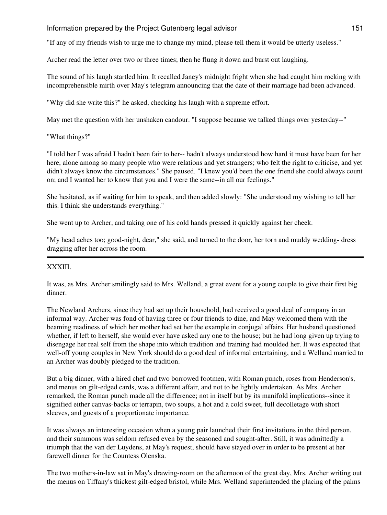"If any of my friends wish to urge me to change my mind, please tell them it would be utterly useless."

Archer read the letter over two or three times; then he flung it down and burst out laughing.

The sound of his laugh startled him. It recalled Janey's midnight fright when she had caught him rocking with incomprehensible mirth over May's telegram announcing that the date of their marriage had been advanced.

"Why did she write this?" he asked, checking his laugh with a supreme effort.

May met the question with her unshaken candour. "I suppose because we talked things over yesterday--"

"What things?"

"I told her I was afraid I hadn't been fair to her-- hadn't always understood how hard it must have been for her here, alone among so many people who were relations and yet strangers; who felt the right to criticise, and yet didn't always know the circumstances." She paused. "I knew you'd been the one friend she could always count on; and I wanted her to know that you and I were the same--in all our feelings."

She hesitated, as if waiting for him to speak, and then added slowly: "She understood my wishing to tell her this. I think she understands everything."

She went up to Archer, and taking one of his cold hands pressed it quickly against her cheek.

"My head aches too; good-night, dear," she said, and turned to the door, her torn and muddy wedding- dress dragging after her across the room.

#### XXXIII.

It was, as Mrs. Archer smilingly said to Mrs. Welland, a great event for a young couple to give their first big dinner.

The Newland Archers, since they had set up their household, had received a good deal of company in an informal way. Archer was fond of having three or four friends to dine, and May welcomed them with the beaming readiness of which her mother had set her the example in conjugal affairs. Her husband questioned whether, if left to herself, she would ever have asked any one to the house; but he had long given up trying to disengage her real self from the shape into which tradition and training had moulded her. It was expected that well-off young couples in New York should do a good deal of informal entertaining, and a Welland married to an Archer was doubly pledged to the tradition.

But a big dinner, with a hired chef and two borrowed footmen, with Roman punch, roses from Henderson's, and menus on gilt-edged cards, was a different affair, and not to be lightly undertaken. As Mrs. Archer remarked, the Roman punch made all the difference; not in itself but by its manifold implications--since it signified either canvas-backs or terrapin, two soups, a hot and a cold sweet, full decolletage with short sleeves, and guests of a proportionate importance.

It was always an interesting occasion when a young pair launched their first invitations in the third person, and their summons was seldom refused even by the seasoned and sought-after. Still, it was admittedly a triumph that the van der Luydens, at May's request, should have stayed over in order to be present at her farewell dinner for the Countess Olenska.

The two mothers-in-law sat in May's drawing-room on the afternoon of the great day, Mrs. Archer writing out the menus on Tiffany's thickest gilt-edged bristol, while Mrs. Welland superintended the placing of the palms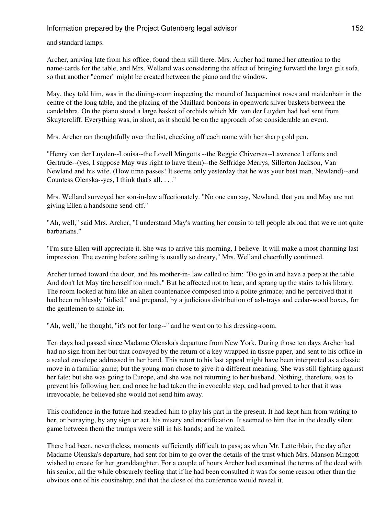and standard lamps.

Archer, arriving late from his office, found them still there. Mrs. Archer had turned her attention to the name-cards for the table, and Mrs. Welland was considering the effect of bringing forward the large gilt sofa, so that another "corner" might be created between the piano and the window.

May, they told him, was in the dining-room inspecting the mound of Jacqueminot roses and maidenhair in the centre of the long table, and the placing of the Maillard bonbons in openwork silver baskets between the candelabra. On the piano stood a large basket of orchids which Mr. van der Luyden had had sent from Skuytercliff. Everything was, in short, as it should be on the approach of so considerable an event.

Mrs. Archer ran thoughtfully over the list, checking off each name with her sharp gold pen.

"Henry van der Luyden--Louisa--the Lovell Mingotts --the Reggie Chiverses--Lawrence Lefferts and Gertrude--(yes, I suppose May was right to have them)--the Selfridge Merrys, Sillerton Jackson, Van Newland and his wife. (How time passes! It seems only yesterday that he was your best man, Newland)--and Countess Olenska--yes, I think that's all. . . ."

Mrs. Welland surveyed her son-in-law affectionately. "No one can say, Newland, that you and May are not giving Ellen a handsome send-off."

"Ah, well," said Mrs. Archer, "I understand May's wanting her cousin to tell people abroad that we're not quite barbarians."

"I'm sure Ellen will appreciate it. She was to arrive this morning, I believe. It will make a most charming last impression. The evening before sailing is usually so dreary," Mrs. Welland cheerfully continued.

Archer turned toward the door, and his mother-in- law called to him: "Do go in and have a peep at the table. And don't let May tire herself too much." But he affected not to hear, and sprang up the stairs to his library. The room looked at him like an alien countenance composed into a polite grimace; and he perceived that it had been ruthlessly "tidied," and prepared, by a judicious distribution of ash-trays and cedar-wood boxes, for the gentlemen to smoke in.

"Ah, well," he thought, "it's not for long--" and he went on to his dressing-room.

Ten days had passed since Madame Olenska's departure from New York. During those ten days Archer had had no sign from her but that conveyed by the return of a key wrapped in tissue paper, and sent to his office in a sealed envelope addressed in her hand. This retort to his last appeal might have been interpreted as a classic move in a familiar game; but the young man chose to give it a different meaning. She was still fighting against her fate; but she was going to Europe, and she was not returning to her husband. Nothing, therefore, was to prevent his following her; and once he had taken the irrevocable step, and had proved to her that it was irrevocable, he believed she would not send him away.

This confidence in the future had steadied him to play his part in the present. It had kept him from writing to her, or betraying, by any sign or act, his misery and mortification. It seemed to him that in the deadly silent game between them the trumps were still in his hands; and he waited.

There had been, nevertheless, moments sufficiently difficult to pass; as when Mr. Letterblair, the day after Madame Olenska's departure, had sent for him to go over the details of the trust which Mrs. Manson Mingott wished to create for her granddaughter. For a couple of hours Archer had examined the terms of the deed with his senior, all the while obscurely feeling that if he had been consulted it was for some reason other than the obvious one of his cousinship; and that the close of the conference would reveal it.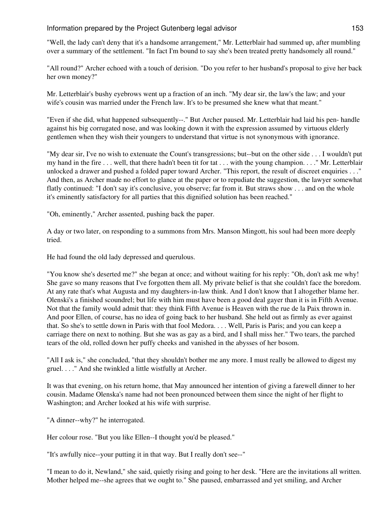"Well, the lady can't deny that it's a handsome arrangement," Mr. Letterblair had summed up, after mumbling over a summary of the settlement. "In fact I'm bound to say she's been treated pretty handsomely all round."

"All round?" Archer echoed with a touch of derision. "Do you refer to her husband's proposal to give her back her own money?"

Mr. Letterblair's bushy eyebrows went up a fraction of an inch. "My dear sir, the law's the law; and your wife's cousin was married under the French law. It's to be presumed she knew what that meant."

"Even if she did, what happened subsequently--." But Archer paused. Mr. Letterblair had laid his pen- handle against his big corrugated nose, and was looking down it with the expression assumed by virtuous elderly gentlemen when they wish their youngers to understand that virtue is not synonymous with ignorance.

"My dear sir, I've no wish to extenuate the Count's transgressions; but--but on the other side . . . I wouldn't put my hand in the fire . . . well, that there hadn't been tit for tat . . . with the young champion. . . ." Mr. Letterblair unlocked a drawer and pushed a folded paper toward Archer. "This report, the result of discreet enquiries . . ." And then, as Archer made no effort to glance at the paper or to repudiate the suggestion, the lawyer somewhat flatly continued: "I don't say it's conclusive, you observe; far from it. But straws show . . . and on the whole it's eminently satisfactory for all parties that this dignified solution has been reached."

"Oh, eminently," Archer assented, pushing back the paper.

A day or two later, on responding to a summons from Mrs. Manson Mingott, his soul had been more deeply tried.

He had found the old lady depressed and querulous.

"You know she's deserted me?" she began at once; and without waiting for his reply: "Oh, don't ask me why! She gave so many reasons that I've forgotten them all. My private belief is that she couldn't face the boredom. At any rate that's what Augusta and my daughters-in-law think. And I don't know that I altogether blame her. Olenski's a finished scoundrel; but life with him must have been a good deal gayer than it is in Fifth Avenue. Not that the family would admit that: they think Fifth Avenue is Heaven with the rue de la Paix thrown in. And poor Ellen, of course, has no idea of going back to her husband. She held out as firmly as ever against that. So she's to settle down in Paris with that fool Medora. . . . Well, Paris is Paris; and you can keep a carriage there on next to nothing. But she was as gay as a bird, and I shall miss her." Two tears, the parched tears of the old, rolled down her puffy cheeks and vanished in the abysses of her bosom.

"All I ask is," she concluded, "that they shouldn't bother me any more. I must really be allowed to digest my gruel. . . ." And she twinkled a little wistfully at Archer.

It was that evening, on his return home, that May announced her intention of giving a farewell dinner to her cousin. Madame Olenska's name had not been pronounced between them since the night of her flight to Washington; and Archer looked at his wife with surprise.

"A dinner--why?" he interrogated.

Her colour rose. "But you like Ellen--I thought you'd be pleased."

"It's awfully nice--your putting it in that way. But I really don't see--"

"I mean to do it, Newland," she said, quietly rising and going to her desk. "Here are the invitations all written. Mother helped me--she agrees that we ought to." She paused, embarrassed and yet smiling, and Archer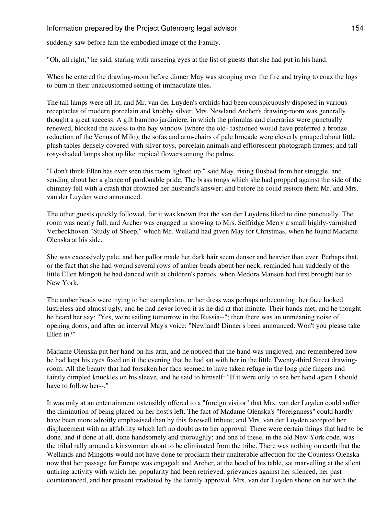suddenly saw before him the embodied image of the Family.

"Oh, all right," he said, staring with unseeing eyes at the list of guests that she had put in his hand.

When he entered the drawing-room before dinner May was stooping over the fire and trying to coax the logs to burn in their unaccustomed setting of immaculate tiles.

The tall lamps were all lit, and Mr. van der Luyden's orchids had been conspicuously disposed in various receptacles of modern porcelain and knobby silver. Mrs. Newland Archer's drawing-room was generally thought a great success. A gilt bamboo jardiniere, in which the primulas and cinerarias were punctually renewed, blocked the access to the bay window (where the old- fashioned would have preferred a bronze reduction of the Venus of Milo); the sofas and arm-chairs of pale brocade were cleverly grouped about little plush tables densely covered with silver toys, porcelain animals and efflorescent photograph frames; and tall rosy-shaded lamps shot up like tropical flowers among the palms.

"I don't think Ellen has ever seen this room lighted up," said May, rising flushed from her struggle, and sending about her a glance of pardonable pride. The brass tongs which she had propped against the side of the chimney fell with a crash that drowned her husband's answer; and before he could restore them Mr. and Mrs. van der Luyden were announced.

The other guests quickly followed, for it was known that the van der Luydens liked to dine punctually. The room was nearly full, and Archer was engaged in showing to Mrs. Selfridge Merry a small highly-varnished Verbeckhoven "Study of Sheep," which Mr. Welland had given May for Christmas, when he found Madame Olenska at his side.

She was excessively pale, and her pallor made her dark hair seem denser and heavier than ever. Perhaps that, or the fact that she had wound several rows of amber beads about her neck, reminded him suddenly of the little Ellen Mingott he had danced with at children's parties, when Medora Manson had first brought her to New York.

The amber beads were trying to her complexion, or her dress was perhaps unbecoming: her face looked lustreless and almost ugly, and he had never loved it as he did at that minute. Their hands met, and he thought he heard her say: "Yes, we're sailing tomorrow in the Russia--"; then there was an unmeaning noise of opening doors, and after an interval May's voice: "Newland! Dinner's been announced. Won't you please take Ellen in?"

Madame Olenska put her hand on his arm, and he noticed that the hand was ungloved, and remembered how he had kept his eyes fixed on it the evening that he had sat with her in the little Twenty-third Street drawingroom. All the beauty that had forsaken her face seemed to have taken refuge in the long pale fingers and faintly dimpled knuckles on his sleeve, and he said to himself: "If it were only to see her hand again I should have to follow her--."

It was only at an entertainment ostensibly offered to a "foreign visitor" that Mrs. van der Luyden could suffer the diminution of being placed on her host's left. The fact of Madame Olenska's "foreignness" could hardly have been more adroitly emphasised than by this farewell tribute; and Mrs. van der Luyden accepted her displacement with an affability which left no doubt as to her approval. There were certain things that had to be done, and if done at all, done handsomely and thoroughly; and one of these, in the old New York code, was the tribal rally around a kinswoman about to be eliminated from the tribe. There was nothing on earth that the Wellands and Mingotts would not have done to proclaim their unalterable affection for the Countess Olenska now that her passage for Europe was engaged; and Archer, at the head of his table, sat marvelling at the silent untiring activity with which her popularity had been retrieved, grievances against her silenced, her past countenanced, and her present irradiated by the family approval. Mrs. van der Luyden shone on her with the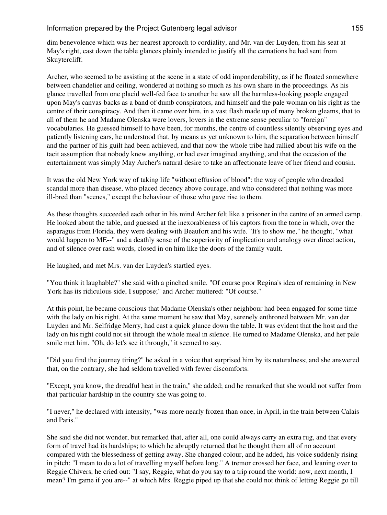dim benevolence which was her nearest approach to cordiality, and Mr. van der Luyden, from his seat at May's right, cast down the table glances plainly intended to justify all the carnations he had sent from Skuytercliff.

Archer, who seemed to be assisting at the scene in a state of odd imponderability, as if he floated somewhere between chandelier and ceiling, wondered at nothing so much as his own share in the proceedings. As his glance travelled from one placid well-fed face to another he saw all the harmless-looking people engaged upon May's canvas-backs as a band of dumb conspirators, and himself and the pale woman on his right as the centre of their conspiracy. And then it came over him, in a vast flash made up of many broken gleams, that to all of them he and Madame Olenska were lovers, lovers in the extreme sense peculiar to "foreign" vocabularies. He guessed himself to have been, for months, the centre of countless silently observing eyes and patiently listening ears, he understood that, by means as yet unknown to him, the separation between himself and the partner of his guilt had been achieved, and that now the whole tribe had rallied about his wife on the tacit assumption that nobody knew anything, or had ever imagined anything, and that the occasion of the entertainment was simply May Archer's natural desire to take an affectionate leave of her friend and cousin.

It was the old New York way of taking life "without effusion of blood": the way of people who dreaded scandal more than disease, who placed decency above courage, and who considered that nothing was more ill-bred than "scenes," except the behaviour of those who gave rise to them.

As these thoughts succeeded each other in his mind Archer felt like a prisoner in the centre of an armed camp. He looked about the table, and guessed at the inexorableness of his captors from the tone in which, over the asparagus from Florida, they were dealing with Beaufort and his wife. "It's to show me," he thought, "what would happen to ME--" and a deathly sense of the superiority of implication and analogy over direct action, and of silence over rash words, closed in on him like the doors of the family vault.

He laughed, and met Mrs. van der Luyden's startled eyes.

"You think it laughable?" she said with a pinched smile. "Of course poor Regina's idea of remaining in New York has its ridiculous side, I suppose;" and Archer muttered: "Of course."

At this point, he became conscious that Madame Olenska's other neighbour had been engaged for some time with the lady on his right. At the same moment he saw that May, serenely enthroned between Mr. van der Luyden and Mr. Selfridge Merry, had cast a quick glance down the table. It was evident that the host and the lady on his right could not sit through the whole meal in silence. He turned to Madame Olenska, and her pale smile met him. "Oh, do let's see it through," it seemed to say.

"Did you find the journey tiring?" he asked in a voice that surprised him by its naturalness; and she answered that, on the contrary, she had seldom travelled with fewer discomforts.

"Except, you know, the dreadful heat in the train," she added; and he remarked that she would not suffer from that particular hardship in the country she was going to.

"I never," he declared with intensity, "was more nearly frozen than once, in April, in the train between Calais and Paris."

She said she did not wonder, but remarked that, after all, one could always carry an extra rug, and that every form of travel had its hardships; to which he abruptly returned that he thought them all of no account compared with the blessedness of getting away. She changed colour, and he added, his voice suddenly rising in pitch: "I mean to do a lot of travelling myself before long." A tremor crossed her face, and leaning over to Reggie Chivers, he cried out: "I say, Reggie, what do you say to a trip round the world: now, next month, I mean? I'm game if you are--" at which Mrs. Reggie piped up that she could not think of letting Reggie go till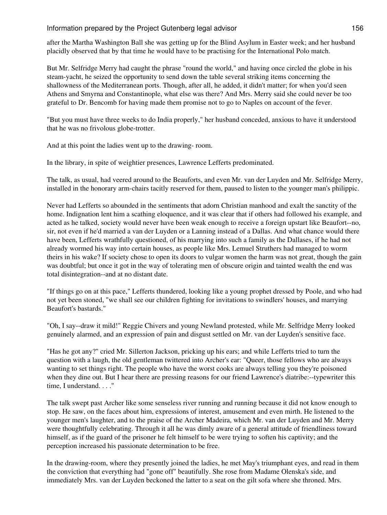after the Martha Washington Ball she was getting up for the Blind Asylum in Easter week; and her husband placidly observed that by that time he would have to be practising for the International Polo match.

But Mr. Selfridge Merry had caught the phrase "round the world," and having once circled the globe in his steam-yacht, he seized the opportunity to send down the table several striking items concerning the shallowness of the Mediterranean ports. Though, after all, he added, it didn't matter; for when you'd seen Athens and Smyrna and Constantinople, what else was there? And Mrs. Merry said she could never be too grateful to Dr. Bencomb for having made them promise not to go to Naples on account of the fever.

"But you must have three weeks to do India properly," her husband conceded, anxious to have it understood that he was no frivolous globe-trotter.

And at this point the ladies went up to the drawing- room.

In the library, in spite of weightier presences, Lawrence Lefferts predominated.

The talk, as usual, had veered around to the Beauforts, and even Mr. van der Luyden and Mr. Selfridge Merry, installed in the honorary arm-chairs tacitly reserved for them, paused to listen to the younger man's philippic.

Never had Lefferts so abounded in the sentiments that adorn Christian manhood and exalt the sanctity of the home. Indignation lent him a scathing eloquence, and it was clear that if others had followed his example, and acted as he talked, society would never have been weak enough to receive a foreign upstart like Beaufort--no, sir, not even if he'd married a van der Luyden or a Lanning instead of a Dallas. And what chance would there have been, Lefferts wrathfully questioned, of his marrying into such a family as the Dallases, if he had not already wormed his way into certain houses, as people like Mrs. Lemuel Struthers had managed to worm theirs in his wake? If society chose to open its doors to vulgar women the harm was not great, though the gain was doubtful; but once it got in the way of tolerating men of obscure origin and tainted wealth the end was total disintegration--and at no distant date.

"If things go on at this pace," Lefferts thundered, looking like a young prophet dressed by Poole, and who had not yet been stoned, "we shall see our children fighting for invitations to swindlers' houses, and marrying Beaufort's bastards."

"Oh, I say--draw it mild!" Reggie Chivers and young Newland protested, while Mr. Selfridge Merry looked genuinely alarmed, and an expression of pain and disgust settled on Mr. van der Luyden's sensitive face.

"Has he got any?" cried Mr. Sillerton Jackson, pricking up his ears; and while Lefferts tried to turn the question with a laugh, the old gentleman twittered into Archer's ear: "Queer, those fellows who are always wanting to set things right. The people who have the worst cooks are always telling you they're poisoned when they dine out. But I hear there are pressing reasons for our friend Lawrence's diatribe:--typewriter this time, I understand. . . ."

The talk swept past Archer like some senseless river running and running because it did not know enough to stop. He saw, on the faces about him, expressions of interest, amusement and even mirth. He listened to the younger men's laughter, and to the praise of the Archer Madeira, which Mr. van der Luyden and Mr. Merry were thoughtfully celebrating. Through it all he was dimly aware of a general attitude of friendliness toward himself, as if the guard of the prisoner he felt himself to be were trying to soften his captivity; and the perception increased his passionate determination to be free.

In the drawing-room, where they presently joined the ladies, he met May's triumphant eyes, and read in them the conviction that everything had "gone off" beautifully. She rose from Madame Olenska's side, and immediately Mrs. van der Luyden beckoned the latter to a seat on the gilt sofa where she throned. Mrs.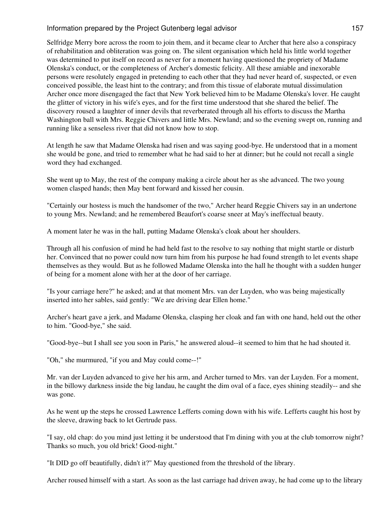Selfridge Merry bore across the room to join them, and it became clear to Archer that here also a conspiracy of rehabilitation and obliteration was going on. The silent organisation which held his little world together was determined to put itself on record as never for a moment having questioned the propriety of Madame Olenska's conduct, or the completeness of Archer's domestic felicity. All these amiable and inexorable persons were resolutely engaged in pretending to each other that they had never heard of, suspected, or even conceived possible, the least hint to the contrary; and from this tissue of elaborate mutual dissimulation Archer once more disengaged the fact that New York believed him to be Madame Olenska's lover. He caught the glitter of victory in his wife's eyes, and for the first time understood that she shared the belief. The discovery roused a laughter of inner devils that reverberated through all his efforts to discuss the Martha Washington ball with Mrs. Reggie Chivers and little Mrs. Newland; and so the evening swept on, running and running like a senseless river that did not know how to stop.

At length he saw that Madame Olenska had risen and was saying good-bye. He understood that in a moment she would be gone, and tried to remember what he had said to her at dinner; but he could not recall a single word they had exchanged.

She went up to May, the rest of the company making a circle about her as she advanced. The two young women clasped hands; then May bent forward and kissed her cousin.

"Certainly our hostess is much the handsomer of the two," Archer heard Reggie Chivers say in an undertone to young Mrs. Newland; and he remembered Beaufort's coarse sneer at May's ineffectual beauty.

A moment later he was in the hall, putting Madame Olenska's cloak about her shoulders.

Through all his confusion of mind he had held fast to the resolve to say nothing that might startle or disturb her. Convinced that no power could now turn him from his purpose he had found strength to let events shape themselves as they would. But as he followed Madame Olenska into the hall he thought with a sudden hunger of being for a moment alone with her at the door of her carriage.

"Is your carriage here?" he asked; and at that moment Mrs. van der Luyden, who was being majestically inserted into her sables, said gently: "We are driving dear Ellen home."

Archer's heart gave a jerk, and Madame Olenska, clasping her cloak and fan with one hand, held out the other to him. "Good-bye," she said.

"Good-bye--but I shall see you soon in Paris," he answered aloud--it seemed to him that he had shouted it.

"Oh," she murmured, "if you and May could come--!"

Mr. van der Luyden advanced to give her his arm, and Archer turned to Mrs. van der Luyden. For a moment, in the billowy darkness inside the big landau, he caught the dim oval of a face, eyes shining steadily-- and she was gone.

As he went up the steps he crossed Lawrence Lefferts coming down with his wife. Lefferts caught his host by the sleeve, drawing back to let Gertrude pass.

"I say, old chap: do you mind just letting it be understood that I'm dining with you at the club tomorrow night? Thanks so much, you old brick! Good-night."

"It DID go off beautifully, didn't it?" May questioned from the threshold of the library.

Archer roused himself with a start. As soon as the last carriage had driven away, he had come up to the library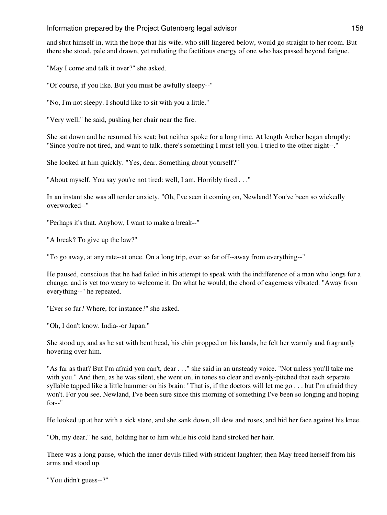and shut himself in, with the hope that his wife, who still lingered below, would go straight to her room. But there she stood, pale and drawn, yet radiating the factitious energy of one who has passed beyond fatigue.

"May I come and talk it over?" she asked.

"Of course, if you like. But you must be awfully sleepy--"

"No, I'm not sleepy. I should like to sit with you a little."

"Very well," he said, pushing her chair near the fire.

She sat down and he resumed his seat; but neither spoke for a long time. At length Archer began abruptly: "Since you're not tired, and want to talk, there's something I must tell you. I tried to the other night--."

She looked at him quickly. "Yes, dear. Something about yourself?"

"About myself. You say you're not tired: well, I am. Horribly tired . . ."

In an instant she was all tender anxiety. "Oh, I've seen it coming on, Newland! You've been so wickedly overworked--"

"Perhaps it's that. Anyhow, I want to make a break--"

"A break? To give up the law?"

"To go away, at any rate--at once. On a long trip, ever so far off--away from everything--"

He paused, conscious that he had failed in his attempt to speak with the indifference of a man who longs for a change, and is yet too weary to welcome it. Do what he would, the chord of eagerness vibrated. "Away from everything--" he repeated.

"Ever so far? Where, for instance?" she asked.

"Oh, I don't know. India--or Japan."

She stood up, and as he sat with bent head, his chin propped on his hands, he felt her warmly and fragrantly hovering over him.

"As far as that? But I'm afraid you can't, dear . . ." she said in an unsteady voice. "Not unless you'll take me with you." And then, as he was silent, she went on, in tones so clear and evenly-pitched that each separate syllable tapped like a little hammer on his brain: "That is, if the doctors will let me go . . . but I'm afraid they won't. For you see, Newland, I've been sure since this morning of something I've been so longing and hoping for--"

He looked up at her with a sick stare, and she sank down, all dew and roses, and hid her face against his knee.

"Oh, my dear," he said, holding her to him while his cold hand stroked her hair.

There was a long pause, which the inner devils filled with strident laughter; then May freed herself from his arms and stood up.

```
"You didn't guess--?"
```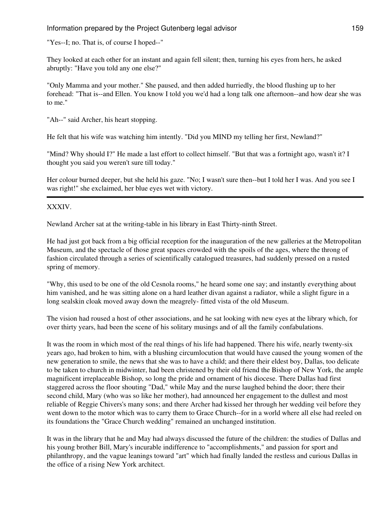"Yes--I; no. That is, of course I hoped--"

They looked at each other for an instant and again fell silent; then, turning his eyes from hers, he asked abruptly: "Have you told any one else?"

"Only Mamma and your mother." She paused, and then added hurriedly, the blood flushing up to her forehead: "That is--and Ellen. You know I told you we'd had a long talk one afternoon--and how dear she was to me."

"Ah--" said Archer, his heart stopping.

He felt that his wife was watching him intently. "Did you MIND my telling her first, Newland?"

"Mind? Why should I?" He made a last effort to collect himself. "But that was a fortnight ago, wasn't it? I thought you said you weren't sure till today."

Her colour burned deeper, but she held his gaze. "No; I wasn't sure then--but I told her I was. And you see I was right!" she exclaimed, her blue eyes wet with victory.

XXXIV.

Newland Archer sat at the writing-table in his library in East Thirty-ninth Street.

He had just got back from a big official reception for the inauguration of the new galleries at the Metropolitan Museum, and the spectacle of those great spaces crowded with the spoils of the ages, where the throng of fashion circulated through a series of scientifically catalogued treasures, had suddenly pressed on a rusted spring of memory.

"Why, this used to be one of the old Cesnola rooms," he heard some one say; and instantly everything about him vanished, and he was sitting alone on a hard leather divan against a radiator, while a slight figure in a long sealskin cloak moved away down the meagrely- fitted vista of the old Museum.

The vision had roused a host of other associations, and he sat looking with new eyes at the library which, for over thirty years, had been the scene of his solitary musings and of all the family confabulations.

It was the room in which most of the real things of his life had happened. There his wife, nearly twenty-six years ago, had broken to him, with a blushing circumlocution that would have caused the young women of the new generation to smile, the news that she was to have a child; and there their eldest boy, Dallas, too delicate to be taken to church in midwinter, had been christened by their old friend the Bishop of New York, the ample magnificent irreplaceable Bishop, so long the pride and ornament of his diocese. There Dallas had first staggered across the floor shouting "Dad," while May and the nurse laughed behind the door; there their second child, Mary (who was so like her mother), had announced her engagement to the dullest and most reliable of Reggie Chivers's many sons; and there Archer had kissed her through her wedding veil before they went down to the motor which was to carry them to Grace Church--for in a world where all else had reeled on its foundations the "Grace Church wedding" remained an unchanged institution.

It was in the library that he and May had always discussed the future of the children: the studies of Dallas and his young brother Bill, Mary's incurable indifference to "accomplishments," and passion for sport and philanthropy, and the vague leanings toward "art" which had finally landed the restless and curious Dallas in the office of a rising New York architect.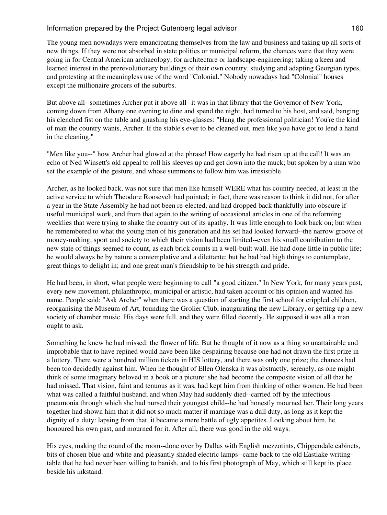The young men nowadays were emancipating themselves from the law and business and taking up all sorts of new things. If they were not absorbed in state politics or municipal reform, the chances were that they were going in for Central American archaeology, for architecture or landscape-engineering; taking a keen and learned interest in the prerevolutionary buildings of their own country, studying and adapting Georgian types, and protesting at the meaningless use of the word "Colonial." Nobody nowadays had "Colonial" houses except the millionaire grocers of the suburbs.

But above all--sometimes Archer put it above all--it was in that library that the Governor of New York, coming down from Albany one evening to dine and spend the night, had turned to his host, and said, banging his clenched fist on the table and gnashing his eye-glasses: "Hang the professional politician! You're the kind of man the country wants, Archer. If the stable's ever to be cleaned out, men like you have got to lend a hand in the cleaning."

"Men like you--" how Archer had glowed at the phrase! How eagerly he had risen up at the call! It was an echo of Ned Winsett's old appeal to roll his sleeves up and get down into the muck; but spoken by a man who set the example of the gesture, and whose summons to follow him was irresistible.

Archer, as he looked back, was not sure that men like himself WERE what his country needed, at least in the active service to which Theodore Roosevelt had pointed; in fact, there was reason to think it did not, for after a year in the State Assembly he had not been re-elected, and had dropped back thankfully into obscure if useful municipal work, and from that again to the writing of occasional articles in one of the reforming weeklies that were trying to shake the country out of its apathy. It was little enough to look back on; but when he remembered to what the young men of his generation and his set had looked forward--the narrow groove of money-making, sport and society to which their vision had been limited--even his small contribution to the new state of things seemed to count, as each brick counts in a well-built wall. He had done little in public life; he would always be by nature a contemplative and a dilettante; but he had had high things to contemplate, great things to delight in; and one great man's friendship to be his strength and pride.

He had been, in short, what people were beginning to call "a good citizen." In New York, for many years past, every new movement, philanthropic, municipal or artistic, had taken account of his opinion and wanted his name. People said: "Ask Archer" when there was a question of starting the first school for crippled children, reorganising the Museum of Art, founding the Grolier Club, inaugurating the new Library, or getting up a new society of chamber music. His days were full, and they were filled decently. He supposed it was all a man ought to ask.

Something he knew he had missed: the flower of life. But he thought of it now as a thing so unattainable and improbable that to have repined would have been like despairing because one had not drawn the first prize in a lottery. There were a hundred million tickets in HIS lottery, and there was only one prize; the chances had been too decidedly against him. When he thought of Ellen Olenska it was abstractly, serenely, as one might think of some imaginary beloved in a book or a picture: she had become the composite vision of all that he had missed. That vision, faint and tenuous as it was, had kept him from thinking of other women. He had been what was called a faithful husband; and when May had suddenly died--carried off by the infectious pneumonia through which she had nursed their youngest child--he had honestly mourned her. Their long years together had shown him that it did not so much matter if marriage was a dull duty, as long as it kept the dignity of a duty: lapsing from that, it became a mere battle of ugly appetites. Looking about him, he honoured his own past, and mourned for it. After all, there was good in the old ways.

His eyes, making the round of the room--done over by Dallas with English mezzotints, Chippendale cabinets, bits of chosen blue-and-white and pleasantly shaded electric lamps--came back to the old Eastlake writingtable that he had never been willing to banish, and to his first photograph of May, which still kept its place beside his inkstand.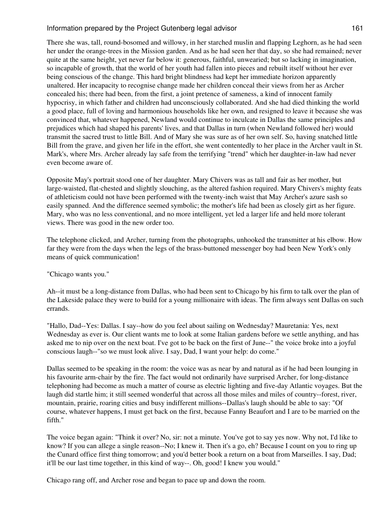There she was, tall, round-bosomed and willowy, in her starched muslin and flapping Leghorn, as he had seen her under the orange-trees in the Mission garden. And as he had seen her that day, so she had remained; never quite at the same height, yet never far below it: generous, faithful, unwearied; but so lacking in imagination, so incapable of growth, that the world of her youth had fallen into pieces and rebuilt itself without her ever being conscious of the change. This hard bright blindness had kept her immediate horizon apparently unaltered. Her incapacity to recognise change made her children conceal their views from her as Archer concealed his; there had been, from the first, a joint pretence of sameness, a kind of innocent family hypocrisy, in which father and children had unconsciously collaborated. And she had died thinking the world a good place, full of loving and harmonious households like her own, and resigned to leave it because she was convinced that, whatever happened, Newland would continue to inculcate in Dallas the same principles and prejudices which had shaped his parents' lives, and that Dallas in turn (when Newland followed her) would transmit the sacred trust to little Bill. And of Mary she was sure as of her own self. So, having snatched little Bill from the grave, and given her life in the effort, she went contentedly to her place in the Archer vault in St. Mark's, where Mrs. Archer already lay safe from the terrifying "trend" which her daughter-in-law had never even become aware of.

Opposite May's portrait stood one of her daughter. Mary Chivers was as tall and fair as her mother, but large-waisted, flat-chested and slightly slouching, as the altered fashion required. Mary Chivers's mighty feats of athleticism could not have been performed with the twenty-inch waist that May Archer's azure sash so easily spanned. And the difference seemed symbolic; the mother's life had been as closely girt as her figure. Mary, who was no less conventional, and no more intelligent, yet led a larger life and held more tolerant views. There was good in the new order too.

The telephone clicked, and Archer, turning from the photographs, unhooked the transmitter at his elbow. How far they were from the days when the legs of the brass-buttoned messenger boy had been New York's only means of quick communication!

#### "Chicago wants you."

Ah--it must be a long-distance from Dallas, who had been sent to Chicago by his firm to talk over the plan of the Lakeside palace they were to build for a young millionaire with ideas. The firm always sent Dallas on such errands.

"Hallo, Dad--Yes: Dallas. I say--how do you feel about sailing on Wednesday? Mauretania: Yes, next Wednesday as ever is. Our client wants me to look at some Italian gardens before we settle anything, and has asked me to nip over on the next boat. I've got to be back on the first of June--" the voice broke into a joyful conscious laugh--"so we must look alive. I say, Dad, I want your help: do come."

Dallas seemed to be speaking in the room: the voice was as near by and natural as if he had been lounging in his favourite arm-chair by the fire. The fact would not ordinarily have surprised Archer, for long-distance telephoning had become as much a matter of course as electric lighting and five-day Atlantic voyages. But the laugh did startle him; it still seemed wonderful that across all those miles and miles of country--forest, river, mountain, prairie, roaring cities and busy indifferent millions--Dallas's laugh should be able to say: "Of course, whatever happens, I must get back on the first, because Fanny Beaufort and I are to be married on the fifth."

The voice began again: "Think it over? No, sir: not a minute. You've got to say yes now. Why not, I'd like to know? If you can allege a single reason--No; I knew it. Then it's a go, eh? Because I count on you to ring up the Cunard office first thing tomorrow; and you'd better book a return on a boat from Marseilles. I say, Dad; it'll be our last time together, in this kind of way--. Oh, good! I knew you would."

Chicago rang off, and Archer rose and began to pace up and down the room.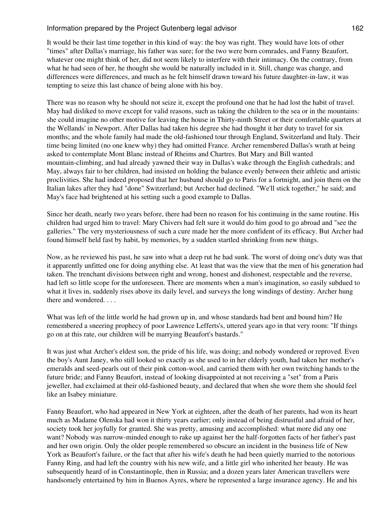It would be their last time together in this kind of way: the boy was right. They would have lots of other "times" after Dallas's marriage, his father was sure; for the two were born comrades, and Fanny Beaufort, whatever one might think of her, did not seem likely to interfere with their intimacy. On the contrary, from what he had seen of her, he thought she would be naturally included in it. Still, change was change, and differences were differences, and much as he felt himself drawn toward his future daughter-in-law, it was tempting to seize this last chance of being alone with his boy.

There was no reason why he should not seize it, except the profound one that he had lost the habit of travel. May had disliked to move except for valid reasons, such as taking the children to the sea or in the mountains: she could imagine no other motive for leaving the house in Thirty-ninth Street or their comfortable quarters at the Wellands' in Newport. After Dallas had taken his degree she had thought it her duty to travel for six months; and the whole family had made the old-fashioned tour through England, Switzerland and Italy. Their time being limited (no one knew why) they had omitted France. Archer remembered Dallas's wrath at being asked to contemplate Mont Blanc instead of Rheims and Chartres. But Mary and Bill wanted mountain-climbing, and had already yawned their way in Dallas's wake through the English cathedrals; and May, always fair to her children, had insisted on holding the balance evenly between their athletic and artistic proclivities. She had indeed proposed that her husband should go to Paris for a fortnight, and join them on the Italian lakes after they had "done" Switzerland; but Archer had declined. "We'll stick together," he said; and May's face had brightened at his setting such a good example to Dallas.

Since her death, nearly two years before, there had been no reason for his continuing in the same routine. His children had urged him to travel: Mary Chivers had felt sure it would do him good to go abroad and "see the galleries." The very mysteriousness of such a cure made her the more confident of its efficacy. But Archer had found himself held fast by habit, by memories, by a sudden startled shrinking from new things.

Now, as he reviewed his past, he saw into what a deep rut he had sunk. The worst of doing one's duty was that it apparently unfitted one for doing anything else. At least that was the view that the men of his generation had taken. The trenchant divisions between right and wrong, honest and dishonest, respectable and the reverse, had left so little scope for the unforeseen. There are moments when a man's imagination, so easily subdued to what it lives in, suddenly rises above its daily level, and surveys the long windings of destiny. Archer hung there and wondered. . . .

What was left of the little world he had grown up in, and whose standards had bent and bound him? He remembered a sneering prophecy of poor Lawrence Lefferts's, uttered years ago in that very room: "If things go on at this rate, our children will be marrying Beaufort's bastards."

It was just what Archer's eldest son, the pride of his life, was doing; and nobody wondered or reproved. Even the boy's Aunt Janey, who still looked so exactly as she used to in her elderly youth, had taken her mother's emeralds and seed-pearls out of their pink cotton-wool, and carried them with her own twitching hands to the future bride; and Fanny Beaufort, instead of looking disappointed at not receiving a "set" from a Paris jeweller, had exclaimed at their old-fashioned beauty, and declared that when she wore them she should feel like an Isabey miniature.

Fanny Beaufort, who had appeared in New York at eighteen, after the death of her parents, had won its heart much as Madame Olenska had won it thirty years earlier; only instead of being distrustful and afraid of her, society took her joyfully for granted. She was pretty, amusing and accomplished: what more did any one want? Nobody was narrow-minded enough to rake up against her the half-forgotten facts of her father's past and her own origin. Only the older people remembered so obscure an incident in the business life of New York as Beaufort's failure, or the fact that after his wife's death he had been quietly married to the notorious Fanny Ring, and had left the country with his new wife, and a little girl who inherited her beauty. He was subsequently heard of in Constantinople, then in Russia; and a dozen years later American travellers were handsomely entertained by him in Buenos Ayres, where he represented a large insurance agency. He and his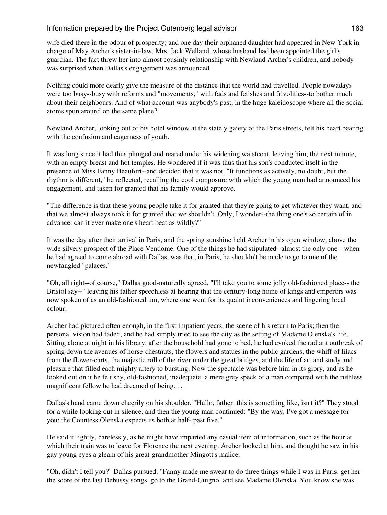wife died there in the odour of prosperity; and one day their orphaned daughter had appeared in New York in charge of May Archer's sister-in-law, Mrs. Jack Welland, whose husband had been appointed the girl's guardian. The fact threw her into almost cousinly relationship with Newland Archer's children, and nobody was surprised when Dallas's engagement was announced.

Nothing could more dearly give the measure of the distance that the world had travelled. People nowadays were too busy--busy with reforms and "movements," with fads and fetishes and frivolities--to bother much about their neighbours. And of what account was anybody's past, in the huge kaleidoscope where all the social atoms spun around on the same plane?

Newland Archer, looking out of his hotel window at the stately gaiety of the Paris streets, felt his heart beating with the confusion and eagerness of youth.

It was long since it had thus plunged and reared under his widening waistcoat, leaving him, the next minute, with an empty breast and hot temples. He wondered if it was thus that his son's conducted itself in the presence of Miss Fanny Beaufort--and decided that it was not. "It functions as actively, no doubt, but the rhythm is different," he reflected, recalling the cool composure with which the young man had announced his engagement, and taken for granted that his family would approve.

"The difference is that these young people take it for granted that they're going to get whatever they want, and that we almost always took it for granted that we shouldn't. Only, I wonder--the thing one's so certain of in advance: can it ever make one's heart beat as wildly?"

It was the day after their arrival in Paris, and the spring sunshine held Archer in his open window, above the wide silvery prospect of the Place Vendome. One of the things he had stipulated--almost the only one-- when he had agreed to come abroad with Dallas, was that, in Paris, he shouldn't be made to go to one of the newfangled "palaces."

"Oh, all right--of course," Dallas good-naturedly agreed. "I'll take you to some jolly old-fashioned place-- the Bristol say--" leaving his father speechless at hearing that the century-long home of kings and emperors was now spoken of as an old-fashioned inn, where one went for its quaint inconveniences and lingering local colour.

Archer had pictured often enough, in the first impatient years, the scene of his return to Paris; then the personal vision had faded, and he had simply tried to see the city as the setting of Madame Olenska's life. Sitting alone at night in his library, after the household had gone to bed, he had evoked the radiant outbreak of spring down the avenues of horse-chestnuts, the flowers and statues in the public gardens, the whiff of lilacs from the flower-carts, the majestic roll of the river under the great bridges, and the life of art and study and pleasure that filled each mighty artery to bursting. Now the spectacle was before him in its glory, and as he looked out on it he felt shy, old-fashioned, inadequate: a mere grey speck of a man compared with the ruthless magnificent fellow he had dreamed of being. . . .

Dallas's hand came down cheerily on his shoulder. "Hullo, father: this is something like, isn't it?" They stood for a while looking out in silence, and then the young man continued: "By the way, I've got a message for you: the Countess Olenska expects us both at half- past five."

He said it lightly, carelessly, as he might have imparted any casual item of information, such as the hour at which their train was to leave for Florence the next evening. Archer looked at him, and thought he saw in his gay young eyes a gleam of his great-grandmother Mingott's malice.

"Oh, didn't I tell you?" Dallas pursued. "Fanny made me swear to do three things while I was in Paris: get her the score of the last Debussy songs, go to the Grand-Guignol and see Madame Olenska. You know she was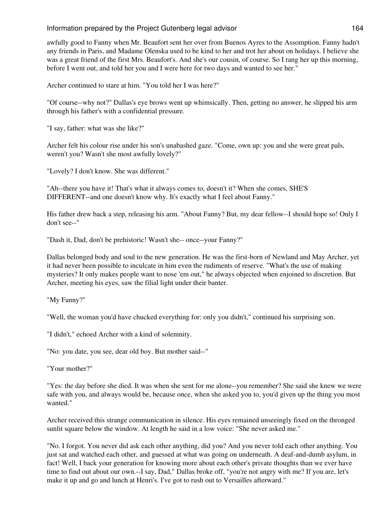awfully good to Fanny when Mr. Beaufort sent her over from Buenos Ayres to the Assomption. Fanny hadn't any friends in Paris, and Madame Olenska used to be kind to her and trot her about on holidays. I believe she was a great friend of the first Mrs. Beaufort's. And she's our cousin, of course. So I rang her up this morning, before I went out, and told her you and I were here for two days and wanted to see her."

Archer continued to stare at him. "You told her I was here?"

"Of course--why not?" Dallas's eye brows went up whimsically. Then, getting no answer, he slipped his arm through his father's with a confidential pressure.

"I say, father: what was she like?"

Archer felt his colour rise under his son's unabashed gaze. "Come, own up: you and she were great pals, weren't you? Wasn't she most awfully lovely?"

"Lovely? I don't know. She was different."

"Ah--there you have it! That's what it always comes to, doesn't it? When she comes, SHE'S DIFFERENT--and one doesn't know why. It's exactly what I feel about Fanny."

His father drew back a step, releasing his arm. "About Fanny? But, my dear fellow--I should hope so! Only I don't see--"

"Dash it, Dad, don't be prehistoric! Wasn't she-- once--your Fanny?"

Dallas belonged body and soul to the new generation. He was the first-born of Newland and May Archer, yet it had never been possible to inculcate in him even the rudiments of reserve. "What's the use of making mysteries? It only makes people want to nose 'em out," he always objected when enjoined to discretion. But Archer, meeting his eyes, saw the filial light under their banter.

"My Fanny?"

"Well, the woman you'd have chucked everything for: only you didn't," continued his surprising son.

"I didn't," echoed Archer with a kind of solemnity.

"No: you date, you see, dear old boy. But mother said--"

"Your mother?"

"Yes: the day before she died. It was when she sent for me alone--you remember? She said she knew we were safe with you, and always would be, because once, when she asked you to, you'd given up the thing you most wanted."

Archer received this strange communication in silence. His eyes remained unseeingly fixed on the thronged sunlit square below the window. At length he said in a low voice: "She never asked me."

"No. I forgot. You never did ask each other anything, did you? And you never told each other anything. You just sat and watched each other, and guessed at what was going on underneath. A deaf-and-dumb asylum, in fact! Well, I back your generation for knowing more about each other's private thoughts than we ever have time to find out about our own.--I say, Dad," Dallas broke off, "you're not angry with me? If you are, let's make it up and go and lunch at Henri's. I've got to rush out to Versailles afterward."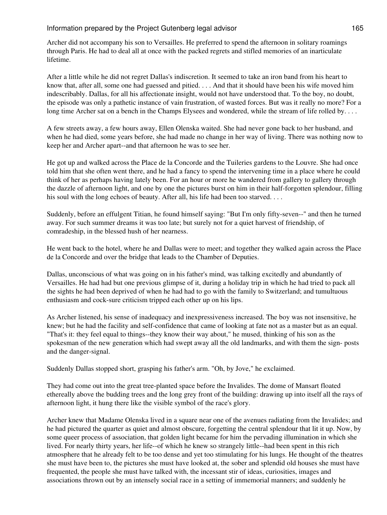Archer did not accompany his son to Versailles. He preferred to spend the afternoon in solitary roamings through Paris. He had to deal all at once with the packed regrets and stifled memories of an inarticulate lifetime.

After a little while he did not regret Dallas's indiscretion. It seemed to take an iron band from his heart to know that, after all, some one had guessed and pitied. . . . And that it should have been his wife moved him indescribably. Dallas, for all his affectionate insight, would not have understood that. To the boy, no doubt, the episode was only a pathetic instance of vain frustration, of wasted forces. But was it really no more? For a long time Archer sat on a bench in the Champs Elysees and wondered, while the stream of life rolled by....

A few streets away, a few hours away, Ellen Olenska waited. She had never gone back to her husband, and when he had died, some years before, she had made no change in her way of living. There was nothing now to keep her and Archer apart--and that afternoon he was to see her.

He got up and walked across the Place de la Concorde and the Tuileries gardens to the Louvre. She had once told him that she often went there, and he had a fancy to spend the intervening time in a place where he could think of her as perhaps having lately been. For an hour or more he wandered from gallery to gallery through the dazzle of afternoon light, and one by one the pictures burst on him in their half-forgotten splendour, filling his soul with the long echoes of beauty. After all, his life had been too starved. . . .

Suddenly, before an effulgent Titian, he found himself saying: "But I'm only fifty-seven--" and then he turned away. For such summer dreams it was too late; but surely not for a quiet harvest of friendship, of comradeship, in the blessed hush of her nearness.

He went back to the hotel, where he and Dallas were to meet; and together they walked again across the Place de la Concorde and over the bridge that leads to the Chamber of Deputies.

Dallas, unconscious of what was going on in his father's mind, was talking excitedly and abundantly of Versailles. He had had but one previous glimpse of it, during a holiday trip in which he had tried to pack all the sights he had been deprived of when he had had to go with the family to Switzerland; and tumultuous enthusiasm and cock-sure criticism tripped each other up on his lips.

As Archer listened, his sense of inadequacy and inexpressiveness increased. The boy was not insensitive, he knew; but he had the facility and self-confidence that came of looking at fate not as a master but as an equal. "That's it: they feel equal to things--they know their way about," he mused, thinking of his son as the spokesman of the new generation which had swept away all the old landmarks, and with them the sign- posts and the danger-signal.

Suddenly Dallas stopped short, grasping his father's arm. "Oh, by Jove," he exclaimed.

They had come out into the great tree-planted space before the Invalides. The dome of Mansart floated ethereally above the budding trees and the long grey front of the building: drawing up into itself all the rays of afternoon light, it hung there like the visible symbol of the race's glory.

Archer knew that Madame Olenska lived in a square near one of the avenues radiating from the Invalides; and he had pictured the quarter as quiet and almost obscure, forgetting the central splendour that lit it up. Now, by some queer process of association, that golden light became for him the pervading illumination in which she lived. For nearly thirty years, her life--of which he knew so strangely little--had been spent in this rich atmosphere that he already felt to be too dense and yet too stimulating for his lungs. He thought of the theatres she must have been to, the pictures she must have looked at, the sober and splendid old houses she must have frequented, the people she must have talked with, the incessant stir of ideas, curiosities, images and associations thrown out by an intensely social race in a setting of immemorial manners; and suddenly he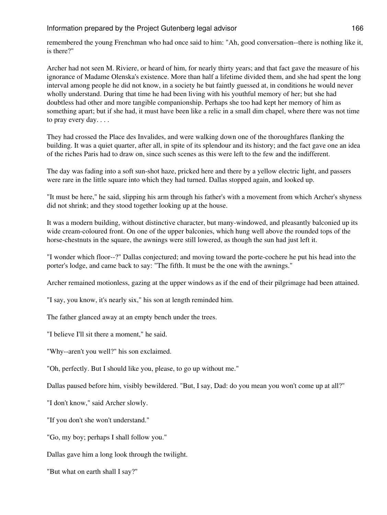remembered the young Frenchman who had once said to him: "Ah, good conversation--there is nothing like it, is there?"

Archer had not seen M. Riviere, or heard of him, for nearly thirty years; and that fact gave the measure of his ignorance of Madame Olenska's existence. More than half a lifetime divided them, and she had spent the long interval among people he did not know, in a society he but faintly guessed at, in conditions he would never wholly understand. During that time he had been living with his youthful memory of her; but she had doubtless had other and more tangible companionship. Perhaps she too had kept her memory of him as something apart; but if she had, it must have been like a relic in a small dim chapel, where there was not time to pray every day. . . .

They had crossed the Place des Invalides, and were walking down one of the thoroughfares flanking the building. It was a quiet quarter, after all, in spite of its splendour and its history; and the fact gave one an idea of the riches Paris had to draw on, since such scenes as this were left to the few and the indifferent.

The day was fading into a soft sun-shot haze, pricked here and there by a yellow electric light, and passers were rare in the little square into which they had turned. Dallas stopped again, and looked up.

"It must be here," he said, slipping his arm through his father's with a movement from which Archer's shyness did not shrink; and they stood together looking up at the house.

It was a modern building, without distinctive character, but many-windowed, and pleasantly balconied up its wide cream-coloured front. On one of the upper balconies, which hung well above the rounded tops of the horse-chestnuts in the square, the awnings were still lowered, as though the sun had just left it.

"I wonder which floor--?" Dallas conjectured; and moving toward the porte-cochere he put his head into the porter's lodge, and came back to say: "The fifth. It must be the one with the awnings."

Archer remained motionless, gazing at the upper windows as if the end of their pilgrimage had been attained.

"I say, you know, it's nearly six," his son at length reminded him.

The father glanced away at an empty bench under the trees.

"I believe I'll sit there a moment," he said.

"Why--aren't you well?" his son exclaimed.

"Oh, perfectly. But I should like you, please, to go up without me."

Dallas paused before him, visibly bewildered. "But, I say, Dad: do you mean you won't come up at all?"

"I don't know," said Archer slowly.

"If you don't she won't understand."

"Go, my boy; perhaps I shall follow you."

Dallas gave him a long look through the twilight.

"But what on earth shall I say?"